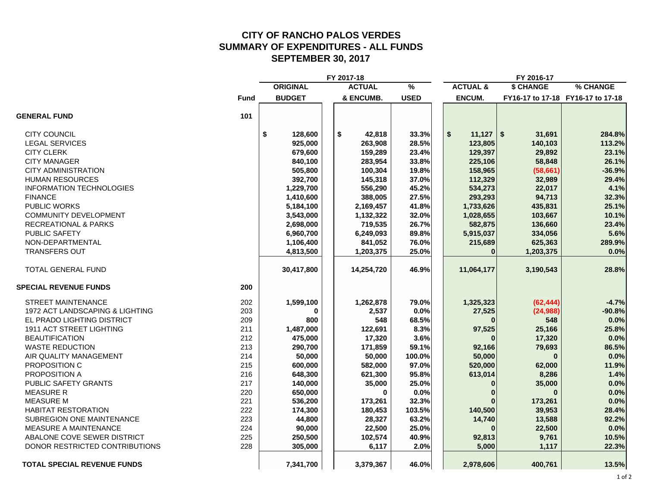## **CITY OF RANCHO PALOS VERDESSUMMARY OF EXPENDITURES - ALL FUNDS SEPTEMBER 30, 2017**

|                                    |             |                 | FY 2017-18    |               |                     | FY 2016-17 |                                   |
|------------------------------------|-------------|-----------------|---------------|---------------|---------------------|------------|-----------------------------------|
|                                    |             | <b>ORIGINAL</b> | <b>ACTUAL</b> | $\frac{9}{6}$ | <b>ACTUAL &amp;</b> | \$ CHANGE  | % CHANGE                          |
|                                    | <b>Fund</b> | <b>BUDGET</b>   | & ENCUMB.     | <b>USED</b>   | <b>ENCUM.</b>       |            | FY16-17 to 17-18 FY16-17 to 17-18 |
| <b>GENERAL FUND</b>                | 101         |                 |               |               |                     |            |                                   |
| <b>CITY COUNCIL</b>                |             | \$<br>128,600   | \$<br>42,818  | 33.3%         | \$<br>$11,127$ \ \$ | 31,691     | 284.8%                            |
| <b>LEGAL SERVICES</b>              |             | 925,000         | 263,908       | 28.5%         | 123,805             | 140,103    | 113.2%                            |
| <b>CITY CLERK</b>                  |             | 679,600         | 159,289       | 23.4%         | 129,397             | 29,892     | 23.1%                             |
| <b>CITY MANAGER</b>                |             | 840,100         | 283,954       | 33.8%         | 225,106             | 58,848     | 26.1%                             |
| <b>CITY ADMINISTRATION</b>         |             | 505,800         | 100,304       | 19.8%         | 158,965             | (58, 661)  | $-36.9%$                          |
| <b>HUMAN RESOURCES</b>             |             | 392,700         | 145,318       | 37.0%         | 112,329             | 32,989     | 29.4%                             |
| <b>INFORMATION TECHNOLOGIES</b>    |             | 1,229,700       | 556,290       | 45.2%         | 534,273             | 22,017     | 4.1%                              |
| <b>FINANCE</b>                     |             | 1,410,600       | 388,005       | 27.5%         | 293,293             | 94,713     | 32.3%                             |
| <b>PUBLIC WORKS</b>                |             | 5,184,100       | 2,169,457     | 41.8%         | 1,733,626           | 435,831    | 25.1%                             |
| <b>COMMUNITY DEVELOPMENT</b>       |             | 3,543,000       | 1,132,322     | 32.0%         | 1,028,655           | 103,667    | 10.1%                             |
| <b>RECREATIONAL &amp; PARKS</b>    |             | 2,698,000       | 719,535       | 26.7%         | 582,875             | 136,660    | 23.4%                             |
| PUBLIC SAFETY                      |             | 6,960,700       | 6,249,093     | 89.8%         | 5,915,037           | 334,056    | 5.6%                              |
| NON-DEPARTMENTAL                   |             | 1,106,400       | 841,052       | 76.0%         | 215,689             | 625,363    | 289.9%                            |
| <b>TRANSFERS OUT</b>               |             | 4,813,500       | 1,203,375     | 25.0%         | $\bf{0}$            | 1,203,375  | 0.0%                              |
| <b>TOTAL GENERAL FUND</b>          |             | 30,417,800      | 14,254,720    | 46.9%         | 11,064,177          | 3,190,543  | 28.8%                             |
| <b>SPECIAL REVENUE FUNDS</b>       | 200         |                 |               |               |                     |            |                                   |
| <b>STREET MAINTENANCE</b>          | 202         | 1,599,100       | 1,262,878     | 79.0%         | 1,325,323           | (62, 444)  | $-4.7%$                           |
| 1972 ACT LANDSCAPING & LIGHTING    | 203         | 0               | 2,537         | 0.0%          | 27,525              | (24, 988)  | $-90.8%$                          |
| EL PRADO LIGHTING DISTRICT         | 209         | 800             | 548           | 68.5%         | ŋ                   | 548        | 0.0%                              |
| 1911 ACT STREET LIGHTING           | 211         | 1,487,000       | 122,691       | 8.3%          | 97,525              | 25,166     | 25.8%                             |
| <b>BEAUTIFICATION</b>              | 212         | 475,000         | 17,320        | 3.6%          |                     | 17,320     | 0.0%                              |
| <b>WASTE REDUCTION</b>             | 213         | 290,700         | 171,859       | 59.1%         | 92,166              | 79,693     | 86.5%                             |
| AIR QUALITY MANAGEMENT             | 214         | 50,000          | 50,000        | 100.0%        | 50,000              | $\bf{0}$   | 0.0%                              |
| PROPOSITION C                      | 215         | 600,000         | 582,000       | 97.0%         | 520,000             | 62,000     | 11.9%                             |
| PROPOSITION A                      | 216         | 648,300         | 621,300       | 95.8%         | 613,014             | 8,286      | 1.4%                              |
| PUBLIC SAFETY GRANTS               | 217         | 140,000         | 35,000        | 25.0%         |                     | 35,000     | 0.0%                              |
| <b>MEASURE R</b>                   | 220         | 650,000         | $\bf{0}$      | 0.0%          |                     | $\bf{0}$   | 0.0%                              |
| <b>MEASURE M</b>                   | 221         | 536,200         | 173,261       | 32.3%         |                     | 173,261    | 0.0%                              |
| <b>HABITAT RESTORATION</b>         | 222         | 174,300         | 180,453       | 103.5%        | 140,500             | 39,953     | 28.4%                             |
| SUBREGION ONE MAINTENANCE          | 223         | 44,800          | 28,327        | 63.2%         | 14,740              | 13,588     | 92.2%                             |
| <b>MEASURE A MAINTENANCE</b>       | 224         | 90,000          | 22,500        | 25.0%         |                     | 22,500     | 0.0%                              |
| ABALONE COVE SEWER DISTRICT        | 225         | 250,500         | 102,574       | 40.9%         | 92,813              | 9,761      | 10.5%                             |
| DONOR RESTRICTED CONTRIBUTIONS     | 228         | 305,000         | 6,117         | 2.0%          | 5,000               | 1,117      | 22.3%                             |
| <b>TOTAL SPECIAL REVENUE FUNDS</b> |             | 7,341,700       | 3,379,367     | 46.0%         | 2,978,606           | 400,761    | 13.5%                             |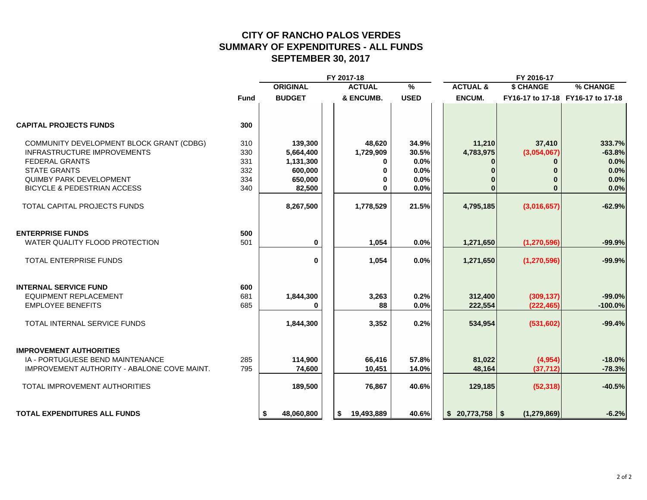# **CITY OF RANCHO PALOS VERDESSUMMARY OF EXPENDITURES - ALL FUNDS SEPTEMBER 30, 2017**

|                                                    |             |                  | FY 2017-18       |               |                     | FY 2016-17    |                                   |
|----------------------------------------------------|-------------|------------------|------------------|---------------|---------------------|---------------|-----------------------------------|
|                                                    |             | <b>ORIGINAL</b>  | <b>ACTUAL</b>    | $\frac{9}{6}$ | <b>ACTUAL &amp;</b> | \$ CHANGE     | % CHANGE                          |
|                                                    | <b>Fund</b> | <b>BUDGET</b>    | & ENCUMB.        | <b>USED</b>   | <b>ENCUM.</b>       |               | FY16-17 to 17-18 FY16-17 to 17-18 |
|                                                    |             |                  |                  |               |                     |               |                                   |
| <b>CAPITAL PROJECTS FUNDS</b>                      | 300         |                  |                  |               |                     |               |                                   |
| COMMUNITY DEVELOPMENT BLOCK GRANT (CDBG)           | 310         | 139,300          | 48,620           | 34.9%         | 11,210              | 37,410        | 333.7%                            |
| <b>INFRASTRUCTURE IMPROVEMENTS</b>                 | 330         | 5,664,400        | 1,729,909        | 30.5%         | 4,783,975           | (3,054,067)   | $-63.8%$                          |
| <b>FEDERAL GRANTS</b>                              | 331         | 1,131,300        | 0                | 0.0%          |                     | 0             | 0.0%                              |
| <b>STATE GRANTS</b>                                | 332         | 600,000          | 0                | 0.0%          |                     | 0             | 0.0%                              |
| <b>QUIMBY PARK DEVELOPMENT</b>                     | 334         | 650,000          | 0                | 0.0%          |                     | $\bf{0}$      | 0.0%                              |
| <b>BICYCLE &amp; PEDESTRIAN ACCESS</b>             | 340         | 82,500           | 0                | 0.0%          |                     | $\bf{0}$      | 0.0%                              |
| TOTAL CAPITAL PROJECTS FUNDS                       |             | 8,267,500        | 1,778,529        | 21.5%         | 4,795,185           | (3,016,657)   | $-62.9%$                          |
| <b>ENTERPRISE FUNDS</b>                            | 500         |                  |                  |               |                     |               |                                   |
| WATER QUALITY FLOOD PROTECTION                     | 501         | 0                | 1,054            | 0.0%          | 1,271,650           | (1, 270, 596) | $-99.9%$                          |
|                                                    |             |                  |                  |               |                     |               |                                   |
| <b>TOTAL ENTERPRISE FUNDS</b>                      |             | $\bf{0}$         | 1,054            | 0.0%          | 1,271,650           | (1, 270, 596) | $-99.9%$                          |
| <b>INTERNAL SERVICE FUND</b>                       | 600         |                  |                  |               |                     |               |                                   |
| <b>EQUIPMENT REPLACEMENT</b>                       | 681         | 1,844,300        | 3,263            | 0.2%          | 312,400             | (309, 137)    | $-99.0%$                          |
| <b>EMPLOYEE BENEFITS</b>                           | 685         | 0                | 88               | 0.0%          | 222,554             | (222, 465)    | $-100.0%$                         |
| TOTAL INTERNAL SERVICE FUNDS                       |             | 1,844,300        | 3,352            | 0.2%          | 534,954             | (531, 602)    | $-99.4%$                          |
| <b>IMPROVEMENT AUTHORITIES</b>                     |             |                  |                  |               |                     |               |                                   |
| IA - PORTUGUESE BEND MAINTENANCE                   | 285         | 114,900          | 66,416           | 57.8%         | 81,022              | (4,954)       | $-18.0%$                          |
| <b>IMPROVEMENT AUTHORITY - ABALONE COVE MAINT.</b> | 795         | 74,600           | 10,451           | 14.0%         | 48,164              | (37, 712)     | $-78.3%$                          |
| TOTAL IMPROVEMENT AUTHORITIES                      |             | 189,500          | 76,867           | 40.6%         | 129,185             | (52, 318)     | $-40.5%$                          |
| <b>TOTAL EXPENDITURES ALL FUNDS</b>                |             | 48,060,800<br>\$ | 19,493,889<br>\$ | 40.6%         | $$20,773,758$ \\$   | (1, 279, 869) | $-6.2%$                           |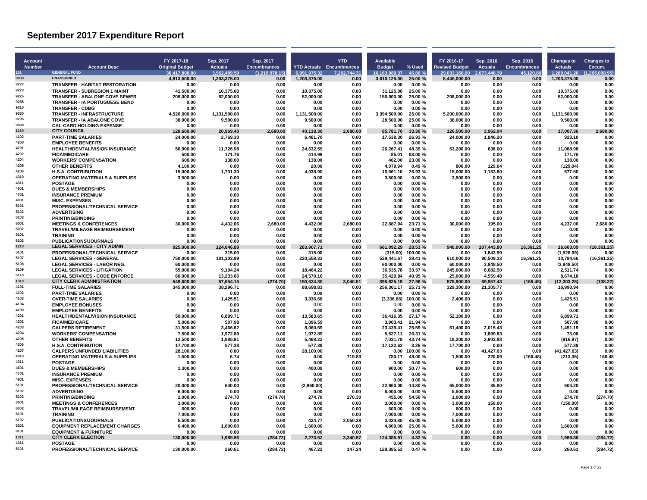| Account       |                                                                   | FY 2017-18                    | Sep. 2017                    | Sep. 2017              |                              | <b>YTD</b>                      | Available                     |                    | FY 2016-17                    | Sep. 2016             | Sep. 2016           | <b>Changes to</b>            | <b>Changes to</b>     |
|---------------|-------------------------------------------------------------------|-------------------------------|------------------------------|------------------------|------------------------------|---------------------------------|-------------------------------|--------------------|-------------------------------|-----------------------|---------------------|------------------------------|-----------------------|
| <b>Number</b> | <b>Account Desc</b><br><b>GENERAL FUND</b>                        | <b>Original Budget</b>        | <b>Actuals</b>               | <b>Encumbrances</b>    |                              | <b>YTD Actuals Encumbrances</b> | <b>Budget</b>                 | % Used             | <b>Revised Budget</b>         | <b>Actuals</b>        | <b>Encumbrances</b> | <b>Actuals</b>               | Encum.                |
| 101<br>0000   | <b>UNASSIGNED</b>                                                 | 30.417.800.00<br>4,813,500.00 | 3.962.489.59<br>1,203,375.00 | (1.219.978.15)<br>0.00 | 6.991.975.32<br>1,203,375.00 | 7.262.744.31<br>0.00            | 16.163.080.37<br>3,610,125.00 | 46.86%<br>25.00 %  | 29.033.166.00<br>5,446,000.00 | 2.673.448.39<br>0.00  | 45.120.80<br>0.00   | 1.289.041.20<br>1,203,375.00 | (1.265.098.95<br>0.00 |
| 9222          | <b>TRANSFER - HABITAT RESTORATION</b>                             | 0.00                          | 0.00                         | 0.00                   | 0.00                         | 0.00                            | 0.00                          | $0.00 \%$          | 0.00                          | 0.00                  | 0.00                | 0.00                         | 0.00                  |
| 9223          | <b>TRANSFER - SUBREGION 1 MAINT</b>                               | 41,500.00                     | 10,375.00                    | 0.00                   | 10,375.00                    | 0.00                            | 31.125.00                     | 25.00%             | 0.00                          | 0.00                  | 0.00                | 10,375.00                    | 0.00                  |
| 9225          | <b>TRANSFER - ABALONE COVE SEWER</b>                              | 208,000.00                    | 52,000.00                    | 0.00                   | 52,000.00                    | 0.00                            | 156,000.00                    | 25.00%             | 208,000.00                    | 0.00                  | 0.00                | 52,000.00                    | 0.00                  |
| 9285<br>9310  | <b>TRANSFER - IA PORTUGUESE BEND</b>                              | 0.00                          | 0.00                         | 0.00                   | 0.00                         | 0.00                            | 0.00                          | 0.00%              | 0.00                          | 0.00                  | 0.00                | 0.00                         | 0.00                  |
| 9330          | <b>TRANSFER - CDBG</b><br><b>TRANSFER - INFRASTRUCTURE</b>        | 0.00<br>4,526,000.00          | 0.00<br>1,131,500.00         | 0.00<br>0.00           | 0.00<br>1,131,500.00         | 0.00<br>0.00                    | 0.00<br>3,394,500.00          | 0.00%<br>25.00%    | 0.00<br>5,200,000.00          | 0.00<br>0.00          | 0.00<br>0.00        | 0.00<br>1,131,500.00         | 0.00<br>0.00          |
| 9795          | <b>TRANSFER - IA ABALONE COVE</b>                                 | 38,000.00                     | 9,500.00                     | 0.00                   | 9,500.00                     | 0.00                            | 28,500.00                     | 25.00%             | 38,000.00                     | 0.00                  | 0.00                | 9,500.00                     | 0.00                  |
| 9999          | <b>CAL-CARD HOLDING EXPENSE</b>                                   | 0.00                          | 0.00                         | 0.00                   | 0.00                         | 0.00                            | 0.00                          | 0.00%              | 0.00                          | 0.00                  | 0.00                | 0.00                         | 0.00                  |
| 1110          | <b>CITY COUNCIL</b>                                               | 128,600.00                    | 20.969.40                    | 2.680.00               | 40.138.30                    | 2.680.00                        | 85,781.70                     | 33.30 %            | 126.500.00                    | 3,962.04              | 0.00                | 17,007.36                    | 2.680.00              |
| 4102<br>4200  | <b>PART-TIME SALARIES</b>                                         | 24,000.00                     | 2,769.30                     | 0.00                   | 6,461.70                     | 0.00                            | 17,538.30                     | 26.93%             | 24,000.00                     | 1,846.20              | 0.00                | 923.10                       | 0.00                  |
| 4201          | <b>EMPLOYEE BENEFITS</b><br><b>HEALTH/DENTAL/VISION INSURANCE</b> | 0.00<br>50.900.00             | 0.00<br>11.726.98            | 0.00<br>0.00           | 0.00<br>24.632.59            | 0.00<br>0.00                    | 0.00<br>26.267.41             | 0.00%<br>48.39%    | 0.00<br>53.200.00             | 0.00<br>638.00        | 0.00<br>0.00        | 0.00<br>11,088.98            | 0.00<br>0.00          |
| 4202          | <b>FICA/MEDICARE</b>                                              | 500.00                        | 171.76                       | 0.00                   | 414.99                       | 0.00                            | 85.01                         | 83.00%             | 0.00                          | 0.00                  | 0.00                | 171.76                       | 0.00                  |
| 4204          | <b>WORKERS' COMPENSATION</b>                                      | 600.00                        | 138.00                       | 0.00                   | 138.00                       | 0.00                            | 462.00                        | 23.00%             | 0.00                          | 0.00                  | 0.00                | 138.00                       | 0.00                  |
| 4205          | <b>OTHER BENEFITS</b>                                             | 4.100.00                      | 0.00                         | 0.00                   | 20.06                        | 0.00                            | 4.079.94                      | 0.49%              | 800.00                        | 129.04                | 0.00                | (129.04)                     | 0.00                  |
| 4206          | <b>H.S.A. CONTRIBUTION</b>                                        | 15,000.00                     | 1,731.30                     | 0.00                   | 4.038.90                     | 0.00                            | 10.961.10                     | 26.93%             | 15.000.00                     | 1,153.80              | 0.00                | 577.50                       | 0.00                  |
| 4310<br>4311  | <b>OPERATING MATERIALS &amp; SUPPLIES</b>                         | 3,500.00                      | 0.00                         | 0.00                   | 0.00                         | 0.00                            | 3,500.00                      | 0.00%              | 3,500.00                      | 0.00                  | 0.00                | 0.00                         | 0.00                  |
| 4601          | <b>POSTAGE</b><br><b>DUES &amp; MEMBERSHIPS</b>                   | 0.00<br>0.00                  | 0.00<br>0.00                 | 0.00<br>0.00           | 0.00<br>0.00                 | 0.00<br>0.00                    | 0.00<br>0.00                  | 0.00%<br>0.00%     | 0.00<br>0.00                  | 0.00<br>0.00          | 0.00<br>0.00        | 0.00<br>0.00                 | 0.00<br>0.00          |
| 4701          | <b>INSURANCE PREMIUM</b>                                          | 0.00                          | 0.00                         | 0.00                   | 0.00                         | 0.00                            | 0.00                          | $0.00 \%$          | 0.00                          | 0.00                  | 0.00                | 0.00                         | 0.00                  |
| 4901          | <b>MISC. EXPENSES</b>                                             | 0.00                          | 0.00                         | 0.00                   | 0.00                         | 0.00                            | 0.00                          | 0.00%              | 0.00                          | 0.00                  | 0.00                | 0.00                         | 0.00                  |
| 5101          | PROFESSIONAL/TECHNICAL SERVICE                                    | 0.00                          | 0.00                         | 0.00                   | 0.00                         | 0.00                            | 0.00                          | 0.00%              | 0.00                          | 0.00                  | 0.00                | 0.00                         | 0.00                  |
| 5102<br>5103  | <b>ADVERTISING</b>                                                | 0.00                          | 0.00                         | 0.00                   | 0.00                         | 0.00                            | 0.00                          | 0.00%              | 0.00                          | 0.00                  | 0.00                | 0.00                         | 0.00                  |
| 6001          | <b>PRINTING/BINDING</b><br><b>MEETINGS &amp; CONFERENCES</b>      | 0.00<br>30.000.00             | 0.00<br>4.432.06             | 0.00<br>2,680.00       | 0.00<br>4.432.06             | 0.00<br>2,680.00                | 0.00<br>22.887.94             | 0.00%<br>23.71%    | 0.00<br>30.000.00             | 0.00<br>195.00        | 0.00<br>0.00        | 0.00<br>4.237.06             | 0.00<br>2,680.00      |
| 6002          | <b>TRAVEL/MILEAGE REIMBURSEMENT</b>                               | 0.00                          | 0.00                         | 0.00                   | 0.00                         | 0.00                            | 0.00                          | 0.00%              | 0.00                          | 0.00                  | 0.00                | 0.00                         | 0.00                  |
| 6101          | <b>TRAINING</b>                                                   | 0.00                          | 0.00                         | 0.00                   | 0.00                         | 0.00                            | 0.00                          | 0.00%              | 0.00                          | 0.00                  | 0.00                | 0.00                         | 0.00                  |
| 6102          | <b>PUBLICATIONS/JOURNALS</b>                                      | 0.00                          | 0.00                         | 0.00                   | 0.00                         | 0.00                            | 0.00                          | 0.00%              | 0.00                          | 0.00                  | 0.00                | 0.00                         | 0.00                  |
| 1210          | <b>LEGAL SERVICES - CITY ADMIN</b>                                | 925,000.00                    | 124,046.89                   | 0.00                   | 263,907.71                   | 0.00                            | 661,092.29                    | 28.53 %            | 940,000.00                    | 107,443.80            | 16,361.25           | 16,603.09                    | (16, 361.25)          |
| 5101<br>5107  | PROFESSIONAL/TECHNICAL SERVICE<br><b>LEGAL SERVICES - GENERAL</b> | 0.00                          | 315.00<br>101,303.99         | 0.00<br>0.00           | 315.00<br>220,558.33         | 0.00                            | (315.00)<br>529.441.67        | 100.00%<br>29.41%  | 0.00                          | 1,843.99<br>90,509.33 | 0.00<br>16,361.25   | (1,528.99)<br>10,794.66      | 0.00<br>(16, 361.25)  |
| 5108          | <b>LEGAL SERVICES - LABOR NEG.</b>                                | 750,000.00<br>60,000.00       | 0.00                         | 0.00                   | 0.00                         | 0.00<br>0.00                    | 60.000.00                     | 0.00%              | 610,000.00<br>60.000.00       | 3,848.50              | 0.00                | (3,848.50)                   | 0.00                  |
| 5109          | <b>LEGAL SERVICES - LITIGATION</b>                                | 55.000.00                     | 9.194.24                     | 0.00                   | 18.464.22                    | 0.00                            | 36.535.78                     | 33.57 %            | 245.000.00                    | 6.682.50              | 0.00                | 2.511.74                     | 0.00                  |
| 5110          | <b>LEGAL SERVICES - CODE ENFORCE</b>                              | 60,000.00                     | 13,233.66                    | 0.00                   | 24,570.16                    | 0.00                            | 35,429.84                     | 40.95 %            | 25,000.00                     | 4,559.48              | 0.00                | 8,674.18                     | 0.00                  |
| 1310          | <b>CITY CLERK ADMINISTRATION</b>                                  | 549.600.00                    | 57.654.15                    | (274.70)               | 150.634.30                   | 3.040.51                        | 395.925.19                    | 27.96 %            | 575.900.00                    | 69.957.43             | (166.48)            | (12.303.28)                  | (108.22)              |
| 4101<br>4102  | <b>FULL-TIME SALARIES</b><br><b>PART-TIME SALARIES</b>            | 345.000.00                    | 38.296.71                    | 0.00                   | 88.698.83                    | 0.00                            | 256.301.17                    | 25.71 %            | 329.300.00                    | 21.305.77             | 0.00                | 16.990.94                    | 0.00                  |
| 4103          | <b>OVER-TIME SALARIES</b>                                         | 0.00<br>0.00                  | 0.00<br>1,425.51             | 0.00<br>0.00           | 0.00<br>3,336.68             | 0.00<br>0.00                    | 0.00<br>(3,336.68)            | 0.00%<br>100.00%   | 0.00<br>2,400.00              | 0.00<br>0.00          | 0.00<br>0.00        | 0.00<br>1,425.51             | 0.00<br>0.00          |
| 4104          | <b>EMPLOYEE BONUSES</b>                                           | 0.00                          | 0.00                         | 0.00                   | 0.00                         | 0.00                            | 0.00                          | 0.00%              | 0.00                          | 0.00                  | 0.00                | 0.00                         | 0.00                  |
| 4200          | <b>EMPLOYEE BENEFITS</b>                                          | 0.00                          | 0.00                         | 0.00                   | 0.00                         | 0.00                            | 0.00                          | 0.00%              | 0.00                          | 0.00                  | 0.00                | 0.00                         | 0.00                  |
| 4201          | <b>HEALTH/DENTAL/VISION INSURANCE</b>                             | 50,000.00                     | 6,899.71                     | 0.00                   | 13,583.65                    | 0.00                            | 36,416.35                     | 27.17%             | 52,100.00                     | 0.00                  | 0.00                | 6,899.71                     | 0.00                  |
| 4202<br>4203  | <b>FICA/MEDICARE</b>                                              | 5,000.00                      | 507.98                       | 0.00                   | 1,096.59                     | 0.00                            | 3,903.41                      | 21.94 %            | 0.00                          | 0.00                  | 0.00                | 507.98                       | 0.00                  |
| 4204          | <b>CALPERS RETIREMENT</b><br><b>WORKERS' COMPENSATION</b>         | 31.500.00<br>7,500.00         | 3.466.62<br>1,972.89         | 0.00<br>0.00           | 8.060.59<br>1,972.89         | 0.00<br>0.00                    | 23.439.41<br>5.527.11         | 25.59 %<br>26.31 % | 61.400.00<br>0.00             | 2.015.43<br>1,899.83  | 0.00<br>0.00        | 1.451.19<br>73.06            | 0.00<br>0.00          |
| 4205          | <b>OTHER BENEFITS</b>                                             | 12,500.00                     | 1,985.91                     | 0.00                   | 5,468.22                     | 0.00                            | 7,031.78                      | 43.74 %            | 18,200.00                     | 2,902.88              | 0.00                | (916.97)                     | 0.00                  |
| 4206          | <b>H.S.A. CONTRIBUTION</b>                                        | 17.700.00                     | 577.38                       | 0.00                   | 577.38                       | 0.00                            | 17.122.62                     | 3.26 %             | 17.700.00                     | 0.00                  | 0.00                | 577.38                       | 0.00                  |
| 4207          | <b>CALPERS UNFUNDED LIABILITIES</b>                               | 28.100.00                     | 0.00                         | 0.00                   | 28.100.00                    | 0.00                            | 0.00                          | 100.00%            | 0.00                          | 41.427.63             | 0.00                | (41.427.63)                  | 0.00                  |
| 4310<br>4311  | <b>OPERATING MATERIALS &amp; SUPPLIES</b>                         | 1,500.00                      | 6.74                         | 0.00                   | 0.00                         | 719.83                          | 780.17                        | 48.00%             | 1,500.00                      | 220.09                | (166.48)            | (213.35)                     | 166.48                |
| 4601          | <b>POSTAGE</b><br><b>DUES &amp; MEMBERSHIPS</b>                   | 0.00<br>1.300.00              | 0.00<br>0.00                 | 0.00<br>0.00           | 0.00<br>400.00               | 0.00<br>0.00                    | 0.00<br>900.00                | 0.00%<br>30.77%    | 0.00<br>600.00                | 0.00<br>0.00          | 0.00<br>0.00        | 0.00<br>0.00                 | 0.00<br>0.00          |
| 4701          | <b>INSURANCE PREMIUM</b>                                          | 0.00                          | 0.00                         | 0.00                   | 0.00                         | 0.00                            | 0.00                          | 0.00%              | 0.00                          | 0.00                  | 0.00                | 0.00                         | 0.00                  |
| 4901          | <b>MISC. EXPENSES</b>                                             | 0.00                          | 0.00                         | 0.00                   | 0.00                         | 0.00                            | 0.00                          | 0.00%              | 0.00                          | 0.00                  | 0.00                | 0.00                         | 0.00                  |
| 5101          | PROFESSIONAL/TECHNICAL SERVICE                                    | 20,000.00                     | 640.00                       | 0.00                   | (2,960.00)                   | 0.00                            | 22,960.00                     | $-14.80%$          | 65,000.00                     | 35.80                 | 0.00                | 604.20                       | 0.00                  |
| 5102          | <b>ADVERTISING</b>                                                | 6.000.00                      | 0.00                         | 0.00                   | 0.00                         | 0.00                            | 6.000.00                      | 0.00%              | 5.500.00                      | 0.00                  | 0.00                | 0.00                         | 0.00                  |
| 5103<br>6001  | <b>PRINTING/BINDING</b><br><b>MEETINGS &amp; CONFERENCES</b>      | 1,000.00<br>3,000.00          | 274.70<br>0.00               | (274.70)<br>0.00       | 274.70<br>0.00               | 270.30<br>0.00                  | 455.00<br>3,000.00            | 54.50%<br>0.00%    | 1.000.00<br>3,000.00          | 0.00<br>150.00        | 0.00<br>0.00        | 274.70<br>(150.00)           | (274.70)<br>0.00      |
| 6002          | TRAVEL/MILEAGE REIMBURSEMENT                                      | 600.00                        | 0.00                         | 0.00                   | 0.00                         | 0.00                            | 600.00                        | 0.00%              | 600.00                        | 0.00                  | 0.00                | 0.00                         | 0.00                  |
| 6101          | <b>TRAINING</b>                                                   | 7.000.00                      | 0.00                         | 0.00                   | 0.00                         | 0.00                            | 7.000.00                      | 0.00%              | 7.000.00                      | 0.00                  | 0.00                | 0.00                         | 0.00                  |
| 6102          | PUBLICATIONS/JOURNALS                                             | 5,500.00                      | 0.00                         | 0.00                   | 424.77                       | 2,050.38                        | 3,024.85                      | 45.00%             | 5,000.00                      | 0.00                  | 0.00                | 0.00                         | 0.00                  |
| 6201          | <b>EQUIPMENT REPLACEMENT CHARGES</b>                              | 6,400.00                      | 1,600.00                     | 0.00                   | 1,600.00                     | 0.00                            | 4,800.00                      | 25.00%             | 5,600.00                      | 0.00                  | 0.00                | 1,600.00                     | 0.00                  |
| 8101<br>1311  | <b>EQUIPMENT &amp; FURNITURE</b><br><b>CITY CLERK ELECTION</b>    | 0.00                          | 0.00                         | 0.00                   | 0.00                         | 0.00                            | 0.00                          | 0.00%              | 0.00                          | 0.00                  | 0.00                | 0.00                         | 0.00                  |
| 4311          | <b>POSTAGE</b>                                                    | 130,000.00<br>0.00            | 1.989.86<br>0.00             | (284.72)<br>0.00       | 2.273.52<br>0.00             | 3.340.57<br>0.00                | 124.385.91<br>0.00            | 4.32%<br>0.00%     | 0.00<br>0.00                  | 0.00<br>0.00          | 0.00<br>0.00        | 1.989.86<br>0.00             | (284.72)<br>0.00      |
| 5101          | PROFESSIONAL/TECHNICAL SERVICE                                    | 130,000.00                    | 260.61                       | (284.72)               | 467.23                       | 147.24                          | 129,385.53                    | 0.47%              | 0.00                          | 0.00                  | 0.00                | 260.61                       | (284.72)              |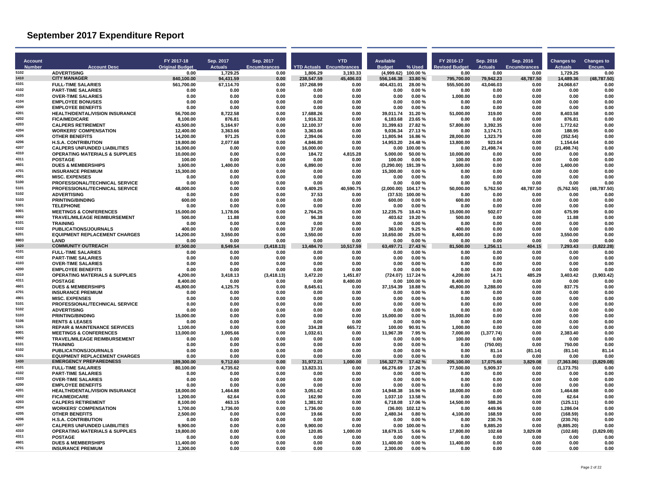| <b>Account</b><br><b>Number</b> | <b>Account Desc</b>                                                              | FY 2017-18<br><b>Original Budget</b> | Sep. 2017<br><b>Actuals</b> | Sep. 2017<br><b>Encumbrances</b> |                       | <b>YTD</b><br><b>YTD Actuals</b> Encumbrances | Available<br><b>Budget</b> | % Used            | FY 2016-17<br><b>Revised Budget</b> | Sep. 2016<br><b>Actuals</b> | Sep. 2016<br><b>Encumbrances</b> | <b>Changes to</b><br><b>Actuals</b> | <b>Changes to</b><br>Encum. |
|---------------------------------|----------------------------------------------------------------------------------|--------------------------------------|-----------------------------|----------------------------------|-----------------------|-----------------------------------------------|----------------------------|-------------------|-------------------------------------|-----------------------------|----------------------------------|-------------------------------------|-----------------------------|
| 5102                            | <b>ADVERTISING</b>                                                               | 0.00                                 | 1,729.25                    | 0.00                             | 1,806.29              | 3,193.33                                      | (4,999.62)                 | 100.00%           | 0.00                                | 0.00                        | 0.00                             | 1,729.25                            | 0.00                        |
| 1410<br>4101                    | <b>CITY MANAGER</b>                                                              | 840,100.00                           | 94,431.59                   | 0.00                             | 238,547.59            | 45,406.03                                     | 556,146.38                 | 33.80 %           | 795.700.00                          | 79,942.23                   | 48,787.50                        | 14,489.36                           | (48, 787.50)                |
| 4102                            | <b>FULL-TIME SALARIES</b><br><b>PART-TIME SALARIES</b>                           | 561,700.00<br>0.00                   | 67,114.70<br>0.00           | 0.00<br>0.00                     | 157,268.99<br>0.00    | 0.00<br>0.00                                  | 404,431.01<br>0.00         | 28.00%<br>0.00%   | 555,500.00<br>0.00                  | 43,046.03<br>0.00           | 0.00<br>0.00                     | 24,068.67<br>0.00                   | 0.00<br>0.00                |
| 4103                            | <b>OVER-TIME SALARIES</b>                                                        | 0.00                                 | 0.00                        | 0.00                             | 0.00                  | 0.00                                          | 0.00                       | 0.00%             | 1.000.00                            | 0.00                        | 0.00                             | 0.00                                | 0.00                        |
| 4104                            | <b>EMPLOYEE BONUSES</b>                                                          | 0.00                                 | 0.00                        | 0.00                             | 0.00                  | 0.00                                          | 0.00                       | 0.00%             | 0.00                                | 0.00                        | 0.00                             | 0.00                                | 0.00                        |
| 4200                            | <b>EMPLOYEE BENEFITS</b>                                                         | 0.00                                 | 0.00                        | 0.00                             | 0.00                  | 0.00                                          | 0.00                       | 0.00%             | 0.00                                | 0.00                        | 0.00                             | 0.00                                | 0.00                        |
| 4201<br>4202                    | <b>HEALTH/DENTAL/VISION INSURANCE</b><br><b>FICA/MEDICARE</b>                    | 56,700.00<br>8,100.00                | 8,722.58<br>876.81          | 0.00<br>0.00                     | 17,688.26<br>1,916.32 | 0.00<br>0.00                                  | 39,011.74<br>6,183.68      | 31.20%<br>23.65 % | 51,000.00<br>0.00                   | 319.00<br>0.00              | 0.00<br>0.00                     | 8,403.58<br>876.81                  | 0.00<br>0.00                |
| 4203                            | <b>CALPERS RETIREMENT</b>                                                        | 43.500.00                            | 5,164.97                    | 0.00                             | 12,100.37             | 0.00                                          | 31,399.63                  | 27.82%            | 57.800.00                           | 3.392.35                    | 0.00                             | 1,772.62                            | 0.00                        |
| 4204                            | <b>WORKERS' COMPENSATION</b>                                                     | 12,400.00                            | 3,363.66                    | 0.00                             | 3,363.66              | 0.00                                          | 9,036.34                   | 27.13%            | 0.00                                | 3,174.71                    | 0.00                             | 188.95                              | 0.00                        |
| 4205                            | <b>OTHER BENEFITS</b>                                                            | 14,200.00                            | 971.25                      | 0.00                             | 2.394.06              | 0.00                                          | 11,805.94                  | 16.86%            | 28,000.00                           | 1,323.79                    | 0.00                             | (352.54)                            | 0.00                        |
| 4206<br>4207                    | <b>H.S.A. CONTRIBUTION</b>                                                       | 19.800.00                            | 2,077.68                    | 0.00                             | 4.846.80              | 0.00                                          | 14.953.20                  | 24.48%            | 13.800.00                           | 923.04                      | 0.00<br>0.00                     | 1.154.64                            | 0.00                        |
| 4310                            | <b>CALPERS UNFUNDED LIABILITIES</b><br><b>OPERATING MATERIALS &amp; SUPPLIES</b> | 16,000.00<br>10,000.00               | 0.00<br>0.00                | 0.00<br>0.00                     | 16,000.00<br>184.72   | 0.00<br>4,815.28                              | 0.00<br>5,000.00           | 100.00%<br>50.00% | 0.00<br>10,000.00                   | 21,498.74<br>0.00           | 0.00                             | (21, 498.74)<br>0.00                | 0.00<br>0.00                |
| 4311                            | <b>POSTAGE</b>                                                                   | 100.00                               | 0.00                        | 0.00                             | 0.00                  | 0.00                                          | 100.00                     | 0.00%             | 100.00                              | 0.00                        | 0.00                             | 0.00                                | 0.00                        |
| 4601                            | <b>DUES &amp; MEMBERSHIPS</b>                                                    | 3.600.00                             | 1,400.00                    | 0.00                             | 6,890.00              | 0.00                                          | (3,290.00)                 | 191.39%           | 3.600.00                            | 0.00                        | 0.00                             | 1.400.00                            | 0.00                        |
| 4701                            | <b>INSURANCE PREMIUM</b>                                                         | 15,300.00                            | 0.00                        | 0.00                             | 0.00                  | 0.00                                          | 15,300.00                  | 0.00%             | 0.00                                | 0.00                        | 0.00                             | 0.00                                | 0.00                        |
| 4901<br>5100                    | <b>MISC. EXPENSES</b><br><b>PROFESSIONAL/TECHNICAL SERVICE</b>                   | 0.00<br>0.00                         | 0.00<br>0.00                | 0.00<br>0.00                     | 0.00<br>0.00          | 0.00<br>0.00                                  | 0.00<br>0.00               | 0.00%<br>0.00%    | 0.00<br>0.00                        | 0.00<br>0.00                | 0.00<br>0.00                     | 0.00<br>0.00                        | 0.00<br>0.00                |
| 5101                            | PROFESSIONAL/TECHNICAL SERVICE                                                   | 48,000.00                            | 0.00                        | 0.00                             | 9,409.25              | 40,590.75                                     | (2,000.00)                 | 104.17%           | 50,000.00                           | 5,762.50                    | 48,787.50                        | (5,762.50)                          | (48,787.50)                 |
| 5102                            | <b>ADVERTISING</b>                                                               | 0.00                                 | 0.00                        | 0.00                             | 37.53                 | 0.00                                          | (37.53)                    | 100.00%           | 0.00                                | 0.00                        | 0.00                             | 0.00                                | 0.00                        |
| 5103                            | <b>PRINTING/BINDING</b>                                                          | 600.00                               | 0.00                        | 0.00                             | 0.00                  | 0.00                                          | 600.00                     | 0.00%             | 600.00                              | 0.00                        | 0.00                             | 0.00                                | 0.00                        |
| 5301                            | <b>TELEPHONE</b>                                                                 | 0.00                                 | 0.00                        | 0.00                             | 0.00                  | 0.00                                          | 0.00                       | 0.00%             | 0.00                                | 0.00                        | 0.00                             | 0.00                                | 0.00                        |
| 6001<br>6002                    | <b>MEETINGS &amp; CONFERENCES</b>                                                | 15,000.00                            | 1,178.06                    | 0.00                             | 2,764.25              | 0.00                                          | 12,235.75                  | 18.43%            | 15,000.00                           | 502.07                      | 0.00                             | 675.99                              | 0.00                        |
| 6101                            | <b>TRAVEL/MILEAGE REIMBURSEMENT</b><br><b>TRAINING</b>                           | 500.00<br>0.00                       | 11.88<br>0.00               | 0.00<br>0.00                     | 96.38<br>0.00         | 0.00<br>0.00                                  | 403.62<br>0.00             | 19.20%<br>0.00%   | 500.00<br>0.00                      | 0.00<br>0.00                | 0.00<br>0.00                     | 11.88<br>0.00                       | 0.00<br>0.00                |
| 6102                            | PUBLICATIONS/JOURNALS                                                            | 400.00                               | 0.00                        | 0.00                             | 37.00                 | 0.00                                          | 363.00                     | 9.25%             | 400.00                              | 0.00                        | 0.00                             | 0.00                                | 0.00                        |
| 6201                            | <b>EQUIPMENT REPLACEMENT CHARGES</b>                                             | 14.200.00                            | 3,550.00                    | 0.00                             | 3.550.00              | 0.00                                          | 10.650.00                  | 25.00%            | 8.400.00                            | 0.00                        | 0.00                             | 3.550.00                            | 0.00                        |
| 8803                            | LAND                                                                             | 0.00                                 | 0.00                        | 0.00                             | 0.00                  | 0.00                                          | 0.00                       | 0.00%             | 0.00                                | 0.00                        | 0.00                             | 0.00                                | 0.00                        |
| 1420<br>4101                    | <b>COMMUNITY OUTREACH</b>                                                        | 87,500.00                            | 8,549.54                    | (3, 418.13)                      | 13,484.70             | 10,517.59                                     | 63,497.71                  | 27.43 %           | 81,500.00                           | 1,256.11                    | 404.15                           | 7,293.43                            | (3,822.28)                  |
| 4102                            | <b>FULL-TIME SALARIES</b><br><b>PART-TIME SALARIES</b>                           | 0.00<br>0.00                         | 0.00<br>0.00                | 0.00<br>0.00                     | 0.00<br>0.00          | 0.00<br>0.00                                  | 0.00<br>0.00               | 0.00%<br>0.00%    | 0.00<br>0.00                        | 0.00<br>0.00                | 0.00<br>0.00                     | 0.00<br>0.00                        | 0.00<br>0.00                |
| 4103                            | <b>OVER-TIME SALARIES</b>                                                        | 0.00                                 | 0.00                        | 0.00                             | 0.00                  | 0.00                                          | 0.00                       | 0.00%             | 0.00                                | 0.00                        | 0.00                             | 0.00                                | 0.00                        |
| 4200                            | <b>EMPLOYEE BENEFITS</b>                                                         | 0.00                                 | 0.00                        | 0.00                             | 0.00                  | 0.00                                          | 0.00                       | 0.00%             | 0.00                                | 0.00                        | 0.00                             | 0.00                                | 0.00                        |
| 4310                            | <b>OPERATING MATERIALS &amp; SUPPLIES</b>                                        | 4.200.00                             | 3.418.13                    | (3, 418.13)                      | 3.472.20              | 1.451.87                                      | (724.07)                   | 117.24 %          | 4.200.00                            | 14.71                       | 485.29                           | 3.403.42                            | (3.903.42)                  |
| 4311<br>4601                    | <b>POSTAGE</b>                                                                   | 8.400.00                             | 0.00                        | 0.00                             | 0.00                  | 8.400.00                                      | 0.00                       | 100.00%           | 8.400.00                            | 0.00                        | 0.00                             | 0.00                                | 0.00                        |
| 4701                            | <b>DUES &amp; MEMBERSHIPS</b><br><b>INSURANCE PREMIUM</b>                        | 45,800.00<br>0.00                    | 4,125.75<br>0.00            | 0.00<br>0.00                     | 8,645.61<br>0.00      | 0.00<br>0.00                                  | 37,154.39<br>0.00          | 18.88%<br>0.00%   | 45,800.00<br>0.00                   | 3,288.00<br>0.00            | 0.00<br>0.00                     | 837.75<br>0.00                      | 0.00<br>0.00                |
| 4901                            | <b>MISC. EXPENSES</b>                                                            | 0.00                                 | 0.00                        | 0.00                             | 0.00                  | 0.00                                          | 0.00                       | 0.00%             | 0.00                                | 0.00                        | 0.00                             | 0.00                                | 0.00                        |
| 5101                            | <b>PROFESSIONAL/TECHNICAL SERVICE</b>                                            | 0.00                                 | 0.00                        | 0.00                             | 0.00                  | 0.00                                          | 0.00                       | 0.00%             | 0.00                                | 0.00                        | 0.00                             | 0.00                                | 0.00                        |
| 5102                            | <b>ADVERTISING</b>                                                               | 0.00                                 | 0.00                        | 0.00                             | 0.00                  | 0.00                                          | 0.00                       | 0.00%             | 0.00                                | 0.00                        | 0.00                             | 0.00                                | 0.00                        |
| 5103                            | <b>PRINTING/BINDING</b>                                                          | 15.000.00                            | 0.00                        | 0.00                             | 0.00                  | 0.00                                          | 15.000.00                  | 0.00%             | 15.000.00                           | 0.00                        | 0.00                             | 0.00                                | 0.00                        |
| 5106<br>5201                    | <b>RENTS &amp; LEASES</b><br><b>REPAIR &amp; MAINTENANCE SERVICES</b>            | 0.00                                 | 0.00<br>0.00                | 0.00<br>0.00                     | 0.00<br>334.28        | 0.00<br>665.72                                | 0.00                       | 0.00%<br>90.91%   | 0.00<br>1,000.00                    | 0.00<br>0.00                | 0.00<br>0.00                     | 0.00<br>0.00                        | 0.00<br>0.00                |
| 6001                            | <b>MEETINGS &amp; CONFERENCES</b>                                                | 1,100.00<br>13.000.00                | 1.005.66                    | 0.00                             | 1.032.61              | 0.00                                          | 100.00<br>11.967.39        | 7.95%             | 7.000.00                            | (1, 377.74)                 | 0.00                             | 2.383.40                            | 0.00                        |
| 6002                            | <b>TRAVEL/MILEAGE REIMBURSEMENT</b>                                              | 0.00                                 | 0.00                        | 0.00                             | 0.00                  | 0.00                                          | 0.00                       | 0.00%             | 100.00                              | 0.00                        | 0.00                             | 0.00                                | 0.00                        |
| 6101                            | <b>TRAINING</b>                                                                  | 0.00                                 | 0.00                        | 0.00                             | 0.00                  | 0.00                                          | 0.00                       | 0.00%             | 0.00                                | (750.00)                    | 0.00                             | 750.00                              | 0.00                        |
| 6102                            | PUBLICATIONS/JOURNALS                                                            | 0.00                                 | 0.00                        | 0.00                             | 0.00                  | 0.00                                          | 0.00                       | 0.00%             | 0.00                                | 81.14                       | (81.14)                          | (81.14)                             | 81.14                       |
| 6201<br>1430                    | <b>EQUIPMENT REPLACEMENT CHARGES</b><br><b>EMERGENCY PREPAREDNESS</b>            | 0.00<br>189.300.00                   | 0.00<br>9.712.60            | 0.00<br>0.00                     | 0.00<br>31.972.21     | 0.00<br>1.000.00                              | 0.00<br>156.327.79         | 0.00%<br>17.42 %  | 0.00<br>205.100.00                  | 0.00<br>17,075.66           | 0.00<br>3.829.08                 | 0.00<br>(7,363.06)                  | 0.00<br>(3,829.08)          |
| 4101                            | <b>FULL-TIME SALARIES</b>                                                        | 80,100.00                            | 4,735.62                    | 0.00                             | 13,823.31             | 0.00                                          | 66,276.69                  | 17.26 %           | 77,500.00                           | 5,909.37                    | 0.00                             | (1, 173.75)                         | 0.00                        |
| 4102                            | <b>PART-TIME SALARIES</b>                                                        | 0.00                                 | 0.00                        | 0.00                             | 0.00                  | 0.00                                          | 0.00                       | 0.00%             | 0.00                                | 0.00                        | 0.00                             | 0.00                                | 0.00                        |
| 4103                            | <b>OVER-TIME SALARIES</b>                                                        | 0.00                                 | 0.00                        | 0.00                             | 0.00                  | 0.00                                          | 0.00                       | 0.00%             | 0.00                                | 0.00                        | 0.00                             | 0.00                                | 0.00                        |
| 4200                            | <b>EMPLOYEE BENEFITS</b>                                                         | 0.00                                 | 0.00                        | 0.00                             | 0.00                  | 0.00                                          | 0.00                       | 0.00%             | 0.00                                | 0.00                        | 0.00                             | 0.00                                | 0.00                        |
| 4201<br>4202                    | <b>HEALTH/DENTAL/VISION INSURANCE</b><br><b>FICA/MEDICARE</b>                    | 18,000.00<br>1,200.00                | 1,464.88<br>62.64           | 0.00<br>0.00                     | 3,051.62<br>162.90    | 0.00<br>0.00                                  | 14,948.38<br>1.037.10      | 16.96%<br>13.58%  | 18,000.00<br>0.00                   | 0.00<br>0.00                | 0.00<br>0.00                     | 1,464.88<br>62.64                   | 0.00<br>0.00                |
| 4203                            | <b>CALPERS RETIREMENT</b>                                                        | 8.100.00                             | 463.15                      | 0.00                             | 1,381.92              | 0.00                                          | 6.718.08                   | 17.06%            | 14.500.00                           | 588.26                      | 0.00                             | (125.11)                            | 0.00                        |
| 4204                            | <b>WORKERS' COMPENSATION</b>                                                     | 1,700.00                             | 1,736.00                    | 0.00                             | 1,736.00              | 0.00                                          | (36.00)                    | 102.12%           | 0.00                                | 449.96                      | 0.00                             | 1,286.04                            | 0.00                        |
| 4205                            | <b>OTHER BENEFITS</b>                                                            | 2.500.00                             | 0.00                        | 0.00                             | 19.66                 | 0.00                                          | 2.480.34                   | 0.80%             | 4.100.00                            | 168.59                      | 0.00                             | (168.59)                            | 0.00                        |
| 4206                            | <b>H.S.A. CONTRIBUTION</b>                                                       | 0.00                                 | 0.00                        | 0.00                             | 0.00                  | 0.00                                          | 0.00                       | 0.00%             | 0.00                                | 230.76                      | 0.00                             | (230.76)                            | 0.00                        |
| 4207<br>4310                    | <b>CALPERS UNFUNDED LIABILITIES</b>                                              | 9.900.00                             | 0.00                        | 0.00                             | 9.900.00              | 0.00                                          | 0.00                       | 100.00%           | 0.00                                | 9,885.20                    | 0.00                             | (9,885.20)                          | 0.00                        |
| 4311                            | <b>OPERATING MATERIALS &amp; SUPPLIES</b><br><b>POSTAGE</b>                      | 19,800.00<br>0.00                    | 0.00<br>0.00                | 0.00<br>0.00                     | 120.85<br>0.00        | 1,000.00<br>0.00                              | 18,679.15<br>0.00          | 5.66%<br>0.00%    | 17,800.00<br>0.00                   | 102.68<br>0.00              | 3,829.08<br>0.00                 | (102.68)<br>0.00                    | (3,829.08)<br>0.00          |
| 4601                            | <b>DUES &amp; MEMBERSHIPS</b>                                                    | 11.400.00                            | 0.00                        | 0.00                             | 0.00                  | 0.00                                          | 11.400.00                  | 0.00%             | 11.400.00                           | 0.00                        | 0.00                             | 0.00                                | 0.00                        |
| 4701                            | <b>INSURANCE PREMIUM</b>                                                         | 2,300.00                             | 0.00                        | 0.00                             | 0.00                  | 0.00                                          | 2,300.00                   | 0.00%             | 0.00                                | 0.00                        | 0.00                             | 0.00                                | 0.00                        |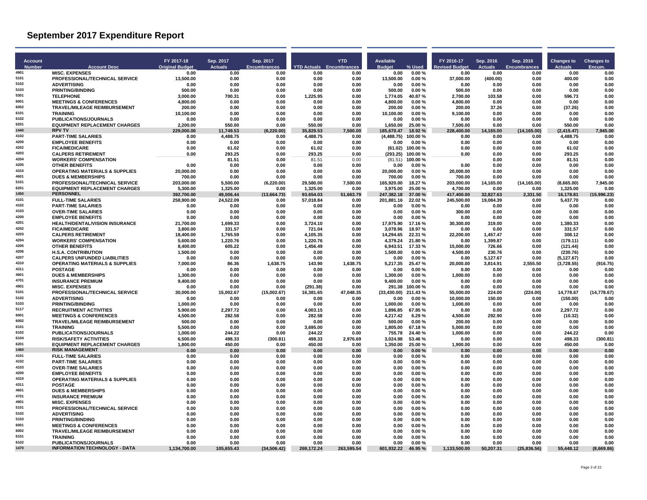| <b>Account</b><br><b>Number</b> | <b>Account Desc</b>                                                              | FY 2017-18<br><b>Original Budget</b> | Sep. 2017<br><b>Actuals</b> | Sep. 2017<br><b>Encumbrances</b> |                     | <b>YTD</b><br><b>YTD Actuals</b> Encumbrances | Available<br><b>Budget</b> | % Used             | FY 2016-17<br><b>Revised Budget</b> | Sep. 2016<br><b>Actuals</b> | Sep. 2016<br><b>Encumbrances</b> | <b>Changes to</b><br><b>Actuals</b> | <b>Changes to</b><br>Encum |
|---------------------------------|----------------------------------------------------------------------------------|--------------------------------------|-----------------------------|----------------------------------|---------------------|-----------------------------------------------|----------------------------|--------------------|-------------------------------------|-----------------------------|----------------------------------|-------------------------------------|----------------------------|
| 4901                            | <b>MISC. EXPENSES</b>                                                            | 0.00                                 | 0.00                        | 0.00                             | 0.00                | 0.00                                          | 0.00                       | 0.00%              | 0.00                                | 0.00                        | 0.00                             | 0.00                                | 0.00                       |
| 5101                            | PROFESSIONAL/TECHNICAL SERVICE                                                   | 13,500.00                            | 0.00                        | 0.00                             | 0.00                | 0.00                                          | 13.500.00                  | 0.00%              | 37.000.00                           | (400.00)                    | 0.00                             | 400.00                              | 0.00                       |
| 5102<br>5103                    | <b>ADVERTISING</b><br><b>PRINTING/BINDING</b>                                    | 0.00<br>500.00                       | 0.00<br>0.00                | 0.00                             | 0.00<br>0.00        | 0.00<br>0.00                                  | 0.00                       | 0.00%<br>0.00%     | 0.00<br>500.00                      | 0.00<br>0.00                | 0.00<br>0.00                     | 0.00<br>0.00                        | 0.00<br>0.00               |
| 5301                            | <b>TELEPHONE</b>                                                                 | 3.000.00                             | 700.31                      | 0.00<br>0.00                     | 1,225.95            | 0.00                                          | 500.00<br>1,774.05         | 40.87%             | 2.700.00                            | 103.58                      | 0.00                             | 596.73                              | 0.00                       |
| 6001                            | <b>MEETINGS &amp; CONFERENCES</b>                                                | 4.800.00                             | 0.00                        | 0.00                             | 0.00                | 0.00                                          | 4.800.00                   | 0.00%              | 4.800.00                            | 0.00                        | 0.00                             | 0.00                                | 0.00                       |
| 6002                            | <b>TRAVEL/MILEAGE REIMBURSEMENT</b>                                              | 200.00                               | 0.00                        | 0.00                             | 0.00                | 0.00                                          | 200.00                     | 0.00%              | 200.00                              | 37.26                       | 0.00                             | (37.26)                             | 0.00                       |
| 6101                            | <b>TRAINING</b>                                                                  | 10,100.00                            | 0.00                        | 0.00                             | 0.00                | 0.00                                          | 10,100.00                  | 0.00%              | 9,100.00                            | 0.00                        | 0.00                             | 0.00                                | 0.00                       |
| 6102                            | PUBLICATIONS/JOURNALS                                                            | 0.00                                 | 0.00                        | 0.00                             | 0.00                | 0.00                                          | 0.00                       | 0.00%              | 0.00                                | 0.00                        | 0.00                             | 0.00                                | 0.00                       |
| 6201<br>1440                    | <b>EQUIPMENT REPLACEMENT CHARGES</b><br><b>RPV TV</b>                            | 2.200.00<br>229.000.00               | 550.00<br>11,749.53         | 0.00<br>(6.220.00)               | 550.00<br>35.829.53 | 0.00                                          | 1,650.00                   | 25.00%<br>18.92%   | 7.500.00<br>228,400.00              | 0.00<br>14,165.00           | 0.00<br>(14, 165.00)             | 550.00<br>(2, 415.47)               | 0.00<br>7.945.00           |
| 4102                            | <b>PART-TIME SALARIES</b>                                                        | 0.00                                 | 4,488.75                    | 0.00                             | 4,488.75            | 7,500.00<br>0.00                              | 185,670.47<br>(4, 488.75)  | 100.00%            | 0.00                                | 0.00                        | 0.00                             | 4.488.75                            | 0.00                       |
| 4200                            | <b>EMPLOYEE BENEFITS</b>                                                         | 0.00                                 | 0.00                        | 0.00                             | 0.00                | 0.00                                          | 0.00                       | 0.00%              | 0.00                                | 0.00                        | 0.00                             | 0.00                                | 0.00                       |
| 4202                            | <b>FICA/MEDICARE</b>                                                             | 0.00                                 | 61.02                       | 0.00                             | 61.02               | 0.00                                          | (61.02)                    | 100.00%            | 0.00                                | 0.00                        | 0.00                             | 61.02                               | 0.00                       |
| 4203                            | <b>CALPERS RETIREMENT</b>                                                        | 0.00                                 | 293.25                      | 0.00                             | 293.25              | 0.00                                          | (293.25)                   | 100.00%            | 0.00                                | 0.00                        | 0.00                             | 293.25                              | 0.00                       |
| 4204                            | <b>WORKERS' COMPENSATION</b>                                                     |                                      | 81.51                       | 0.00                             | 81.51               | 0.00                                          | (81.51)                    | 100.00%            |                                     | 0.00                        | 0.00                             | 81.51                               | 0.00                       |
| 4205<br>4310                    | <b>OTHER BENEFITS</b><br><b>OPERATING MATERIALS &amp; SUPPLIES</b>               | 0.00<br>20,000.00                    | 0.00<br>0.00                | 0.00<br>0.00                     | 0.00<br>0.00        | 0.00<br>0.00                                  | 0.00<br>20,000.00          | 0.00%<br>0.00%     | 0.00<br>20,000.00                   | 0.00<br>0.00                | 0.00<br>0.00                     | 0.00<br>0.00                        | 0.00<br>0.00               |
| 4601                            | <b>DUES &amp; MEMBERSHIPS</b>                                                    | 700.00                               | 0.00                        | 0.00                             | 0.00                | 0.00                                          | 700.00                     | 0.00%              | 700.00                              | 0.00                        | 0.00                             | 0.00                                | 0.00                       |
| 5101                            | PROFESSIONAL/TECHNICAL SERVICE                                                   | 203.000.00                           | 5,500.00                    | (6, 220.00)                      | 29.580.00           | 7.500.00                                      | 165.920.00                 | 18.27 %            | 203.000.00                          | 14,165.00                   | (14, 165.00)                     | (8.665.00)                          | 7.945.00                   |
| 6201                            | <b>EQUIPMENT REPLACEMENT CHARGES</b>                                             | 5,300.00                             | 1,325.00                    | 0.00                             | 1,325.00            | 0.00                                          | 3,975.00                   | 25.00 %            | 4,700.00                            | 0.00                        | 0.00                             | 1,325.00                            | 0.00                       |
| 1450                            | <b>PERSONNEL</b>                                                                 | 392.700.00                           | 49.006.44                   | (13,664.73)                      | 93.654.03           | 51.663.79                                     | 247.382.18                 | 37.00 %            | 417.400.00                          | 32.827.63                   | 2.331.50                         | 16.178.81                           | (15.996.23)                |
| 4101                            | <b>FULL-TIME SALARIES</b>                                                        | 258.900.00                           | 24,522.09                   | 0.00                             | 57.018.84           | 0.00                                          | 201.881.16                 | 22.02%             | 245.500.00                          | 19.084.39                   | 0.00                             | 5.437.70                            | 0.00                       |
| 4102<br>4103                    | <b>PART-TIME SALARIES</b>                                                        | 0.00                                 | 0.00                        | 0.00                             | 0.00                | 0.00                                          | 0.00                       | 0.00%              | 0.00                                | 0.00                        | 0.00                             | 0.00                                | 0.00                       |
| 4200                            | <b>OVER-TIME SALARIES</b><br><b>EMPLOYEE BENEFITS</b>                            | 0.00<br>0.00                         | 0.00<br>0.00                | 0.00<br>0.00                     | 0.00<br>0.00        | 0.00<br>0.00                                  | 0.00<br>0.00               | 0.00%<br>0.00%     | 300.00<br>0.00                      | 0.00<br>0.00                | 0.00<br>0.00                     | 0.00<br>0.00                        | 0.00<br>0.00               |
| 4201                            | <b>HEALTH/DENTAL/VISION INSURANCE</b>                                            | 21.700.00                            | 1,699.33                    | 0.00                             | 3.724.10            | 0.00                                          | 17.975.90                  | 17.16 %            | 30.300.00                           | 319.00                      | 0.00                             | 1.380.33                            | 0.00                       |
| 4202                            | <b>FICA/MEDICARE</b>                                                             | 3,800.00                             | 331.57                      | 0.00                             | 721.04              | 0.00                                          | 3,078.96                   | 18.97%             | 0.00                                | 0.00                        | 0.00                             | 331.57                              | 0.00                       |
| 4203                            | <b>CALPERS RETIREMENT</b>                                                        | 18.400.00                            | 1.765.59                    | 0.00                             | 4.105.35            | 0.00                                          | 14.294.65                  | 22.31 %            | 22.200.00                           | 1,457.47                    | 0.00                             | 308.12                              | 0.00                       |
| 4204                            | <b>WORKERS' COMPENSATION</b>                                                     | 5.600.00                             | 1,220.76                    | 0.00                             | 1.220.76            | 0.00                                          | 4.379.24                   | 21.80%             | 0.00                                | 1.399.87                    | 0.00                             | (179.11)                            | 0.00                       |
| 4205                            | <b>OTHER BENEFITS</b>                                                            | 8,400.00                             | 605.22                      | 0.00                             | 1,456.49            | 0.00                                          | 6,943.51                   | 17.33 %            | 15,000.00                           | 726.66                      | 0.00                             | (121.44)                            | 0.00                       |
| 4206<br>4207                    | <b>H.S.A. CONTRIBUTION</b>                                                       | 1,500.00                             | 0.00                        | 0.00                             | 0.00                | 0.00                                          | 1,500.00                   | 0.00%              | 4,500.00                            | 230.76                      | 0.00                             | (230.76)                            | 0.00                       |
| 4310                            | <b>CALPERS UNFUNDED LIABILITIES</b><br><b>OPERATING MATERIALS &amp; SUPPLIES</b> | 0.00<br>7.000.00                     | 0.00<br>86.36               | 0.00<br>1,638.75                 | 0.00<br>143.90      | 0.00<br>1,638.75                              | 0.00<br>5,217.35           | 0.00%<br>25.47%    | 0.00<br>20.000.00                   | 5,127.67<br>3,814.91        | 0.00<br>2.555.50                 | (5, 127.67)<br>(3,728.55)           | 0.00<br>(916.75)           |
| 4311                            | <b>POSTAGE</b>                                                                   | 0.00                                 | 0.00                        | 0.00                             | 0.00                | 0.00                                          | 0.00                       | 0.00%              | 0.00                                | 0.00                        | 0.00                             | 0.00                                | 0.00                       |
| 4601                            | <b>DUES &amp; MEMBERSHIPS</b>                                                    | 1.300.00                             | 0.00                        | 0.00                             | 0.00                | 0.00                                          | 1.300.00                   | 0.00%              | 1.000.00                            | 0.00                        | 0.00                             | 0.00                                | 0.00                       |
| 4701                            | <b>INSURANCE PREMIUM</b>                                                         | 9.400.00                             | 0.00                        | 0.00                             | 0.00                | 0.00                                          | 9.400.00                   | 0.00%              | 0.00                                | 0.00                        | 0.00                             | 0.00                                | 0.00                       |
| 4901                            | <b>MISC. EXPENSES</b>                                                            | 0.00                                 | 0.00                        | 0.00                             | (291.38)            | 0.00                                          | 291.38                     | 100.00%            | 0.00                                | 0.00                        | 0.00                             | 0.00                                | 0.00                       |
| 5101                            | PROFESSIONAL/TECHNICAL SERVICE                                                   | 30.000.00                            | 15.002.67                   | (15.002.67)                      | 16.381.65           | 47.048.35                                     | (33.430.00) 211.43 %       |                    | 55.000.00                           | 224.00                      | (224.00)                         | 14.778.67                           | (14.778.67)                |
| 5102                            | <b>ADVERTISING</b>                                                               | 0.00                                 | 0.00                        | 0.00                             | 0.00                | 0.00                                          | 0.00                       | 0.00%              | 10,000.00                           | 150.00                      | 0.00                             | (150.00)                            | 0.00                       |
| 5103<br>5117                    | <b>PRINTING/BINDING</b><br><b>RECRUITMENT ACTIVITIES</b>                         | 1.000.00<br>5,900.00                 | 0.00                        | 0.00                             | 0.00<br>4,003.15    | 0.00<br>0.00                                  | 1,000.00<br>1,896.85       | 0.00%<br>67.85%    | 1.000.00<br>0.00                    | 0.00<br>0.00                | 0.00<br>0.00                     | 0.00<br>2,297.72                    | 0.00<br>0.00               |
| 6001                            | <b>MEETINGS &amp; CONFERENCES</b>                                                | 4.500.00                             | 2,297.72<br>282.58          | 0.00<br>0.00                     | 282.58              | 0.00                                          | 4,217.42                   | 6.29%              | 4.500.00                            | 292.90                      | 0.00                             | (10.32)                             | 0.00                       |
| 6002                            | <b>TRAVEL/MILEAGE REIMBURSEMENT</b>                                              | 500.00                               | 0.00                        | 0.00                             | 0.00                | 0.00                                          | 500.00                     | 0.00%              | 200.00                              | 0.00                        | 0.00                             | 0.00                                | 0.00                       |
| 6101                            | <b>TRAINING</b>                                                                  | 5,500.00                             | 0.00                        | 0.00                             | 3,695.00            | 0.00                                          | 1,805.00                   | 67.18%             | 5,000.00                            | 0.00                        | 0.00                             | 0.00                                | 0.00                       |
| 6102                            | <b>PUBLICATIONS/JOURNALS</b>                                                     | 1.000.00                             | 244.22                      | 0.00                             | 244.22              | 0.00                                          | 755.78                     | 24.40%             | 1.000.00                            | 0.00                        | 0.00                             | 244.22                              | 0.00                       |
| 6104                            | <b>RISK/SAFETY ACTIVITIES</b>                                                    | 6.500.00                             | 498.33                      | (300.81)                         | 498.33              | 2.976.69                                      | 3.024.98                   | 53.46%             | 0.00                                | 0.00                        | 0.00                             | 498.33                              | (300.81)                   |
| 6201<br>1460                    | <b>EQUIPMENT REPLACEMENT CHARGES</b><br><b>RISK MANAGEMENT</b>                   | 1,800.00                             | 450.00                      | 0.00                             | 450.00              | 0.00                                          | 1,350.00                   | 25.00 %            | 1,900.00                            | 0.00                        | 0.00                             | 450.00<br>0.00                      | 0.00                       |
| 4101                            | <b>FULL-TIME SALARIES</b>                                                        | 0.00<br>0.00                         | 0.00<br>0.00                | 0.00<br>0.00                     | 0.00<br>0.00        | 0.00<br>0.00                                  | 0.00<br>0.00               | $0.00 \%$<br>0.00% | 0.00<br>0.00                        | 0.00<br>0.00                | 0.00<br>0.00                     | 0.00                                | 0.00<br>0.00               |
| 4102                            | <b>PART-TIME SALARIES</b>                                                        | 0.00                                 | 0.00                        | 0.00                             | 0.00                | 0.00                                          | 0.00                       | 0.00%              | 0.00                                | 0.00                        | 0.00                             | 0.00                                | 0.00                       |
| 4103                            | <b>OVER-TIME SALARIES</b>                                                        | 0.00                                 | 0.00                        | 0.00                             | 0.00                | 0.00                                          | 0.00                       | 0.00%              | 0.00                                | 0.00                        | 0.00                             | 0.00                                | 0.00                       |
| 4200                            | <b>EMPLOYEE BENEFITS</b>                                                         | 0.00                                 | 0.00                        | 0.00                             | 0.00                | 0.00                                          | 0.00                       | 0.00%              | 0.00                                | 0.00                        | 0.00                             | 0.00                                | 0.00                       |
| 4310                            | <b>OPERATING MATERIALS &amp; SUPPLIES</b>                                        | 0.00                                 | 0.00                        | 0.00                             | 0.00                | 0.00                                          | 0.00                       | 0.00%              | 0.00                                | 0.00                        | 0.00                             | 0.00                                | 0.00                       |
| 4311<br>4601                    | <b>POSTAGE</b>                                                                   | 0.00                                 | 0.00                        | 0.00                             | 0.00                | 0.00                                          | 0.00                       | 0.00%              | 0.00                                | 0.00                        | 0.00                             | 0.00                                | 0.00                       |
| 4701                            | <b>DUES &amp; MEMBERSHIPS</b><br><b>INSURANCE PREMIUM</b>                        | 0.00<br>0.00                         | 0.00<br>0.00                | 0.00<br>0.00                     | 0.00<br>0.00        | 0.00<br>0.00                                  | 0.00<br>0.00               | 0.00%<br>0.00%     | 0.00<br>0.00                        | 0.00<br>0.00                | 0.00<br>0.00                     | 0.00<br>0.00                        | 0.00<br>0.00               |
| 4901                            | <b>MISC. EXPENSES</b>                                                            | 0.00                                 | 0.00                        | 0.00                             | 0.00                | 0.00                                          | 0.00                       | 0.00%              | 0.00                                | 0.00                        | 0.00                             | 0.00                                | 0.00                       |
| 5101                            | PROFESSIONAL/TECHNICAL SERVICE                                                   | 0.00                                 | 0.00                        | 0.00                             | 0.00                | 0.00                                          | 0.00                       | 0.00%              | 0.00                                | 0.00                        | 0.00                             | 0.00                                | 0.00                       |
| 5102                            | <b>ADVERTISING</b>                                                               | 0.00                                 | 0.00                        | 0.00                             | 0.00                | 0.00                                          | 0.00                       | 0.00%              | 0.00                                | 0.00                        | 0.00                             | 0.00                                | 0.00                       |
| 5103                            | <b>PRINTING/BINDING</b>                                                          | 0.00                                 | 0.00                        | 0.00                             | 0.00                | 0.00                                          | 0.00                       | 0.00%              | 0.00                                | 0.00                        | 0.00                             | 0.00                                | 0.00                       |
| 6001                            | <b>MEETINGS &amp; CONFERENCES</b>                                                | 0.00                                 | 0.00                        | 0.00                             | 0.00                | 0.00                                          | 0.00                       | 0.00%              | 0.00                                | 0.00                        | 0.00                             | 0.00                                | 0.00                       |
| 6002<br>6101                    | <b>TRAVEL/MILEAGE REIMBURSEMENT</b>                                              | 0.00                                 | 0.00                        | 0.00                             | 0.00                | 0.00                                          | 0.00                       | 0.00%              | 0.00                                | 0.00                        | 0.00                             | 0.00                                | 0.00                       |
| 6102                            | <b>TRAINING</b><br><b>PUBLICATIONS/JOURNALS</b>                                  | 0.00<br>0.00                         | 0.00<br>0.00                | 0.00<br>0.00                     | 0.00<br>0.00        | 0.00<br>0.00                                  | 0.00<br>0.00               | 0.00%<br>0.00%     | 0.00<br>0.00                        | 0.00<br>0.00                | 0.00<br>0.00                     | 0.00<br>0.00                        | 0.00<br>0.00               |
| 1470                            | INFORMATION TECHNOLOGY - DATA                                                    | 1,134,700.00                         | 105,655.43                  | (34, 506.42)                     | 269,172.24          | 263,595.54                                    | 601,932.22                 | 46.95 %            | 1,133,500.00                        | 50,207.31                   | (25, 836.56)                     | 55,448.12                           | (8,669.86)                 |
|                                 |                                                                                  |                                      |                             |                                  |                     |                                               |                            |                    |                                     |                             |                                  |                                     |                            |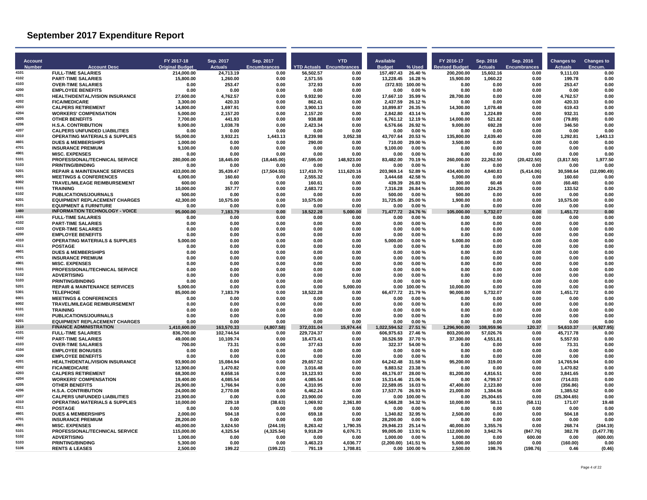| <b>Account</b><br><b>Number</b> | <b>Account Desc</b>                                                       | FY 2017-18<br><b>Original Budget</b> | Sep. 2017<br><b>Actuals</b> | Sep. 2017<br><b>Encumbrances</b> | <b>YTD Actuals Encumbrances</b> | <b>YTD</b>       | Available<br><b>Budget</b> | % Used               | FY 2016-17<br><b>Revised Budget</b> | Sep. 2016<br><b>Actuals</b> | Sep. 2016<br><b>Encumbrances</b> | <b>Changes to</b><br><b>Actuals</b> | <b>Changes to</b><br>Encum |
|---------------------------------|---------------------------------------------------------------------------|--------------------------------------|-----------------------------|----------------------------------|---------------------------------|------------------|----------------------------|----------------------|-------------------------------------|-----------------------------|----------------------------------|-------------------------------------|----------------------------|
| 4101                            | <b>FULL-TIME SALARIES</b>                                                 | 214,000.00                           | 24,713.19                   | 0.00                             | 56,502.57                       | 0.00             | 157,497.43                 | 26.40%               | 200,200.00                          | 15,602.16                   | 0.00                             | 9,111.03                            | 0.00                       |
| 4102                            | <b>PART-TIME SALARIES</b>                                                 | 15,800.00                            | 1,260.00                    | 0.00                             | 2,571.55                        | 0.00             | 13,228.45                  | 16.28%               | 15,900.00                           | 1,060.22                    | 0.00                             | 199.78                              | 0.00                       |
| 4103                            | <b>OVER-TIME SALARIES</b>                                                 | 0.00                                 | 253.47                      | 0.00                             | 372.93                          | 0.00             | (372.93)                   | 100.00%              | 0.00                                | 0.00                        | 0.00                             | 253.47                              | 0.00                       |
| 4200<br>4201                    | <b>EMPLOYEE BENEFITS</b>                                                  | 0.00                                 | 0.00                        | 0.00                             | 0.00                            | 0.00             | 0.00                       | 0.00%                | 0.00                                | 0.00                        | 0.00                             | 0.00                                | 0.00                       |
| 4202                            | <b>HEALTH/DENTAL/VISION INSURANCE</b><br><b>FICA/MEDICARE</b>             | 27.600.00<br>3.300.00                | 4,762.57<br>420.33          | 0.00<br>0.00                     | 9.932.90<br>862.41              | 0.00<br>0.00     | 17.667.10<br>2.437.59      | 35.99%<br>26.12%     | 28.700.00<br>0.00                   | 0.00<br>0.00                | 0.00<br>0.00                     | 4.762.57<br>420.33                  | 0.00<br>0.00               |
| 4203                            | <b>CALPERS RETIREMENT</b>                                                 | 14,800.00                            | 1,697.91                    | 0.00                             | 3,900.13                        | 0.00             | 10,899.87                  | 26.35%               | 14,300.00                           | 1,078.48                    | 0.00                             | 619.43                              | 0.00                       |
| 4204                            | <b>WORKERS' COMPENSATION</b>                                              | 5,000.00                             | 2,157.20                    | 0.00                             | 2,157.20                        | 0.00             | 2,842.80                   | 43.14 %              | 0.00                                | 1,224.89                    | 0.00                             | 932.31                              | 0.00                       |
| 4205                            | <b>OTHER BENEFITS</b>                                                     | 7,700.00                             | 441.93                      | 0.00                             | 938.88                          | 0.00             | 6,761.12                   | 12.19%               | 14.000.00                           | 521.82                      | 0.00                             | (79.89)                             | 0.00                       |
| 4206                            | <b>H.S.A. CONTRIBUTION</b>                                                | 9.000.00                             | 1,038.78                    | 0.00                             | 2,423.34                        | 0.00             | 6.576.66                   | 26.92%               | 9.000.00                            | 692.28                      | 0.00                             | 346.50                              | 0.00                       |
| 4207                            | <b>CALPERS UNFUNDED LIABILITIES</b>                                       | 0.00                                 | 0.00                        | 0.00                             | 0.00                            | 0.00             | 0.00                       | 0.00%                | 0.00                                | 0.00                        | 0.00                             | 0.00                                | 0.00                       |
| 4310                            | <b>OPERATING MATERIALS &amp; SUPPLIES</b>                                 | 55.000.00                            | 3,932.21                    | 1.443.13                         | 8.239.98                        | 3.052.38         | 43.707.64                  | 20.53%               | 135.800.00                          | 2.639.40                    | 0.00                             | 1.292.81                            | 1.443.13                   |
| 4601<br>4701                    | <b>DUES &amp; MEMBERSHIPS</b>                                             | 1.000.00                             | 0.00                        | 0.00                             | 290.00                          | 0.00             | 710.00                     | 29.00 %              | 3.500.00                            | 0.00                        | 0.00                             | 0.00                                | 0.00                       |
| 4901                            | <b>INSURANCE PREMIUM</b><br><b>MISC. EXPENSES</b>                         | 9,100.00<br>0.00                     | 0.00<br>0.00                | 0.00<br>0.00                     | 0.00<br>0.00                    | 0.00<br>0.00     | 9.100.00<br>0.00           | 0.00%<br>0.00%       | 0.00<br>0.00                        | 0.00<br>0.00                | 0.00<br>0.00                     | 0.00<br>0.00                        | 0.00<br>0.00               |
| 5101                            | PROFESSIONAL/TECHNICAL SERVICE                                            | 280.000.00                           | 18,445.00                   | (18, 445.00)                     | 47,595.00                       | 148,923.00       | 83.482.00                  | 70.19%               | 260.000.00                          | 22,262.50                   | (20, 422.50)                     | (3,817.50)                          | 1.977.50                   |
| 5103                            | <b>PRINTING/BINDING</b>                                                   | 0.00                                 | 0.00                        | 0.00                             | 0.00                            | 0.00             | 0.00                       | 0.00%                | 0.00                                | 0.00                        | 0.00                             | 0.00                                | 0.00                       |
| 5201                            | <b>REPAIR &amp; MAINTENANCE SERVICES</b>                                  | 433,000.00                           | 35,439.47                   | (17, 504.55)                     | 117,410.70                      | 111,620.16       | 203,969.14                 | 52.89%               | 434,400.00                          | 4,840.83                    | (5,414.06)                       | 30,598.64                           | (12,090.49)                |
| 6001                            | <b>MEETINGS &amp; CONFERENCES</b>                                         | 6.000.00                             | 160.60                      | 0.00                             | 2.555.32                        | 0.00             | 3.444.68                   | 42.58%               | 5.000.00                            | 0.00                        | 0.00                             | 160.60                              | 0.00                       |
| 6002                            | <b>TRAVEL/MILEAGE REIMBURSEMENT</b>                                       | 600.00                               | 0.00                        | 0.00                             | 160.61                          | 0.00             | 439.39                     | 26.83%               | 300.00                              | 60.48                       | 0.00                             | (60.48)                             | 0.00                       |
| 6101                            | <b>TRAINING</b>                                                           | 10,000.00                            | 357.77                      | 0.00                             | 2,683.72                        | 0.00             | 7,316.28                   | 26.84 %              | 10,000.00                           | 224.25                      | 0.00                             | 133.52                              | 0.00                       |
| 6102                            | PUBLICATIONS/JOURNALS                                                     | 500.00                               | 0.00                        | 0.00                             | 0.00                            | 0.00             | 500.00                     | 0.00%                | 500.00                              | 0.00                        | 0.00                             | 0.00                                | 0.00                       |
| 6201<br>8101                    | <b>EQUIPMENT REPLACEMENT CHARGES</b>                                      | 42.300.00                            | 10.575.00                   | 0.00                             | 10.575.00                       | 0.00             | 31.725.00                  | 25.00%               | 1.900.00                            | 0.00                        | 0.00                             | 10.575.00                           | 0.00                       |
| 1480                            | <b>EQUIPMENT &amp; FURNITURE</b><br><b>INFORMATION TECHNOLOGY - VOICE</b> | 0.00<br>95,000.00                    | 0.00<br>7,183.79            | 0.00<br>0.00                     | 0.00<br>18,522.28               | 0.00<br>5,000.00 | 0.00<br>71,477.72          | $0.00 \%$<br>24.76 % | 0.00                                | 0.00                        | 0.00<br>0.00                     | 0.00<br>1,451.72                    | 0.00<br>0.00               |
| 4101                            | <b>FULL-TIME SALARIES</b>                                                 | 0.00                                 | 0.00                        | 0.00                             | 0.00                            | 0.00             | 0.00                       | 0.00%                | 105,000.00<br>0.00                  | 5,732.07<br>0.00            | 0.00                             | 0.00                                | 0.00                       |
| 4102                            | <b>PART-TIME SALARIES</b>                                                 | 0.00                                 | 0.00                        | 0.00                             | 0.00                            | 0.00             | 0.00                       | 0.00%                | 0.00                                | 0.00                        | 0.00                             | 0.00                                | 0.00                       |
| 4103                            | <b>OVER-TIME SALARIES</b>                                                 | 0.00                                 | 0.00                        | 0.00                             | 0.00                            | 0.00             | 0.00                       | 0.00%                | 0.00                                | 0.00                        | 0.00                             | 0.00                                | 0.00                       |
| 4200                            | <b>EMPLOYEE BENEFITS</b>                                                  | 0.00                                 | 0.00                        | 0.00                             | 0.00                            | 0.00             | 0.00                       | 0.00%                | 0.00                                | 0.00                        | 0.00                             | 0.00                                | 0.00                       |
| 4310                            | <b>OPERATING MATERIALS &amp; SUPPLIES</b>                                 | 5.000.00                             | 0.00                        | 0.00                             | 0.00                            | 0.00             | 5.000.00                   | 0.00%                | 5.000.00                            | 0.00                        | 0.00                             | 0.00                                | 0.00                       |
| 4311<br>4601                    | <b>POSTAGE</b>                                                            | 0.00                                 | 0.00                        | 0.00                             | 0.00                            | 0.00             | 0.00                       | 0.00%                | 0.00                                | 0.00                        | 0.00                             | 0.00                                | 0.00                       |
| 4701                            | <b>DUES &amp; MEMBERSHIPS</b>                                             | 0.00                                 | 0.00                        | 0.00                             | 0.00                            | 0.00             | 0.00                       | 0.00%                | 0.00                                | 0.00                        | 0.00                             | 0.00                                | 0.00                       |
| 4901                            | <b>INSURANCE PREMIUM</b><br><b>MISC. EXPENSES</b>                         | 0.00<br>0.00                         | 0.00<br>0.00                | 0.00<br>0.00                     | 0.00<br>0.00                    | 0.00<br>0.00     | 0.00<br>0.00               | 0.00%<br>0.00%       | 0.00<br>0.00                        | 0.00<br>0.00                | 0.00<br>0.00                     | 0.00<br>0.00                        | 0.00<br>0.00               |
| 5101                            | PROFESSIONAL/TECHNICAL SERVICE                                            | 0.00                                 | 0.00                        | 0.00                             | 0.00                            | 0.00             | 0.00                       | 0.00%                | 0.00                                | 0.00                        | 0.00                             | 0.00                                | 0.00                       |
| 5102                            | <b>ADVERTISING</b>                                                        | 0.00                                 | 0.00                        | 0.00                             | 0.00                            | 0.00             | 0.00                       | 0.00%                | 0.00                                | 0.00                        | 0.00                             | 0.00                                | 0.00                       |
| 5103                            | <b>PRINTING/BINDING</b>                                                   | 0.00                                 | 0.00                        | 0.00                             | 0.00                            | 0.00             | 0.00                       | 0.00%                | 0.00                                | 0.00                        | 0.00                             | 0.00                                | 0.00                       |
| 5201                            | <b>REPAIR &amp; MAINTENANCE SERVICES</b>                                  | 5.000.00                             | 0.00                        | 0.00                             | 0.00                            | 5.000.00         | 0.00                       | 100.00%              | 10.000.00                           | 0.00                        | 0.00                             | 0.00                                | 0.00                       |
| 5301                            | <b>TELEPHONE</b>                                                          | 85,000.00                            | 7,183.79                    | 0.00                             | 18,522.28                       | 0.00             | 66,477.72                  | 21.79%               | 90,000.00                           | 5,732.07                    | 0.00                             | 1,451.72                            | 0.00                       |
| 6001                            | <b>MEETINGS &amp; CONFERENCES</b>                                         | 0.00                                 | 0.00                        | 0.00                             | 0.00                            | 0.00             | 0.00                       | 0.00%                | 0.00                                | 0.00                        | 0.00                             | 0.00                                | 0.00                       |
| 6002<br>6101                    | <b>TRAVEL/MILEAGE REIMBURSEMENT</b><br><b>TRAINING</b>                    | 0.00                                 | 0.00                        | 0.00                             | 0.00                            | 0.00             | 0.00<br>0.00               | 0.00%<br>0.00%       | 0.00                                | 0.00                        | 0.00                             | 0.00<br>0.00                        | 0.00                       |
| 6102                            | PUBLICATIONS/JOURNALS                                                     | 0.00<br>0.00                         | 0.00<br>0.00                | 0.00<br>0.00                     | 0.00<br>0.00                    | 0.00<br>0.00     | 0.00                       | 0.00%                | 0.00<br>0.00                        | 0.00<br>0.00                | 0.00<br>0.00                     | 0.00                                | 0.00<br>0.00               |
| 6201                            | <b>EQUIPMENT REPLACEMENT CHARGES</b>                                      | 0.00                                 | 0.00                        | 0.00                             | 0.00                            | 0.00             | 0.00                       | 0.00%                | 0.00                                | 0.00                        | 0.00                             | 0.00                                | 0.00                       |
| 2110                            | <b>FINANCE ADMINISTRATION</b>                                             | 1.410.600.00                         | 163.570.33                  | (4.807.58)                       | 372.031.04                      | 15.974.44        | 1.022.594.52               | 27.51 %              | 1.296.900.00                        | 108.959.96                  | 120.37                           | 54.610.37                           | (4.927.95)                 |
| 4101                            | <b>FULL-TIME SALARIES</b>                                                 | 836,700.00                           | 102,744.54                  | 0.00                             | 229,724.37                      | 0.00             | 606,975.63                 | 27.46%               | 803,200.00                          | 57,026.76                   | 0.00                             | 45,717.78                           | 0.00                       |
| 4102                            | <b>PART-TIME SALARIES</b>                                                 | 49,000.00                            | 10,109.74                   | 0.00                             | 18,473.41                       | 0.00             | 30,526.59                  | 37.70%               | 37,300.00                           | 4,551.81                    | 0.00                             | 5,557.93                            | 0.00                       |
| 4103                            | <b>OVER-TIME SALARIES</b>                                                 | 700.00                               | 73.31                       | 0.00                             | 377.63                          | 0.00             | 322.37                     | 54.00%               | 0.00                                | 0.00                        | 0.00                             | 73.31                               | 0.00                       |
| 4104                            | <b>EMPLOYEE BONUSES</b>                                                   | 0.00                                 | 0.00                        | 0.00                             | 0.00                            | 0.00             | 0.00                       | 0.00%                | 0.00                                | 0.00                        | 0.00                             | 0.00                                | 0.00                       |
| 4200<br>4201                    | <b>EMPLOYEE BENEFITS</b>                                                  | 0.00                                 | 0.00                        | 0.00                             | 0.00                            | 0.00             | 0.00<br>64,242.48          | 0.00%                | 0.00                                | 0.00                        | 0.00                             | 0.00                                | 0.00                       |
| 4202                            | <b>HEALTH/DENTAL/VISION INSURANCE</b><br><b>FICA/MEDICARE</b>             | 93,900.00<br>12.900.00               | 15,084.94<br>1.470.82       | 0.00<br>0.00                     | 29,657.52<br>3.016.48           | 0.00<br>0.00     | 9.883.52                   | 31.58%<br>23.38%     | 95,200.00<br>0.00                   | 319.00<br>0.00              | 0.00<br>0.00                     | 14,765.94<br>1.470.82               | 0.00<br>0.00               |
| 4203                            | <b>CALPERS RETIREMENT</b>                                                 | 68,300.00                            | 8,658.16                    | 0.00                             | 19,123.93                       | 0.00             | 49,176.07                  | 28.00%               | 81,200.00                           | 4,816.51                    | 0.00                             | 3,841.65                            | 0.00                       |
| 4204                            | <b>WORKERS' COMPENSATION</b>                                              | 19,400.00                            | 4,085.54                    | 0.00                             | 4,085.54                        | 0.00             | 15,314.46                  | 21.06%               | 0.00                                | 4,799.57                    | 0.00                             | (714.03)                            | 0.00                       |
| 4205                            | <b>OTHER BENEFITS</b>                                                     | 26.900.00                            | 1,766.94                    | 0.00                             | 4.310.95                        | 0.00             | 22.589.05                  | 16.03%               | 47,400.00                           | 2,123.80                    | 0.00                             | (356.86)                            | 0.00                       |
| 4206                            | <b>H.S.A. CONTRIBUTION</b>                                                | 24,000.00                            | 2,770.08                    | 0.00                             | 6,462.24                        | 0.00             | 17,537.76                  | 26.93%               | 21,000.00                           | 1,384.56                    | 0.00                             | 1,385.52                            | 0.00                       |
| 4207                            | <b>CALPERS UNFUNDED LIABILITIES</b>                                       | 23,900.00                            | 0.00                        | 0.00                             | 23,900.00                       | 0.00             | 0.00                       | 100.00%              | 0.00                                | 25,304.65                   | 0.00                             | (25, 304.65)                        | 0.00                       |
| 4310                            | <b>OPERATING MATERIALS &amp; SUPPLIES</b>                                 | 10,000.00                            | 229.18                      | (38.63)                          | 1,069.92                        | 2,361.80         | 6,568.28                   | 34.32 %              | 10,000.00                           | 58.11                       | (58.11)                          | 171.07                              | 19.48                      |
| 4311<br>4601                    | <b>POSTAGE</b>                                                            | 0.00                                 | 0.00                        | 0.00                             | 0.00                            | 0.00             | 0.00                       | 0.00%                | 0.00                                | 0.00                        | 0.00                             | 0.00                                | 0.00                       |
| 4701                            | <b>DUES &amp; MEMBERSHIPS</b><br><b>INSURANCE PREMIUM</b>                 | 2,000.00<br>28,200.00                | 504.18<br>0.00              | 0.00<br>0.00                     | 659.18                          | 0.00<br>0.00     | 1,340.82<br>28,200.00      | 32.95 %<br>0.00%     | 2,500.00                            | 0.00<br>0.00                | 0.00<br>0.00                     | 504.18                              | 0.00<br>0.00               |
| 4901                            | <b>MISC. EXPENSES</b>                                                     | 40.000.00                            | 3,624.50                    | (244.19)                         | 0.00<br>8.263.42                | 1.790.35         | 29.946.23                  | 25.14 %              | 0.00<br>40.000.00                   | 3,355.76                    | 0.00                             | 0.00<br>268.74                      | (244.19)                   |
| 5101                            | PROFESSIONAL/TECHNICAL SERVICE                                            | 115,000.00                           | 4,325.54                    | (4,325.54)                       | 9,918.29                        | 6,076.71         | 99.005.00                  | 13.91 %              | 112,000.00                          | 3,942.76                    | (847.76)                         | 382.78                              | (3, 477.78)                |
| 5102                            | <b>ADVERTISING</b>                                                        | 1.000.00                             | 0.00                        | 0.00                             | 0.00                            | 0.00             | 1.000.00                   | 0.00%                | 1.000.00                            | 0.00                        | 600.00                           | 0.00                                | (600.00)                   |
| 5103                            | <b>PRINTING/BINDING</b>                                                   | 5,300.00                             | 0.00                        | 0.00                             | 3,463.23                        | 4,036.77         | (2,200.00) 141.51 %        |                      | 5,000.00                            | 160.00                      | 0.00                             | (160.00)                            | 0.00                       |
| 5106                            | <b>RENTS &amp; LEASES</b>                                                 | 2,500.00                             | 199.22                      | (199.22)                         | 791.19                          | 1,708.81         |                            | 0.00 100.00 %        | 2,500.00                            | 198.76                      | (198.76)                         | 0.46                                | (0.46)                     |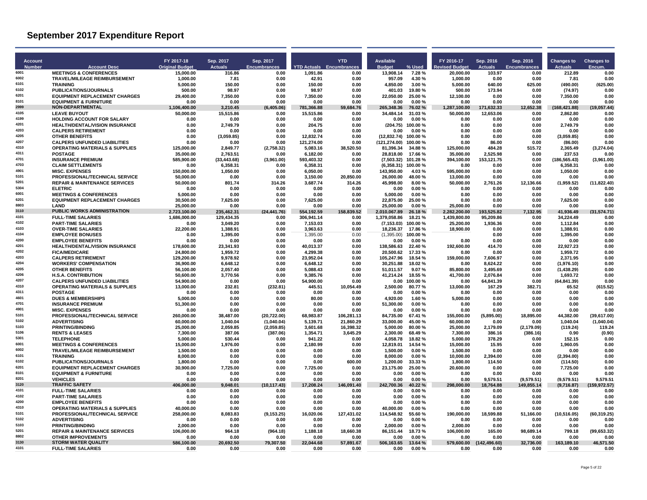| <b>Account</b> |                                                             | FY 2017-18              | Sep. 2017            | Sep. 2017           |                                 | <b>YTD</b>         | Available                |                   | FY 2016-17              | Sep. 2016            | Sep. 2016           | <b>Changes to</b>      | <b>Changes to</b>   |
|----------------|-------------------------------------------------------------|-------------------------|----------------------|---------------------|---------------------------------|--------------------|--------------------------|-------------------|-------------------------|----------------------|---------------------|------------------------|---------------------|
| <b>Number</b>  | <b>Account Desc</b>                                         | <b>Original Budget</b>  | <b>Actuals</b>       | <b>Encumbrances</b> | <b>YTD Actuals Encumbrances</b> |                    | <b>Budget</b>            | % Used            | evised Budget           | <b>Actuals</b>       | <b>Encumbrances</b> | <b>Actuals</b>         | Encum.              |
| 6001           | <b>MEETINGS &amp; CONFERENCES</b>                           | 15,000.00               | 316.86               | 0.00                | 1,091.86                        | 0.00               | 13,908.14                | 7.28%             | 20,000.00               | 103.97               | 0.00                | 212.89                 | 0.00                |
| 6002<br>6101   | TRAVEL/MILEAGE REIMBURSEMENT<br><b>TRAINING</b>             | 1,000.00<br>5.000.00    | 7.81<br>150.00       | 0.00<br>0.00        | 42.91<br>150.00                 | 0.00<br>0.00       | 957.09<br>4.850.00       | 4.30 %<br>3.00%   | 1,000.00<br>5,000.00    | 0.00<br>640.00       | 0.00<br>625.00      | 7.81<br>(490.00)       | 0.00<br>(625.00)    |
| 6102           | PUBLICATIONS/JOURNALS                                       | 500.00                  | 98.97                | 0.00                | 98.97                           | 0.00               | 401.03                   | 19.80%            | 500.00                  | 173.94               | 0.00                | (74.97)                | 0.00                |
| 6201           | <b>EQUIPMENT REPLACEMENT CHARGES</b>                        | 29.400.00               | 7,350.00             | 0.00                | 7.350.00                        | 0.00               | 22.050.00                | 25.00%            | 12,100.00               | 0.00                 | 0.00                | 7,350.00               | 0.00                |
| 8101           | <b>EQUIPMENT &amp; FURNITURE</b>                            | 0.00                    | 0.00                 | 0.00                | 0.00                            | 0.00               | 0.00                     | 0.00%             | 0.00                    | 0.00                 | 0.00                | 0.00                   | 0.00                |
| 2999<br>4105   | <b>NON-DEPARTMENTAL</b>                                     | 1.106.400.00            | 3.210.45             | (6.405.06)          | 781.366.88                      | 59.684.76          | 265,348.36               | 76.02%            | 1.287.100.00            | 171.632.33           | 12.652.38           | (168.421.88)           | (19.057.44)         |
| 4199           | <b>LEAVE BUYOUT</b><br><b>HOLDING ACCOUNT FOR SALARY</b>    | 50,000.00<br>0.00       | 15,515.86<br>0.00    | 0.00<br>0.00        | 15,515.86<br>0.00               | 0.00<br>0.00       | 34,484.14<br>0.00        | 31.03%<br>0.00%   | 50,000.00<br>0.00       | 12,653.06<br>0.00    | 0.00<br>0.00        | 2,862.80<br>0.00       | 0.00<br>0.00        |
| 4201           | <b>HEALTH/DENTAL/VISION INSURANCE</b>                       | 0.00                    | 2,749.79             | 0.00                | 204.75                          | 0.00               | (204.75)                 | 100.00%           | 0.00                    | 0.00                 | 0.00                | 2,749.79               | 0.00                |
| 4203           | <b>CALPERS RETIREMENT</b>                                   | 0.00                    | 0.00                 | 0.00                | 0.00                            | 0.00               | 0.00                     | 0.00%             | 0.00                    | 0.00                 | 0.00                | 0.00                   | 0.00                |
| 4205           | <b>OTHER BENEFITS</b>                                       | 0.00                    | (3,059.85)           | 0.00                | 12,832.74                       | 0.00               | (12, 832.74)             | 100.00%           | 0.00                    | 0.00                 | 0.00                | (3,059.85)             | 0.00                |
| 4207<br>4310   | <b>CALPERS UNFUNDED LIABILITIES</b>                         | 0.00                    | 0.00                 | 0.00                | 121.274.00                      | 0.00               | (121.274.00)             | 100.00%           | 0.00                    | 86.00                | 0.00                | (86.00)                | 0.00                |
| 4311           | <b>OPERATING MATERIALS &amp; SUPPLIES</b><br><b>POSTAGE</b> | 125,000.00<br>35,000.00 | 2,849.77<br>2,763.51 | (2,758.32)<br>0.00  | 5,083.16<br>6,182.00            | 38,520.50<br>0.00  | 81,396.34<br>28,818.00   | 34.88%<br>17.66%  | 125,000.00<br>35,000.00 | 484.28<br>2,525.98   | 515.72<br>0.00      | 2,365.49<br>237.53     | (3,274.04)<br>0.00  |
| 4701           | <b>INSURANCE PREMIUM</b>                                    | 585,900.00              | (33, 443.68)         | (3,961.00)          | 593,403.32                      | 0.00               | $(7,503.32)$ 101.28 %    |                   | 394,100.00              | 153,121.75           | 0.00                | (186, 565.43)          | (3,961.00)          |
| 4703           | <b>CLAIM SETTLEMENTS</b>                                    | 0.00                    | 6,358.31             | 0.00                | 6,358.31                        | 0.00               | (6,358.31)               | 100.00%           | 0.00                    | 0.00                 | 0.00                | 6,358.31               | 0.00                |
| 4901           | <b>MISC. EXPENSES</b>                                       | 150,000.00              | 1,050.00             | 0.00                | 6,050.00                        | 0.00               | 143,950.00               | 4.03%             | 595,000.00              | 0.00                 | 0.00                | 1,050.00               | 0.00                |
| 5101           | PROFESSIONAL/TECHNICAL SERVICE                              | 50.000.00               | 0.00                 | 0.00                | 3,150.00                        | 20,850.00          | 26,000.00                | 48.00%            | 13,000.00               | 0.00                 | 0.00                | 0.00                   | 0.00                |
| 5201<br>5304   | <b>REPAIR &amp; MAINTENANCE SERVICES</b><br><b>FI FTRIC</b> | 50.000.00<br>0.00       | 801.74<br>0.00       | 314.26              | 3,687.74<br>0.00                | 314.26<br>0.00     | 45.998.00<br>0.00        | 8.00 %<br>0.00%   | 50.000.00               | 2,761.26             | 12.136.66           | (1,959.52)<br>0.00     | (11.822.40)<br>0.00 |
| 6001           | <b>MEETINGS &amp; CONFERENCES</b>                           | 5.000.00                | 0.00                 | 0.00<br>0.00        | 0.00                            | 0.00               | 5.000.00                 | 0.00%             | 0.00<br>0.00            | 0.00<br>0.00         | 0.00<br>0.00        | 0.00                   | 0.00                |
| 6201           | <b>EQUIPMENT REPLACEMENT CHARGES</b>                        | 30.500.00               | 7.625.00             | 0.00                | 7.625.00                        | 0.00               | 22.875.00                | 25.00%            | 0.00                    | 0.00                 | 0.00                | 7.625.00               | 0.00                |
| 8803           | <b>I AND</b>                                                | 25.000.00               | 0.00                 | 0.00                | 0.00                            | 0.00               | 25,000.00                | 0.00%             | 25.000.00               | 0.00                 | 0.00                | 0.00                   | 0.00                |
| 3110           | <b>PUBLIC WORKS ADMINISTRATION</b>                          | 2,723,100.00            | 235,462.31           | (24, 441.76)        | 554,192.59                      | 158,839.52         | 2,010,067.89             | 26.18%            | 2,282,200.00            | 193,525.82           | 7,132.95            | 41,936.49              | (31, 574.71)        |
| 4101<br>4102   | <b>FULL-TIME SALARIES</b>                                   | 1,686,000.00            | 129,434.35           | 0.00                | 306.941.14                      | 0.00               | 1,379,058.86             | 18.21 %           | 1,439,800.00            | 95,209.86            | 0.00                | 34,224.49              | 0.00                |
| 4103           | <b>PART-TIME SALARIES</b><br><b>OVER-TIME SALARIES</b>      | 0.00<br>22,200.00       | 3,049.20<br>1,388.91 | 0.00<br>0.00        | 7,153.03<br>3,963.63            | 0.00<br>0.00       | (7, 153.03)<br>18,236.37 | 100.00%<br>17.86% | 25,200.00<br>18,900.00  | 1,936.36<br>0.00     | 0.00<br>0.00        | 1,112.84<br>1,388.91   | 0.00<br>0.00        |
| 4104           | <b>EMPLOYEE BONUSES</b>                                     | 0.00                    | 1,395.00             | 0.00                | 1,395.00                        | 0.00               | (1,395.00)               | 100.00%           |                         | 0.00                 | 0.00                | 1.395.00               | 0.00                |
| 4200           | <b>EMPLOYEE BENEFITS</b>                                    | 0.00                    | 0.00                 | 0.00                | 0.00                            | 0.00               | 0.00                     | $0.00 \%$         | 0.00                    | 0.00                 | 0.00                | 0.00                   | 0.00                |
| 4201           | HEALTH/DENTAL/VISION INSURANCE                              | 178,600.00              | 23,341.93            | 0.00                | 40,013.37                       | 0.00               | 138,586.63               | 22.40 %           | 192,600.00              | 414.70               | 0.00                | 22,927.23              | 0.00                |
| 4202           | <b>FICA/MEDICARE</b>                                        | 24,800.00               | 1,959.72             | 0.00                | 4,299.38                        | 0.00               | 20,500.62                | 17.33%            | 0.00                    | 0.00                 | 0.00                | 1,959.72               | 0.00                |
| 4203<br>4204   | <b>CALPERS RETIREMENT</b><br><b>WORKERS' COMPENSATION</b>   | 129,200.00<br>36.900.00 | 9,978.92<br>6,648.12 | 0.00<br>0.00        | 23,952.04<br>6.648.12           | 0.00<br>0.00       | 105,247.96<br>30.251.88  | 18.54 %<br>18.02% | 159,000.00<br>0.00      | 7,606.97<br>8.624.22 | 0.00<br>0.00        | 2,371.95<br>(1,976.10) | 0.00<br>0.00        |
| 4205           | <b>OTHER BENEFITS</b>                                       | 56,100.00               | 2,057.40             | 0.00                | 5,088.43                        | 0.00               | 51,011.57                | 9.07%             | 85,800.00               | 3,495.69             | 0.00                | (1,438.29)             | 0.00                |
| 4206           | <b>H.S.A. CONTRIBUTION</b>                                  | 50.600.00               | 3,770.56             | 0.00                | 9.385.76                        | 0.00               | 41.214.24                | 18.55 %           | 41.700.00               | 2,076.84             | 0.00                | 1.693.72               | 0.00                |
| 4207           | <b>CALPERS UNFUNDED LIABILITIES</b>                         | 54.900.00               | 0.00                 | 0.00                | 54.900.00                       | 0.00               | 0.00                     | 100.00%           | 0.00                    | 64.841.39            | 0.00                | (64.841.39)            | 0.00                |
| 4310           | <b>OPERATING MATERIALS &amp; SUPPLIES</b>                   | 13,000.00               | 232.81               | (232.81)            | 445.51                          | 10,054.49          | 2,500.00                 | 80.77%            | 13,000.00               | 167.29               | 382.71              | 65.52                  | (615.52)            |
| 4311<br>4601   | <b>POSTAGE</b>                                              | 0.00                    | 0.00                 | 0.00                | 0.00                            | 0.00               | 0.00                     | 0.00%             | 0.00                    | 0.00                 | 0.00                | 0.00                   | 0.00                |
| 4701           | <b>DUES &amp; MEMBERSHIPS</b><br><b>INSURANCE PREMIUM</b>   | 5,000.00<br>51.300.00   | 0.00<br>0.00         | 0.00<br>0.00        | 80.00<br>0.00                   | 0.00<br>0.00       | 4,920.00<br>51.300.00    | 1.60%<br>0.00%    | 5.000.00<br>0.00        | 0.00<br>0.00         | 0.00<br>0.00        | 0.00<br>0.00           | 0.00<br>0.00        |
| 4901           | <b>MISC. EXPENSES</b>                                       | 0.00                    | 0.00                 | 0.00                | 0.00                            | 0.00               | 0.00                     | 0.00%             | 0.00                    | 0.00                 | 0.00                | 0.00                   | 0.00                |
| 5101           | PROFESSIONAL/TECHNICAL SERVICE                              | 260.000.00              | 38,487.00            | (20.722.00)         | 68.983.87                       | 106,281.13         | 84.735.00                | 67.41 %           | 155.000.00              | (5,895.00)           | 18.895.00           | 44.382.00              | (39,617.00)         |
| 5102           | <b>ADVERTISING</b>                                          | 60.000.00               | 1.040.04             | (1.040.04)          | 5,139.71                        | 21,860.29          | 33.000.00                | 45.00%            | 60.000.00               | 0.00                 | 0.00                | 1.040.04               | (1,040.04)          |
| 5103           | <b>PRINTING/BINDING</b>                                     | 25,000.00               | 2,059.85             | (2,059.85)          | 3,601.68                        | 16,398.32          | 5,000.00                 | 80.00%            | 25,000.00               | 2,179.09             | (2, 179.09)         | (119.24)               | 119.24              |
| 5106<br>5301   | <b>RENTS &amp; LEASES</b><br><b>TELEPHONE</b>               | 7.300.00<br>5.000.00    | 387.06<br>530.44     | (387.06)<br>0.00    | 1,354.71<br>941.22              | 3,645.29<br>0.00   | 2.300.00<br>4.058.78     | 68.49%<br>18.82 % | 7.300.00<br>5.000.00    | 386.16<br>378.29     | (386.16)<br>0.00    | 0.90<br>152.15         | (0.90)<br>0.00      |
| 6001           | <b>MEETINGS &amp; CONFERENCES</b>                           | 15,000.00               | 1,976.00             | 0.00                | 2,180.99                        | 0.00               | 12,819.01                | 14.54 %           | 15,000.00               | 15.95                | 0.00                | 1,960.05               | 0.00                |
| 6002           | <b>TRAVEL/MILEAGE REIMBURSEMENT</b>                         | 1,500.00                | 0.00                 | 0.00                | 0.00                            | 0.00               | 1,500.00                 | 0.00%             | 1,500.00                | 0.00                 | 0.00                | 0.00                   | 0.00                |
| 6101           | <b>TRAINING</b>                                             | 8.000.00                | 0.00                 | 0.00                | 0.00                            | 0.00               | 8.000.00                 | 0.00%             | 10,000.00               | 2.394.00             | 0.00                | (2,394.00)             | 0.00                |
| 6102           | <b>PUBLICATIONS/JOURNALS</b>                                | 1.800.00                | 0.00                 | 0.00                | 0.00                            | 600.00             | 1.200.00                 | 33.33 %           | 1.800.00                | 114.50               | 0.00                | (114.50)               | 0.00                |
| 6201<br>8101   | <b>EQUIPMENT REPLACEMENT CHARGES</b>                        | 30,900.00               | 7,725.00             | 0.00                | 7,725.00                        | 0.00               | 23,175.00                | 25.00 %           | 20,600.00               | 0.00                 | 0.00                | 7,725.00               | 0.00                |
| 8201           | <b>EQUIPMENT &amp; FURNITURE</b><br><b>VEHICLES</b>         | 0.00<br>0.00            | 0.00<br>0.00         | 0.00<br>0.00        | 0.00<br>0.00                    | 0.00<br>0.00       | 0.00<br>0.00             | 0.00%<br>0.00%    | 0.00<br>0.00            | 0.00<br>9.579.51     | 0.00<br>(9.579.51)  | 0.00<br>(9.579.51)     | 0.00<br>9.579.51    |
| 3120           | <b>TRAFFIC SAFETY</b>                                       | 406.000.00              | 9,048.01             | (10, 117.43)        | 17.208.24                       | 146,091.40         | 242,700.36               | 40.22 %           | 298,000.00              | 18,764.88            | 149,855.14          | (9,716.87)             | (159.972.57)        |
| 4101           | <b>FULL-TIME SALARIES</b>                                   | 0.00                    | 0.00                 | 0.00                | 0.00                            | 0.00               | 0.00                     | 0.00%             | 0.00                    | 0.00                 | 0.00                | 0.00                   | 0.00                |
| 4102           | <b>PART-TIME SALARIES</b>                                   | 0.00                    | 0.00                 | 0.00                | 0.00                            | 0.00               | 0.00                     | 0.00%             | 0.00                    | 0.00                 | 0.00                | 0.00                   | 0.00                |
| 4200           | <b>EMPLOYEE BENEFITS</b>                                    | 0.00                    | 0.00                 | 0.00                | 0.00                            | 0.00               | 0.00                     | 0.00%             | 0.00                    | 0.00                 | 0.00                | 0.00                   | 0.00                |
| 4310<br>5101   | <b>OPERATING MATERIALS &amp; SUPPLIES</b>                   | 40,000.00               | 0.00                 | 0.00                | 0.00                            | 0.00               | 40,000.00                | 0.00%             | 0.00                    | 0.00                 | 0.00                | 0.00                   | 0.00                |
| 5102           | <b>PROFESSIONAL/TECHNICAL SERVICE</b><br><b>ADVERTISING</b> | 258.000.00<br>0.00      | 8,083.83<br>0.00     | (9.153.25)<br>0.00  | 16.020.06<br>0.00               | 127.431.02<br>0.00 | 114.548.92<br>0.00       | 55.60%<br>0.00%   | 190.000.00<br>0.00      | 18,599.88<br>0.00    | 51.166.00<br>0.00   | (10.516.05)<br>0.00    | (60.319.25)<br>0.00 |
| 5103           | <b>PRINTING/BINDING</b>                                     | 2.000.00                | 0.00                 | 0.00                | 0.00                            | 0.00               | 2,000.00                 | 0.00%             | 2,000.00                | 0.00                 | 0.00                | 0.00                   | 0.00                |
| 5201           | <b>REPAIR &amp; MAINTENANCE SERVICES</b>                    | 106,000.00              | 964.18               | (964.18)            | 1,188.18                        | 18,660.38          | 86,151.44                | 18.73%            | 106,000.00              | 165.00               | 98,689.14           | 799.18                 | (99, 653.32)        |
| 8802           | <b>OTHER IMPROVEMENTS</b>                                   | 0.00                    | 0.00                 | 0.00                | 0.00                            | 0.00               | 0.00                     | 0.00%             | 0.00                    | 0.00                 | 0.00                | 0.00                   | 0.00                |
| 3130           | <b>STORM WATER QUALITY</b>                                  | 586.100.00              | 20.692.50            | 79,307.50           | 22.044.68                       | 57,891.67          | 506.163.65               | 13.64 %           | 579.600.00              | (142, 496.60)        | 32,736.00           | 163.189.10             | 46.571.50           |
| 4101           | <b>FULL-TIME SALARIES</b>                                   | 0.00                    | 0.00                 | 0.00                | 0.00                            | 0.00               | 0.00                     | 0.00%             | 0.00                    | 0.00                 | 0.00                | 0.00                   | 0.00                |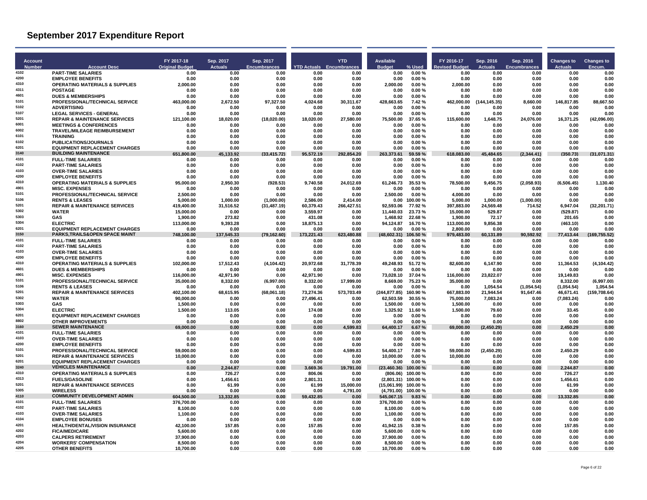| Account       |                                                                       | FY 2017-18              | Sep. 2017         | Sep. 2017            |                       | <b>YTD</b>                      | <b>Available</b>                            |                     | FY 2016-17              | Sep. 2016           | Sep. 2016           | <b>Changes to</b>      | <b>Changes to</b>     |
|---------------|-----------------------------------------------------------------------|-------------------------|-------------------|----------------------|-----------------------|---------------------------------|---------------------------------------------|---------------------|-------------------------|---------------------|---------------------|------------------------|-----------------------|
| <b>Number</b> | <b>Account Desc</b>                                                   | <b>Original Budget</b>  | <b>Actuals</b>    | <b>Encumbrances</b>  |                       | <b>YTD Actuals Encumbrances</b> | <b>Budget</b>                               | % Used              | <b>evised Budget</b>    | <b>Actuals</b>      | <b>Encumbrances</b> | Actuals                | Encum                 |
| 4102<br>4200  | <b>PART-TIME SALARIES</b>                                             | 0.00                    | 0.00              | 0.00                 | 0.00                  | 0.00                            | 0.00                                        | 0.00%               | 0.00                    | 0.00                | 0.00                | 0.00                   | 0.00                  |
| 4310          | <b>EMPLOYEE BENEFITS</b><br><b>OPERATING MATERIALS &amp; SUPPLIES</b> | 0.00<br>2,000.00        | 0.00<br>0.00      | 0.00<br>0.00         | 0.00<br>0.00          | 0.00<br>0.00                    | 0.00<br>2,000.00                            | 0.00%<br>0.00%      | 0.00<br>2,000.00        | 0.00<br>0.00        | 0.00<br>0.00        | 0.00<br>0.00           | 0.00<br>0.00          |
| 4311          | <b>POSTAGE</b>                                                        | 0.00                    | 0.00              | 0.00                 | 0.00                  | 0.00                            | 0.00                                        | 0.00%               | 0.00                    | 0.00                | 0.00                | 0.00                   | 0.00                  |
| 4601          | <b>DUES &amp; MEMBERSHIPS</b>                                         | 0.00                    | 0.00              | 0.00                 | 0.00                  | 0.00                            | 0.00                                        | 0.00%               | 0.00                    | 0.00                | 0.00                | 0.00                   | 0.00                  |
| 5101          | PROFESSIONAL/TECHNICAL SERVICE                                        | 463,000.00              | 2,672.50          | 97,327.50            | 4,024.68              | 30,311.67                       | 428,663.65                                  | 7.42%               | 462,000.00              | (144, 145.35)       | 8,660.00            | 146,817.85             | 88,667.50             |
| 5102<br>5107  | <b>ADVERTISING</b><br><b>LEGAL SERVICES - GENERAL</b>                 | 0.00<br>0.00            | 0.00<br>0.00      | 0.00<br>0.00         | 0.00<br>0.00          | 0.00<br>0.00                    | 0.00<br>0.00                                | 0.00%<br>0.00%      | 0.00                    | 0.00<br>0.00        | 0.00<br>0.00        | 0.00<br>0.00           | 0.00<br>0.00          |
| 5201          | <b>REPAIR &amp; MAINTENANCE SERVICES</b>                              | 121,100.00              | 18,020.00         | (18,020.00)          | 18,020.00             | 27,580.00                       | 75,500.00                                   | 37.65%              | 0.00<br>115,600.00      | 1,648.75            | 24,076.00           | 16,371.25              | (42,096.00)           |
| 6001          | <b>MEETINGS &amp; CONFERENCES</b>                                     | 0.00                    | 0.00              | 0.00                 | 0.00                  | 0.00                            | 0.00                                        | 0.00%               | 0.00                    | 0.00                | 0.00                | 0.00                   | 0.00                  |
| 6002          | <b>TRAVEL/MILEAGE REIMBURSEMENT</b>                                   | 0.00                    | 0.00              | 0.00                 | 0.00                  | 0.00                            | 0.00                                        | 0.00%               | 0.00                    | 0.00                | 0.00                | 0.00                   | 0.00                  |
| 6101<br>6102  | <b>TRAINING</b>                                                       | 0.00                    | 0.00              | 0.00                 | 0.00                  | 0.00                            | 0.00                                        | 0.00%               | 0.00                    | 0.00                | 0.00                | 0.00                   | 0.00                  |
| 6201          | <b>PUBLICATIONS/JOURNALS</b><br><b>EQUIPMENT REPLACEMENT CHARGES</b>  | 0.00<br>0.00            | 0.00<br>0.00      | 0.00<br>0.00         | 0.00<br>0.00          | 0.00<br>0.00                    | 0.00<br>0.00                                | 0.00%<br>0.00%      | 0.00<br>0.00            | 0.00<br>0.00        | 0.00<br>0.00        | 0.00<br>0.00           | 0.00<br>0.00          |
| 3140          | <b>BUILDING MAINTENANCE</b>                                           | 651.800.00              | 45.133.92         | (33, 415.72)         | 95,572.19             | 292,854.20                      | 263,373.61                                  | 59.59 %             | 618,083.00              | 45.484.65           | (2.344.41)          | (350.73)               | (31,071.31)           |
| 4101          | <b>FULL-TIME SALARIES</b>                                             | 0.00                    | 0.00              | 0.00                 | 0.00                  | 0.00                            | 0.00                                        | 0.00%               | 0.00                    | 0.00                | 0.00                | 0.00                   | 0.00                  |
| 4102          | <b>PART-TIME SALARIES</b>                                             | 0.00                    | 0.00              | 0.00                 | 0.00                  | 0.00                            | 0.00                                        | 0.00%               | 0.00                    | 0.00                | 0.00                | 0.00                   | 0.00                  |
| 4103<br>4200  | <b>OVER-TIME SALARIES</b>                                             | 0.00                    | 0.00              | 0.00                 | 0.00                  | 0.00                            | 0.00                                        | 0.00%               | 0.00                    | 0.00                | 0.00                | 0.00                   | 0.00<br>0.00          |
| 4310          | <b>EMPLOYEE BENEFITS</b><br><b>OPERATING MATERIALS &amp; SUPPLIES</b> | 0.00<br>95,000.00       | 0.00<br>2,950.30  | 0.00<br>(928.53)     | 0.00<br>9,740.58      | 0.00<br>24,012.69               | 0.00<br>61,246.73                           | 0.00%<br>35.53 %    | 0.00<br>78,500.00       | 0.00<br>9,456.75    | 0.00<br>(2,058.93)  | 0.00<br>(6, 506.45)    | 1,130.40              |
| 4901          | <b>MISC. EXPENSES</b>                                                 | 0.00                    | 0.00              | 0.00                 | 0.00                  | 0.00                            | 0.00                                        | 0.00%               | 0.00                    | 0.00                | 0.00                | 0.00                   | 0.00                  |
| 5101          | PROFESSIONAL/TECHNICAL SERVICE                                        | 2.500.00                | 0.00              | 0.00                 | 0.00                  | 0.00                            | 2,500.00                                    | 0.00%               | 4,000.00                | 0.00                | 0.00                | 0.00                   | 0.00                  |
| 5106          | <b>RENTS &amp; LEASES</b>                                             | 5.000.00                | 1.000.00          | (1,000.00)           | 2.586.00              | 2,414.00                        | 0.00                                        | 100.00%             | 5,000.00                | 1,000.00            | (1,000.00)          | 0.00                   | 0.00                  |
| 5201<br>5302  | <b>REPAIR &amp; MAINTENANCE SERVICES</b><br><b>WATER</b>              | 419,400.00<br>15.000.00 | 31,516.52<br>0.00 | (31, 487.19)<br>0.00 | 60,379.43<br>3,559.97 | 266,427.51<br>0.00              | 92,593.06                                   | 77.92 %<br>23.73%   | 397,883.00<br>15,000.00 | 24,569.48<br>529.87 | 714.52<br>0.00      | 6,947.04               | (32, 201.71)<br>0.00  |
| 5303          | GAS                                                                   | 1,900.00                | 273.82            | 0.00                 | 431.08                | 0.00                            | 11,440.03<br>1,468.92                       | 22.68%              | 1,900.00                | 72.17               | 0.00                | (529.87)<br>201.65     | 0.00                  |
| 5304          | <b>ELECTRIC</b>                                                       | 113,000.00              | 9,393.28          | 0.00                 | 18,875.13             | 0.00                            | 94,124.87                                   | 16.70%              | 113,000.00              | 9,856.38            | 0.00                | (463.10)               | 0.00                  |
| 6201          | <b>EQUIPMENT REPLACEMENT CHARGES</b>                                  | 0.00                    | 0.00              | 0.00                 | 0.00                  | 0.00                            | 0.00                                        | 0.00%               | 2.800.00                | 0.00                | 0.00                | 0.00                   | 0.00                  |
| 3150          | <b>PARKS.TRAILS&amp;OPEN SPACE MAINT</b>                              | 748,100.00              | 137,545.33        | (79, 162.60)         | 173,221.43            | 623,480.88                      | (48,602.31)                                 | 106.50%             | 979,483.00              | 60,131.89           | 90,592.92           | 77,413.44              | (169, 755.52)         |
| 4101<br>4102  | <b>FULL-TIME SALARIES</b>                                             | 0.00                    | 0.00              | 0.00                 | 0.00                  | 0.00                            | 0.00                                        | 0.00%               | 0.00                    | 0.00                | 0.00                | 0.00                   | 0.00                  |
| 4103          | <b>PART-TIME SALARIES</b><br><b>OVER-TIME SALARIES</b>                | 0.00<br>0.00            | 0.00<br>0.00      | 0.00<br>0.00         | 0.00<br>0.00          | 0.00<br>0.00                    | 0.00<br>0.00                                | 0.00%<br>0.00%      | 0.00<br>0.00            | 0.00<br>0.00        | 0.00<br>0.00        | 0.00<br>0.00           | 0.00<br>0.00          |
| 4200          | <b>EMPLOYEE BENEFITS</b>                                              | 0.00                    | 0.00              | 0.00                 | 0.00                  | 0.00                            | 0.00                                        | 0.00%               | 0.00                    | 0.00                | 0.00                | 0.00                   | 0.00                  |
| 4310          | <b>OPERATING MATERIALS &amp; SUPPLIES</b>                             | 102,000.00              | 17,512.43         | (4, 104.42)          | 20,972.68             | 31,778.39                       | 49,248.93                                   | 51.72%              | 82,600.00               | 6,147.90            | 0.00                | 11,364.53              | (4, 104.42)           |
| 4601          | <b>DUES &amp; MEMBERSHIPS</b>                                         | 0.00                    | 0.00              | 0.00                 | 0.00                  | 0.00                            | 0.00                                        | 0.00%               | 0.00                    | 0.00                | 0.00                | 0.00                   | 0.00                  |
| 4901<br>5101  | <b>MISC. EXPENSES</b>                                                 | 116,000.00              | 42,971.90         | 0.00                 | 42,971.90             | 0.00                            | 73,028.10                                   | 37.04 %             | 116,000.00              | 23,822.07           | 0.00                | 19,149.83              | 0.00                  |
| 5106          | PROFESSIONAL/TECHNICAL SERVICE<br><b>RENTS &amp; LEASES</b>           | 35,000.00<br>0.00       | 8,332.00<br>0.00  | (6,997.00)<br>0.00   | 8.332.00<br>0.00      | 17,999.00<br>0.00               | 8,669.00<br>0.00                            | 75.23 %<br>0.00%    | 35,000.00<br>0.00       | 0.00<br>1.054.54    | 0.00<br>(1,054.54)  | 8.332.00<br>(1,054.54) | (6.997.00)<br>1.054.5 |
| 5201          | <b>REPAIR &amp; MAINTENANCE SERVICES</b>                              | 402,100.00              | 68,615.95         | (68,061.18)          | 73,274.36             | 573,703.49                      | (244, 877.85)                               | 160.90%             | 667,883.00              | 21,944.54           | 91,647.46           | 46,671.41              | (159,708.64)          |
| 5302          | <b>WATER</b>                                                          | 90,000.00               | 0.00              | 0.00                 | 27,496.41             | 0.00                            | 62,503.59                                   | 30.55 %             | 75,000.00               | 7,083.24            | 0.00                | (7,083.24)             | 0.00                  |
| 5303          | GAS                                                                   | 1,500.00                | 0.00              | 0.00                 | 0.00                  | 0.00                            | 1,500.00                                    | 0.00%               | 1,500.00                | 0.00                | 0.00                | 0.00                   | 0.00                  |
| 5304<br>6201  | <b>FLECTRIC</b><br><b>EQUIPMENT REPLACEMENT CHARGES</b>               | 1.500.00                | 113.05            | 0.00                 | 174.08                | 0.00                            | 1.325.92                                    | 11.60%              | 1.500.00                | 79.60               | 0.00                | 33.45                  | 0.00<br>0.00          |
| 8802          | <b>OTHER IMPROVEMENTS</b>                                             | 0.00<br>0.00            | 0.00<br>0.00      | 0.00<br>0.00         | 0.00<br>0.00          | 0.00<br>0.00                    | 0.00<br>0.00                                | 0.00%<br>0.00%      | 0.00<br>0.00            | 0.00<br>0.00        | 0.00<br>0.00        | 0.00<br>0.00           | 0.00                  |
| 3160          | <b>SEWER MAINTENANCE</b>                                              | 69.000.00               | 0.00              | 0.00                 | 0.00                  | 4.599.83                        | 64,400.17                                   | 6.67%               | 69,000.00               | (2,450.29)          | 0.00                | 2.450.29               | 0.00                  |
| 4101          | <b>FULL-TIME SALARIES</b>                                             | 0.00                    | 0.00              | 0.00                 | 0.00                  | 0.00                            | 0.00                                        | 0.00%               | 0.00                    | 0.00                | 0.00                | 0.00                   | 0.00                  |
| 4103          | <b>OVER-TIME SALARIES</b>                                             | 0.00                    | 0.00              | 0.00                 | 0.00                  | 0.00                            | 0.00                                        | 0.00%               | 0.00                    | 0.00                | 0.00                | 0.00                   | 0.00                  |
| 4200<br>5101  | <b>EMPLOYEE BENEFITS</b><br>PROFESSIONAL/TECHNICAL SERVICE            | 0.00<br>59.000.00       | 0.00<br>0.00      | 0.00<br>0.00         | 0.00<br>0.00          | 0.00<br>4.599.83                | 0.00<br>54.400.17                           | 0.00%<br>7.80%      | 0.00<br>59.000.00       | 0.00<br>(2,450.29)  | 0.00<br>0.00        | 0.00<br>2.450.29       | 0.00<br>0.00          |
| 5201          | <b>REPAIR &amp; MAINTENANCE SERVICES</b>                              | 10,000.00               | 0.00              | 0.00                 | 0.00                  | 0.00                            | 10,000.00                                   | 0.00%               | 10,000.00               | 0.00                | 0.00                | 0.00                   | 0.00                  |
| 6201          | <b>EQUIPMENT REPLACEMENT CHARGES</b>                                  | 0.00                    | 0.00              | 0.00                 | 0.00                  | 0.00                            | 0.00                                        | 0.00%               | 0.00                    | 0.00                | 0.00                | 0.00                   | 0.00                  |
| 3240          | <b>VEHICLES MAINTENANCE</b>                                           | 0.00                    | 2.244.87          | 0.00                 | 3,669.36              | 19,791.00                       | (23, 460.36)                                | 100.00%             | 0.00                    | 0.00                | 0.00                | 2.244.87               | 0.00                  |
| 4310          | <b>OPERATING MATERIALS &amp; SUPPLIES</b>                             | 0.00                    | 726.27            | 0.00                 | 806.06                | 0.00                            |                                             | $(806.06)$ 100.00 % | 0.00                    | 0.00                | 0.00                | 726.27                 | 0.00                  |
| 4313<br>5201  | <b>FUELS/GASOLINE</b><br><b>REPAIR &amp; MAINTENANCE SERVICES</b>     | 0.00<br>0.00            | 1,456.61<br>61.99 | 0.00<br>0.00         | 2.801.31<br>61.99     | 0.00<br>15.000.00               | (2,801.31) 100.00 %<br>(15,061.99) 100.00 % |                     | 0.00<br>0.00            | 0.00<br>0.00        | 0.00<br>0.00        | 1,456.61<br>61.99      | 0.00<br>0.00          |
| 5305          | <b>WIRELESS</b>                                                       | 0.00                    | 0.00              | 0.00                 | 0.00                  | 4,791.00                        | (4,791.00)                                  | 100.00%             | 0.00                    | 0.00                | 0.00                | 0.00                   | 0.00                  |
| 4110          | <b>COMMUNITY DEVELOPMENT ADMIN</b>                                    | 604,500.00              | 13,332.85         | 0.00                 | 59,432.85             | 0.00                            | 545,067.15                                  | 9.83%               | 0.00                    | 0.00                | 0.00                | 13,332.85              | 0.00                  |
| 4101          | <b>FULL-TIME SALARIES</b>                                             | 376,700.00              | 0.00              | 0.00                 | 0.00                  | 0.00                            | 376,700.00                                  | 0.00%               | 0.00                    | 0.00                | 0.00                | 0.00                   | 0.00                  |
| 4102          | <b>PART-TIME SALARIES</b>                                             | 8,100.00                | 0.00              | 0.00                 | 0.00                  | 0.00                            | 8,100.00                                    | 0.00%               | 0.00                    | 0.00                | 0.00                | 0.00                   | 0.00                  |
| 4103<br>4104  | <b>OVER-TIME SALARIES</b><br><b>EMPLOYEE BONUSES</b>                  | 1,100.00<br>0.00        | 0.00<br>0.00      | 0.00<br>0.00         | 0.00<br>0.00          | 0.00<br>0.00                    | 1,100.00                                    | 0.00%<br>0.00%      | 0.00<br>0.00            | 0.00<br>0.00        | 0.00<br>0.00        | 0.00<br>0.00           | 0.00<br>0.00          |
| 4201          | <b>HEALTH/DENTAL/VISION INSURANCE</b>                                 | 42.100.00               | 157.85            | 0.00                 | 157.85                | 0.00                            | 0.00<br>41.942.15                           | 0.38%               | 0.00                    | 0.00                | 0.00                | 157.85                 | 0.00                  |
| 4202          | <b>FICA/MEDICARE</b>                                                  | 5,600.00                | 0.00              | 0.00                 | 0.00                  | 0.00                            | 5,600.00                                    | 0.00%               | 0.00                    | 0.00                | 0.00                | 0.00                   | 0.00                  |
| 4203          | <b>CALPERS RETIREMENT</b>                                             | 37.900.00               | 0.00              | 0.00                 | 0.00                  | 0.00                            | 37.900.00                                   | 0.00%               | 0.00                    | 0.00                | 0.00                | 0.00                   | 0.00                  |
| 4204          | <b>WORKERS' COMPENSATION</b>                                          | 8,500.00                | 0.00              | 0.00                 | 0.00                  | 0.00                            | 8,500.00                                    | 0.00%               | 0.00                    | 0.00                | 0.00                | 0.00                   | 0.00                  |
| 4205          | <b>OTHER BENEFITS</b>                                                 | 10,700.00               | 0.00              | 0.00                 | 0.00                  | 0.00                            | 10,700.00                                   | 0.00%               | 0.00                    | 0.00                | 0.00                | 0.00                   | 0.00                  |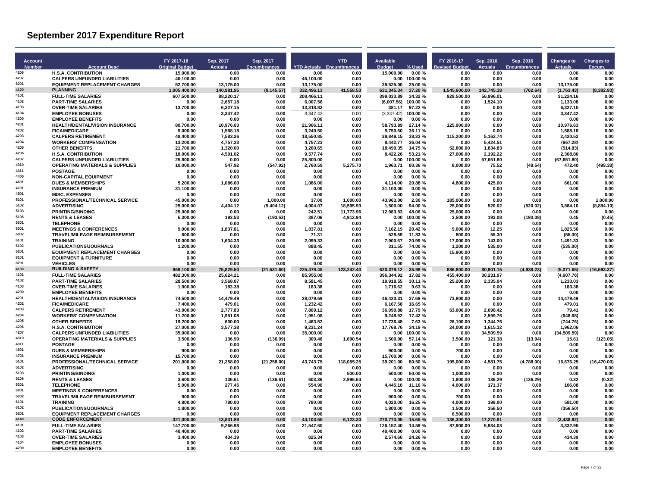| <b>Account</b> |                                                                             | FY 2017-18             | Sep. 2017           | Sep. 2017           |                                 | <b>YTD</b>            | Available             |                            | FY 2016-17            | Sep. 2016      | Sep. 2016           | <b>Changes to</b>   | <b>Changes to</b> |
|----------------|-----------------------------------------------------------------------------|------------------------|---------------------|---------------------|---------------------------------|-----------------------|-----------------------|----------------------------|-----------------------|----------------|---------------------|---------------------|-------------------|
| <b>Number</b>  | <b>Account Desc</b>                                                         | <b>Original Budget</b> | <b>Actuals</b>      | <b>Encumbrances</b> | <b>YTD Actuals Encumbrances</b> |                       | <b>Budget</b>         | % Used                     | <b>Revised Budget</b> | <b>Actuals</b> | <b>Encumbrances</b> | <b>Actuals</b>      | Encum.            |
| 4206<br>4207   | <b>H.S.A. CONTRIBUTION</b>                                                  | 15,000.00              | 0.00                | 0.00                | 0.00                            | 0.00                  | 15,000.00             | 0.00%                      | 0.00<br>0.00          | 0.00           | 0.00<br>0.00        | 0.00<br>0.00        | 0.00              |
| 6201           | <b>CALPERS UNFUNDED LIABILITIES</b><br><b>EQUIPMENT REPLACEMENT CHARGES</b> | 46,100.00<br>52.700.00 | 0.00<br>13.175.00   | 0.00<br>0.00        | 46,100.00<br>13,175.00          | 0.00<br>0.00          | 39.525.00             | $0.00$ 100.00 %<br>25.00 % | 0.00                  | 0.00<br>0.00   | 0.00                | 13.175.00           | 0.00<br>0.00      |
| 4120           | <b>PLANNING</b>                                                             | 1,005,400.00           | 140,981.95          | (9, 145.57)         | 332,496.13                      | 41,558.53             | 631,345.34 37.20 %    |                            | 1,545,600.00          | 142,745.38     | (762.64)            | (1,763.43)          | (8, 382.93)       |
| 4101           | <b>FULL-TIME SALARIES</b>                                                   | 607,500.00             | 88,220.17           | 0.00                | 208,466.11                      | 0.00                  | 399,033.89            | 34.32%                     | 929.500.00            | 56,996.01      | 0.00                | 31,224.16           | 0.00              |
| 4102           | <b>PART-TIME SALARIES</b>                                                   | 0.00                   | 2,657.18            | 0.00                | 6.007.56                        | 0.00                  | (6.007.56)            | 100.00%                    | 0.00                  | 1,524.10       | 0.00                | 1.133.08            | 0.00              |
| 4103           | <b>OVER-TIME SALARIES</b>                                                   | 13.700.00              | 6,327.15            | 0.00                | 13.318.83                       | 0.00                  | 381.17                | 97.22%                     | 0.00                  | 0.00           | 0.00                | 6.327.15            | 0.00              |
| 4104           | <b>EMPLOYEE BONUSES</b>                                                     | 0.00                   | 3,347.42            | 0.00                | 3,347.42                        | 0.00                  | (3,347.42)            | 100.00%                    | 0.00                  | 0.00           | 0.00                | 3,347.42            | 0.00              |
| 4200<br>4201   | <b>EMPLOYEE BENEFITS</b><br><b>HEALTH/DENTAL/VISION INSURANCE</b>           | 0.00<br>80.700.00      | 0.00<br>10,976.63   | 0.00<br>0.00        | 0.00<br>21,906.11               | 0.00<br>0.00          | 0.00<br>58,793.89     | 0.00%<br>27.14 %           | 0.00<br>125.900.00    | 0.00<br>0.00   | 0.00<br>0.00        | 0.00<br>10,976.63   | 0.00<br>0.00      |
| 4202           | <b>FICA/MEDICARE</b>                                                        | 9,000.00               | 1,588.18            | 0.00                | 3,249.50                        | 0.00                  | 5,750.50              | 36.11 %                    | 0.00                  | 0.00           | 0.00                | 1,588.18            | 0.00              |
| 4203           | <b>CALPERS RETIREMENT</b>                                                   | 48,400.00              | 7,583.26            | 0.00                | 18,550.85                       | 0.00                  | 29.849.15             | 38.33 %                    | 115.200.00            | 5,162.74       | 0.00                | 2,420.52            | 0.00              |
| 4204           | <b>WORKERS' COMPENSATION</b>                                                | 13.200.00              | 4,757.23            | 0.00                | 4.757.23                        | 0.00                  | 8.442.77              | 36.04 %                    | 0.00                  | 5.424.51       | 0.00                | (667.28)            | 0.00              |
| 4205           | <b>OTHER BENEFITS</b>                                                       | 21,700.00              | 1,320.00            | 0.00                | 3,200.65                        | 0.00                  | 18,499.35             | 14.75%                     | 52,800.00             | 1,834.83       | 0.00                | (514.83)            | 0.00              |
| 4206           | <b>H.S.A. CONTRIBUTION</b>                                                  | 18,000.00              | 4,501.02            | 0.00                | 9,577.74                        | 0.00                  | 8,422.26              | 53.21 %                    | 27,000.00             | 2,192.22       | 0.00                | 2,308.80            | 0.00              |
| 4207<br>4310   | <b>CALPERS UNFUNDED LIABILITIES</b>                                         | 25,800.00              | 0.00                | 0.00                | 25,800.00                       | 0.00                  | 0.00                  | 100.00%                    | 0.00                  | 67,651.80      | 0.00                | (67, 651.80)        | 0.00              |
| 4311           | <b>OPERATING MATERIALS &amp; SUPPLIES</b><br><b>POSTAGE</b>                 | 10,000.00<br>0.00      | 547.92<br>0.00      | (547.92)<br>0.00    | 2,760.59<br>0.00                | 5,275.70<br>0.00      | 1,963.71<br>0.00      | 80.36%<br>0.00%            | 8.000.00<br>0.00      | 75.52<br>0.00  | (49.54)<br>0.00     | 472.40<br>0.00      | (498.38)<br>0.00  |
| 4400           | <b>NON-CAPITAL EQUIPMENT</b>                                                | 0.00                   | 0.00                | 0.00                | 0.00                            | 0.00                  | 0.00                  | 0.00%                      | 0.00                  | 0.00           | 0.00                | 0.00                | 0.00              |
| 4601           | <b>DUES &amp; MEMBERSHIPS</b>                                               | 5.200.00               | 1.086.00            | 0.00                | 1.086.00                        | 0.00                  | 4.114.00              | 20.88%                     | 4.800.00              | 425.00         | 0.00                | 661.00              | 0.00              |
| 4701           | <b>INSURANCE PREMIUM</b>                                                    | 31,100.00              | 0.00                | 0.00                | 0.00                            | 0.00                  | 31,100.00             | 0.00%                      | 0.00                  | 0.00           | 0.00                | 0.00                | 0.00              |
| 4901           | <b>MISC. EXPENSES</b>                                                       | 0.00                   | 0.00                | 0.00                | 0.00                            | 0.00                  | 0.00                  | 0.00%                      | 0.00                  | 0.00           | 0.00                | 0.00                | 0.00              |
| 5101           | PROFESSIONAL/TECHNICAL SERVICE                                              | 45.000.00              | 0.00                | 1.000.00            | 37.00                           | 1.000.00              | 43.963.00             | 2.30%                      | 185.000.00            | 0.00           | 0.00                | 0.00                | 1.000.00          |
| 5102<br>5103   | <b>ADVERTISING</b>                                                          | 25.000.00              | 4,404.12            | (9,404.12)          | 4.904.07                        | 18,595.93             | 1,500.00              | 94.00 %                    | 25,000.00             | 520.02         | (520.02)            | 3,884.10            | (8,884.10)        |
| 5106           | <b>PRINTING/BINDING</b><br><b>RENTS &amp; LEASES</b>                        | 25,000.00<br>5.300.00  | 0.00<br>193.53      | 0.00<br>(193.53)    | 242.51<br>387.06                | 11,773.96<br>4,912.94 | 12,983.53<br>0.00     | 48.06%<br>100.00%          | 25,000.00<br>3.500.00 | 0.00<br>193.08 | 0.00<br>(193.08)    | 0.00<br>0.45        | 0.00<br>(0.45)    |
| 5301           | <b>TELEPHONE</b>                                                            | 0.00                   | 0.00                | 0.00                | 0.00                            | 0.00                  | 0.00                  | 0.00%                      | 0.00                  | 0.00           | 0.00                | 0.00                | 0.00              |
| 6001           | <b>MEETINGS &amp; CONFERENCES</b>                                           | 9,000.00               | 1,837.81            | 0.00                | 1,837.81                        | 0.00                  | 7,162.19              | 20.42%                     | 9,000.00              | 12.25          | 0.00                | 1,825.56            | 0.00              |
| 6002           | <b>TRAVEL/MILEAGE REIMBURSEMENT</b>                                         | 600.00                 | 0.00                | 0.00                | 71.31                           | 0.00                  | 528.69                | 11.83 %                    | 800.00                | 55.30          | 0.00                | (55.30)             | 0.00              |
| 6101           | <b>TRAINING</b>                                                             | 10.000.00              | 1.634.33            | 0.00                | 2.099.33                        | 0.00                  | 7.900.67              | 20.99%                     | 17.000.00             | 143.00         | 0.00                | 1.491.33            | 0.00              |
| 6102           | PUBLICATIONS/JOURNALS                                                       | 1,200.00               | 0.00                | 0.00                | 888.45                          | 0.00                  | 311.55                | 74.00 %                    | 1,200.00              | 535.00         | 0.00                | (535.00)            | 0.00              |
| 6201<br>8101   | <b>EQUIPMENT REPLACEMENT CHARGES</b>                                        | 0.00                   | 0.00                | 0.00                | 0.00                            | 0.00                  | 0.00                  | 0.00%                      | 15,900.00             | 0.00           | 0.00                | 0.00                | 0.00              |
| 8201           | <b>EQUIPMENT &amp; FURNITURE</b><br><b>VEHICLES</b>                         | 0.00<br>0.00           | 0.00<br>0.00        | 0.00<br>0.00        | 0.00<br>0.00                    | 0.00<br>0.00          | 0.00<br>0.00          | 0.00%<br>0.00%             | 0.00<br>0.00          | 0.00<br>0.00   | 0.00<br>0.00        | 0.00<br>0.00        | 0.00<br>0.00      |
| 4130           | <b>BUILDING &amp; SAFETY</b>                                                | 969,100.00             | 75,829.50           | (21,531.60)         | 225,478.45                      | 123,242.43            | 620,379.12            | 35.98 %                    | 886,800.00            | 80,901.15      | (4,938.23)          | (5,071.65)          | (16, 593.37)      |
| 4101           | <b>FULL-TIME SALARIES</b>                                                   | 482.300.00             | 25.624.21           | 0.00                | 85.955.08                       | 0.00                  | 396.344.92            | 17.82 %                    | 455.400.00            | 30,231.97      | 0.00                | (4,607.76)          | 0.00              |
| 4102           | <b>PART-TIME SALARIES</b>                                                   | 28.500.00              | 3.568.07            | 0.00                | 8.581.45                        | 0.00                  | 19.918.55             | 30.11 %                    | 25.200.00             | 2,335.04       | 0.00                | 1,233.03            | 0.00              |
| 4103           | <b>OVER-TIME SALARIES</b>                                                   | 1,900.00               | 183.38              | 0.00                | 183.38                          | 0.00                  | 1,716.62              | 9.63%                      | 0.00                  | 0.00           | 0.00                | 183.38              | 0.00              |
| 4200<br>4201   | <b>EMPLOYEE BENEFITS</b>                                                    | 0.00                   | 0.00                | 0.00                | 0.00                            | 0.00                  | 0.00                  | 0.00%                      | 0.00                  | 0.00           | 0.00                | 0.00                | 0.00              |
| 4202           | HEALTH/DENTAL/VISION INSURANCE<br><b>FICA/MEDICARE</b>                      | 74,500.00<br>7.400.00  | 14,479.49<br>479.01 | 0.00<br>0.00        | 28,079.69<br>1.232.42           | 0.00<br>0.00          | 46,420.31<br>6.167.58 | 37.69%<br>16.65%           | 73.800.00<br>0.00     | 0.00<br>0.00   | 0.00<br>0.00        | 14,479.49<br>479.01 | 0.00<br>0.00      |
| 4203           | <b>CALPERS RETIREMENT</b>                                                   | 43,900.00              | 2,777.83            | 0.00                | 7,809.12                        | 0.00                  | 36,090.88             | 17.79%                     | 63,600.00             | 2,698.42       | 0.00                | 79.41               | 0.00              |
| 4204           | <b>WORKERS' COMPENSATION</b>                                                | 11,200.00              | 1,951.08            | 0.00                | 1.951.08                        | 0.00                  | 9,248.92              | 17.42 %                    | 0.00                  | 2,599.76       | 0.00                | (648.68)            | 0.00              |
| 4205           | <b>OTHER BENEFITS</b>                                                       | 19.200.00              | 600.00              | 0.00                | 1.463.52                        | 0.00                  | 17.736.48             | 7.63%                      | 26.100.00             | 1.344.76       | 0.00                | (744.76)            | 0.00              |
| 4206           | <b>H.S.A. CONTRIBUTION</b>                                                  | 27,000.00              | 3,577.38            | 0.00                | 9,231.24                        | 0.00                  | 17,768.76             | 34.19 %                    | 24,000.00             | 1,615.32       | 0.00                | 1,962.06            | 0.00              |
| 4207           | <b>CALPERS UNFUNDED LIABILITIES</b>                                         | 35.000.00              | 0.00                | 0.00                | 35.000.00                       | 0.00                  | 0.00                  | 100.00 %                   | 0.00                  | 34.509.59      | 0.00                | (34.509.59)         | 0.00              |
| 4310           | <b>OPERATING MATERIALS &amp; SUPPLIES</b>                                   | 3.500.00               | 136.99              | (136.99)            | 309.46                          | 1.690.54              | 1.500.00              | 57.14 %                    | 3.500.00              | 121.38         | (13.94)             | 15.61               | (123.05)          |
| 4311<br>4601   | <b>POSTAGE</b><br><b>DUES &amp; MEMBERSHIPS</b>                             | 0.00<br>900.00         | 0.00<br>0.00        | 0.00<br>0.00        | 0.00                            | 0.00                  | 0.00<br>900.00        | 0.00%<br>$0.00 \%$         | 0.00<br>700.00        | 0.00<br>0.00   | 0.00<br>0.00        | 0.00<br>0.00        | 0.00<br>0.00      |
| 4701           | <b>INSURANCE PREMIUM</b>                                                    | 15.700.00              | 0.00                | 0.00                | 0.00<br>0.00                    | 0.00<br>0.00          | 15,700.00             | 0.00%                      | 0.00                  | 0.00           | 0.00                | 0.00                | 0.00              |
| 5101           | PROFESSIONAL/TECHNICAL SERVICE                                              | 201.000.00             | 21.258.00           | (21, 258.00)        | 43.743.75                       | 118.055.25            | 39.201.00             | 80.50%                     | 195.000.00            | 4.581.75       | (4,788.00)          | 16.676.25           | (16, 470.00)      |
| 5102           | <b>ADVERTISING</b>                                                          | 0.00                   | 0.00                | 0.00                | 0.00                            | 0.00                  | 0.00                  | 0.00%                      | 0.00                  | 0.00           | 0.00                | 0.00                | 0.00              |
| 5103           | <b>PRINTING/BINDING</b>                                                     | 1.000.00               | 0.00                | 0.00                | 0.00                            | 500.00                | 500.00                | 50.00 %                    | 1.000.00              | 0.00           | 0.00                | 0.00                | 0.00              |
| 5106           | <b>RENTS &amp; LEASES</b>                                                   | 3.600.00               | 136.61              | (136.61)            | 603.36                          | 2.996.64              | 0.00                  | 100.00%                    | 1.800.00              | 136.29         | (136.29)            | 0.32                | (0.32)            |
| 5301<br>6001   | <b>TELEPHONE</b>                                                            | 5,000.00               | 277.45              | 0.00                | 554.90                          | 0.00                  | 4.445.10              | 11.10%                     | 4.000.00              | 171.37         | 0.00                | 106.08              | 0.00              |
| 6002           | <b>MEETINGS &amp; CONFERENCES</b><br><b>TRAVEL/MILEAGE REIMBURSEMENT</b>    | 0.00<br>900.00         | 0.00<br>0.00        | 0.00<br>0.00        | 0.00<br>0.00                    | 0.00<br>0.00          | 0.00<br>900.00        | 0.00%<br>0.00%             | 0.00<br>700.00        | 0.00<br>0.00   | 0.00<br>0.00        | 0.00<br>0.00        | 0.00<br>0.00      |
| 6101           | <b>TRAINING</b>                                                             | 4.800.00               | 780.00              | 0.00                | 780.00                          | 0.00                  | 4.020.00              | 16.25 %                    | 4.000.00              | 199.00         | 0.00                | 581.00              | 0.00              |
| 6102           | PUBLICATIONS/JOURNALS                                                       | 1,800.00               | 0.00                | 0.00                | 0.00                            | 0.00                  | 1,800.00              | 0.00%                      | 1,500.00              | 356.50         | 0.00                | (356.50)            | 0.00              |
| 6201           | <b>EQUIPMENT REPLACEMENT CHARGES</b>                                        | 0.00                   | 0.00                | 0.00                | 0.00                            | 0.00                  | 0.00                  | 0.00%                      | 6.500.00              | 0.00           | 0.00                | 0.00                | 0.00              |
| 4140           | <b>CODE ENFORCEMENT</b>                                                     | 321.000.00             | 13.831.89           | 0.00                | 44.103.65                       | 6.123.30              | 270.773.05            | 15.65 %                    | 136.300.00            | 17.270.81      | 0.00                | (3.438.92)          | 0.00              |
| 4101           | <b>FULL-TIME SALARIES</b>                                                   | 147,700.00             | 9,266.98            | 0.00                | 21,547.60                       | 0.00                  | 126,152.40            | 14.59 %                    | 87,900.00             | 5,934.03       | 0.00                | 3,332.95            | 0.00              |
| 4102<br>4103   | <b>PART-TIME SALARIES</b>                                                   | 40,400.00              | 0.00                | 0.00                | 0.00                            | 0.00                  | 40,400.00             | 0.00%                      | 0.00                  | 0.00           | 0.00                | 0.00                | 0.00              |
| 4104           | <b>OVER-TIME SALARIES</b><br><b>EMPLOYEE BONUSES</b>                        | 3.400.00<br>0.00       | 434.39<br>0.00      | 0.00<br>0.00        | 825.34<br>0.00                  | 0.00<br>0.00          | 2.574.66<br>0.00      | 24.26 %<br>0.00%           | 0.00<br>0.00          | 0.00<br>0.00   | 0.00<br>0.00        | 434.39<br>0.00      | 0.00<br>0.00      |
| 4200           | <b>EMPLOYEE BENEFITS</b>                                                    | 0.00                   | 0.00                | 0.00                | 0.00                            | 0.00                  | 0.00                  | 0.00%                      | 0.00                  | 0.00           | 0.00                | 0.00                | 0.00              |
|                |                                                                             |                        |                     |                     |                                 |                       |                       |                            |                       |                |                     |                     |                   |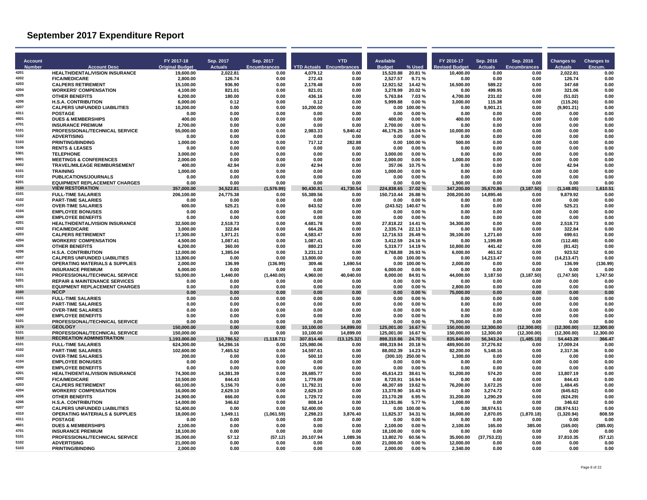| <b>Account</b> |                                                                                  | FY 2017-18               | Sep. 2017         | Sep. 2017           |                        | <b>YTD</b>                      | Available                                 | FY 2016-17                                    | Sep. 2016              | Sep. 2016                  | <b>Changes to</b>      | <b>Changes to</b> |
|----------------|----------------------------------------------------------------------------------|--------------------------|-------------------|---------------------|------------------------|---------------------------------|-------------------------------------------|-----------------------------------------------|------------------------|----------------------------|------------------------|-------------------|
| <b>Number</b>  | <b>Account Desc</b>                                                              | <b>Original Budget</b>   | <b>Actuals</b>    | <b>Encumbrances</b> |                        | <b>YTD Actuals Encumbrances</b> | % Used<br><b>Budget</b>                   | evised Budget                                 | <b>Actuals</b>         | Encumbrances               | Actuals                | Encum.            |
| 4201           | <b>HEALTH/DENTAL/VISION INSURANCE</b>                                            | 19.600.00                | 2.022.81          | 0.00                | 4.079.12               | 0.00                            | 15.520.88<br>20.81%                       | 10.400.00                                     | 0.00                   | 0.00                       | 2.022.81               | 0.00              |
| 4202           | <b>FICA/MEDICARE</b>                                                             | 2.800.00                 | 126.74            | 0.00                | 272.43                 | 0.00                            | 2.527.57                                  | 9.71%<br>0.00                                 | 0.00                   | 0.00                       | 126.74                 | 0.00              |
| 4203<br>4204   | <b>CALPERS RETIREMENT</b><br><b>WORKERS' COMPENSATION</b>                        | 15,100.00<br>4,100.00    | 936.90<br>821.01  | 0.00<br>0.00        | 2,178.48<br>821.01     | 0.00<br>0.00                    | 12,921.52<br>14.42%<br>3,278.99<br>20.02% | 16,500.00<br>0.00                             | 589.22<br>499.95       | 0.00<br>0.00               | 347.68<br>321.06       | 0.00<br>0.00      |
| 4205           | <b>OTHER BENEFITS</b>                                                            | 6.200.00                 | 180.00            | 0.00                | 436.16                 | 0.00                            | 5.763.84                                  | 7.03%<br>4.700.00                             | 231.02                 | 0.00                       | (51.02)                | 0.00              |
| 4206           | <b>H.S.A. CONTRIBUTION</b>                                                       | 6.000.00                 | 0.12              | 0.00                | 0.12                   | 0.00                            | 5.999.88                                  | 0.00%<br>3.000.00                             | 115.38                 | 0.00                       | (115.26)               | 0.00              |
| 4207           | <b>CALPERS UNFUNDED LIABILITIES</b>                                              | 10,200.00                | 0.00              | 0.00                | 10,200.00              | 0.00                            | 0.00<br>100.00%                           | 0.00                                          | 9,901.21               | 0.00                       | (9,901.21)             | 0.00              |
| 4311<br>4601   | <b>POSTAGE</b><br><b>DUES &amp; MEMBERSHIPS</b>                                  | 0.00<br>400.00           | 0.00<br>0.00      | 0.00<br>0.00        | 0.00<br>0.00           | 0.00<br>0.00                    | 0.00<br>400.00                            | 0.00%<br>0.00<br>0.00%<br>400.00              | 0.00<br>0.00           | 0.00<br>0.00               | 0.00<br>0.00           | 0.00<br>0.00      |
| 4701           | <b>INSURANCE PREMIUM</b>                                                         | 2.700.00                 | 0.00              | 0.00                | 0.00                   | 0.00                            | 2.700.00                                  | 0.00%<br>0.00                                 | 0.00                   | 0.00                       | 0.00                   | 0.00              |
| 5101           | PROFESSIONAL/TECHNICAL SERVICE                                                   | 55,000.00                | 0.00              | 0.00                | 2,983.33               | 5,840.42                        | 46,176.25                                 | 16.04 %<br>10,000.00                          | 0.00                   | 0.00                       | 0.00                   | 0.00              |
| 5102           | <b>ADVERTISING</b>                                                               | 0.00                     | 0.00              | 0.00                | 0.00                   | 0.00                            | 0.00                                      | 0.00%<br>0.00                                 | 0.00                   | 0.00                       | 0.00                   | 0.00              |
| 5103           | <b>PRINTING/BINDING</b>                                                          | 1,000.00                 | 0.00              | 0.00                | 717.12                 | 282.88                          | 100.00%<br>0.00                           | 500.00                                        | 0.00                   | 0.00                       | 0.00                   | 0.00              |
| 5106<br>5301   | <b>RENTS &amp; LEASES</b>                                                        | 0.00                     | 0.00              | 0.00                | 0.00                   | 0.00                            | 0.00                                      | 0.00%<br>0.00                                 | 0.00                   | 0.00<br>0.00               | 0.00                   | 0.00              |
| 6001           | <b>TELEPHONE</b><br><b>MEETINGS &amp; CONFERENCES</b>                            | 3,000.00<br>2,000.00     | 0.00<br>0.00      | 0.00<br>0.00        | 0.00<br>0.00           | 0.00<br>0.00                    | 3,000.00<br>2,000.00                      | 0.00%<br>0.00<br>0.00%<br>1,000.00            | 0.00<br>0.00           | 0.00                       | 0.00<br>0.00           | 0.00<br>0.00      |
| 6002           | <b>TRAVEL/MILEAGE REIMBURSEMENT</b>                                              | 400.00                   | 42.94             | 0.00                | 42.94                  | 0.00                            | 357.06                                    | 10.75%<br>0.00                                | 0.00                   | 0.00                       | 42.94                  | 0.00              |
| 6101           | <b>TRAINING</b>                                                                  | 1,000.00                 | 0.00              | 0.00                | 0.00                   | 0.00                            | 1,000.00                                  | 0.00%<br>0.00                                 | 0.00                   | 0.00                       | 0.00                   | 0.00              |
| 6102           | PUBLICATIONS/JOURNALS                                                            | 0.00                     | 0.00              | 0.00                | 0.00                   | 0.00                            | 0.00                                      | 0.00%<br>0.00                                 | 0.00                   | 0.00                       | 0.00                   | 0.00              |
| 6201<br>4150   | <b>EQUIPMENT REPLACEMENT CHARGES</b><br><b>VIEW RESTORATION</b>                  | 0.00                     | 0.00<br>34,522.81 | 0.00<br>(1,576.99)  | 0.00                   | 0.00                            | 0.00                                      | 0.00%<br>1.900.00                             | 0.00                   | 0.00                       | 0.00<br>(1, 148.05)    | 0.00<br>1,610.51  |
| 4101           | <b>FULL-TIME SALARIES</b>                                                        | 357,000.00<br>206.100.00 | 24.775.38         | 0.00                | 90,430.81<br>55.389.56 | 41,730.54<br>0.00               | 224,838.65<br>150.710.44                  | 347,200.00<br>37.02 %<br>26.88%<br>208.200.00 | 35,670.86<br>14,895.46 | (3, 187.50)<br>0.00        | 9.879.92               | 0.00              |
| 4102           | <b>PART-TIME SALARIES</b>                                                        | 0.00                     | 0.00              | 0.00                | 0.00                   | 0.00                            | 0.00                                      | 0.00%<br>0.00                                 | 0.00                   | 0.00                       | 0.00                   | 0.00              |
| 4103           | <b>OVER-TIME SALARIES</b>                                                        | 600.00                   | 525.21            | 0.00                | 843.52                 | 0.00                            | (243.52)<br>140.67%                       | 0.00                                          | 0.00                   | 0.00                       | 525.21                 | 0.00              |
| 4104<br>4200   | <b>EMPLOYEE BONUSES</b>                                                          | 0.00                     | 0.00              | 0.00                | 0.00                   | 0.00                            | 0.00                                      | 0.00%<br>0.00                                 | 0.00                   | 0.00                       | 0.00                   | 0.00              |
| 4201           | <b>EMPLOYEE BENEFITS</b><br><b>HEALTH/DENTAL/VISION INSURANCE</b>                | 0.00<br>32.500.00        | 0.00<br>2.518.73  | 0.00<br>0.00        | 0.00<br>4.681.78       | 0.00<br>0.00                    | 0.00<br>27.818.22                         | 0.00%<br>0.00<br>14.41 %<br>34.300.00         | 0.00<br>0.00           | 0.00<br>0.00               | 0.00<br>2.518.73       | 0.00<br>0.00      |
| 4202           | <b>FICA/MEDICARE</b>                                                             | 3,000.00                 | 322.84            | 0.00                | 664.26                 | 0.00                            | 2.335.74                                  | 22.13 %<br>0.00                               | 0.00                   | 0.00                       | 322.84                 | 0.00              |
| 4203           | <b>CALPERS RETIREMENT</b>                                                        | 17,300.00                | 1,971.21          | 0.00                | 4,583.47               | 0.00                            | 12,716.53                                 | 26.49 %<br>39,100.00                          | 1,271.60               | 0.00                       | 699.61                 | 0.00              |
| 4204           | <b>WORKERS' COMPENSATION</b>                                                     | 4.500.00                 | 1.087.41          | 0.00                | 1.087.41               | 0.00                            | 3.412.59                                  | 24.16%<br>0.00                                | 1.199.89               | 0.00                       | (112.48)               | 0.00              |
| 4205           | <b>OTHER BENEFITS</b>                                                            | 6.200.00                 | 360.00            | 0.00                | 880.23                 | 0.00                            | 5.319.77<br>14.19%                        | 10.800.00                                     | 441.42                 | 0.00                       | (81.42)                | 0.00              |
| 4206<br>4207   | <b>H.S.A. CONTRIBUTION</b>                                                       | 12,000.00                | 1,385.04          | 0.00                | 3,231.12               | 0.00                            | 8,768.88<br>26.93%                        | 6,000.00                                      | 461.52                 | 0.00                       | 923.52                 | 0.00              |
| 4310           | <b>CALPERS UNFUNDED LIABILITIES</b><br><b>OPERATING MATERIALS &amp; SUPPLIES</b> | 13,800.00<br>2.000.00    | 0.00<br>136.99    | 0.00<br>(136.99)    | 13,800.00<br>309.46    | 0.00<br>1.690.54                | 0.00<br>100.00%<br>0.00<br>100.00%        | 0.00<br>2.000.00                              | 14,213.47<br>0.00      | 0.00<br>0.00               | (14, 213.47)<br>136.99 | 0.00<br>(136.99)  |
| 4701           | <b>INSURANCE PREMIUM</b>                                                         | 6,000.00                 | 0.00              | 0.00                | 0.00                   | 0.00                            | 6.000.00                                  | 0.00%<br>0.00                                 | 0.00                   | 0.00                       | 0.00                   | 0.00              |
| 5101           | <b>PROFESSIONAL/TECHNICAL SERVICE</b>                                            | 53,000.00                | 1,440.00          | (1,440.00)          | 4,960.00               | 40,040.00                       | 8,000.00                                  | 84.91 %<br>44,000.00                          | 3,187.50               | (3, 187.50)                | (1,747.50)             | 1,747.50          |
| 5201           | <b>REPAIR &amp; MAINTENANCE SERVICES</b>                                         | 0.00                     | 0.00              | 0.00                | 0.00                   | 0.00                            | 0.00                                      | 0.00%<br>0.00                                 | 0.00                   | 0.00                       | 0.00                   | 0.00              |
| 6201<br>4160   | <b>EQUIPMENT REPLACEMENT CHARGES</b><br><b>NCCP</b>                              | 0.00                     | 0.00              | 0.00                | 0.00                   | 0.00                            | 0.00                                      | 0.00%<br>2.800.00                             | 0.00                   | 0.00                       | 0.00                   | 0.00              |
| 4101           | <b>FULL-TIME SALARIES</b>                                                        | 0.00<br>0.00             | 0.00<br>0.00      | 0.00<br>0.00        | 0.00<br>0.00           | 0.00<br>0.00                    | 0.00<br>0.00                              | 0.00%<br>75.000.00<br>0.00%<br>0.00           | 0.00<br>0.00           | 0.00<br>0.00               | 0.00<br>0.00           | 0.00<br>0.00      |
| 4102           | <b>PART-TIME SALARIES</b>                                                        | 0.00                     | 0.00              | 0.00                | 0.00                   | 0.00                            | 0.00                                      | 0.00%<br>0.00                                 | 0.00                   | 0.00                       | 0.00                   | 0.00              |
| 4103           | <b>OVER-TIME SALARIES</b>                                                        | 0.00                     | 0.00              | 0.00                | 0.00                   | 0.00                            | 0.00                                      | 0.00%<br>0.00                                 | 0.00                   | 0.00                       | 0.00                   | 0.00              |
| 4200           | <b>EMPLOYEE BENEFITS</b>                                                         | 0.00                     | 0.00              | 0.00                | 0.00                   | 0.00                            | 0.00                                      | 0.00%<br>0.00                                 | 0.00                   | 0.00                       | 0.00                   | 0.00              |
| 5101<br>4170   | PROFESSIONAL/TECHNICAL SERVICE<br><b>GEOLOGY</b>                                 | 0.00<br>150.000.00       | 0.00<br>0.00      | 0.00<br>0.00        | 0.00                   | 0.00                            | 0.00<br>125.001.00                        | 0.00%<br>75,000.00<br>16.67%<br>150.000.00    | 0.00<br>12.300.00      | 0.00                       | 0.00<br>(12.300.00)    | 0.00<br>12.300.00 |
| 5101           | PROFESSIONAL/TECHNICAL SERVICE                                                   | 150,000.00               | 0.00              | 0.00                | 10,100.00<br>10,100.00 | 14,899.00<br>14,899.00          | 125.001.00<br>16.67%                      | 150,000.00                                    | 12,300.00              | (12,300.00)<br>(12,300.00) | (12, 300.00)           | 12,300.00         |
| 5110           | <b>RECREATION ADMINISTRATION</b>                                                 | 1,193,000.00             | 110,786.52        | (1, 118.71)         | 307,814.46             | (13.125.32)                     | 898.310.86                                | 24.70%<br>835,840.00                          | 56,343.24              | (1,485.18)                 | 54,443.28              | 366.47            |
| 4101           | <b>FULL-TIME SALARIES</b>                                                        | 624.300.00               | 54.286.16         | 0.00                | 125.980.06             | 0.00                            | 498.319.94<br>20.18%                      | 489.900.00                                    | 37.276.92              | 0.00                       | 17.009.24              | 0.00              |
| 4102           | <b>PART-TIME SALARIES</b>                                                        | 102.600.00               | 7,465.52          | 0.00                | 14,597.61              | 0.00                            | 88.002.39                                 | 14.23%<br>82,200.00                           | 5,148.16               | 0.00                       | 2,317.36               | 0.00              |
| 4103<br>4104   | <b>OVER-TIME SALARIES</b><br><b>EMPLOYEE BONUSES</b>                             | 200.00<br>0.00           | 0.00<br>0.00      | 0.00<br>0.00        | 500.10<br>0.00         | 0.00<br>0.00                    | (300.10)<br>250.00%<br>0.00               | 1,300.00<br>0.00%<br>0.00                     | 0.00<br>0.00           | 0.00<br>0.00               | 0.00<br>0.00           | 0.00<br>0.00      |
| 4200           | <b>EMPLOYEE BENEFITS</b>                                                         | 0.00                     | 0.00              | 0.00                | 0.00                   | 0.00                            | 0.00                                      | 0.00%<br>0.00                                 | 0.00                   | 0.00                       | 0.00                   | 0.00              |
| 4201           | HEALTH/DENTAL/VISION INSURANCE                                                   | 74,300.00                | 14,381.39         | 0.00                | 28,685.77              | 0.00                            | 45,614.23<br>38.61 %                      | 51,200.00                                     | 574.20                 | 0.00                       | 13,807.19              | 0.00              |
| 4202           | <b>FICA/MEDICARE</b>                                                             | 10.500.00                | 844.43            | 0.00                | 1.779.09               | 0.00                            | 8.720.91                                  | 16.94 %<br>0.00                               | 0.00                   | 0.00                       | 844.43                 | 0.00              |
| 4203           | <b>CALPERS RETIREMENT</b>                                                        | 60.100.00                | 5.156.70          | 0.00                | 11.792.31              | 0.00                            | 48.307.69                                 | 19.62%<br>76.200.00                           | 3.672.25               | 0.00                       | 1.484.45               | 0.00              |
| 4204<br>4205   | <b>WORKERS' COMPENSATION</b><br><b>OTHER BENEFITS</b>                            | 16,000.00                | 2,629.10          | 0.00                | 2.629.10               | 0.00                            | 13.370.90                                 | 16.43%<br>0.00                                | 3,274.72               | 0.00                       | (645.62)               | 0.00              |
| 4206           | <b>H.S.A. CONTRIBUTION</b>                                                       | 24,900.00<br>14.000.00   | 666.00<br>346.62  | 0.00<br>0.00        | 1,729.72<br>808.14     | 0.00<br>0.00                    | 23,170.28<br>13.191.86                    | 6.95%<br>31,200.00<br>5.77%<br>1.000.00       | 1,290.29<br>0.00       | 0.00<br>0.00               | (624.29)<br>346.62     | 0.00<br>0.00      |
| 4207           | <b>CALPERS UNFUNDED LIABILITIES</b>                                              | 52.400.00                | 0.00              | 0.00                | 52.400.00              | 0.00                            | 0.00<br>100.00%                           | 0.00                                          | 38.974.51              | 0.00                       | (38.974.51)            | 0.00              |
| 4310           | <b>OPERATING MATERIALS &amp; SUPPLIES</b>                                        | 18,000.00                | 1,549.11          | (1,061.59)          | 2,298.23               | 3,876.40                        | 11,825.37                                 | 34.31 %<br>16,000.00                          | 2,870.05               | (1,870.18)                 | (1,320.94)             | 808.59            |
| 4311           | <b>POSTAGE</b>                                                                   | 0.00                     | 0.00              | 0.00                | 0.00                   | 0.00                            | 0.00                                      | 0.00%<br>0.00                                 | 0.00                   | 0.00                       | 0.00                   | 0.00              |
| 4601<br>4701   | <b>DUES &amp; MEMBERSHIPS</b><br><b>INSURANCE PREMIUM</b>                        | 2,100.00                 | 0.00              | 0.00<br>0.00        | 0.00<br>0.00           | 0.00                            | 2,100.00                                  | 0.00%<br>2,100.00<br>0.00%                    | 165.00                 | 385.00<br>0.00             | (165.00)               | (385.00)          |
| 5101           | PROFESSIONAL/TECHNICAL SERVICE                                                   | 18.100.00<br>35,000.00   | 0.00<br>57.12     | (57.12)             | 20.107.94              | 0.00<br>1,089.36                | 18.100.00<br>13,802.70                    | 0.00<br>60.56 %<br>35,000.00                  | 0.00<br>(37, 753.23)   | 0.00                       | 0.00<br>37,810.35      | 0.00<br>(57.12)   |
| 5102           | <b>ADVERTISING</b>                                                               | 21,000.00                | 0.00              | 0.00                | 0.00                   | 0.00                            | 21,000.00                                 | 0.00%<br>12,000.00                            | 0.00                   | 0.00                       | 0.00                   | 0.00              |
| 5103           | <b>PRINTING/BINDING</b>                                                          | 2.000.00                 | 0.00              | 0.00                | 0.00                   | 0.00                            | 2.000.00                                  | 0.00%<br>2.340.00                             | 0.00                   | 0.00                       | 0.00                   | 0.00              |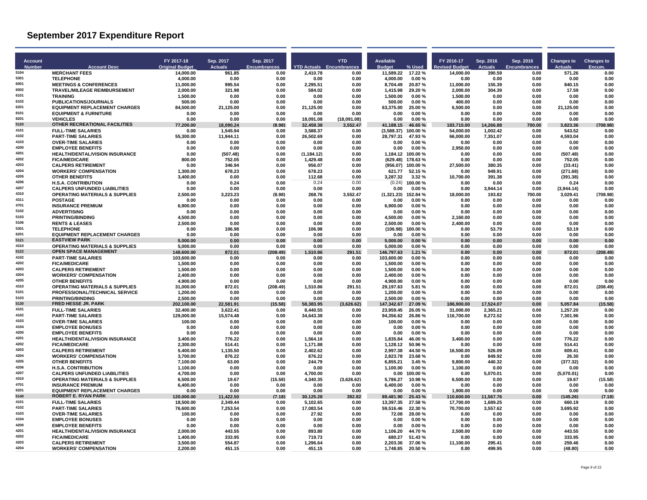| <b>Account</b> |                                                                          | FY 2017-18               | Sep. 2017             | Sep. 2017           |                       | <b>YTD</b>                      | <b>Available</b>         |                    | FY 2016-17              | Sep. 2016             | Sep. 2016      | <b>Changes to</b>    | <b>Changes to</b> |
|----------------|--------------------------------------------------------------------------|--------------------------|-----------------------|---------------------|-----------------------|---------------------------------|--------------------------|--------------------|-------------------------|-----------------------|----------------|----------------------|-------------------|
| Number         | <b>Account Desc</b>                                                      | <b>Original Budget</b>   | <b>Actuals</b>        | <b>Encumbrances</b> |                       | <b>YTD Actuals Encumbrances</b> | <b>Budget</b>            | % Used             | evised Budget           | <b>Actuals</b>        | Encumbrances   | <b>Actuals</b>       | Encum             |
| 5104           | <b>MERCHANT FEES</b>                                                     | 14.000.00                | 961.85                | 0.00                | 2.410.78              | 0.00                            | 11.589.22                | 17.22%             | 14.000.00               | 390.59                | 0.00           | 571.26               | 0.00              |
| 5301<br>6001   | <b>TELEPHONE</b><br><b>MEETINGS &amp; CONFERENCES</b>                    | 4.000.00<br>11,000.00    | 0.00<br>995.54        | 0.00<br>0.00        | 0.00<br>2,295.51      | 0.00<br>0.00                    | 4.000.00<br>8,704.49     | 0.00%<br>20.87%    | 0.00<br>11,000.00       | 0.00<br>155.39        | 0.00<br>0.00   | 0.00<br>840.15       | 0.00<br>0.00      |
| 6002           | TRAVEL/MILEAGE REIMBURSEMENT                                             | 2,000.00                 | 321.98                | 0.00                | 584.02                | 0.00                            | 1,415.98                 | 29.20%             | 2,000.00                | 304.39                | 0.00           | 17.59                | 0.00              |
| 6101           | <b>TRAINING</b>                                                          | 1.500.00                 | 0.00                  | 0.00                | 0.00                  | 0.00                            | 1.500.00                 | 0.00%              | 1.500.00                | 0.00                  | 0.00           | 0.00                 | 0.00              |
| 6102           | <b>PUBLICATIONS/JOURNALS</b>                                             | 500.00                   | 0.00                  | 0.00                | 0.00                  | 0.00                            | 500.00                   | 0.00%              | 400.00                  | 0.00                  | 0.00           | 0.00                 | 0.00              |
| 6201<br>8101   | <b>EQUIPMENT REPLACEMENT CHARGES</b><br><b>EQUIPMENT &amp; FURNITURE</b> | 84,500.00<br>0.00        | 21,125.00<br>0.00     | 0.00<br>0.00        | 21,125.00<br>0.00     | 0.00<br>0.00                    | 63,375.00<br>0.00        | 25.00%<br>0.00%    | 6,500.00<br>0.00        | 0.00<br>0.00          | 0.00<br>0.00   | 21,125.00<br>0.00    | 0.00<br>0.00      |
| 8201           | <b>VEHICLES</b>                                                          | 0.00                     | 0.00                  | 0.00                | 18.091.08             | (18.091.08)                     | 0.00                     | 0.00%              | 0.00                    | 0.00                  | 0.00           | 0.00                 | 0.00              |
| 5120           | OTHER RECREATIONAL FACILITIES                                            | 77.200.00                | 18.090.24             | (8.98)              | 32.459.38             | 3,552.47                        | 41.188.15                | 46.65%             | 183.710.00              | 14,266.88             | 700.00         | 3.823.36             | (708.98)          |
| 4101           | <b>FULL-TIME SALARIES</b>                                                | 0.00                     | 1,545.94              | 0.00                | 3,588.37              | 0.00                            | $(3,588.37)$ 100.00 %    |                    | 54,000.00               | 1,002.42              | 0.00           | 543.52               | 0.00              |
| 4102<br>4103   | <b>PART-TIME SALARIES</b><br><b>OVER-TIME SALARIES</b>                   | 55,300.00<br>0.00        | 11,944.11<br>0.00     | 0.00<br>0.00        | 26,502.69<br>0.00     | 0.00<br>0.00                    | 28,797.31<br>0.00        | 47.93%<br>0.00%    | 66,000.00<br>0.00       | 7,351.07<br>0.00      | 0.00<br>0.00   | 4,593.04<br>0.00     | 0.00<br>0.00      |
| 4200           | <b>EMPLOYEE BENEFITS</b>                                                 | 0.00                     | 0.00                  | 0.00                | 0.00                  | 0.00                            | 0.00                     | $0.00 \%$          | 2,950.00                | 0.00                  | 0.00           | 0.00                 | 0.00              |
| 4201           | <b>HEALTH/DENTAL/VISION INSURANCE</b>                                    | 0.00                     | (507.48)              | 0.00                | (1, 184.12)           | 0.00                            | 1,184.12 100.00 %        |                    | 0.00                    | 0.00                  | 0.00           | (507.48)             | 0.00              |
| 4202<br>4203   | <b>FICA/MEDICARE</b>                                                     | 800.00                   | 752.05                | 0.00                | 1,429.48              | 0.00                            | (629.48)                 | 178.63%            | 0.00                    | 0.00                  | 0.00           | 752.05               | 0.00              |
| 4204           | <b>CALPERS RETIREMENT</b><br><b>WORKERS' COMPENSATION</b>                | 0.00<br>1,300.00         | 346.94<br>678.23      | 0.00<br>0.00        | 956.07<br>678.23      | 0.00<br>0.00                    | (956.07)<br>621.77       | 100.00%<br>52.15 % | 27.500.00<br>0.00       | 380.35<br>949.91      | 0.00<br>0.00   | (33.41)<br>(271.68)  | 0.00<br>0.00      |
| 4205           | <b>OTHER BENEFITS</b>                                                    | 3,400.00                 | 0.00                  | 0.00                | 112.68                | 0.00                            | 3,287.32                 | 3.32%              | 10,700.00               | 391.38                | 0.00           | (391.38)             | 0.00              |
| 4206           | <b>H.S.A. CONTRIBUTION</b>                                               | 0.00                     | 0.24                  | 0.00                | 0.24                  | 0.00                            | (0.24)                   | 100.00%            | 0.00                    | 0.00                  | 0.00           | 0.24                 | 0.00              |
| 4207<br>4310   | <b>CALPERS UNFUNDED LIABILITIES</b>                                      | 0.00                     | 0.00                  | 0.00                | 0.00                  | 0.00                            | 0.00                     | 0.00%              | 0.00                    | 3,944.14              | 0.00           | (3,944.14)           | 0.00              |
| 4311           | <b>OPERATING MATERIALS &amp; SUPPLIES</b><br><b>POSTAGE</b>              | 2.500.00<br>0.00         | 3.223.23<br>0.00      | (8.98)<br>0.00      | 268.76<br>0.00        | 3.552.47<br>0.00                | (1,321.23)<br>0.00       | 152.84%<br>0.00%   | 18.000.00<br>0.00       | 193.82<br>0.00        | 700.00<br>0.00 | 3.029.41<br>0.00     | (708.98)<br>0.00  |
| 4701           | <b>INSURANCE PREMIUM</b>                                                 | 6.900.00                 | 0.00                  | 0.00                | 0.00                  | 0.00                            | 6.900.00                 | 0.00%              | 0.00                    | 0.00                  | 0.00           | 0.00                 | 0.00              |
| 5102           | <b>ADVERTISING</b>                                                       | 0.00                     | 0.00                  | 0.00                | 0.00                  | 0.00                            | 0.00                     | 0.00%              | 0.00                    | 0.00                  | 0.00           | 0.00                 | 0.00              |
| 5103           | <b>PRINTING/BINDING</b>                                                  | 4.500.00                 | 0.00                  | 0.00                | 0.00                  | 0.00                            | 4,500.00                 | 0.00%              | 2.160.00                | 0.00                  | 0.00           | 0.00                 | 0.00              |
| 5106<br>5301   | <b>RENTS &amp; LEASES</b><br><b>TELEPHONE</b>                            | 2.500.00<br>0.00         | 0.00<br>106.98        | 0.00<br>0.00        | 0.00<br>106.98        | 0.00<br>0.00                    | 2.500.00<br>(106.98)     | 0.00%<br>100.00%   | 2.400.00<br>0.00        | 0.00<br>53.79         | 0.00<br>0.00   | 0.00<br>53.19        | 0.00<br>0.00      |
| 6201           | <b>EQUIPMENT REPLACEMENT CHARGES</b>                                     | 0.00                     | 0.00                  | 0.00                | 0.00                  | 0.00                            | 0.00                     | 0.00%              | 0.00                    | 0.00                  | 0.00           | 0.00                 | 0.00              |
| 5121           | <b>EASTVIEW PARK</b>                                                     | 5.000.00                 | 0.00                  | 0.00                | 0.00                  | 0.00                            | 5.000.00                 | 0.00%              | 0.00                    | 0.00                  | 0.00           | 0.00                 | 0.00              |
| 4310           | <b>OPERATING MATERIALS &amp; SUPPLIES</b>                                | 5.000.00                 | 0.00                  | 0.00                | 0.00                  | 0.00                            | 5,000.00                 | 0.00%              | 0.00                    | 0.00                  | 0.00           | 0.00                 | 0.00              |
| 5122<br>4102   | <b>OPEN SPACE MANAGEMENT</b><br><b>PART-TIME SALARIES</b>                | 148,600.00<br>103,600.00 | 872.01<br>0.00        | (208.49)<br>0.00    | 1,510.86<br>0.00      | 291.51<br>0.00                  | 146,797.63<br>103,600.00 | 1.21%<br>0.00%     | 0.00<br>0.00            | 0.00<br>0.00          | 0.00<br>0.00   | 872.01<br>0.00       | (208.49)<br>0.00  |
| 4202           | <b>FICA/MEDICARE</b>                                                     | 1.500.00                 | 0.00                  | 0.00                | 0.00                  | 0.00                            | 1.500.00                 | 0.00%              | 0.00                    | 0.00                  | 0.00           | 0.00                 | 0.00              |
| 4203           | <b>CALPERS RETIREMENT</b>                                                | 1,500.00                 | 0.00                  | 0.00                | 0.00                  | 0.00                            | 1,500.00                 | 0.00%              | 0.00                    | 0.00                  | 0.00           | 0.00                 | 0.00              |
| 4204           | <b>WORKERS' COMPENSATION</b>                                             | 2,400.00                 | 0.00                  | 0.00                | 0.00                  | 0.00                            | 2,400.00                 | 0.00%              | 0.00                    | 0.00                  | 0.00           | 0.00                 | 0.00              |
| 4205<br>4310   | OTHER BENEFITS<br><b>OPERATING MATERIALS &amp; SUPPLIES</b>              | 4,900.00<br>31.000.00    | 0.00<br>872.01        | 0.00<br>(208.49)    | 0.00<br>1,510.86      | 0.00<br>291.51                  | 4,900.00<br>29.197.63    | 0.00%<br>5.81%     | 0.00<br>0.00            | 0.00<br>0.00          | 0.00<br>0.00   | 0.00<br>872.01       | 0.00<br>(208.49)  |
| 5101           | <b>PROFESSIONAL/TECHNICAL SERVICE</b>                                    | 1,200.00                 | 0.00                  | 0.00                | 0.00                  | 0.00                            | 1,200.00                 | 0.00%              | 0.00                    | 0.00                  | 0.00           | 0.00                 | 0.00              |
| 5103           | <b>PRINTING/BINDING</b>                                                  | 2,500.00                 | 0.00                  | 0.00                | 0.00                  | 0.00                            | 2,500.00                 | 0.00%              | 0.00                    | 0.00                  | 0.00           | 0.00                 | 0.00              |
| 5130<br>4101   | FRED HESSE JR. PARK                                                      | 202,100.00               | 22,581.91             | (15.58)             | 58,383.95             | (3,626.62)                      | 147,342.67               | 27.09 %            | 186,900.00              | 17,524.07             | 0.00           | 5,057.84             | (15.58)           |
| 4102           | <b>FULL-TIME SALARIES</b><br><b>PART-TIME SALARIES</b>                   | 32.400.00<br>129,000.00  | 3.622.41<br>15,574.48 | 0.00<br>0.00        | 8.440.55<br>34,643.38 | 0.00<br>0.00                    | 23.959.45<br>94,356.62   | 26.05%<br>26.86%   | 31.000.00<br>116,700.00 | 2.365.21<br>8,272.52  | 0.00<br>0.00   | 1,257.20<br>7,301.96 | 0.00<br>0.00      |
| 4103           | <b>OVER-TIME SALARIES</b>                                                | 100.00                   | 0.00                  | 0.00                | 0.00                  | 0.00                            | 100.00                   | 0.00%              | 0.00                    | 0.00                  | 0.00           | 0.00                 | 0.00              |
| 4104           | <b>EMPLOYEE BONUSES</b>                                                  | 0.00                     | 0.00                  | 0.00                | 0.00                  | 0.00                            | 0.00                     | 0.00%              | 0.00                    | 0.00                  | 0.00           | 0.00                 | 0.00              |
| 4200<br>4201   | <b>EMPLOYEE BENEFITS</b>                                                 | 0.00                     | 0.00                  | 0.00                | 0.00                  | 0.00                            | 0.00                     | 0.00%              | 0.00                    | 0.00                  | 0.00           | 0.00                 | 0.00              |
| 4202           | <b>HEALTH/DENTAL/VISION INSURANCE</b><br><b>FICA/MEDICARE</b>            | 3.400.00<br>2.300.00     | 776.22<br>514.41      | 0.00<br>0.00        | 1.564.16<br>1.171.88  | 0.00<br>0.00                    | 1.835.84<br>1.128.12     | 46.00%<br>50.96 %  | 3.400.00<br>0.00        | 0.00<br>0.00          | 0.00<br>0.00   | 776.22<br>514.41     | 0.00<br>0.00      |
| 4203           | <b>CALPERS RETIREMENT</b>                                                | 5,400.00                 | 1,135.50              | 0.00                | 2,402.62              | 0.00                            | 2.997.38                 | 44.50%             | 16,500.00               | 526.09                | 0.00           | 609.41               | 0.00              |
| 4204           | <b>WORKERS' COMPENSATION</b>                                             | 3,700.00                 | 876.22                | 0.00                | 876.22                | 0.00                            | 2,823.78                 | 23.68%             | 0.00                    | 849.92                | 0.00           | 26.30                | 0.00              |
| 4205           | <b>OTHER BENEFITS</b>                                                    | 7,100.00                 | 63.00                 | 0.00                | 244.79                | 0.00                            | 6.855.21                 | 3.45 %             | 9.800.00                | 440.32                | 0.00           | (377.32)             | 0.00              |
| 4206<br>4207   | <b>H.S.A. CONTRIBUTION</b><br><b>CALPERS UNFUNDED LIABILITIES</b>        | 1.100.00<br>4,700.00     | 0.00<br>0.00          | 0.00<br>0.00        | 0.00<br>4,700.00      | 0.00<br>0.00                    | 1.100.00<br>0.00         | 0.00%<br>100.00%   | 1.100.00<br>0.00        | 0.00<br>5,070.01      | 0.00<br>0.00   | 0.00<br>(5,070.01)   | 0.00<br>0.00      |
| 4310           | <b>OPERATING MATERIALS &amp; SUPPLIES</b>                                | 6.500.00                 | 19.67                 | (15.58)             | 4.340.35              | (3.626.62)                      | 5.786.27                 | 10.98%             | 6.500.00                | 0.00                  | 0.00           | 19.67                | (15.58)           |
| 4701           | <b>INSURANCE PREMIUM</b>                                                 | 6.400.00                 | 0.00                  | 0.00                | 0.00                  | 0.00                            | 6.400.00                 | 0.00%              | 0.00                    | 0.00                  | 0.00           | 0.00                 | 0.00              |
| 6201<br>5140   | <b>EQUIPMENT REPLACEMENT CHARGES</b><br><b>ROBERT E. RYAN PARK</b>       | 0.00                     | 0.00                  | 0.00                | 0.00                  | 0.00                            | 0.00                     | 0.00%              | 1.900.00                | 0.00                  | 0.00           | 0.00                 | 0.00              |
| 4101           | <b>FULL-TIME SALARIES</b>                                                | 120,000.00<br>18.500.00  | 11,422.50<br>2.349.44 | (7.18)<br>0.00      | 30,125.28<br>5.102.65 | 392.82<br>0.00                  | 89,481.90<br>13.397.35   | 25.43 %<br>27.58%  | 110,600.00<br>17.700.00 | 11,567.76<br>1.689.25 | 0.00<br>0.00   | (145.26)<br>660.19   | (7.18)<br>0.00    |
| 4102           | <b>PART-TIME SALARIES</b>                                                | 76.600.00                | 7.253.54              | 0.00                | 17.083.54             | 0.00                            | 59.516.46                | 22.30%             | 70.700.00               | 3.557.62              | 0.00           | 3.695.92             | 0.00              |
| 4103           | <b>OVER-TIME SALARIES</b>                                                | 100.00                   | 0.00                  | 0.00                | 27.92                 | 0.00                            | 72.08                    | 28.00 %            | 0.00                    | 0.00                  | 0.00           | 0.00                 | 0.00              |
| 4104<br>4200   | <b>EMPLOYEE BONUSES</b>                                                  | 0.00                     | 0.00                  | 0.00                | 0.00                  | 0.00                            | 0.00                     | 0.00%              | 0.00                    | 0.00                  | 0.00           | 0.00                 | 0.00              |
| 4201           | <b>EMPLOYEE BENEFITS</b><br><b>HEALTH/DENTAL/VISION INSURANCE</b>        | 0.00<br>2.000.00         | 0.00<br>443.55        | 0.00<br>0.00        | 0.00<br>893.80        | 0.00<br>0.00                    | 0.00<br>1,106.20         | 0.00%<br>44.70%    | 0.00<br>2.500.00        | 0.00<br>0.00          | 0.00<br>0.00   | 0.00<br>443.55       | 0.00<br>0.00      |
| 4202           | <b>FICA/MEDICARE</b>                                                     | 1,400.00                 | 333.95                | 0.00                | 719.73                | 0.00                            | 680.27                   | 51.43 %            | 0.00                    | 0.00                  | 0.00           | 333.95               | 0.00              |
| 4203           | <b>CALPERS RETIREMENT</b>                                                | 3,500.00                 | 554.87                | 0.00                | 1,296.64              | 0.00                            | 2,203.36                 | 37.06%             | 11,100.00               | 295.41                | 0.00           | 259.46               | 0.00              |
| 4204           | <b>WORKERS' COMPENSATION</b>                                             | 2.200.00                 | 451.15                | 0.00                | 451.15                | 0.00                            | 1.748.85                 | 20.50 %            | 0.00                    | 499.95                | 0.00           | (48.80)              | 0.00              |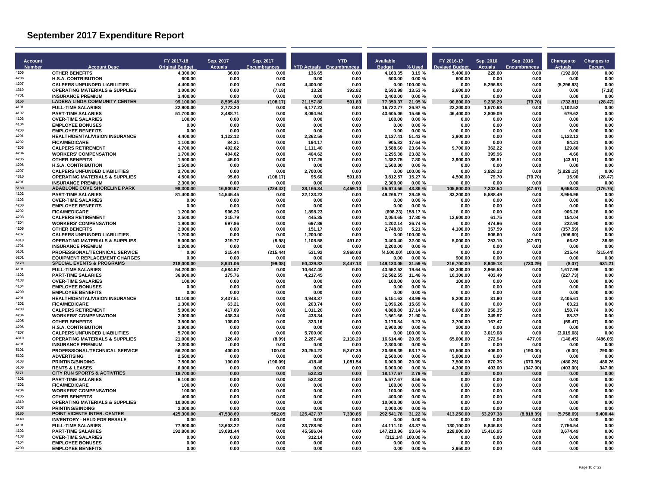| <b>Account</b> |                                                                                  | FY 2017-18             | Sep. 2017            | Sep. 2017           |                                 | <b>YTD</b>       | Available              |                          | FY 2016-17             | Sep. 2016            | Sep. 2016           | <b>Changes to</b>   | <b>Changes to</b> |
|----------------|----------------------------------------------------------------------------------|------------------------|----------------------|---------------------|---------------------------------|------------------|------------------------|--------------------------|------------------------|----------------------|---------------------|---------------------|-------------------|
| <b>Number</b>  | <b>Account Desc</b>                                                              | <b>Original Budget</b> | <b>Actuals</b>       | <b>Encumbrances</b> | <b>YTD Actuals Encumbrances</b> |                  | <b>Budget</b>          | % Used                   | evised Budget          | <b>Actuals</b>       | <b>Encumbrances</b> | <b>Actuals</b>      | Encum             |
| 4205           | <b>OTHER BENEFITS</b>                                                            | 4,300.00               | 36.00                | 0.00                | 136.65                          | 0.00             | 4,163.35               | 3.19%                    | 5,400.00               | 228.60               | 0.00                | (192.60)            | 0.00              |
| 4206<br>4207   | <b>H.S.A. CONTRIBUTION</b><br><b>CALPERS UNFUNDED LIABILITIES</b>                | 600.00<br>4.400.00     | 0.00<br>0.00         | 0.00<br>0.00        | 0.00<br>4.400.00                | 0.00<br>0.00     | 600.00                 | 0.00%<br>$0.00$ 100.00 % | 600.00<br>0.00         | 0.00<br>5,296.93     | 0.00<br>0.00        | 0.00<br>(5, 296.93) | 0.00<br>0.00      |
| 4310           | <b>OPERATING MATERIALS &amp; SUPPLIES</b>                                        | 3,000.00               | 0.00                 | (7.18)              | 13.20                           | 392.82           | 2.593.98               | 13.53 %                  | 2,600.00               | 0.00                 | 0.00                | 0.00                | (7.18)            |
| 4701           | <b>INSURANCE PREMIUM</b>                                                         | 3,400.00               | 0.00                 | 0.00                | 0.00                            | 0.00             | 3.400.00               | 0.00%                    | 0.00                   | 0.00                 | 0.00                | 0.00                | 0.00              |
| 5150           | <b>LADERA LINDA COMMUNITY CENTER</b>                                             | 99.100.00              | 8.505.48             | (108.17)            | 21.157.80                       | 591.83           | 77.350.37              | 21.95 %                  | 90.600.00              | 9.238.29             | (79.70)             | (732.81)            | (28.47)           |
| 4101<br>4102   | <b>FULL-TIME SALARIES</b><br><b>PART-TIME SALARIES</b>                           | 22,900.00<br>51,700.00 | 2,773.20<br>3,488.71 | 0.00<br>0.00        | 6,177.23<br>8,094.94            | 0.00<br>0.00     | 16,722.77<br>43,605.06 | 26.97%<br>15.66 %        | 22,200.00<br>46,400.00 | 1,670.68<br>2,809.09 | 0.00<br>0.00        | 1,102.52<br>679.62  | 0.00<br>0.00      |
| 4103           | <b>OVER-TIME SALARIES</b>                                                        | 100.00                 | 0.00                 | 0.00                | 0.00                            | 0.00             | 100.00                 | 0.00%                    | 0.00                   | 0.00                 | 0.00                | 0.00                | 0.00              |
| 4104           | <b>EMPLOYEE BONUSES</b>                                                          | 0.00                   | 0.00                 | 0.00                | 0.00                            | 0.00             | 0.00                   | 0.00%                    | 0.00                   | 0.00                 | 0.00                | 0.00                | 0.00              |
| 4200           | <b>EMPLOYEE BENEFITS</b>                                                         | 0.00                   | 0.00                 | 0.00                | 0.00                            | 0.00             | 0.00                   | 0.00%                    | 0.00                   | 0.00                 | 0.00                | 0.00                | 0.00              |
| 4201<br>4202   | <b>HEALTH/DENTAL/VISION INSURANCE</b>                                            | 4.400.00               | 1,122.12             | 0.00                | 2.262.59                        | 0.00             | 2.137.41               | 51.43%                   | 3.900.00               | 0.00                 | 0.00                | 1.122.12            | 0.00              |
| 4203           | <b>FICA/MEDICARE</b><br><b>CALPERS RETIREMENT</b>                                | 1.100.00<br>4,700.00   | 84.21<br>492.02      | 0.00<br>0.00        | 194.17<br>1,111.40              | 0.00<br>0.00     | 905.83<br>3,588.60     | 17.64 %<br>23.64 %       | 0.00<br>9,700.00       | 0.00<br>362.22       | 0.00<br>0.00        | 84.21<br>129.80     | 0.00<br>0.00      |
| 4204           | <b>WORKERS' COMPENSATION</b>                                                     | 1,700.00               | 404.62               | 0.00                | 404.62                          | 0.00             | 1,295.38               | 23.82%                   | 0.00                   | 399.96               | 0.00                | 4.66                | 0.00              |
| 4205           | <b>OTHER BENEFITS</b>                                                            | 1,500.00               | 45.00                | 0.00                | 117.25                          | 0.00             | 1,382.75               | 7.80%                    | 3,900.00               | 88.51                | 0.00                | (43.51)             | 0.00              |
| 4206           | <b>H.S.A. CONTRIBUTION</b>                                                       | 1.500.00               | 0.00                 | 0.00                | 0.00                            | 0.00             | 1.500.00               | 0.00%                    | 0.00                   | 0.00                 | 0.00                | 0.00                | 0.00              |
| 4207<br>4310   | <b>CALPERS UNFUNDED LIABILITIES</b><br><b>OPERATING MATERIALS &amp; SUPPLIES</b> | 2,700.00<br>4.500.00   | 0.00<br>95.60        | 0.00<br>(108.17)    | 2,700.00<br>95.60               | 0.00<br>591.83   | 0.00<br>3.812.57       | 100.00%<br>15.27 %       | 0.00<br>4.500.00       | 3,828.13<br>79.70    | 0.00<br>(79.70)     | (3,828.13)<br>15.90 | 0.00<br>(28.47)   |
| 4701           | <b>INSURANCE PREMIUM</b>                                                         | 2.300.00               | 0.00                 | 0.00                | 0.00                            | 0.00             | 2.300.00               | 0.00%                    | 0.00                   | 0.00                 | 0.00                | 0.00                | 0.00              |
| 5160           | <b>ABABLONE COVE SHORELINE PARK</b>                                              | 98,300.00              | 16,900.57            | (224.42)            | 38,166.34                       | 4,459.10         | 55,674.56              | 43.36 %                  | 105,800.00             | 7,242.54             | (47.67)             | 9.658.03            | (176.75)          |
| 4102           | <b>PART-TIME SALARIES</b>                                                        | 81,400.00              | 14,545.45            | 0.00                | 32,133.23                       | 0.00             | 49,266.77              | 39.48%                   | 83,200.00              | 5,588.49             | 0.00                | 8,956.96            | 0.00              |
| 4103<br>4200   | <b>OVER-TIME SALARIES</b><br><b>EMPLOYEE BENEFITS</b>                            | 0.00<br>0.00           | 0.00<br>0.00         | 0.00<br>0.00        | 0.00<br>0.00                    | 0.00<br>0.00     | 0.00<br>0.00           | 0.00%<br>0.00%           | 0.00<br>0.00           | 0.00<br>0.00         | 0.00<br>0.00        | 0.00<br>0.00        | 0.00<br>0.00      |
| 4202           | <b>FICA/MEDICARE</b>                                                             | 1,200.00               | 906.26               | 0.00                | 1,898.23                        | 0.00             | (698.23)               | 158.17%                  | 0.00                   | 0.00                 | 0.00                | 906.26              | 0.00              |
| 4203           | <b>CALPERS RETIREMENT</b>                                                        | 2.500.00               | 215.79               | 0.00                | 445.35                          | 0.00             | 2.054.65               | 17.80%                   | 12.600.00              | 61.75                | 0.00                | 154.04              | 0.00              |
| 4204           | <b>WORKERS' COMPENSATION</b>                                                     | 1.900.00               | 697.86               | 0.00                | 697.86                          | 0.00             | 1.202.14               | 36.74 %                  | 0.00                   | 474.96               | 0.00                | 222.90              | 0.00              |
| 4205           | <b>OTHER BENEFITS</b>                                                            | 2,900.00               | 0.00                 | 0.00                | 151.17                          | 0.00             | 2,748.83               | 5.21%                    | 4,100.00               | 357.59               | 0.00                | (357.59)            | 0.00              |
| 4207<br>4310   | <b>CALPERS UNFUNDED LIABILITIES</b>                                              | 1,200.00               | 0.00                 | 0.00                | 1,200.00                        | 0.00             | 0.00                   | 100.00%                  | 0.00                   | 506.60               | 0.00                | (506.60)            | 0.00              |
| 4701           | <b>OPERATING MATERIALS &amp; SUPPLIES</b><br><b>INSURANCE PREMIUM</b>            | 5.000.00<br>2.200.00   | 319.77<br>0.00       | (8.98)<br>0.00      | 1.108.58<br>0.00                | 491.02<br>0.00   | 3.400.40<br>2.200.00   | 32.00%<br>0.00%          | 5.000.00<br>0.00       | 253.15<br>0.00       | (47.67)<br>0.00     | 66.62<br>0.00       | 38.69<br>0.00     |
| 5101           | PROFESSIONAL/TECHNICAL SERVICE                                                   | 0.00                   | 215.44               | (215.44)            | 531.92                          | 3,968.08         | (4,500.00)             | 100.00%                  | 0.00                   | 0.00                 | 0.00                | 215.44              | (215.44)          |
| 6201           | <b>EQUIPMENT REPLACEMENT CHARGES</b>                                             | 0.00                   | 0.00                 | 0.00                | 0.00                            | 0.00             | 0.00                   | 0.00%                    | 900.00                 | 0.00                 | 0.00                | 0.00                | 0.00              |
| 5170           | <b>SPECIAL EVENTS &amp; PROGRAMS</b>                                             | 218.000.00             | 8.941.06             | (99.08)             | 60.429.82                       | 8.447.13         | 149.123.05             | 31.59 %                  | 216.700.00             | 8.949.13             | (730.29)            | (8.07)              | 631.21            |
| 4101<br>4102   | <b>FULL-TIME SALARIES</b>                                                        | 54,200.00              | 4,584.57             | 0.00                | 10,647.48                       | 0.00             | 43.552.52              | 19.64 %                  | 52,300.00              | 2,966.58             | 0.00                | 1,617.99            | 0.00              |
| 4103           | <b>PART-TIME SALARIES</b><br><b>OVER-TIME SALARIES</b>                           | 36,800.00<br>100.00    | 175.76<br>0.00       | 0.00<br>0.00        | 4,217.45<br>0.00                | 0.00<br>0.00     | 32,582.55<br>100.00    | 11.46 %<br>0.00%         | 10,300.00<br>100.00    | 403.49<br>0.00       | 0.00<br>0.00        | (227.73)<br>0.00    | 0.00<br>0.00      |
| 4104           | <b>EMPLOYEE BONUSES</b>                                                          | 0.00                   | 0.00                 | 0.00                | 0.00                            | 0.00             | 0.00                   | 0.00%                    | 0.00                   | 0.00                 | 0.00                | 0.00                | 0.00              |
| 4200           | <b>EMPLOYEE BENEFITS</b>                                                         | 0.00                   | 0.00                 | 0.00                | 0.00                            | 0.00             | 0.00                   | 0.00%                    | 0.00                   | 0.00                 | 0.00                | 0.00                | 0.00              |
| 4201           | <b>HEALTH/DENTAL/VISION INSURANCE</b>                                            | 10,100.00              | 2,437.51             | 0.00                | 4,948.37                        | 0.00             | 5,151.63               | 48.99%                   | 8,200.00               | 31.90                | 0.00                | 2,405.61            | 0.00              |
| 4202<br>4203   | <b>FICA/MEDICARE</b>                                                             | 1.300.00               | 63.21                | 0.00                | 203.74                          | 0.00             | 1.096.26               | 15.69%                   | 0.00                   | 0.00                 | 0.00                | 63.21               | 0.00              |
| 4204           | <b>CALPERS RETIREMENT</b><br><b>WORKERS' COMPENSATION</b>                        | 5,900.00<br>2,000.00   | 417.09<br>438.34     | 0.00<br>0.00        | 1,011.20<br>438.34              | 0.00<br>0.00     | 4,888.80<br>1,561.66   | 17.14 %<br>21.90%        | 8,600.00<br>0.00       | 258.35<br>349.97     | 0.00<br>0.00        | 158.74<br>88.37     | 0.00<br>0.00      |
| 4205           | <b>OTHER BENEFITS</b>                                                            | 3,500.00               | 108.00               | 0.00                | 323.16                          | 0.00             | 3,176.84               | 9.23%                    | 3,700.00               | 167.47               | 0.00                | (59.47)             | 0.00              |
| 4206           | <b>H.S.A. CONTRIBUTION</b>                                                       | 2.900.00               | 0.00                 | 0.00                | 0.00                            | 0.00             | 2.900.00               | 0.00%                    | 200.00                 | 0.00                 | 0.00                | 0.00                | 0.00              |
| 4207           | <b>CALPERS UNFUNDED LIABILITIES</b>                                              | 5,700.00               | 0.00                 | 0.00                | 5,700.00                        | 0.00             | 0.00                   | 100.00%                  | 0.00                   | 3,019.08             | 0.00                | (3,019.08)          | 0.00              |
| 4310<br>4701   | <b>OPERATING MATERIALS &amp; SUPPLIES</b>                                        | 21,000.00              | 126.49               | (8.99)              | 2,267.40                        | 2,118.20         | 16,614.40              | 20.89%                   | 65,000.00              | 272.94               | 477.06              | (146.45)            | (486.05)          |
| 5101           | <b>INSURANCE PREMIUM</b><br>PROFESSIONAL/TECHNICAL SERVICE                       | 2.300.00<br>56,200.00  | 0.00<br>400.00       | 0.00<br>100.00      | 0.00<br>30.254.22               | 0.00<br>5,247.39 | 2.300.00<br>20.698.39  | 0.00%<br>63.17%          | 0.00<br>51.500.00      | 0.00<br>406.00       | 0.00<br>(190.00)    | 0.00<br>(6.00)      | 0.00<br>290.00    |
| 5102           | <b>ADVERTISING</b>                                                               | 2,500.00               | 0.00                 | 0.00                | 0.00                            | 0.00             | 2,500.00               | 0.00%                    | 5,000.00               | 0.00                 | 0.00                | 0.00                | 0.00              |
| 5103           | <b>PRINTING/BINDING</b>                                                          | 7,500.00               | 190.09               | (190.09)            | 418.46                          | 1,081.54         | 6,000.00               | 20.00%                   | 7,500.00               | 670.35               | (670.35)            | (480.26)            | 480.26            |
| 5106           | <b>RENTS &amp; LEASES</b>                                                        | 6.000.00               | 0.00                 | 0.00                | 0.00                            | 0.00             | 6.000.00               | 0.00%                    | 4.300.00               | 403.00               | (347.00)            | (403.00)            | 347.00            |
| 5171           | <b>CITY RUN SPORTS &amp; ACTIVITIES</b>                                          | 18,700.00              | 0.00                 | 0.00                | 522.33                          | 0.00             | 18,177.67              | 2.79%                    | 0.00                   | 0.00                 | 0.00                | 0.00                | 0.00              |
| 4102<br>4202   | <b>PART-TIME SALARIES</b><br><b>FICA/MEDICARE</b>                                | 6,100.00<br>100.00     | 0.00<br>0.00         | 0.00<br>0.00        | 522.33<br>0.00                  | 0.00<br>0.00     | 5,577.67<br>100.00     | 8.56%<br>0.00%           | 0.00<br>0.00           | 0.00<br>0.00         | 0.00<br>0.00        | 0.00<br>0.00        | 0.00<br>0.00      |
| 4204           | <b>WORKERS' COMPENSATION</b>                                                     | 100.00                 | 0.00                 | 0.00                | 0.00                            | 0.00             | 100.00                 | 0.00%                    | 0.00                   | 0.00                 | 0.00                | 0.00                | 0.00              |
| 4205           | <b>OTHER BENEFITS</b>                                                            | 400.00                 | 0.00                 | 0.00                | 0.00                            | 0.00             | 400.00                 | 0.00%                    | 0.00                   | 0.00                 | 0.00                | 0.00                | 0.00              |
| 4310           | <b>OPERATING MATERIALS &amp; SUPPLIES</b>                                        | 10,000.00              | 0.00                 | 0.00                | 0.00                            | 0.00             | 10,000.00              | 0.00%                    | 0.00                   | 0.00                 | 0.00                | 0.00                | 0.00              |
| 5103           | <b>PRINTING/BINDING</b>                                                          | 2.000.00               | 0.00                 | 0.00                | 0.00                            | 0.00             | 2.000.00               | 0.00%                    | 0.00                   | 0.00                 | 0.00                | 0.00                | 0.00              |
| 5180<br>0140   | POINT VICENTE INTER. CENTER<br><b>INVENTORY - HELD FOR RESALE</b>                | 425,300.00<br>0.00     | 47,538.69<br>0.00    | 582.05<br>0.00      | 125,427.37<br>0.00              | 7,330.85<br>0.00 | 292,541.78<br>0.00     | 31.22 %<br>0.00%         | 413,250.00<br>0.00     | 53,297.38<br>0.00    | (8,818.39)<br>0.00  | (5,758.69)<br>0.00  | 9,400.44<br>0.00  |
| 4101           | <b>FULL-TIME SALARIES</b>                                                        | 77.900.00              | 13,603.22            | 0.00                | 33,788.90                       | 0.00             | 44.111.10              | 43.37%                   | 130,100.00             | 5,846.68             | 0.00                | 7,756.54            | 0.00              |
| 4102           | <b>PART-TIME SALARIES</b>                                                        | 192,800.00             | 19.091.44            | 0.00                | 45,586.04                       | 0.00             | 147,213.96             | 23.64 %                  | 128,800.00             | 15,416.95            | 0.00                | 3,674.49            | 0.00              |
| 4103           | <b>OVER-TIME SALARIES</b>                                                        | 0.00                   | 0.00                 | 0.00                | 312.14                          | 0.00             | (312.14)               | 100.00%                  | 0.00                   | 0.00                 | 0.00                | 0.00                | 0.00              |
| 4104           | <b>EMPLOYEE BONUSES</b>                                                          | 0.00                   | 0.00                 | 0.00                | 0.00                            | 0.00             | 0.00                   | 0.00%                    | 0.00                   | 0.00                 | 0.00                | 0.00                | 0.00              |
| 4200           | <b>EMPLOYEE BENEFITS</b>                                                         | 0.00                   | 0.00                 | 0.00                | 0.00                            | 0.00             | 0.00                   | 0.00%                    | 2,950.00               | 0.00                 | 0.00                | 0.00                | 0.00              |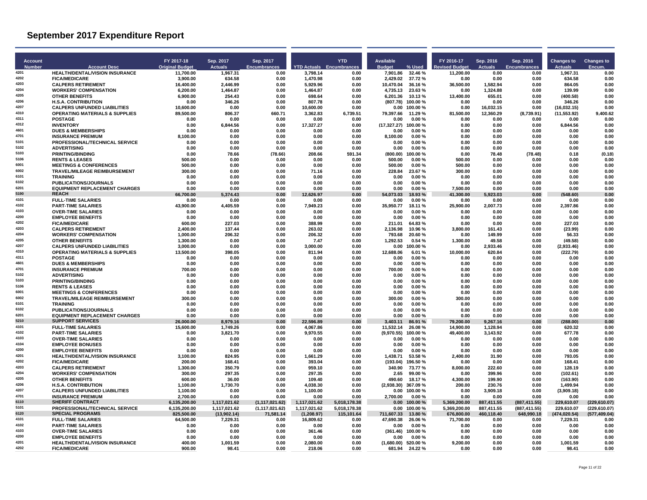| <b>Account</b> |                                                                                  | FY 2017-18                   | Sep. 2017                    | Sep. 2017                            |                                 | <b>YTD</b>                   | Available             |                                    | FY 2016-17                   | Sep. 2016                | Sep. 2016                      | <b>Changes to</b>        | <b>Changes to</b>            |
|----------------|----------------------------------------------------------------------------------|------------------------------|------------------------------|--------------------------------------|---------------------------------|------------------------------|-----------------------|------------------------------------|------------------------------|--------------------------|--------------------------------|--------------------------|------------------------------|
| <b>Number</b>  | <b>Account Desc</b>                                                              | <b>Original Budget</b>       | <b>Actuals</b>               | <b>Encumbrances</b>                  | <b>YTD Actuals Encumbrances</b> |                              | <b>Budget</b>         | % Used                             | evised Budget                | <b>Actuals</b>           | <b>Encumbrances</b>            | <b>Actuals</b>           | Encum.                       |
| 4201<br>4202   | HEALTH/DENTAL/VISION INSURANCE                                                   | 11,700.00                    | 1,967.31                     | 0.00                                 | 3,798.14                        | 0.00                         | 7.901.86              | 32.46%                             | 11,200.00                    | 0.00                     | 0.00                           | 1,967.31                 | 0.00                         |
| 4203           | <b>FICA/MEDICARE</b><br><b>CALPERS RETIREMENT</b>                                | 3,900.00<br>16,400.00        | 634.58<br>2,446.99           | 0.00<br>0.00                         | 1,470.98<br>5,929.96            | 0.00<br>0.00                 | 2.429.02<br>10.470.04 | 37.72%<br>36.16%                   | 0.00<br>36,500.00            | 0.00<br>1.582.94         | 0.00<br>0.00                   | 634.58<br>864.05         | 0.00<br>0.00                 |
| 4204           | <b>WORKERS' COMPENSATION</b>                                                     | 6,200.00                     | 1,464.87                     | 0.00                                 | 1,464.87                        | 0.00                         | 4,735.13              | 23.63%                             | 0.00                         | 1,324.88                 | 0.00                           | 139.99                   | 0.00                         |
| 4205           | <b>OTHER BENEFITS</b>                                                            | 6.900.00                     | 254.43                       | 0.00                                 | 698.64                          | 0.00                         | 6,201.36              | 10.13%                             | 13,400.00                    | 655.01                   | 0.00                           | (400.58)                 | 0.00                         |
| 4206           | <b>H.S.A. CONTRIBUTION</b>                                                       | 0.00                         | 346.26                       | 0.00                                 | 807.78                          | 0.00                         | (807.78)              | 100.00%                            | 0.00                         | 0.00                     | 0.00                           | 346.26                   | 0.00                         |
| 4207           | <b>CALPERS UNFUNDED LIABILITIES</b>                                              | 10.600.00                    | 0.00                         | 0.00                                 | 10.600.00                       | 0.00                         | 0.00                  | 100.00%                            | 0.00                         | 16,032.15                | 0.00                           | (16, 032.15)             | 0.00                         |
| 4310           | <b>OPERATING MATERIALS &amp; SUPPLIES</b>                                        | 89,500.00                    | 806.37                       | 660.71                               | 3,362.83                        | 6,739.51                     | 79,397.66             | 11.29 %                            | 81,500.00                    | 12,360.29                | (8,739.91)                     | (11, 553.92)             | 9,400.62                     |
| 4311           | <b>POSTAGE</b>                                                                   | 0.00                         | 0.00                         | 0.00                                 | 0.00                            | 0.00                         | 0.00                  | 0.00%                              | 0.00                         | 0.00                     | 0.00                           | 0.00                     | 0.00                         |
| 4312           | <b>INVENTORY</b>                                                                 | 0.00                         | 6,844.56                     | 0.00                                 | 17,327.27                       | 0.00                         | (17, 327.27)          | 100.00%                            | 0.00                         | 0.00                     | 0.00                           | 6,844.56                 | 0.00                         |
| 4601<br>4701   | <b>DUES &amp; MEMBERSHIPS</b>                                                    | 0.00                         | 0.00                         | 0.00                                 | 0.00                            | 0.00                         | 0.00                  | 0.00%                              | 0.00                         | 0.00                     | 0.00                           | 0.00                     | 0.00                         |
| 5101           | <b>INSURANCE PREMIUM</b><br><b>PROFESSIONAL/TECHNICAL SERVICE</b>                | 8.100.00<br>0.00             | 0.00<br>0.00                 | 0.00<br>0.00                         | 0.00<br>0.00                    | 0.00<br>0.00                 | 8,100.00<br>0.00      | 0.00%<br>0.00%                     | 0.00<br>0.00                 | 0.00<br>0.00             | 0.00<br>0.00                   | 0.00<br>0.00             | 0.00<br>0.00                 |
| 5102           | <b>ADVERTISING</b>                                                               | 0.00                         | 0.00                         | 0.00                                 | 0.00                            | 0.00                         | 0.00                  | 0.00 %                             | 0.00                         | 0.00                     | 0.00                           | 0.00                     | 0.00                         |
| 5103           | <b>PRINTING/BINDING</b>                                                          | 0.00                         | 78.66                        | (78.66)                              | 208.66                          | 591.34                       | (800.00)              | 100.00%                            | 0.00                         | 78.48                    | (78.48)                        | 0.18                     | (0.18)                       |
| 5106           | <b>RENTS &amp; LEASES</b>                                                        | 500.00                       | 0.00                         | 0.00                                 | 0.00                            | 0.00                         | 500.00                | 0.00%                              | 500.00                       | 0.00                     | 0.00                           | 0.00                     | 0.00                         |
| 6001           | <b>MEETINGS &amp; CONFERENCES</b>                                                | 500.00                       | 0.00                         | 0.00                                 | 0.00                            | 0.00                         | 500.00                | 0.00%                              | 500.00                       | 0.00                     | 0.00                           | 0.00                     | 0.00                         |
| 6002           | <b>TRAVEL/MILEAGE REIMBURSEMENT</b>                                              | 300.00                       | 0.00                         | 0.00                                 | 71.16                           | 0.00                         | 228.84                | 23.67%                             | 300.00                       | 0.00                     | 0.00                           | 0.00                     | 0.00                         |
| 6101           | <b>TRAINING</b>                                                                  | 0.00                         | 0.00                         | 0.00                                 | 0.00                            | 0.00                         | 0.00                  | 0.00%                              | 0.00                         | 0.00                     | 0.00                           | 0.00                     | 0.00                         |
| 6102<br>6201   | <b>PUBLICATIONS/JOURNALS</b>                                                     | 0.00                         | 0.00                         | 0.00                                 | 0.00                            | 0.00                         | 0.00                  | 0.00%                              | 0.00                         | 0.00                     | 0.00                           | 0.00                     | 0.00                         |
| 5190           | <b>EQUIPMENT REPLACEMENT CHARGES</b><br><b>REACH</b>                             | 0.00<br>66.700.00            | 0.00<br>5,374.43             | 0.00<br>0.00                         | 0.00<br>12.626.97               | 0.00<br>0.00                 | 0.00<br>54.073.03     | 0.00%<br>18.93 %                   | 7,500.00<br>41.300.00        | 0.00<br>5.923.03         | 0.00<br>0.00                   | 0.00<br>(548.60)         | 0.00<br>0.00                 |
| 4101           | <b>FULL-TIME SALARIES</b>                                                        | 0.00                         | 0.00                         | 0.00                                 | 0.00                            | 0.00                         | 0.00                  | 0.00%                              | 0.00                         | 0.00                     | 0.00                           | 0.00                     | 0.00                         |
| 4102           | <b>PART-TIME SALARIES</b>                                                        | 43,900.00                    | 4,405.59                     | 0.00                                 | 7,949.23                        | 0.00                         | 35,950.77             | 18.11%                             | 25,900.00                    | 2,007.73                 | 0.00                           | 2,397.86                 | 0.00                         |
| 4103           | <b>OVER-TIME SALARIES</b>                                                        | 0.00                         | 0.00                         | 0.00                                 | 0.00                            | 0.00                         | 0.00                  | 0.00%                              | 0.00                         | 0.00                     | 0.00                           | 0.00                     | 0.00                         |
| 4200           | <b>EMPLOYEE BENEFITS</b>                                                         | 0.00                         | 0.00                         | 0.00                                 | 0.00                            | 0.00                         | 0.00                  | 0.00%                              | 0.00                         | 0.00                     | 0.00                           | 0.00                     | 0.00                         |
| 4202           | <b>FICA/MEDICARE</b>                                                             | 600.00                       | 227.03                       | 0.00                                 | 388.99                          | 0.00                         | 211.01                | 64.83%                             | 0.00                         | 0.00                     | 0.00                           | 227.03                   | 0.00                         |
| 4203           | <b>CALPERS RETIREMENT</b>                                                        | 2,400.00                     | 137.44                       | 0.00                                 | 263.02                          | 0.00                         | 2,136.98              | 10.96%                             | 3,800.00                     | 161.43                   | 0.00                           | (23.99)                  | 0.00                         |
| 4204<br>4205   | <b>WORKERS' COMPENSATION</b>                                                     | 1.000.00                     | 206.32                       | 0.00                                 | 206.32                          | 0.00                         | 793.68                | 20.60%                             | 0.00                         | 149.99                   | 0.00                           | 56.33                    | 0.00                         |
| 4207           | <b>OTHER BENEFITS</b>                                                            | 1.300.00                     | 0.00                         | 0.00                                 | 7.47                            | 0.00                         | 1.292.53              | 0.54%                              | 1.300.00                     | 49.58                    | 0.00                           | (49.58)                  | 0.00                         |
| 4310           | <b>CALPERS UNFUNDED LIABILITIES</b><br><b>OPERATING MATERIALS &amp; SUPPLIES</b> | 3,000.00<br>13,500.00        | 0.00<br>398.05               | 0.00<br>0.00                         | 3,000.00<br>811.94              | 0.00<br>0.00                 | 0.00<br>12,688.06     | 100.00%<br>6.01%                   | 0.00<br>10,000.00            | 2,933.46<br>620.84       | 0.00<br>0.00                   | (2,933.46)<br>(222.79)   | 0.00<br>0.00                 |
| 4311           | <b>POSTAGE</b>                                                                   | 0.00                         | 0.00                         | 0.00                                 | 0.00                            | 0.00                         | 0.00                  | 0.00%                              | 0.00                         | 0.00                     | 0.00                           | 0.00                     | 0.00                         |
| 4601           | <b>DUES &amp; MEMBERSHIPS</b>                                                    | 0.00                         | 0.00                         | 0.00                                 | 0.00                            | 0.00                         | 0.00                  | 0.00%                              | 0.00                         | 0.00                     | 0.00                           | 0.00                     | 0.00                         |
| 4701           | <b>INSURANCE PREMIUM</b>                                                         | 700.00                       | 0.00                         | 0.00                                 | 0.00                            | 0.00                         | 700.00                | 0.00%                              | 0.00                         | 0.00                     | 0.00                           | 0.00                     | 0.00                         |
| 5102           | <b>ADVERTISING</b>                                                               | 0.00                         | 0.00                         | 0.00                                 | 0.00                            | 0.00                         | 0.00                  | 0.00%                              | 0.00                         | 0.00                     | 0.00                           | 0.00                     | 0.00                         |
| 5103           | <b>PRINTING/BINDING</b>                                                          | 0.00                         | 0.00                         | 0.00                                 | 0.00                            | 0.00                         | 0.00                  | 0.00%                              | 0.00                         | 0.00                     | 0.00                           | 0.00                     | 0.00                         |
| 5106<br>6001   | <b>RENTS &amp; LEASES</b>                                                        | 0.00                         | 0.00                         | 0.00                                 | 0.00                            | 0.00                         | 0.00                  | 0.00%                              | 0.00                         | 0.00                     | 0.00                           | 0.00                     | 0.00                         |
| 6002           | <b>MEETINGS &amp; CONFERENCES</b><br><b>TRAVEL/MILEAGE REIMBURSEMENT</b>         | 0.00<br>300.00               | 0.00<br>0.00                 | 0.00<br>0.00                         | 0.00<br>0.00                    | 0.00<br>0.00                 | 0.00<br>300.00        | 0.00%<br>0.00%                     | 0.00<br>300.00               | 0.00<br>0.00             | 0.00<br>0.00                   | 0.00<br>0.00             | 0.00<br>0.00                 |
| 6101           | <b>TRAINING</b>                                                                  | 0.00                         | 0.00                         | 0.00                                 | 0.00                            | 0.00                         | 0.00                  | 0.00%                              | 0.00                         | 0.00                     | 0.00                           | 0.00                     | 0.00                         |
| 6102           | PUBLICATIONS/JOURNALS                                                            | 0.00                         | 0.00                         | 0.00                                 | 0.00                            | 0.00                         | 0.00                  | 0.00%                              | 0.00                         | 0.00                     | 0.00                           | 0.00                     | 0.00                         |
| 6201           | <b>EQUIPMENT REPLACEMENT CHARGES</b>                                             | 0.00                         | 0.00                         | 0.00                                 | 0.00                            | 0.00                         | 0.00                  | 0.00%                              | 0.00                         | 0.00                     | 0.00                           | 0.00                     | 0.00                         |
| 5210           | <b>SUPPORT SERVICES</b>                                                          | 26.000.00                    | 8,979.16                     | 0.00                                 | 22.596.89                       | 0.00                         | 3,403.11              | 86.91 %                            | 79.200.00                    | 9,267.16                 | 0.00                           | (288.00)                 | 0.00                         |
| 4101           | <b>FULL-TIME SALARIES</b>                                                        | 15,600.00                    | 1,749.26                     | 0.00                                 | 4,067.86                        | 0.00                         | 11,532.14             | 26.08%                             | 14,900.00                    | 1,128.94                 | 0.00                           | 620.32                   | 0.00                         |
| 4102           | <b>PART-TIME SALARIES</b>                                                        | 0.00                         | 3,821.70                     | 0.00                                 | 9.970.55                        | 0.00                         | (9.970.55)            | 100.00%                            | 49.400.00                    | 3,143.92                 | 0.00                           | 677.78                   | 0.00                         |
| 4103<br>4104   | <b>OVER-TIME SALARIES</b>                                                        | 0.00                         | 0.00                         | 0.00                                 | 0.00                            | 0.00                         | 0.00                  | 0.00%                              | 0.00                         | 0.00                     | 0.00                           | 0.00                     | 0.00                         |
| 4200           | <b>EMPLOYEE BONUSES</b><br><b>EMPLOYEE BENEFITS</b>                              | 0.00<br>0.00                 | 0.00<br>0.00                 | 0.00                                 | 0.00<br>0.00                    | 0.00<br>0.00                 | 0.00<br>0.00          | 0.00%<br>0.00%                     | 0.00<br>0.00                 | 0.00                     | 0.00<br>0.00                   | 0.00<br>0.00             | 0.00<br>0.00                 |
| 4201           | <b>HEALTH/DENTAL/VISION INSURANCE</b>                                            | 3.100.00                     | 824.95                       | 0.00<br>0.00                         | 1,661.29                        | 0.00                         | 1.438.71              | 53.58%                             | 2.400.00                     | 0.00<br>31.90            | 0.00                           | 793.05                   | 0.00                         |
| 4202           | <b>FICA/MEDICARE</b>                                                             | 200.00                       | 168.41                       | 0.00                                 | 393.04                          | 0.00                         | (193.04)              | 196.50%                            | 0.00                         | 0.00                     | 0.00                           | 168.41                   | 0.00                         |
| 4203           | <b>CALPERS RETIREMENT</b>                                                        | 1,300.00                     | 350.79                       | 0.00                                 | 959.10                          | 0.00                         | 340.90                | 73.77 %                            | 8,000.00                     | 222.60                   | 0.00                           | 128.19                   | 0.00                         |
| 4204           | <b>WORKERS' COMPENSATION</b>                                                     | 300.00                       | 297.35                       | 0.00                                 | 297.35                          | 0.00                         | 2.65                  | 99.00%                             | 0.00                         | 399.96                   | 0.00                           | (102.61)                 | 0.00                         |
| 4205           | <b>OTHER BENEFITS</b>                                                            | 600.00                       | 36.00                        | 0.00                                 | 109.40                          | 0.00                         | 490.60                | 18.17%                             | 4.300.00                     | 199.90                   | 0.00                           | (163.90)                 | 0.00                         |
| 4206           | <b>H.S.A. CONTRIBUTION</b>                                                       | 1,100.00                     | 1,730.70                     | 0.00                                 | 4,038.30                        | 0.00                         | (2,938.30) 367.09%    |                                    | 200.00                       | 230.76                   | 0.00                           | 1,499.94                 | 0.00                         |
| 4207<br>4701   | <b>CALPERS UNFUNDED LIABILITIES</b>                                              | 1,100.00                     | 0.00                         | 0.00                                 | 1,100.00                        | 0.00                         | 0.00                  | 100.00%                            | 0.00                         | 3,909.18                 | 0.00                           | (3,909.18)               | 0.00                         |
|                | <b>INSURANCE PREMIUM</b>                                                         | 2.700.00                     | 0.00                         | 0.00                                 | 0.00                            | 0.00                         | 2.700.00              | 0.00%                              | 0.00                         | 0.00                     | 0.00                           | 0.00                     | 0.00                         |
| 6110<br>5101   | <b>SHERIFF CONTRACT</b><br>PROFESSIONAL/TECHNICAL SERVICE                        | 6.135.200.00<br>6,135,200.00 | 1,117,021.62<br>1,117,021.62 | (1, 117, 021.62)<br>(1, 117, 021.62) | 1,117,021.62<br>1,117,021.62    | 5,018,178.38<br>5,018,178.38 |                       | $0.00$ 100.00 %<br>$0.00$ 100.00 % | 5.369.200.00<br>5,369,200.00 | 887,411.55<br>887,411.55 | (887, 411.55)<br>(887, 411.55) | 229.610.07<br>229,610.07 | (229,610.07)<br>(229,610.07) |
| 6120           | <b>SPECIAL PROGRAMS</b>                                                          | 825.500.00                   | (13,902.14)                  | 71,581.14                            | (1,208.97)                      | 115,101.64                   | 711.607.33            | 13.80 %                            | 676,800.00                   | 460,118.40               | 648,990.18                     | (474, 020.54)            | (577, 409.04)                |
| 4101           | <b>FULL-TIME SALARIES</b>                                                        | 64.500.00                    | 7.229.31                     | 0.00                                 | 16.809.62                       | 0.00                         | 47.690.38             | 26.06%                             | 71.700.00                    | 0.00                     | 0.00                           | 7.229.31                 | 0.00                         |
| 4102           | <b>PART-TIME SALARIES</b>                                                        | 0.00                         | 0.00                         | 0.00                                 | 0.00                            | 0.00                         | 0.00                  | 0.00%                              | 0.00                         | 0.00                     | 0.00                           | 0.00                     | 0.00                         |
| 4103           | <b>OVER-TIME SALARIES</b>                                                        | 0.00                         | 0.00                         | 0.00                                 | 361.46                          | 0.00                         | (361.46)              | 100.00%                            | 0.00                         | 0.00                     | 0.00                           | 0.00                     | 0.00                         |
| 4200           | <b>EMPLOYEE BENEFITS</b>                                                         | 0.00                         | 0.00                         | 0.00                                 | 0.00                            | 0.00                         | 0.00                  | 0.00%                              | 0.00                         | 0.00                     | 0.00                           | 0.00                     | 0.00                         |
| 4201<br>4202   | HEALTH/DENTAL/VISION INSURANCE                                                   | 400.00                       | 1.001.59                     | 0.00                                 | 2.080.00                        | 0.00                         | (1.680.00)            | 520.00%                            | 9.200.00                     | 0.00                     | 0.00                           | 1.001.59                 | 0.00                         |
|                | <b>FICA/MEDICARE</b>                                                             | 900.00                       | 98.41                        | 0.00                                 | 218.06                          | 0.00                         | 681.94                | 24.22 %                            | 0.00                         | 0.00                     | 0.00                           | 98.41                    | 0.00                         |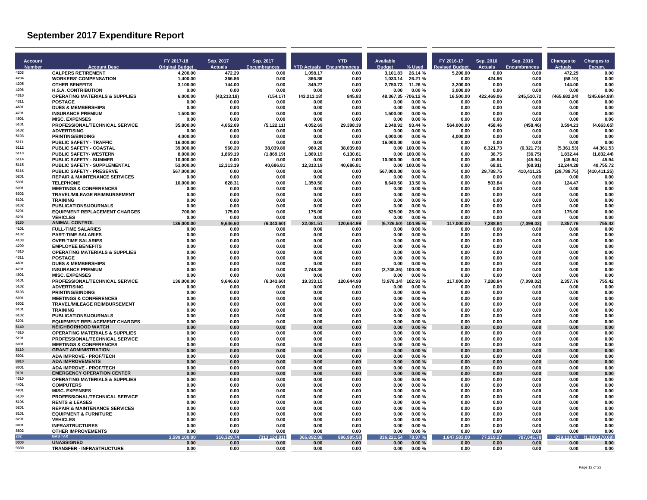| <b>Actuals</b><br><b>YTD Actuals</b> Encumbrances<br>% Used<br><b>Actuals</b><br><b>Encumbrances</b><br><b>Original Budget</b><br><b>Encumbrances</b><br><b>Budget</b><br>evised Budget<br><b>Actuals</b><br>Encum<br><b>Number</b><br><b>Account Desc</b><br><b>CALPERS RETIREMENT</b><br>3,101.83<br>5,200.00<br>4,200.00<br>472.29<br>0.00<br>1,098.17<br>26.14 %<br>0.00<br>0.00<br>472.29<br>0.00<br>0.00<br><b>WORKERS' COMPENSATION</b><br>1,400.00<br>366.86<br>0.00<br>1,033.14<br>26.21 %<br>424.96<br>(58.10)<br>0.00<br>366.86<br>0.00<br>0.00<br>0.00<br>4205<br><b>OTHER BENEFITS</b><br>3.100.00<br>144.00<br>0.00<br>349.27<br>0.00<br>2.750.73<br>11.26 %<br>3.200.00<br>0.00<br>0.00<br>144.00<br>0.00<br>4206<br>0.00<br>0.00%<br>0.00<br><b>H.S.A. CONTRIBUTION</b><br>0.00<br>0.00<br>0.00<br>0.00<br>0.00<br>3,000.00<br>0.00<br>0.00<br>0.00<br>4310<br><b>OPERATING MATERIALS &amp; SUPPLIES</b><br>6,000.00<br>(43, 213.18)<br>(154.17)<br>(43, 213.18)<br>845.83<br>48,367.35 -706.12 %<br>16,500.00<br>422,469.06<br>245,510.72<br>(465, 682.24)<br>(245, 664.89)<br>4311<br><b>POSTAGE</b><br>0.00<br>0.00<br>0.00<br>0.00<br>0.00<br>0.00%<br>0.00<br>0.00<br>0.00<br>0.00<br>0.00<br>0.00<br><b>DUES &amp; MEMBERSHIPS</b><br>0.00<br>0.00<br>0.00<br>0.00<br>0.00<br>0.00%<br>0.00<br>0.00<br>0.00<br>0.00<br>0.00<br>0.00<br><b>INSURANCE PREMIUM</b><br>1,500.00<br>0.00<br>0.00<br>0.00<br>0.00<br>1,500.00<br>0.00%<br>0.00<br>0.00<br>0.00<br>0.00<br>0.00<br>0.00<br>0.00%<br><b>MISC. EXPENSES</b><br>0.00<br>0.00<br>0.00<br>0.00<br>0.00<br>0.00<br>0.00<br>0.00<br>0.00<br>0.00<br>PROFESSIONAL/TECHNICAL SERVICE<br>35.800.00<br>4.052.69<br>4.052.69<br>29.398.39<br>564.000.00<br>(458.46)<br>3.594.23<br>(4,663.65)<br>(5, 122.11)<br>2.348.92<br>93.44 %<br>458.46<br><b>ADVERTISING</b><br>0.00<br>0.00<br>0.00<br>0.00<br>0.00<br>0.00<br>0.00%<br>0.00<br>0.00<br>0.00<br>0.00<br>0.00<br><b>PRINTING/BINDING</b><br>4,000.00<br>4,000.00<br>0.00<br>0.00<br>0.00<br>0.00<br>4,000.00<br>0.00%<br>0.00<br>0.00<br>0.00<br>0.00<br>5111<br><b>PUBLIC SAFETY - TRAFFIC</b><br>16.000.00<br>16.000.00<br>0.00%<br>0.00<br>0.00<br>0.00<br>0.00<br>0.00<br>0.00<br>0.00<br>0.00<br>0.00<br>5112<br><b>PUBLIC SAFETY - COASTAL</b><br>960.20<br>960.20<br>(5,361.53)<br>44,361.53<br>39,000.00<br>38,039.80<br>38,039.80<br>0.00<br>100.00%<br>0.00<br>6,321.73<br>(6,321.73)<br>5113<br><b>PUBLIC SAFETY- WESTERN</b><br>8,000.00<br>1,869.19<br>(1,869.19)<br>1,869.19<br>6,130.81<br>0.00<br>100.00%<br>0.00<br>36.75<br>(36.75)<br>1,832.44<br>(1,832.44)<br><b>PUBLIC SAFETY - SUMMER</b><br>10.000.00<br>0.00<br>0.00<br>0.00<br>0.00<br>10.000.00<br>0.00%<br>0.00<br>45.94<br>(45.94)<br>(45.94)<br>45.94<br>100.00%<br>12,244.28<br>40,755.72<br>PUBLIC SAFETY - SUPPLEMENTAL<br>53,000.00<br>12,313.19<br>40,686.81<br>12,313.19<br>40,686.81<br>0.00<br>68.91<br>(68.91)<br>0.00<br>567,000.00<br>(29, 788.75)<br>(410, 411.25)<br><b>PUBLIC SAFETY - PRESERVE</b><br>0.00<br>0.00<br>0.00<br>0.00<br>567,000.00<br>0.00%<br>0.00<br>29,788.75<br>410,411.25<br><b>REPAIR &amp; MAINTENANCE SERVICES</b><br>0.00<br>0.00<br>0.00<br>0.00<br>0.00<br>0.00<br>0.00%<br>0.00<br>0.00<br>0.00<br>0.00<br>0.00<br><b>TELEPHONE</b><br>628.31<br>13.50%<br>10.000.00<br>0.00<br>1.350.50<br>0.00<br>8.649.50<br>0.00<br>503.84<br>0.00<br>124.47<br>0.00<br><b>MEETINGS &amp; CONFERENCES</b><br>0.00<br>0.00<br>0.00<br>0.00<br>0.00<br>0.00<br>0.00%<br>0.00<br>0.00<br>0.00<br>0.00<br>0.00<br>6002<br><b>TRAVEL/MILEAGE REIMBURSEMENT</b><br>0.00<br>0.00<br>0.00<br>0.00<br>0.00<br>0.00<br>0.00%<br>0.00<br>0.00<br>0.00<br>0.00<br>0.00<br>6101<br>0.00<br>0.00<br>0.00<br>0.00%<br>0.00<br>0.00<br><b>TRAINING</b><br>0.00<br>0.00<br>0.00<br>0.00<br>0.00<br>0.00<br>6102<br>PUBLICATIONS/JOURNALS<br>0.00<br>0.00<br>0.00%<br>0.00<br>0.00<br>0.00<br>0.00<br>0.00<br>0.00<br>0.00<br>0.00<br>0.00<br>6201<br><b>EQUIPMENT REPLACEMENT CHARGES</b><br>700.00<br>175.00<br>0.00<br>175.00<br>0.00<br>525.00<br>25.00 %<br>0.00<br>0.00<br>0.00<br>175.00<br>0.00<br><b>VEHICLES</b><br>0.00<br>0.00<br>0.00<br>0.00<br>0.00<br>0.00<br>0.00%<br>0.00<br>0.00<br>0.00<br>0.00<br>0.00<br><b>ANIMAL CONTROL</b><br>9.646.60<br>(6,343.60)<br>22,081.51<br>120,644.99<br>(6,726.50)<br>117,000.00<br>7,288.84<br>(7,099.02)<br>2,357.76<br>755.42<br>136,000.00<br>104.95%<br><b>FULL-TIME SALARIES</b><br>0.00<br>0.00<br>0.00<br>0.00<br>0.00<br>0.00<br>0.00%<br>0.00<br>0.00<br>0.00<br>0.00<br>0.00<br><b>PART-TIME SALARIES</b><br>0.00<br>0.00<br>0.00<br>0.00<br>0.00<br>0.00<br>$0.00 \%$<br>0.00<br>0.00<br>0.00<br>0.00<br>0.00<br><b>OVER-TIME SALARIES</b><br>0.00<br>0.00%<br>0.00<br>0.00<br>0.00<br>0.00<br>0.00<br>0.00<br>0.00<br>0.00<br>0.00<br>0.00<br><b>EMPLOYEE BENEFITS</b><br>0.00<br>0.00<br>0.00<br>0.00<br>0.00<br>0.00<br>0.00%<br>0.00<br>0.00<br>0.00<br>0.00<br>0.00<br>4310<br><b>OPERATING MATERIALS &amp; SUPPLIES</b><br>0.00<br>0.00<br>0.00<br>0.00<br>0.00<br>0.00<br>0.00%<br>0.00<br>0.00<br>0.00<br>0.00<br>0.00<br>4311<br><b>POSTAGE</b><br>0.00<br>0.00<br>0.00<br>0.00<br>0.00<br>0.00<br>0.00%<br>0.00<br>0.00<br>0.00<br>0.00<br>0.00<br>4601<br><b>DUES &amp; MEMBERSHIPS</b><br>0.00<br>0.00<br>0.00<br>0.00<br>0.00%<br>0.00<br>0.00<br>0.00<br>0.00<br>0.00<br>0.00<br>0.00<br><b>INSURANCE PREMIUM</b><br>0.00<br>0.00<br>0.00<br>2.748.36<br>0.00<br>(2.748.36)<br>100.00%<br>0.00<br>0.00<br>0.00<br>0.00<br>0.00<br>4901<br><b>MISC. EXPENSES</b><br>0.00<br>0.00<br>0.00<br>0.00<br>0.00<br>0.00<br>0.00%<br>0.00<br>0.00<br>0.00<br>0.00<br>0.00<br>PROFESSIONAL/TECHNICAL SERVICE<br>136,000.00<br>9,646.60<br>(6,343.60)<br>19,333.15<br>120,644.99<br>(3,978.14)<br>102.93%<br>117.000.00<br>7,288.84<br>(7,099.02)<br>2,357.76<br>755.42<br><b>ADVERTISING</b><br>0.00<br>0.00<br>0.00<br>0.00<br>0.00<br>0.00<br>0.00%<br>0.00<br>0.00<br>0.00<br>0.00<br>0.00<br><b>PRINTING/BINDING</b><br>0.00<br>0.00<br>0.00<br>0.00<br>0.00<br>0.00<br>0.00%<br>0.00<br>0.00<br>0.00<br>0.00<br>0.00<br><b>MEETINGS &amp; CONFERENCES</b><br>0.00<br>0.00<br>0.00<br>0.00<br>0.00<br>0.00<br>0.00%<br>0.00<br>0.00<br>0.00<br>0.00<br>0.00<br>6002<br>TRAVEL/MILEAGE REIMBURSEMENT<br>0.00<br>0.00<br>0.00<br>0.00<br>0.00<br>0.00<br>0.00%<br>0.00<br>0.00<br>0.00<br>0.00<br>0.00<br>6101<br><b>TRAINING</b><br>0.00<br>0.00<br>0.00<br>0.00<br>0.00<br>0.00<br>0.00%<br>0.00<br>0.00<br>0.00<br>0.00<br>0.00<br>6102<br><b>PUBLICATIONS/JOURNALS</b><br>0.00<br>0.00<br>0.00<br>0.00<br>0.00<br>0.00<br>$0.00 \%$<br>0.00<br>0.00<br>0.00<br>0.00<br>0.00<br>6201<br><b>EQUIPMENT REPLACEMENT CHARGES</b><br>0.00<br>0.00<br>0.00<br>0.00<br>0.00<br>0.00<br>0.00%<br>0.00<br>0.00<br>0.00<br>0.00<br>0.00<br><b>NEIGHBORHOOD WATCH</b><br>0.00<br>0.00<br>0.00<br>0.00<br>0.00<br>0.00<br>0.00%<br>0.00<br>0.00<br>0.00<br>0.00<br>0.00<br><b>OPERATING MATERIALS &amp; SUPPLIES</b><br>0.00<br>0.00<br>0.00<br>0.00<br>0.00<br>0.00<br>0.00%<br>0.00<br>0.00<br>0.00<br>0.00<br>0.00<br>PROFESSIONAL/TECHNICAL SERVICE<br>0.00<br>0.00<br>0.00<br>0.00<br>0.00<br>0.00<br>0.00%<br>0.00<br>0.00<br>0.00<br>0.00<br>0.00<br><b>MEETINGS &amp; CONFERENCES</b><br>0.00<br>0.00<br>0.00<br>0.00<br>0.00<br>0.00<br>0.00%<br>0.00<br>0.00<br>0.00<br>0.00<br>0.00<br><b>GRANT ADMINISTRATION</b><br>0.00<br>0.00<br>0.00<br>0.00<br>0.00<br>0.00<br>0.00%<br>0.00<br>0.00<br>0.00<br>0.00<br>0.00<br><b>ADA IMPROVE - PROF/TECH</b><br>0.00<br>0.00<br>0.00<br>0.00<br>0.00<br>0.00<br>0.00%<br>0.00<br>0.00<br>0.00<br>0.00<br>0.00<br>8810<br><b>ADA IMPROVEMENTS</b><br>0.00<br>0.00<br>0.00<br>0.00<br>0.00<br>0.00<br>0.00%<br>0.00<br>0.00<br>0.00<br>0.00<br>0.00<br>8001<br><b>ADA IMPROVE - PROF/TECH</b><br>0.00<br>0.00<br>0.00<br>0.00<br>0.00<br>0.00<br>0.00%<br>0.00<br>0.00<br>0.00<br>0.00<br>0.00<br>9101<br><b>EMERGENCY OPERATION CENTER</b><br>0.00<br>0.00<br>0.00<br>0.00<br>0.00<br>0.00<br>0.00%<br>0.00<br>0.00<br>0.00<br>0.00<br>0.00<br>4310<br><b>OPERATING MATERIALS &amp; SUPPLIES</b><br>0.00<br>0.00%<br>0.00<br>0.00<br>0.00<br>0.00<br>0.00<br>0.00<br>0.00<br>0.00<br>0.00<br>0.00<br><b>COMPUTERS</b><br>0.00<br>0.00<br>0.00<br>0.00<br>0.00<br>0.00<br>0.00%<br>0.00<br>0.00<br>0.00<br>0.00<br>0.00<br><b>MISC. EXPENSES</b><br>0.00<br>0.00<br>0.00<br>0.00<br>0.00<br>0.00<br>0.00%<br>0.00<br>0.00<br>0.00<br>0.00<br>0.00<br>PROFESSIONAL/TECHNICAL SERVICE<br>0.00<br>0.00<br>0.00<br>0.00<br>0.00<br>0.00<br>0.00%<br>0.00<br>0.00<br>0.00<br>0.00<br>0.00<br>0.00<br><b>RENTS &amp; LEASES</b><br>0.00<br>0.00<br>0.00<br>0.00<br>0.00%<br>0.00<br>0.00<br>0.00<br>0.00<br>0.00<br>0.00<br><b>REPAIR &amp; MAINTENANCE SERVICES</b><br>0.00<br>0.00<br>0.00<br>0.00<br>0.00<br>0.00<br>0.00%<br>0.00<br>0.00<br>0.00<br>0.00<br>0.00<br><b>EQUIPMENT &amp; FURNITURE</b><br>0.00<br>0.00<br>0.00<br>0.00<br>0.00<br>0.00<br>0.00%<br>0.00<br>0.00<br>0.00<br>0.00<br>0.00<br>8201<br><b>VEHICLES</b><br>0.00<br>0.00%<br>0.00<br>0.00<br>0.00<br>0.00<br>0.00<br>0.00<br>0.00<br>0.00<br>0.00<br>0.00<br>8801<br><b>INFRASTRUCTURES</b><br>0.00<br>0.00<br>0.00<br>0.00<br>0.00<br>0.00<br>0.00%<br>0.00<br>0.00<br>0.00<br>0.00<br>0.00<br>8802<br><b>OTHER IMPROVEMENTS</b><br>0.00<br>0.00<br>0.00<br>0.00<br>0.00<br>0.00<br>0.00%<br>0.00<br>0.00<br>0.00<br>0.00<br>0.00<br><b>GAS TAX</b><br>316,329.74<br>(313, 124.91)<br>385 58<br>336,221.54<br>78.97 %<br>1,647,583.00<br>77,219.27<br>45.78<br>239,110.47<br>(1,100,170.69)<br>1.599.100.00<br>365.892.8<br>896.<br>787,0<br><b>UNASSIGNED</b><br>0.00<br>0.00<br>0.00<br>0.00<br>0.00<br>0.00<br>$0.00 \%$<br>0.00<br>0.00<br>0.00<br>0.00<br>0.00<br><b>TRANSFER - INFRASTRUCTURE</b><br>0.00<br>0.00<br>0.00%<br>0.00<br>0.00<br>0.00<br>0.00<br>0.00<br>0.00<br>0.00<br>0.00<br>0.00 |                |            |           |           |            |           |            |           |           |            |                   |
|---------------------------------------------------------------------------------------------------------------------------------------------------------------------------------------------------------------------------------------------------------------------------------------------------------------------------------------------------------------------------------------------------------------------------------------------------------------------------------------------------------------------------------------------------------------------------------------------------------------------------------------------------------------------------------------------------------------------------------------------------------------------------------------------------------------------------------------------------------------------------------------------------------------------------------------------------------------------------------------------------------------------------------------------------------------------------------------------------------------------------------------------------------------------------------------------------------------------------------------------------------------------------------------------------------------------------------------------------------------------------------------------------------------------------------------------------------------------------------------------------------------------------------------------------------------------------------------------------------------------------------------------------------------------------------------------------------------------------------------------------------------------------------------------------------------------------------------------------------------------------------------------------------------------------------------------------------------------------------------------------------------------------------------------------------------------------------------------------------------------------------------------------------------------------------------------------------------------------------------------------------------------------------------------------------------------------------------------------------------------------------------------------------------------------------------------------------------------------------------------------------------------------------------------------------------------------------------------------------------------------------------------------------------------------------------------------------------------------------------------------------------------------------------------------------------------------------------------------------------------------------------------------------------------------------------------------------------------------------------------------------------------------------------------------------------------------------------------------------------------------------------------------------------------------------------------------------------------------------------------------------------------------------------------------------------------------------------------------------------------------------------------------------------------------------------------------------------------------------------------------------------------------------------------------------------------------------------------------------------------------------------------------------------------------------------------------------------------------------------------------------------------------------------------------------------------------------------------------------------------------------------------------------------------------------------------------------------------------------------------------------------------------------------------------------------------------------------------------------------------------------------------------------------------------------------------------------------------------------------------------------------------------------------------------------------------------------------------------------------------------------------------------------------------------------------------------------------------------------------------------------------------------------------------------------------------------------------------------------------------------------------------------------------------------------------------------------------------------------------------------------------------------------------------------------------------------------------------------------------------------------------------------------------------------------------------------------------------------------------------------------------------------------------------------------------------------------------------------------------------------------------------------------------------------------------------------------------------------------------------------------------------------------------------------------------------------------------------------------------------------------------------------------------------------------------------------------------------------------------------------------------------------------------------------------------------------------------------------------------------------------------------------------------------------------------------------------------------------------------------------------------------------------------------------------------------------------------------------------------------------------------------------------------------------------------------------------------------------------------------------------------------------------------------------------------------------------------------------------------------------------------------------------------------------------------------------------------------------------------------------------------------------------------------------------------------------------------------------------------------------------------------------------------------------------------------------------------------------------------------------------------------------------------------------------------------------------------------------------------------------------------------------------------------------------------------------------------------------------------------------------------------------------------------------------------------------------------------------------------------------------------------------------------------------------------------------------------------------------------------------------------------------------------------------------------------------------------------------------------------------------------------------------------------------------------------------------------------------------------------------------------------------------------------------------------------------------------------------------------------------------------------------------------------------------------------------------------------------------------------------------------------------------------------------------------------------------------------------------------------------------------------------------------------------------------------------------------------------------------------------------------------------------------------------------------------------------------------------------------------------------------------------------------------------------------------------------------------------------------------------------------------------------------------------------------------------------------------------------------------------------------------------------------------------------------------------------------------------------------------------------------------------------------------------------------------------------------------------------------------------------------------------------------------------------------------------------------------------------------------------------------------------------------------------------------------------------------------------------------------------------------------------------------------------------------------------------------------------------------------------------------------------------------------------------------------------------------------------------------------------------------------------------------------------------------------------------------------------------------------------------------------------------------------------------------------------------------------------------------------------------------------------------------------------------------------------------------------------------------------------------------------------------------------------------------------------------------------------------------------------------------------------------------------------------------------------------------------------------------------------------------------------------------------------------------------------------------------------------------------------------------------------------------------------------------------------------------------------------------------------------------------------------------------------------------------------------------------------------------------------------------------------------------------|----------------|------------|-----------|-----------|------------|-----------|------------|-----------|-----------|------------|-------------------|
|                                                                                                                                                                                                                                                                                                                                                                                                                                                                                                                                                                                                                                                                                                                                                                                                                                                                                                                                                                                                                                                                                                                                                                                                                                                                                                                                                                                                                                                                                                                                                                                                                                                                                                                                                                                                                                                                                                                                                                                                                                                                                                                                                                                                                                                                                                                                                                                                                                                                                                                                                                                                                                                                                                                                                                                                                                                                                                                                                                                                                                                                                                                                                                                                                                                                                                                                                                                                                                                                                                                                                                                                                                                                                                                                                                                                                                                                                                                                                                                                                                                                                                                                                                                                                                                                                                                                                                                                                                                                                                                                                                                                                                                                                                                                                                                                                                                                                                                                                                                                                                                                                                                                                                                                                                                                                                                                                                                                                                                                                                                                                                                                                                                                                                                                                                                                                                                                                                                                                                                                                                                                                                                                                                                                                                                                                                                                                                                                                                                                                                                                                                                                                                                                                                                                                                                                                                                                                                                                                                                                                                                                                                                                                                                                                                                                                                                                                                                                                                                                                                                                                                                                                                                                                                                                                                                                                                                                                                                                                                                                                                                                                                                                                                                                                                                                                                                                                                                                                                                                                                                                                                                                                                                                                                                                                                                                                                                                                                                                                                                                                                                                                                                                                                                                                                                                                                                                                                                                                                                                                                                                                                                                                                                                                                                                                                                                                                                                                                                     | <b>Account</b> | FY 2017-18 | Sep. 2017 | Sep. 2017 | <b>YTD</b> | Available | FY 2016-17 | Sep. 2016 | Sep. 2016 | Changes to | <b>Changes to</b> |
|                                                                                                                                                                                                                                                                                                                                                                                                                                                                                                                                                                                                                                                                                                                                                                                                                                                                                                                                                                                                                                                                                                                                                                                                                                                                                                                                                                                                                                                                                                                                                                                                                                                                                                                                                                                                                                                                                                                                                                                                                                                                                                                                                                                                                                                                                                                                                                                                                                                                                                                                                                                                                                                                                                                                                                                                                                                                                                                                                                                                                                                                                                                                                                                                                                                                                                                                                                                                                                                                                                                                                                                                                                                                                                                                                                                                                                                                                                                                                                                                                                                                                                                                                                                                                                                                                                                                                                                                                                                                                                                                                                                                                                                                                                                                                                                                                                                                                                                                                                                                                                                                                                                                                                                                                                                                                                                                                                                                                                                                                                                                                                                                                                                                                                                                                                                                                                                                                                                                                                                                                                                                                                                                                                                                                                                                                                                                                                                                                                                                                                                                                                                                                                                                                                                                                                                                                                                                                                                                                                                                                                                                                                                                                                                                                                                                                                                                                                                                                                                                                                                                                                                                                                                                                                                                                                                                                                                                                                                                                                                                                                                                                                                                                                                                                                                                                                                                                                                                                                                                                                                                                                                                                                                                                                                                                                                                                                                                                                                                                                                                                                                                                                                                                                                                                                                                                                                                                                                                                                                                                                                                                                                                                                                                                                                                                                                                                                                                                                                     | 4203           |            |           |           |            |           |            |           |           |            |                   |
|                                                                                                                                                                                                                                                                                                                                                                                                                                                                                                                                                                                                                                                                                                                                                                                                                                                                                                                                                                                                                                                                                                                                                                                                                                                                                                                                                                                                                                                                                                                                                                                                                                                                                                                                                                                                                                                                                                                                                                                                                                                                                                                                                                                                                                                                                                                                                                                                                                                                                                                                                                                                                                                                                                                                                                                                                                                                                                                                                                                                                                                                                                                                                                                                                                                                                                                                                                                                                                                                                                                                                                                                                                                                                                                                                                                                                                                                                                                                                                                                                                                                                                                                                                                                                                                                                                                                                                                                                                                                                                                                                                                                                                                                                                                                                                                                                                                                                                                                                                                                                                                                                                                                                                                                                                                                                                                                                                                                                                                                                                                                                                                                                                                                                                                                                                                                                                                                                                                                                                                                                                                                                                                                                                                                                                                                                                                                                                                                                                                                                                                                                                                                                                                                                                                                                                                                                                                                                                                                                                                                                                                                                                                                                                                                                                                                                                                                                                                                                                                                                                                                                                                                                                                                                                                                                                                                                                                                                                                                                                                                                                                                                                                                                                                                                                                                                                                                                                                                                                                                                                                                                                                                                                                                                                                                                                                                                                                                                                                                                                                                                                                                                                                                                                                                                                                                                                                                                                                                                                                                                                                                                                                                                                                                                                                                                                                                                                                                                                                     | 4204           |            |           |           |            |           |            |           |           |            |                   |
|                                                                                                                                                                                                                                                                                                                                                                                                                                                                                                                                                                                                                                                                                                                                                                                                                                                                                                                                                                                                                                                                                                                                                                                                                                                                                                                                                                                                                                                                                                                                                                                                                                                                                                                                                                                                                                                                                                                                                                                                                                                                                                                                                                                                                                                                                                                                                                                                                                                                                                                                                                                                                                                                                                                                                                                                                                                                                                                                                                                                                                                                                                                                                                                                                                                                                                                                                                                                                                                                                                                                                                                                                                                                                                                                                                                                                                                                                                                                                                                                                                                                                                                                                                                                                                                                                                                                                                                                                                                                                                                                                                                                                                                                                                                                                                                                                                                                                                                                                                                                                                                                                                                                                                                                                                                                                                                                                                                                                                                                                                                                                                                                                                                                                                                                                                                                                                                                                                                                                                                                                                                                                                                                                                                                                                                                                                                                                                                                                                                                                                                                                                                                                                                                                                                                                                                                                                                                                                                                                                                                                                                                                                                                                                                                                                                                                                                                                                                                                                                                                                                                                                                                                                                                                                                                                                                                                                                                                                                                                                                                                                                                                                                                                                                                                                                                                                                                                                                                                                                                                                                                                                                                                                                                                                                                                                                                                                                                                                                                                                                                                                                                                                                                                                                                                                                                                                                                                                                                                                                                                                                                                                                                                                                                                                                                                                                                                                                                                                                     |                |            |           |           |            |           |            |           |           |            |                   |
|                                                                                                                                                                                                                                                                                                                                                                                                                                                                                                                                                                                                                                                                                                                                                                                                                                                                                                                                                                                                                                                                                                                                                                                                                                                                                                                                                                                                                                                                                                                                                                                                                                                                                                                                                                                                                                                                                                                                                                                                                                                                                                                                                                                                                                                                                                                                                                                                                                                                                                                                                                                                                                                                                                                                                                                                                                                                                                                                                                                                                                                                                                                                                                                                                                                                                                                                                                                                                                                                                                                                                                                                                                                                                                                                                                                                                                                                                                                                                                                                                                                                                                                                                                                                                                                                                                                                                                                                                                                                                                                                                                                                                                                                                                                                                                                                                                                                                                                                                                                                                                                                                                                                                                                                                                                                                                                                                                                                                                                                                                                                                                                                                                                                                                                                                                                                                                                                                                                                                                                                                                                                                                                                                                                                                                                                                                                                                                                                                                                                                                                                                                                                                                                                                                                                                                                                                                                                                                                                                                                                                                                                                                                                                                                                                                                                                                                                                                                                                                                                                                                                                                                                                                                                                                                                                                                                                                                                                                                                                                                                                                                                                                                                                                                                                                                                                                                                                                                                                                                                                                                                                                                                                                                                                                                                                                                                                                                                                                                                                                                                                                                                                                                                                                                                                                                                                                                                                                                                                                                                                                                                                                                                                                                                                                                                                                                                                                                                                                                     |                |            |           |           |            |           |            |           |           |            |                   |
|                                                                                                                                                                                                                                                                                                                                                                                                                                                                                                                                                                                                                                                                                                                                                                                                                                                                                                                                                                                                                                                                                                                                                                                                                                                                                                                                                                                                                                                                                                                                                                                                                                                                                                                                                                                                                                                                                                                                                                                                                                                                                                                                                                                                                                                                                                                                                                                                                                                                                                                                                                                                                                                                                                                                                                                                                                                                                                                                                                                                                                                                                                                                                                                                                                                                                                                                                                                                                                                                                                                                                                                                                                                                                                                                                                                                                                                                                                                                                                                                                                                                                                                                                                                                                                                                                                                                                                                                                                                                                                                                                                                                                                                                                                                                                                                                                                                                                                                                                                                                                                                                                                                                                                                                                                                                                                                                                                                                                                                                                                                                                                                                                                                                                                                                                                                                                                                                                                                                                                                                                                                                                                                                                                                                                                                                                                                                                                                                                                                                                                                                                                                                                                                                                                                                                                                                                                                                                                                                                                                                                                                                                                                                                                                                                                                                                                                                                                                                                                                                                                                                                                                                                                                                                                                                                                                                                                                                                                                                                                                                                                                                                                                                                                                                                                                                                                                                                                                                                                                                                                                                                                                                                                                                                                                                                                                                                                                                                                                                                                                                                                                                                                                                                                                                                                                                                                                                                                                                                                                                                                                                                                                                                                                                                                                                                                                                                                                                                                                     |                |            |           |           |            |           |            |           |           |            |                   |
|                                                                                                                                                                                                                                                                                                                                                                                                                                                                                                                                                                                                                                                                                                                                                                                                                                                                                                                                                                                                                                                                                                                                                                                                                                                                                                                                                                                                                                                                                                                                                                                                                                                                                                                                                                                                                                                                                                                                                                                                                                                                                                                                                                                                                                                                                                                                                                                                                                                                                                                                                                                                                                                                                                                                                                                                                                                                                                                                                                                                                                                                                                                                                                                                                                                                                                                                                                                                                                                                                                                                                                                                                                                                                                                                                                                                                                                                                                                                                                                                                                                                                                                                                                                                                                                                                                                                                                                                                                                                                                                                                                                                                                                                                                                                                                                                                                                                                                                                                                                                                                                                                                                                                                                                                                                                                                                                                                                                                                                                                                                                                                                                                                                                                                                                                                                                                                                                                                                                                                                                                                                                                                                                                                                                                                                                                                                                                                                                                                                                                                                                                                                                                                                                                                                                                                                                                                                                                                                                                                                                                                                                                                                                                                                                                                                                                                                                                                                                                                                                                                                                                                                                                                                                                                                                                                                                                                                                                                                                                                                                                                                                                                                                                                                                                                                                                                                                                                                                                                                                                                                                                                                                                                                                                                                                                                                                                                                                                                                                                                                                                                                                                                                                                                                                                                                                                                                                                                                                                                                                                                                                                                                                                                                                                                                                                                                                                                                                                                                     | 4601           |            |           |           |            |           |            |           |           |            |                   |
|                                                                                                                                                                                                                                                                                                                                                                                                                                                                                                                                                                                                                                                                                                                                                                                                                                                                                                                                                                                                                                                                                                                                                                                                                                                                                                                                                                                                                                                                                                                                                                                                                                                                                                                                                                                                                                                                                                                                                                                                                                                                                                                                                                                                                                                                                                                                                                                                                                                                                                                                                                                                                                                                                                                                                                                                                                                                                                                                                                                                                                                                                                                                                                                                                                                                                                                                                                                                                                                                                                                                                                                                                                                                                                                                                                                                                                                                                                                                                                                                                                                                                                                                                                                                                                                                                                                                                                                                                                                                                                                                                                                                                                                                                                                                                                                                                                                                                                                                                                                                                                                                                                                                                                                                                                                                                                                                                                                                                                                                                                                                                                                                                                                                                                                                                                                                                                                                                                                                                                                                                                                                                                                                                                                                                                                                                                                                                                                                                                                                                                                                                                                                                                                                                                                                                                                                                                                                                                                                                                                                                                                                                                                                                                                                                                                                                                                                                                                                                                                                                                                                                                                                                                                                                                                                                                                                                                                                                                                                                                                                                                                                                                                                                                                                                                                                                                                                                                                                                                                                                                                                                                                                                                                                                                                                                                                                                                                                                                                                                                                                                                                                                                                                                                                                                                                                                                                                                                                                                                                                                                                                                                                                                                                                                                                                                                                                                                                                                                                     | 4701           |            |           |           |            |           |            |           |           |            |                   |
|                                                                                                                                                                                                                                                                                                                                                                                                                                                                                                                                                                                                                                                                                                                                                                                                                                                                                                                                                                                                                                                                                                                                                                                                                                                                                                                                                                                                                                                                                                                                                                                                                                                                                                                                                                                                                                                                                                                                                                                                                                                                                                                                                                                                                                                                                                                                                                                                                                                                                                                                                                                                                                                                                                                                                                                                                                                                                                                                                                                                                                                                                                                                                                                                                                                                                                                                                                                                                                                                                                                                                                                                                                                                                                                                                                                                                                                                                                                                                                                                                                                                                                                                                                                                                                                                                                                                                                                                                                                                                                                                                                                                                                                                                                                                                                                                                                                                                                                                                                                                                                                                                                                                                                                                                                                                                                                                                                                                                                                                                                                                                                                                                                                                                                                                                                                                                                                                                                                                                                                                                                                                                                                                                                                                                                                                                                                                                                                                                                                                                                                                                                                                                                                                                                                                                                                                                                                                                                                                                                                                                                                                                                                                                                                                                                                                                                                                                                                                                                                                                                                                                                                                                                                                                                                                                                                                                                                                                                                                                                                                                                                                                                                                                                                                                                                                                                                                                                                                                                                                                                                                                                                                                                                                                                                                                                                                                                                                                                                                                                                                                                                                                                                                                                                                                                                                                                                                                                                                                                                                                                                                                                                                                                                                                                                                                                                                                                                                                                                     | 4901           |            |           |           |            |           |            |           |           |            |                   |
|                                                                                                                                                                                                                                                                                                                                                                                                                                                                                                                                                                                                                                                                                                                                                                                                                                                                                                                                                                                                                                                                                                                                                                                                                                                                                                                                                                                                                                                                                                                                                                                                                                                                                                                                                                                                                                                                                                                                                                                                                                                                                                                                                                                                                                                                                                                                                                                                                                                                                                                                                                                                                                                                                                                                                                                                                                                                                                                                                                                                                                                                                                                                                                                                                                                                                                                                                                                                                                                                                                                                                                                                                                                                                                                                                                                                                                                                                                                                                                                                                                                                                                                                                                                                                                                                                                                                                                                                                                                                                                                                                                                                                                                                                                                                                                                                                                                                                                                                                                                                                                                                                                                                                                                                                                                                                                                                                                                                                                                                                                                                                                                                                                                                                                                                                                                                                                                                                                                                                                                                                                                                                                                                                                                                                                                                                                                                                                                                                                                                                                                                                                                                                                                                                                                                                                                                                                                                                                                                                                                                                                                                                                                                                                                                                                                                                                                                                                                                                                                                                                                                                                                                                                                                                                                                                                                                                                                                                                                                                                                                                                                                                                                                                                                                                                                                                                                                                                                                                                                                                                                                                                                                                                                                                                                                                                                                                                                                                                                                                                                                                                                                                                                                                                                                                                                                                                                                                                                                                                                                                                                                                                                                                                                                                                                                                                                                                                                                                                                     | 5101           |            |           |           |            |           |            |           |           |            |                   |
|                                                                                                                                                                                                                                                                                                                                                                                                                                                                                                                                                                                                                                                                                                                                                                                                                                                                                                                                                                                                                                                                                                                                                                                                                                                                                                                                                                                                                                                                                                                                                                                                                                                                                                                                                                                                                                                                                                                                                                                                                                                                                                                                                                                                                                                                                                                                                                                                                                                                                                                                                                                                                                                                                                                                                                                                                                                                                                                                                                                                                                                                                                                                                                                                                                                                                                                                                                                                                                                                                                                                                                                                                                                                                                                                                                                                                                                                                                                                                                                                                                                                                                                                                                                                                                                                                                                                                                                                                                                                                                                                                                                                                                                                                                                                                                                                                                                                                                                                                                                                                                                                                                                                                                                                                                                                                                                                                                                                                                                                                                                                                                                                                                                                                                                                                                                                                                                                                                                                                                                                                                                                                                                                                                                                                                                                                                                                                                                                                                                                                                                                                                                                                                                                                                                                                                                                                                                                                                                                                                                                                                                                                                                                                                                                                                                                                                                                                                                                                                                                                                                                                                                                                                                                                                                                                                                                                                                                                                                                                                                                                                                                                                                                                                                                                                                                                                                                                                                                                                                                                                                                                                                                                                                                                                                                                                                                                                                                                                                                                                                                                                                                                                                                                                                                                                                                                                                                                                                                                                                                                                                                                                                                                                                                                                                                                                                                                                                                                                                     | 5102           |            |           |           |            |           |            |           |           |            |                   |
|                                                                                                                                                                                                                                                                                                                                                                                                                                                                                                                                                                                                                                                                                                                                                                                                                                                                                                                                                                                                                                                                                                                                                                                                                                                                                                                                                                                                                                                                                                                                                                                                                                                                                                                                                                                                                                                                                                                                                                                                                                                                                                                                                                                                                                                                                                                                                                                                                                                                                                                                                                                                                                                                                                                                                                                                                                                                                                                                                                                                                                                                                                                                                                                                                                                                                                                                                                                                                                                                                                                                                                                                                                                                                                                                                                                                                                                                                                                                                                                                                                                                                                                                                                                                                                                                                                                                                                                                                                                                                                                                                                                                                                                                                                                                                                                                                                                                                                                                                                                                                                                                                                                                                                                                                                                                                                                                                                                                                                                                                                                                                                                                                                                                                                                                                                                                                                                                                                                                                                                                                                                                                                                                                                                                                                                                                                                                                                                                                                                                                                                                                                                                                                                                                                                                                                                                                                                                                                                                                                                                                                                                                                                                                                                                                                                                                                                                                                                                                                                                                                                                                                                                                                                                                                                                                                                                                                                                                                                                                                                                                                                                                                                                                                                                                                                                                                                                                                                                                                                                                                                                                                                                                                                                                                                                                                                                                                                                                                                                                                                                                                                                                                                                                                                                                                                                                                                                                                                                                                                                                                                                                                                                                                                                                                                                                                                                                                                                                                                     | 5103           |            |           |           |            |           |            |           |           |            |                   |
|                                                                                                                                                                                                                                                                                                                                                                                                                                                                                                                                                                                                                                                                                                                                                                                                                                                                                                                                                                                                                                                                                                                                                                                                                                                                                                                                                                                                                                                                                                                                                                                                                                                                                                                                                                                                                                                                                                                                                                                                                                                                                                                                                                                                                                                                                                                                                                                                                                                                                                                                                                                                                                                                                                                                                                                                                                                                                                                                                                                                                                                                                                                                                                                                                                                                                                                                                                                                                                                                                                                                                                                                                                                                                                                                                                                                                                                                                                                                                                                                                                                                                                                                                                                                                                                                                                                                                                                                                                                                                                                                                                                                                                                                                                                                                                                                                                                                                                                                                                                                                                                                                                                                                                                                                                                                                                                                                                                                                                                                                                                                                                                                                                                                                                                                                                                                                                                                                                                                                                                                                                                                                                                                                                                                                                                                                                                                                                                                                                                                                                                                                                                                                                                                                                                                                                                                                                                                                                                                                                                                                                                                                                                                                                                                                                                                                                                                                                                                                                                                                                                                                                                                                                                                                                                                                                                                                                                                                                                                                                                                                                                                                                                                                                                                                                                                                                                                                                                                                                                                                                                                                                                                                                                                                                                                                                                                                                                                                                                                                                                                                                                                                                                                                                                                                                                                                                                                                                                                                                                                                                                                                                                                                                                                                                                                                                                                                                                                                                                     |                |            |           |           |            |           |            |           |           |            |                   |
|                                                                                                                                                                                                                                                                                                                                                                                                                                                                                                                                                                                                                                                                                                                                                                                                                                                                                                                                                                                                                                                                                                                                                                                                                                                                                                                                                                                                                                                                                                                                                                                                                                                                                                                                                                                                                                                                                                                                                                                                                                                                                                                                                                                                                                                                                                                                                                                                                                                                                                                                                                                                                                                                                                                                                                                                                                                                                                                                                                                                                                                                                                                                                                                                                                                                                                                                                                                                                                                                                                                                                                                                                                                                                                                                                                                                                                                                                                                                                                                                                                                                                                                                                                                                                                                                                                                                                                                                                                                                                                                                                                                                                                                                                                                                                                                                                                                                                                                                                                                                                                                                                                                                                                                                                                                                                                                                                                                                                                                                                                                                                                                                                                                                                                                                                                                                                                                                                                                                                                                                                                                                                                                                                                                                                                                                                                                                                                                                                                                                                                                                                                                                                                                                                                                                                                                                                                                                                                                                                                                                                                                                                                                                                                                                                                                                                                                                                                                                                                                                                                                                                                                                                                                                                                                                                                                                                                                                                                                                                                                                                                                                                                                                                                                                                                                                                                                                                                                                                                                                                                                                                                                                                                                                                                                                                                                                                                                                                                                                                                                                                                                                                                                                                                                                                                                                                                                                                                                                                                                                                                                                                                                                                                                                                                                                                                                                                                                                                                                     |                |            |           |           |            |           |            |           |           |            |                   |
|                                                                                                                                                                                                                                                                                                                                                                                                                                                                                                                                                                                                                                                                                                                                                                                                                                                                                                                                                                                                                                                                                                                                                                                                                                                                                                                                                                                                                                                                                                                                                                                                                                                                                                                                                                                                                                                                                                                                                                                                                                                                                                                                                                                                                                                                                                                                                                                                                                                                                                                                                                                                                                                                                                                                                                                                                                                                                                                                                                                                                                                                                                                                                                                                                                                                                                                                                                                                                                                                                                                                                                                                                                                                                                                                                                                                                                                                                                                                                                                                                                                                                                                                                                                                                                                                                                                                                                                                                                                                                                                                                                                                                                                                                                                                                                                                                                                                                                                                                                                                                                                                                                                                                                                                                                                                                                                                                                                                                                                                                                                                                                                                                                                                                                                                                                                                                                                                                                                                                                                                                                                                                                                                                                                                                                                                                                                                                                                                                                                                                                                                                                                                                                                                                                                                                                                                                                                                                                                                                                                                                                                                                                                                                                                                                                                                                                                                                                                                                                                                                                                                                                                                                                                                                                                                                                                                                                                                                                                                                                                                                                                                                                                                                                                                                                                                                                                                                                                                                                                                                                                                                                                                                                                                                                                                                                                                                                                                                                                                                                                                                                                                                                                                                                                                                                                                                                                                                                                                                                                                                                                                                                                                                                                                                                                                                                                                                                                                                                                     | 5114           |            |           |           |            |           |            |           |           |            |                   |
|                                                                                                                                                                                                                                                                                                                                                                                                                                                                                                                                                                                                                                                                                                                                                                                                                                                                                                                                                                                                                                                                                                                                                                                                                                                                                                                                                                                                                                                                                                                                                                                                                                                                                                                                                                                                                                                                                                                                                                                                                                                                                                                                                                                                                                                                                                                                                                                                                                                                                                                                                                                                                                                                                                                                                                                                                                                                                                                                                                                                                                                                                                                                                                                                                                                                                                                                                                                                                                                                                                                                                                                                                                                                                                                                                                                                                                                                                                                                                                                                                                                                                                                                                                                                                                                                                                                                                                                                                                                                                                                                                                                                                                                                                                                                                                                                                                                                                                                                                                                                                                                                                                                                                                                                                                                                                                                                                                                                                                                                                                                                                                                                                                                                                                                                                                                                                                                                                                                                                                                                                                                                                                                                                                                                                                                                                                                                                                                                                                                                                                                                                                                                                                                                                                                                                                                                                                                                                                                                                                                                                                                                                                                                                                                                                                                                                                                                                                                                                                                                                                                                                                                                                                                                                                                                                                                                                                                                                                                                                                                                                                                                                                                                                                                                                                                                                                                                                                                                                                                                                                                                                                                                                                                                                                                                                                                                                                                                                                                                                                                                                                                                                                                                                                                                                                                                                                                                                                                                                                                                                                                                                                                                                                                                                                                                                                                                                                                                                                                     | 5115           |            |           |           |            |           |            |           |           |            |                   |
|                                                                                                                                                                                                                                                                                                                                                                                                                                                                                                                                                                                                                                                                                                                                                                                                                                                                                                                                                                                                                                                                                                                                                                                                                                                                                                                                                                                                                                                                                                                                                                                                                                                                                                                                                                                                                                                                                                                                                                                                                                                                                                                                                                                                                                                                                                                                                                                                                                                                                                                                                                                                                                                                                                                                                                                                                                                                                                                                                                                                                                                                                                                                                                                                                                                                                                                                                                                                                                                                                                                                                                                                                                                                                                                                                                                                                                                                                                                                                                                                                                                                                                                                                                                                                                                                                                                                                                                                                                                                                                                                                                                                                                                                                                                                                                                                                                                                                                                                                                                                                                                                                                                                                                                                                                                                                                                                                                                                                                                                                                                                                                                                                                                                                                                                                                                                                                                                                                                                                                                                                                                                                                                                                                                                                                                                                                                                                                                                                                                                                                                                                                                                                                                                                                                                                                                                                                                                                                                                                                                                                                                                                                                                                                                                                                                                                                                                                                                                                                                                                                                                                                                                                                                                                                                                                                                                                                                                                                                                                                                                                                                                                                                                                                                                                                                                                                                                                                                                                                                                                                                                                                                                                                                                                                                                                                                                                                                                                                                                                                                                                                                                                                                                                                                                                                                                                                                                                                                                                                                                                                                                                                                                                                                                                                                                                                                                                                                                                                                     | 5116           |            |           |           |            |           |            |           |           |            |                   |
|                                                                                                                                                                                                                                                                                                                                                                                                                                                                                                                                                                                                                                                                                                                                                                                                                                                                                                                                                                                                                                                                                                                                                                                                                                                                                                                                                                                                                                                                                                                                                                                                                                                                                                                                                                                                                                                                                                                                                                                                                                                                                                                                                                                                                                                                                                                                                                                                                                                                                                                                                                                                                                                                                                                                                                                                                                                                                                                                                                                                                                                                                                                                                                                                                                                                                                                                                                                                                                                                                                                                                                                                                                                                                                                                                                                                                                                                                                                                                                                                                                                                                                                                                                                                                                                                                                                                                                                                                                                                                                                                                                                                                                                                                                                                                                                                                                                                                                                                                                                                                                                                                                                                                                                                                                                                                                                                                                                                                                                                                                                                                                                                                                                                                                                                                                                                                                                                                                                                                                                                                                                                                                                                                                                                                                                                                                                                                                                                                                                                                                                                                                                                                                                                                                                                                                                                                                                                                                                                                                                                                                                                                                                                                                                                                                                                                                                                                                                                                                                                                                                                                                                                                                                                                                                                                                                                                                                                                                                                                                                                                                                                                                                                                                                                                                                                                                                                                                                                                                                                                                                                                                                                                                                                                                                                                                                                                                                                                                                                                                                                                                                                                                                                                                                                                                                                                                                                                                                                                                                                                                                                                                                                                                                                                                                                                                                                                                                                                                                     | 5201           |            |           |           |            |           |            |           |           |            |                   |
|                                                                                                                                                                                                                                                                                                                                                                                                                                                                                                                                                                                                                                                                                                                                                                                                                                                                                                                                                                                                                                                                                                                                                                                                                                                                                                                                                                                                                                                                                                                                                                                                                                                                                                                                                                                                                                                                                                                                                                                                                                                                                                                                                                                                                                                                                                                                                                                                                                                                                                                                                                                                                                                                                                                                                                                                                                                                                                                                                                                                                                                                                                                                                                                                                                                                                                                                                                                                                                                                                                                                                                                                                                                                                                                                                                                                                                                                                                                                                                                                                                                                                                                                                                                                                                                                                                                                                                                                                                                                                                                                                                                                                                                                                                                                                                                                                                                                                                                                                                                                                                                                                                                                                                                                                                                                                                                                                                                                                                                                                                                                                                                                                                                                                                                                                                                                                                                                                                                                                                                                                                                                                                                                                                                                                                                                                                                                                                                                                                                                                                                                                                                                                                                                                                                                                                                                                                                                                                                                                                                                                                                                                                                                                                                                                                                                                                                                                                                                                                                                                                                                                                                                                                                                                                                                                                                                                                                                                                                                                                                                                                                                                                                                                                                                                                                                                                                                                                                                                                                                                                                                                                                                                                                                                                                                                                                                                                                                                                                                                                                                                                                                                                                                                                                                                                                                                                                                                                                                                                                                                                                                                                                                                                                                                                                                                                                                                                                                                                                     | 5301           |            |           |           |            |           |            |           |           |            |                   |
|                                                                                                                                                                                                                                                                                                                                                                                                                                                                                                                                                                                                                                                                                                                                                                                                                                                                                                                                                                                                                                                                                                                                                                                                                                                                                                                                                                                                                                                                                                                                                                                                                                                                                                                                                                                                                                                                                                                                                                                                                                                                                                                                                                                                                                                                                                                                                                                                                                                                                                                                                                                                                                                                                                                                                                                                                                                                                                                                                                                                                                                                                                                                                                                                                                                                                                                                                                                                                                                                                                                                                                                                                                                                                                                                                                                                                                                                                                                                                                                                                                                                                                                                                                                                                                                                                                                                                                                                                                                                                                                                                                                                                                                                                                                                                                                                                                                                                                                                                                                                                                                                                                                                                                                                                                                                                                                                                                                                                                                                                                                                                                                                                                                                                                                                                                                                                                                                                                                                                                                                                                                                                                                                                                                                                                                                                                                                                                                                                                                                                                                                                                                                                                                                                                                                                                                                                                                                                                                                                                                                                                                                                                                                                                                                                                                                                                                                                                                                                                                                                                                                                                                                                                                                                                                                                                                                                                                                                                                                                                                                                                                                                                                                                                                                                                                                                                                                                                                                                                                                                                                                                                                                                                                                                                                                                                                                                                                                                                                                                                                                                                                                                                                                                                                                                                                                                                                                                                                                                                                                                                                                                                                                                                                                                                                                                                                                                                                                                                                     | 6001           |            |           |           |            |           |            |           |           |            |                   |
|                                                                                                                                                                                                                                                                                                                                                                                                                                                                                                                                                                                                                                                                                                                                                                                                                                                                                                                                                                                                                                                                                                                                                                                                                                                                                                                                                                                                                                                                                                                                                                                                                                                                                                                                                                                                                                                                                                                                                                                                                                                                                                                                                                                                                                                                                                                                                                                                                                                                                                                                                                                                                                                                                                                                                                                                                                                                                                                                                                                                                                                                                                                                                                                                                                                                                                                                                                                                                                                                                                                                                                                                                                                                                                                                                                                                                                                                                                                                                                                                                                                                                                                                                                                                                                                                                                                                                                                                                                                                                                                                                                                                                                                                                                                                                                                                                                                                                                                                                                                                                                                                                                                                                                                                                                                                                                                                                                                                                                                                                                                                                                                                                                                                                                                                                                                                                                                                                                                                                                                                                                                                                                                                                                                                                                                                                                                                                                                                                                                                                                                                                                                                                                                                                                                                                                                                                                                                                                                                                                                                                                                                                                                                                                                                                                                                                                                                                                                                                                                                                                                                                                                                                                                                                                                                                                                                                                                                                                                                                                                                                                                                                                                                                                                                                                                                                                                                                                                                                                                                                                                                                                                                                                                                                                                                                                                                                                                                                                                                                                                                                                                                                                                                                                                                                                                                                                                                                                                                                                                                                                                                                                                                                                                                                                                                                                                                                                                                                                                     |                |            |           |           |            |           |            |           |           |            |                   |
|                                                                                                                                                                                                                                                                                                                                                                                                                                                                                                                                                                                                                                                                                                                                                                                                                                                                                                                                                                                                                                                                                                                                                                                                                                                                                                                                                                                                                                                                                                                                                                                                                                                                                                                                                                                                                                                                                                                                                                                                                                                                                                                                                                                                                                                                                                                                                                                                                                                                                                                                                                                                                                                                                                                                                                                                                                                                                                                                                                                                                                                                                                                                                                                                                                                                                                                                                                                                                                                                                                                                                                                                                                                                                                                                                                                                                                                                                                                                                                                                                                                                                                                                                                                                                                                                                                                                                                                                                                                                                                                                                                                                                                                                                                                                                                                                                                                                                                                                                                                                                                                                                                                                                                                                                                                                                                                                                                                                                                                                                                                                                                                                                                                                                                                                                                                                                                                                                                                                                                                                                                                                                                                                                                                                                                                                                                                                                                                                                                                                                                                                                                                                                                                                                                                                                                                                                                                                                                                                                                                                                                                                                                                                                                                                                                                                                                                                                                                                                                                                                                                                                                                                                                                                                                                                                                                                                                                                                                                                                                                                                                                                                                                                                                                                                                                                                                                                                                                                                                                                                                                                                                                                                                                                                                                                                                                                                                                                                                                                                                                                                                                                                                                                                                                                                                                                                                                                                                                                                                                                                                                                                                                                                                                                                                                                                                                                                                                                                                                     |                |            |           |           |            |           |            |           |           |            |                   |
|                                                                                                                                                                                                                                                                                                                                                                                                                                                                                                                                                                                                                                                                                                                                                                                                                                                                                                                                                                                                                                                                                                                                                                                                                                                                                                                                                                                                                                                                                                                                                                                                                                                                                                                                                                                                                                                                                                                                                                                                                                                                                                                                                                                                                                                                                                                                                                                                                                                                                                                                                                                                                                                                                                                                                                                                                                                                                                                                                                                                                                                                                                                                                                                                                                                                                                                                                                                                                                                                                                                                                                                                                                                                                                                                                                                                                                                                                                                                                                                                                                                                                                                                                                                                                                                                                                                                                                                                                                                                                                                                                                                                                                                                                                                                                                                                                                                                                                                                                                                                                                                                                                                                                                                                                                                                                                                                                                                                                                                                                                                                                                                                                                                                                                                                                                                                                                                                                                                                                                                                                                                                                                                                                                                                                                                                                                                                                                                                                                                                                                                                                                                                                                                                                                                                                                                                                                                                                                                                                                                                                                                                                                                                                                                                                                                                                                                                                                                                                                                                                                                                                                                                                                                                                                                                                                                                                                                                                                                                                                                                                                                                                                                                                                                                                                                                                                                                                                                                                                                                                                                                                                                                                                                                                                                                                                                                                                                                                                                                                                                                                                                                                                                                                                                                                                                                                                                                                                                                                                                                                                                                                                                                                                                                                                                                                                                                                                                                                                                     |                |            |           |           |            |           |            |           |           |            |                   |
|                                                                                                                                                                                                                                                                                                                                                                                                                                                                                                                                                                                                                                                                                                                                                                                                                                                                                                                                                                                                                                                                                                                                                                                                                                                                                                                                                                                                                                                                                                                                                                                                                                                                                                                                                                                                                                                                                                                                                                                                                                                                                                                                                                                                                                                                                                                                                                                                                                                                                                                                                                                                                                                                                                                                                                                                                                                                                                                                                                                                                                                                                                                                                                                                                                                                                                                                                                                                                                                                                                                                                                                                                                                                                                                                                                                                                                                                                                                                                                                                                                                                                                                                                                                                                                                                                                                                                                                                                                                                                                                                                                                                                                                                                                                                                                                                                                                                                                                                                                                                                                                                                                                                                                                                                                                                                                                                                                                                                                                                                                                                                                                                                                                                                                                                                                                                                                                                                                                                                                                                                                                                                                                                                                                                                                                                                                                                                                                                                                                                                                                                                                                                                                                                                                                                                                                                                                                                                                                                                                                                                                                                                                                                                                                                                                                                                                                                                                                                                                                                                                                                                                                                                                                                                                                                                                                                                                                                                                                                                                                                                                                                                                                                                                                                                                                                                                                                                                                                                                                                                                                                                                                                                                                                                                                                                                                                                                                                                                                                                                                                                                                                                                                                                                                                                                                                                                                                                                                                                                                                                                                                                                                                                                                                                                                                                                                                                                                                                                                     | 8201           |            |           |           |            |           |            |           |           |            |                   |
|                                                                                                                                                                                                                                                                                                                                                                                                                                                                                                                                                                                                                                                                                                                                                                                                                                                                                                                                                                                                                                                                                                                                                                                                                                                                                                                                                                                                                                                                                                                                                                                                                                                                                                                                                                                                                                                                                                                                                                                                                                                                                                                                                                                                                                                                                                                                                                                                                                                                                                                                                                                                                                                                                                                                                                                                                                                                                                                                                                                                                                                                                                                                                                                                                                                                                                                                                                                                                                                                                                                                                                                                                                                                                                                                                                                                                                                                                                                                                                                                                                                                                                                                                                                                                                                                                                                                                                                                                                                                                                                                                                                                                                                                                                                                                                                                                                                                                                                                                                                                                                                                                                                                                                                                                                                                                                                                                                                                                                                                                                                                                                                                                                                                                                                                                                                                                                                                                                                                                                                                                                                                                                                                                                                                                                                                                                                                                                                                                                                                                                                                                                                                                                                                                                                                                                                                                                                                                                                                                                                                                                                                                                                                                                                                                                                                                                                                                                                                                                                                                                                                                                                                                                                                                                                                                                                                                                                                                                                                                                                                                                                                                                                                                                                                                                                                                                                                                                                                                                                                                                                                                                                                                                                                                                                                                                                                                                                                                                                                                                                                                                                                                                                                                                                                                                                                                                                                                                                                                                                                                                                                                                                                                                                                                                                                                                                                                                                                                                                     | 6130           |            |           |           |            |           |            |           |           |            |                   |
|                                                                                                                                                                                                                                                                                                                                                                                                                                                                                                                                                                                                                                                                                                                                                                                                                                                                                                                                                                                                                                                                                                                                                                                                                                                                                                                                                                                                                                                                                                                                                                                                                                                                                                                                                                                                                                                                                                                                                                                                                                                                                                                                                                                                                                                                                                                                                                                                                                                                                                                                                                                                                                                                                                                                                                                                                                                                                                                                                                                                                                                                                                                                                                                                                                                                                                                                                                                                                                                                                                                                                                                                                                                                                                                                                                                                                                                                                                                                                                                                                                                                                                                                                                                                                                                                                                                                                                                                                                                                                                                                                                                                                                                                                                                                                                                                                                                                                                                                                                                                                                                                                                                                                                                                                                                                                                                                                                                                                                                                                                                                                                                                                                                                                                                                                                                                                                                                                                                                                                                                                                                                                                                                                                                                                                                                                                                                                                                                                                                                                                                                                                                                                                                                                                                                                                                                                                                                                                                                                                                                                                                                                                                                                                                                                                                                                                                                                                                                                                                                                                                                                                                                                                                                                                                                                                                                                                                                                                                                                                                                                                                                                                                                                                                                                                                                                                                                                                                                                                                                                                                                                                                                                                                                                                                                                                                                                                                                                                                                                                                                                                                                                                                                                                                                                                                                                                                                                                                                                                                                                                                                                                                                                                                                                                                                                                                                                                                                                                                     | 4101           |            |           |           |            |           |            |           |           |            |                   |
|                                                                                                                                                                                                                                                                                                                                                                                                                                                                                                                                                                                                                                                                                                                                                                                                                                                                                                                                                                                                                                                                                                                                                                                                                                                                                                                                                                                                                                                                                                                                                                                                                                                                                                                                                                                                                                                                                                                                                                                                                                                                                                                                                                                                                                                                                                                                                                                                                                                                                                                                                                                                                                                                                                                                                                                                                                                                                                                                                                                                                                                                                                                                                                                                                                                                                                                                                                                                                                                                                                                                                                                                                                                                                                                                                                                                                                                                                                                                                                                                                                                                                                                                                                                                                                                                                                                                                                                                                                                                                                                                                                                                                                                                                                                                                                                                                                                                                                                                                                                                                                                                                                                                                                                                                                                                                                                                                                                                                                                                                                                                                                                                                                                                                                                                                                                                                                                                                                                                                                                                                                                                                                                                                                                                                                                                                                                                                                                                                                                                                                                                                                                                                                                                                                                                                                                                                                                                                                                                                                                                                                                                                                                                                                                                                                                                                                                                                                                                                                                                                                                                                                                                                                                                                                                                                                                                                                                                                                                                                                                                                                                                                                                                                                                                                                                                                                                                                                                                                                                                                                                                                                                                                                                                                                                                                                                                                                                                                                                                                                                                                                                                                                                                                                                                                                                                                                                                                                                                                                                                                                                                                                                                                                                                                                                                                                                                                                                                                                                     | 4102           |            |           |           |            |           |            |           |           |            |                   |
|                                                                                                                                                                                                                                                                                                                                                                                                                                                                                                                                                                                                                                                                                                                                                                                                                                                                                                                                                                                                                                                                                                                                                                                                                                                                                                                                                                                                                                                                                                                                                                                                                                                                                                                                                                                                                                                                                                                                                                                                                                                                                                                                                                                                                                                                                                                                                                                                                                                                                                                                                                                                                                                                                                                                                                                                                                                                                                                                                                                                                                                                                                                                                                                                                                                                                                                                                                                                                                                                                                                                                                                                                                                                                                                                                                                                                                                                                                                                                                                                                                                                                                                                                                                                                                                                                                                                                                                                                                                                                                                                                                                                                                                                                                                                                                                                                                                                                                                                                                                                                                                                                                                                                                                                                                                                                                                                                                                                                                                                                                                                                                                                                                                                                                                                                                                                                                                                                                                                                                                                                                                                                                                                                                                                                                                                                                                                                                                                                                                                                                                                                                                                                                                                                                                                                                                                                                                                                                                                                                                                                                                                                                                                                                                                                                                                                                                                                                                                                                                                                                                                                                                                                                                                                                                                                                                                                                                                                                                                                                                                                                                                                                                                                                                                                                                                                                                                                                                                                                                                                                                                                                                                                                                                                                                                                                                                                                                                                                                                                                                                                                                                                                                                                                                                                                                                                                                                                                                                                                                                                                                                                                                                                                                                                                                                                                                                                                                                                                                     | 4103           |            |           |           |            |           |            |           |           |            |                   |
|                                                                                                                                                                                                                                                                                                                                                                                                                                                                                                                                                                                                                                                                                                                                                                                                                                                                                                                                                                                                                                                                                                                                                                                                                                                                                                                                                                                                                                                                                                                                                                                                                                                                                                                                                                                                                                                                                                                                                                                                                                                                                                                                                                                                                                                                                                                                                                                                                                                                                                                                                                                                                                                                                                                                                                                                                                                                                                                                                                                                                                                                                                                                                                                                                                                                                                                                                                                                                                                                                                                                                                                                                                                                                                                                                                                                                                                                                                                                                                                                                                                                                                                                                                                                                                                                                                                                                                                                                                                                                                                                                                                                                                                                                                                                                                                                                                                                                                                                                                                                                                                                                                                                                                                                                                                                                                                                                                                                                                                                                                                                                                                                                                                                                                                                                                                                                                                                                                                                                                                                                                                                                                                                                                                                                                                                                                                                                                                                                                                                                                                                                                                                                                                                                                                                                                                                                                                                                                                                                                                                                                                                                                                                                                                                                                                                                                                                                                                                                                                                                                                                                                                                                                                                                                                                                                                                                                                                                                                                                                                                                                                                                                                                                                                                                                                                                                                                                                                                                                                                                                                                                                                                                                                                                                                                                                                                                                                                                                                                                                                                                                                                                                                                                                                                                                                                                                                                                                                                                                                                                                                                                                                                                                                                                                                                                                                                                                                                                                                     | 4200           |            |           |           |            |           |            |           |           |            |                   |
|                                                                                                                                                                                                                                                                                                                                                                                                                                                                                                                                                                                                                                                                                                                                                                                                                                                                                                                                                                                                                                                                                                                                                                                                                                                                                                                                                                                                                                                                                                                                                                                                                                                                                                                                                                                                                                                                                                                                                                                                                                                                                                                                                                                                                                                                                                                                                                                                                                                                                                                                                                                                                                                                                                                                                                                                                                                                                                                                                                                                                                                                                                                                                                                                                                                                                                                                                                                                                                                                                                                                                                                                                                                                                                                                                                                                                                                                                                                                                                                                                                                                                                                                                                                                                                                                                                                                                                                                                                                                                                                                                                                                                                                                                                                                                                                                                                                                                                                                                                                                                                                                                                                                                                                                                                                                                                                                                                                                                                                                                                                                                                                                                                                                                                                                                                                                                                                                                                                                                                                                                                                                                                                                                                                                                                                                                                                                                                                                                                                                                                                                                                                                                                                                                                                                                                                                                                                                                                                                                                                                                                                                                                                                                                                                                                                                                                                                                                                                                                                                                                                                                                                                                                                                                                                                                                                                                                                                                                                                                                                                                                                                                                                                                                                                                                                                                                                                                                                                                                                                                                                                                                                                                                                                                                                                                                                                                                                                                                                                                                                                                                                                                                                                                                                                                                                                                                                                                                                                                                                                                                                                                                                                                                                                                                                                                                                                                                                                                                                     |                |            |           |           |            |           |            |           |           |            |                   |
|                                                                                                                                                                                                                                                                                                                                                                                                                                                                                                                                                                                                                                                                                                                                                                                                                                                                                                                                                                                                                                                                                                                                                                                                                                                                                                                                                                                                                                                                                                                                                                                                                                                                                                                                                                                                                                                                                                                                                                                                                                                                                                                                                                                                                                                                                                                                                                                                                                                                                                                                                                                                                                                                                                                                                                                                                                                                                                                                                                                                                                                                                                                                                                                                                                                                                                                                                                                                                                                                                                                                                                                                                                                                                                                                                                                                                                                                                                                                                                                                                                                                                                                                                                                                                                                                                                                                                                                                                                                                                                                                                                                                                                                                                                                                                                                                                                                                                                                                                                                                                                                                                                                                                                                                                                                                                                                                                                                                                                                                                                                                                                                                                                                                                                                                                                                                                                                                                                                                                                                                                                                                                                                                                                                                                                                                                                                                                                                                                                                                                                                                                                                                                                                                                                                                                                                                                                                                                                                                                                                                                                                                                                                                                                                                                                                                                                                                                                                                                                                                                                                                                                                                                                                                                                                                                                                                                                                                                                                                                                                                                                                                                                                                                                                                                                                                                                                                                                                                                                                                                                                                                                                                                                                                                                                                                                                                                                                                                                                                                                                                                                                                                                                                                                                                                                                                                                                                                                                                                                                                                                                                                                                                                                                                                                                                                                                                                                                                                                                     |                |            |           |           |            |           |            |           |           |            |                   |
|                                                                                                                                                                                                                                                                                                                                                                                                                                                                                                                                                                                                                                                                                                                                                                                                                                                                                                                                                                                                                                                                                                                                                                                                                                                                                                                                                                                                                                                                                                                                                                                                                                                                                                                                                                                                                                                                                                                                                                                                                                                                                                                                                                                                                                                                                                                                                                                                                                                                                                                                                                                                                                                                                                                                                                                                                                                                                                                                                                                                                                                                                                                                                                                                                                                                                                                                                                                                                                                                                                                                                                                                                                                                                                                                                                                                                                                                                                                                                                                                                                                                                                                                                                                                                                                                                                                                                                                                                                                                                                                                                                                                                                                                                                                                                                                                                                                                                                                                                                                                                                                                                                                                                                                                                                                                                                                                                                                                                                                                                                                                                                                                                                                                                                                                                                                                                                                                                                                                                                                                                                                                                                                                                                                                                                                                                                                                                                                                                                                                                                                                                                                                                                                                                                                                                                                                                                                                                                                                                                                                                                                                                                                                                                                                                                                                                                                                                                                                                                                                                                                                                                                                                                                                                                                                                                                                                                                                                                                                                                                                                                                                                                                                                                                                                                                                                                                                                                                                                                                                                                                                                                                                                                                                                                                                                                                                                                                                                                                                                                                                                                                                                                                                                                                                                                                                                                                                                                                                                                                                                                                                                                                                                                                                                                                                                                                                                                                                                                                     | 4701           |            |           |           |            |           |            |           |           |            |                   |
|                                                                                                                                                                                                                                                                                                                                                                                                                                                                                                                                                                                                                                                                                                                                                                                                                                                                                                                                                                                                                                                                                                                                                                                                                                                                                                                                                                                                                                                                                                                                                                                                                                                                                                                                                                                                                                                                                                                                                                                                                                                                                                                                                                                                                                                                                                                                                                                                                                                                                                                                                                                                                                                                                                                                                                                                                                                                                                                                                                                                                                                                                                                                                                                                                                                                                                                                                                                                                                                                                                                                                                                                                                                                                                                                                                                                                                                                                                                                                                                                                                                                                                                                                                                                                                                                                                                                                                                                                                                                                                                                                                                                                                                                                                                                                                                                                                                                                                                                                                                                                                                                                                                                                                                                                                                                                                                                                                                                                                                                                                                                                                                                                                                                                                                                                                                                                                                                                                                                                                                                                                                                                                                                                                                                                                                                                                                                                                                                                                                                                                                                                                                                                                                                                                                                                                                                                                                                                                                                                                                                                                                                                                                                                                                                                                                                                                                                                                                                                                                                                                                                                                                                                                                                                                                                                                                                                                                                                                                                                                                                                                                                                                                                                                                                                                                                                                                                                                                                                                                                                                                                                                                                                                                                                                                                                                                                                                                                                                                                                                                                                                                                                                                                                                                                                                                                                                                                                                                                                                                                                                                                                                                                                                                                                                                                                                                                                                                                                                                     |                |            |           |           |            |           |            |           |           |            |                   |
|                                                                                                                                                                                                                                                                                                                                                                                                                                                                                                                                                                                                                                                                                                                                                                                                                                                                                                                                                                                                                                                                                                                                                                                                                                                                                                                                                                                                                                                                                                                                                                                                                                                                                                                                                                                                                                                                                                                                                                                                                                                                                                                                                                                                                                                                                                                                                                                                                                                                                                                                                                                                                                                                                                                                                                                                                                                                                                                                                                                                                                                                                                                                                                                                                                                                                                                                                                                                                                                                                                                                                                                                                                                                                                                                                                                                                                                                                                                                                                                                                                                                                                                                                                                                                                                                                                                                                                                                                                                                                                                                                                                                                                                                                                                                                                                                                                                                                                                                                                                                                                                                                                                                                                                                                                                                                                                                                                                                                                                                                                                                                                                                                                                                                                                                                                                                                                                                                                                                                                                                                                                                                                                                                                                                                                                                                                                                                                                                                                                                                                                                                                                                                                                                                                                                                                                                                                                                                                                                                                                                                                                                                                                                                                                                                                                                                                                                                                                                                                                                                                                                                                                                                                                                                                                                                                                                                                                                                                                                                                                                                                                                                                                                                                                                                                                                                                                                                                                                                                                                                                                                                                                                                                                                                                                                                                                                                                                                                                                                                                                                                                                                                                                                                                                                                                                                                                                                                                                                                                                                                                                                                                                                                                                                                                                                                                                                                                                                                                                     | 5101           |            |           |           |            |           |            |           |           |            |                   |
|                                                                                                                                                                                                                                                                                                                                                                                                                                                                                                                                                                                                                                                                                                                                                                                                                                                                                                                                                                                                                                                                                                                                                                                                                                                                                                                                                                                                                                                                                                                                                                                                                                                                                                                                                                                                                                                                                                                                                                                                                                                                                                                                                                                                                                                                                                                                                                                                                                                                                                                                                                                                                                                                                                                                                                                                                                                                                                                                                                                                                                                                                                                                                                                                                                                                                                                                                                                                                                                                                                                                                                                                                                                                                                                                                                                                                                                                                                                                                                                                                                                                                                                                                                                                                                                                                                                                                                                                                                                                                                                                                                                                                                                                                                                                                                                                                                                                                                                                                                                                                                                                                                                                                                                                                                                                                                                                                                                                                                                                                                                                                                                                                                                                                                                                                                                                                                                                                                                                                                                                                                                                                                                                                                                                                                                                                                                                                                                                                                                                                                                                                                                                                                                                                                                                                                                                                                                                                                                                                                                                                                                                                                                                                                                                                                                                                                                                                                                                                                                                                                                                                                                                                                                                                                                                                                                                                                                                                                                                                                                                                                                                                                                                                                                                                                                                                                                                                                                                                                                                                                                                                                                                                                                                                                                                                                                                                                                                                                                                                                                                                                                                                                                                                                                                                                                                                                                                                                                                                                                                                                                                                                                                                                                                                                                                                                                                                                                                                                                     | 5102           |            |           |           |            |           |            |           |           |            |                   |
|                                                                                                                                                                                                                                                                                                                                                                                                                                                                                                                                                                                                                                                                                                                                                                                                                                                                                                                                                                                                                                                                                                                                                                                                                                                                                                                                                                                                                                                                                                                                                                                                                                                                                                                                                                                                                                                                                                                                                                                                                                                                                                                                                                                                                                                                                                                                                                                                                                                                                                                                                                                                                                                                                                                                                                                                                                                                                                                                                                                                                                                                                                                                                                                                                                                                                                                                                                                                                                                                                                                                                                                                                                                                                                                                                                                                                                                                                                                                                                                                                                                                                                                                                                                                                                                                                                                                                                                                                                                                                                                                                                                                                                                                                                                                                                                                                                                                                                                                                                                                                                                                                                                                                                                                                                                                                                                                                                                                                                                                                                                                                                                                                                                                                                                                                                                                                                                                                                                                                                                                                                                                                                                                                                                                                                                                                                                                                                                                                                                                                                                                                                                                                                                                                                                                                                                                                                                                                                                                                                                                                                                                                                                                                                                                                                                                                                                                                                                                                                                                                                                                                                                                                                                                                                                                                                                                                                                                                                                                                                                                                                                                                                                                                                                                                                                                                                                                                                                                                                                                                                                                                                                                                                                                                                                                                                                                                                                                                                                                                                                                                                                                                                                                                                                                                                                                                                                                                                                                                                                                                                                                                                                                                                                                                                                                                                                                                                                                                                                     | 5103           |            |           |           |            |           |            |           |           |            |                   |
|                                                                                                                                                                                                                                                                                                                                                                                                                                                                                                                                                                                                                                                                                                                                                                                                                                                                                                                                                                                                                                                                                                                                                                                                                                                                                                                                                                                                                                                                                                                                                                                                                                                                                                                                                                                                                                                                                                                                                                                                                                                                                                                                                                                                                                                                                                                                                                                                                                                                                                                                                                                                                                                                                                                                                                                                                                                                                                                                                                                                                                                                                                                                                                                                                                                                                                                                                                                                                                                                                                                                                                                                                                                                                                                                                                                                                                                                                                                                                                                                                                                                                                                                                                                                                                                                                                                                                                                                                                                                                                                                                                                                                                                                                                                                                                                                                                                                                                                                                                                                                                                                                                                                                                                                                                                                                                                                                                                                                                                                                                                                                                                                                                                                                                                                                                                                                                                                                                                                                                                                                                                                                                                                                                                                                                                                                                                                                                                                                                                                                                                                                                                                                                                                                                                                                                                                                                                                                                                                                                                                                                                                                                                                                                                                                                                                                                                                                                                                                                                                                                                                                                                                                                                                                                                                                                                                                                                                                                                                                                                                                                                                                                                                                                                                                                                                                                                                                                                                                                                                                                                                                                                                                                                                                                                                                                                                                                                                                                                                                                                                                                                                                                                                                                                                                                                                                                                                                                                                                                                                                                                                                                                                                                                                                                                                                                                                                                                                                                                     | 6001           |            |           |           |            |           |            |           |           |            |                   |
|                                                                                                                                                                                                                                                                                                                                                                                                                                                                                                                                                                                                                                                                                                                                                                                                                                                                                                                                                                                                                                                                                                                                                                                                                                                                                                                                                                                                                                                                                                                                                                                                                                                                                                                                                                                                                                                                                                                                                                                                                                                                                                                                                                                                                                                                                                                                                                                                                                                                                                                                                                                                                                                                                                                                                                                                                                                                                                                                                                                                                                                                                                                                                                                                                                                                                                                                                                                                                                                                                                                                                                                                                                                                                                                                                                                                                                                                                                                                                                                                                                                                                                                                                                                                                                                                                                                                                                                                                                                                                                                                                                                                                                                                                                                                                                                                                                                                                                                                                                                                                                                                                                                                                                                                                                                                                                                                                                                                                                                                                                                                                                                                                                                                                                                                                                                                                                                                                                                                                                                                                                                                                                                                                                                                                                                                                                                                                                                                                                                                                                                                                                                                                                                                                                                                                                                                                                                                                                                                                                                                                                                                                                                                                                                                                                                                                                                                                                                                                                                                                                                                                                                                                                                                                                                                                                                                                                                                                                                                                                                                                                                                                                                                                                                                                                                                                                                                                                                                                                                                                                                                                                                                                                                                                                                                                                                                                                                                                                                                                                                                                                                                                                                                                                                                                                                                                                                                                                                                                                                                                                                                                                                                                                                                                                                                                                                                                                                                                                                     |                |            |           |           |            |           |            |           |           |            |                   |
|                                                                                                                                                                                                                                                                                                                                                                                                                                                                                                                                                                                                                                                                                                                                                                                                                                                                                                                                                                                                                                                                                                                                                                                                                                                                                                                                                                                                                                                                                                                                                                                                                                                                                                                                                                                                                                                                                                                                                                                                                                                                                                                                                                                                                                                                                                                                                                                                                                                                                                                                                                                                                                                                                                                                                                                                                                                                                                                                                                                                                                                                                                                                                                                                                                                                                                                                                                                                                                                                                                                                                                                                                                                                                                                                                                                                                                                                                                                                                                                                                                                                                                                                                                                                                                                                                                                                                                                                                                                                                                                                                                                                                                                                                                                                                                                                                                                                                                                                                                                                                                                                                                                                                                                                                                                                                                                                                                                                                                                                                                                                                                                                                                                                                                                                                                                                                                                                                                                                                                                                                                                                                                                                                                                                                                                                                                                                                                                                                                                                                                                                                                                                                                                                                                                                                                                                                                                                                                                                                                                                                                                                                                                                                                                                                                                                                                                                                                                                                                                                                                                                                                                                                                                                                                                                                                                                                                                                                                                                                                                                                                                                                                                                                                                                                                                                                                                                                                                                                                                                                                                                                                                                                                                                                                                                                                                                                                                                                                                                                                                                                                                                                                                                                                                                                                                                                                                                                                                                                                                                                                                                                                                                                                                                                                                                                                                                                                                                                                                     |                |            |           |           |            |           |            |           |           |            |                   |
|                                                                                                                                                                                                                                                                                                                                                                                                                                                                                                                                                                                                                                                                                                                                                                                                                                                                                                                                                                                                                                                                                                                                                                                                                                                                                                                                                                                                                                                                                                                                                                                                                                                                                                                                                                                                                                                                                                                                                                                                                                                                                                                                                                                                                                                                                                                                                                                                                                                                                                                                                                                                                                                                                                                                                                                                                                                                                                                                                                                                                                                                                                                                                                                                                                                                                                                                                                                                                                                                                                                                                                                                                                                                                                                                                                                                                                                                                                                                                                                                                                                                                                                                                                                                                                                                                                                                                                                                                                                                                                                                                                                                                                                                                                                                                                                                                                                                                                                                                                                                                                                                                                                                                                                                                                                                                                                                                                                                                                                                                                                                                                                                                                                                                                                                                                                                                                                                                                                                                                                                                                                                                                                                                                                                                                                                                                                                                                                                                                                                                                                                                                                                                                                                                                                                                                                                                                                                                                                                                                                                                                                                                                                                                                                                                                                                                                                                                                                                                                                                                                                                                                                                                                                                                                                                                                                                                                                                                                                                                                                                                                                                                                                                                                                                                                                                                                                                                                                                                                                                                                                                                                                                                                                                                                                                                                                                                                                                                                                                                                                                                                                                                                                                                                                                                                                                                                                                                                                                                                                                                                                                                                                                                                                                                                                                                                                                                                                                                                                     |                |            |           |           |            |           |            |           |           |            |                   |
|                                                                                                                                                                                                                                                                                                                                                                                                                                                                                                                                                                                                                                                                                                                                                                                                                                                                                                                                                                                                                                                                                                                                                                                                                                                                                                                                                                                                                                                                                                                                                                                                                                                                                                                                                                                                                                                                                                                                                                                                                                                                                                                                                                                                                                                                                                                                                                                                                                                                                                                                                                                                                                                                                                                                                                                                                                                                                                                                                                                                                                                                                                                                                                                                                                                                                                                                                                                                                                                                                                                                                                                                                                                                                                                                                                                                                                                                                                                                                                                                                                                                                                                                                                                                                                                                                                                                                                                                                                                                                                                                                                                                                                                                                                                                                                                                                                                                                                                                                                                                                                                                                                                                                                                                                                                                                                                                                                                                                                                                                                                                                                                                                                                                                                                                                                                                                                                                                                                                                                                                                                                                                                                                                                                                                                                                                                                                                                                                                                                                                                                                                                                                                                                                                                                                                                                                                                                                                                                                                                                                                                                                                                                                                                                                                                                                                                                                                                                                                                                                                                                                                                                                                                                                                                                                                                                                                                                                                                                                                                                                                                                                                                                                                                                                                                                                                                                                                                                                                                                                                                                                                                                                                                                                                                                                                                                                                                                                                                                                                                                                                                                                                                                                                                                                                                                                                                                                                                                                                                                                                                                                                                                                                                                                                                                                                                                                                                                                                                                     | 6140           |            |           |           |            |           |            |           |           |            |                   |
|                                                                                                                                                                                                                                                                                                                                                                                                                                                                                                                                                                                                                                                                                                                                                                                                                                                                                                                                                                                                                                                                                                                                                                                                                                                                                                                                                                                                                                                                                                                                                                                                                                                                                                                                                                                                                                                                                                                                                                                                                                                                                                                                                                                                                                                                                                                                                                                                                                                                                                                                                                                                                                                                                                                                                                                                                                                                                                                                                                                                                                                                                                                                                                                                                                                                                                                                                                                                                                                                                                                                                                                                                                                                                                                                                                                                                                                                                                                                                                                                                                                                                                                                                                                                                                                                                                                                                                                                                                                                                                                                                                                                                                                                                                                                                                                                                                                                                                                                                                                                                                                                                                                                                                                                                                                                                                                                                                                                                                                                                                                                                                                                                                                                                                                                                                                                                                                                                                                                                                                                                                                                                                                                                                                                                                                                                                                                                                                                                                                                                                                                                                                                                                                                                                                                                                                                                                                                                                                                                                                                                                                                                                                                                                                                                                                                                                                                                                                                                                                                                                                                                                                                                                                                                                                                                                                                                                                                                                                                                                                                                                                                                                                                                                                                                                                                                                                                                                                                                                                                                                                                                                                                                                                                                                                                                                                                                                                                                                                                                                                                                                                                                                                                                                                                                                                                                                                                                                                                                                                                                                                                                                                                                                                                                                                                                                                                                                                                                                                     | 4310           |            |           |           |            |           |            |           |           |            |                   |
|                                                                                                                                                                                                                                                                                                                                                                                                                                                                                                                                                                                                                                                                                                                                                                                                                                                                                                                                                                                                                                                                                                                                                                                                                                                                                                                                                                                                                                                                                                                                                                                                                                                                                                                                                                                                                                                                                                                                                                                                                                                                                                                                                                                                                                                                                                                                                                                                                                                                                                                                                                                                                                                                                                                                                                                                                                                                                                                                                                                                                                                                                                                                                                                                                                                                                                                                                                                                                                                                                                                                                                                                                                                                                                                                                                                                                                                                                                                                                                                                                                                                                                                                                                                                                                                                                                                                                                                                                                                                                                                                                                                                                                                                                                                                                                                                                                                                                                                                                                                                                                                                                                                                                                                                                                                                                                                                                                                                                                                                                                                                                                                                                                                                                                                                                                                                                                                                                                                                                                                                                                                                                                                                                                                                                                                                                                                                                                                                                                                                                                                                                                                                                                                                                                                                                                                                                                                                                                                                                                                                                                                                                                                                                                                                                                                                                                                                                                                                                                                                                                                                                                                                                                                                                                                                                                                                                                                                                                                                                                                                                                                                                                                                                                                                                                                                                                                                                                                                                                                                                                                                                                                                                                                                                                                                                                                                                                                                                                                                                                                                                                                                                                                                                                                                                                                                                                                                                                                                                                                                                                                                                                                                                                                                                                                                                                                                                                                                                                                     | 5101           |            |           |           |            |           |            |           |           |            |                   |
|                                                                                                                                                                                                                                                                                                                                                                                                                                                                                                                                                                                                                                                                                                                                                                                                                                                                                                                                                                                                                                                                                                                                                                                                                                                                                                                                                                                                                                                                                                                                                                                                                                                                                                                                                                                                                                                                                                                                                                                                                                                                                                                                                                                                                                                                                                                                                                                                                                                                                                                                                                                                                                                                                                                                                                                                                                                                                                                                                                                                                                                                                                                                                                                                                                                                                                                                                                                                                                                                                                                                                                                                                                                                                                                                                                                                                                                                                                                                                                                                                                                                                                                                                                                                                                                                                                                                                                                                                                                                                                                                                                                                                                                                                                                                                                                                                                                                                                                                                                                                                                                                                                                                                                                                                                                                                                                                                                                                                                                                                                                                                                                                                                                                                                                                                                                                                                                                                                                                                                                                                                                                                                                                                                                                                                                                                                                                                                                                                                                                                                                                                                                                                                                                                                                                                                                                                                                                                                                                                                                                                                                                                                                                                                                                                                                                                                                                                                                                                                                                                                                                                                                                                                                                                                                                                                                                                                                                                                                                                                                                                                                                                                                                                                                                                                                                                                                                                                                                                                                                                                                                                                                                                                                                                                                                                                                                                                                                                                                                                                                                                                                                                                                                                                                                                                                                                                                                                                                                                                                                                                                                                                                                                                                                                                                                                                                                                                                                                                                     | 6001           |            |           |           |            |           |            |           |           |            |                   |
|                                                                                                                                                                                                                                                                                                                                                                                                                                                                                                                                                                                                                                                                                                                                                                                                                                                                                                                                                                                                                                                                                                                                                                                                                                                                                                                                                                                                                                                                                                                                                                                                                                                                                                                                                                                                                                                                                                                                                                                                                                                                                                                                                                                                                                                                                                                                                                                                                                                                                                                                                                                                                                                                                                                                                                                                                                                                                                                                                                                                                                                                                                                                                                                                                                                                                                                                                                                                                                                                                                                                                                                                                                                                                                                                                                                                                                                                                                                                                                                                                                                                                                                                                                                                                                                                                                                                                                                                                                                                                                                                                                                                                                                                                                                                                                                                                                                                                                                                                                                                                                                                                                                                                                                                                                                                                                                                                                                                                                                                                                                                                                                                                                                                                                                                                                                                                                                                                                                                                                                                                                                                                                                                                                                                                                                                                                                                                                                                                                                                                                                                                                                                                                                                                                                                                                                                                                                                                                                                                                                                                                                                                                                                                                                                                                                                                                                                                                                                                                                                                                                                                                                                                                                                                                                                                                                                                                                                                                                                                                                                                                                                                                                                                                                                                                                                                                                                                                                                                                                                                                                                                                                                                                                                                                                                                                                                                                                                                                                                                                                                                                                                                                                                                                                                                                                                                                                                                                                                                                                                                                                                                                                                                                                                                                                                                                                                                                                                                                                     | 8110           |            |           |           |            |           |            |           |           |            |                   |
|                                                                                                                                                                                                                                                                                                                                                                                                                                                                                                                                                                                                                                                                                                                                                                                                                                                                                                                                                                                                                                                                                                                                                                                                                                                                                                                                                                                                                                                                                                                                                                                                                                                                                                                                                                                                                                                                                                                                                                                                                                                                                                                                                                                                                                                                                                                                                                                                                                                                                                                                                                                                                                                                                                                                                                                                                                                                                                                                                                                                                                                                                                                                                                                                                                                                                                                                                                                                                                                                                                                                                                                                                                                                                                                                                                                                                                                                                                                                                                                                                                                                                                                                                                                                                                                                                                                                                                                                                                                                                                                                                                                                                                                                                                                                                                                                                                                                                                                                                                                                                                                                                                                                                                                                                                                                                                                                                                                                                                                                                                                                                                                                                                                                                                                                                                                                                                                                                                                                                                                                                                                                                                                                                                                                                                                                                                                                                                                                                                                                                                                                                                                                                                                                                                                                                                                                                                                                                                                                                                                                                                                                                                                                                                                                                                                                                                                                                                                                                                                                                                                                                                                                                                                                                                                                                                                                                                                                                                                                                                                                                                                                                                                                                                                                                                                                                                                                                                                                                                                                                                                                                                                                                                                                                                                                                                                                                                                                                                                                                                                                                                                                                                                                                                                                                                                                                                                                                                                                                                                                                                                                                                                                                                                                                                                                                                                                                                                                                                                     | 8001           |            |           |           |            |           |            |           |           |            |                   |
|                                                                                                                                                                                                                                                                                                                                                                                                                                                                                                                                                                                                                                                                                                                                                                                                                                                                                                                                                                                                                                                                                                                                                                                                                                                                                                                                                                                                                                                                                                                                                                                                                                                                                                                                                                                                                                                                                                                                                                                                                                                                                                                                                                                                                                                                                                                                                                                                                                                                                                                                                                                                                                                                                                                                                                                                                                                                                                                                                                                                                                                                                                                                                                                                                                                                                                                                                                                                                                                                                                                                                                                                                                                                                                                                                                                                                                                                                                                                                                                                                                                                                                                                                                                                                                                                                                                                                                                                                                                                                                                                                                                                                                                                                                                                                                                                                                                                                                                                                                                                                                                                                                                                                                                                                                                                                                                                                                                                                                                                                                                                                                                                                                                                                                                                                                                                                                                                                                                                                                                                                                                                                                                                                                                                                                                                                                                                                                                                                                                                                                                                                                                                                                                                                                                                                                                                                                                                                                                                                                                                                                                                                                                                                                                                                                                                                                                                                                                                                                                                                                                                                                                                                                                                                                                                                                                                                                                                                                                                                                                                                                                                                                                                                                                                                                                                                                                                                                                                                                                                                                                                                                                                                                                                                                                                                                                                                                                                                                                                                                                                                                                                                                                                                                                                                                                                                                                                                                                                                                                                                                                                                                                                                                                                                                                                                                                                                                                                                                                     |                |            |           |           |            |           |            |           |           |            |                   |
|                                                                                                                                                                                                                                                                                                                                                                                                                                                                                                                                                                                                                                                                                                                                                                                                                                                                                                                                                                                                                                                                                                                                                                                                                                                                                                                                                                                                                                                                                                                                                                                                                                                                                                                                                                                                                                                                                                                                                                                                                                                                                                                                                                                                                                                                                                                                                                                                                                                                                                                                                                                                                                                                                                                                                                                                                                                                                                                                                                                                                                                                                                                                                                                                                                                                                                                                                                                                                                                                                                                                                                                                                                                                                                                                                                                                                                                                                                                                                                                                                                                                                                                                                                                                                                                                                                                                                                                                                                                                                                                                                                                                                                                                                                                                                                                                                                                                                                                                                                                                                                                                                                                                                                                                                                                                                                                                                                                                                                                                                                                                                                                                                                                                                                                                                                                                                                                                                                                                                                                                                                                                                                                                                                                                                                                                                                                                                                                                                                                                                                                                                                                                                                                                                                                                                                                                                                                                                                                                                                                                                                                                                                                                                                                                                                                                                                                                                                                                                                                                                                                                                                                                                                                                                                                                                                                                                                                                                                                                                                                                                                                                                                                                                                                                                                                                                                                                                                                                                                                                                                                                                                                                                                                                                                                                                                                                                                                                                                                                                                                                                                                                                                                                                                                                                                                                                                                                                                                                                                                                                                                                                                                                                                                                                                                                                                                                                                                                                                                     |                |            |           |           |            |           |            |           |           |            |                   |
|                                                                                                                                                                                                                                                                                                                                                                                                                                                                                                                                                                                                                                                                                                                                                                                                                                                                                                                                                                                                                                                                                                                                                                                                                                                                                                                                                                                                                                                                                                                                                                                                                                                                                                                                                                                                                                                                                                                                                                                                                                                                                                                                                                                                                                                                                                                                                                                                                                                                                                                                                                                                                                                                                                                                                                                                                                                                                                                                                                                                                                                                                                                                                                                                                                                                                                                                                                                                                                                                                                                                                                                                                                                                                                                                                                                                                                                                                                                                                                                                                                                                                                                                                                                                                                                                                                                                                                                                                                                                                                                                                                                                                                                                                                                                                                                                                                                                                                                                                                                                                                                                                                                                                                                                                                                                                                                                                                                                                                                                                                                                                                                                                                                                                                                                                                                                                                                                                                                                                                                                                                                                                                                                                                                                                                                                                                                                                                                                                                                                                                                                                                                                                                                                                                                                                                                                                                                                                                                                                                                                                                                                                                                                                                                                                                                                                                                                                                                                                                                                                                                                                                                                                                                                                                                                                                                                                                                                                                                                                                                                                                                                                                                                                                                                                                                                                                                                                                                                                                                                                                                                                                                                                                                                                                                                                                                                                                                                                                                                                                                                                                                                                                                                                                                                                                                                                                                                                                                                                                                                                                                                                                                                                                                                                                                                                                                                                                                                                                                     |                |            |           |           |            |           |            |           |           |            |                   |
|                                                                                                                                                                                                                                                                                                                                                                                                                                                                                                                                                                                                                                                                                                                                                                                                                                                                                                                                                                                                                                                                                                                                                                                                                                                                                                                                                                                                                                                                                                                                                                                                                                                                                                                                                                                                                                                                                                                                                                                                                                                                                                                                                                                                                                                                                                                                                                                                                                                                                                                                                                                                                                                                                                                                                                                                                                                                                                                                                                                                                                                                                                                                                                                                                                                                                                                                                                                                                                                                                                                                                                                                                                                                                                                                                                                                                                                                                                                                                                                                                                                                                                                                                                                                                                                                                                                                                                                                                                                                                                                                                                                                                                                                                                                                                                                                                                                                                                                                                                                                                                                                                                                                                                                                                                                                                                                                                                                                                                                                                                                                                                                                                                                                                                                                                                                                                                                                                                                                                                                                                                                                                                                                                                                                                                                                                                                                                                                                                                                                                                                                                                                                                                                                                                                                                                                                                                                                                                                                                                                                                                                                                                                                                                                                                                                                                                                                                                                                                                                                                                                                                                                                                                                                                                                                                                                                                                                                                                                                                                                                                                                                                                                                                                                                                                                                                                                                                                                                                                                                                                                                                                                                                                                                                                                                                                                                                                                                                                                                                                                                                                                                                                                                                                                                                                                                                                                                                                                                                                                                                                                                                                                                                                                                                                                                                                                                                                                                                                                     | 4401           |            |           |           |            |           |            |           |           |            |                   |
|                                                                                                                                                                                                                                                                                                                                                                                                                                                                                                                                                                                                                                                                                                                                                                                                                                                                                                                                                                                                                                                                                                                                                                                                                                                                                                                                                                                                                                                                                                                                                                                                                                                                                                                                                                                                                                                                                                                                                                                                                                                                                                                                                                                                                                                                                                                                                                                                                                                                                                                                                                                                                                                                                                                                                                                                                                                                                                                                                                                                                                                                                                                                                                                                                                                                                                                                                                                                                                                                                                                                                                                                                                                                                                                                                                                                                                                                                                                                                                                                                                                                                                                                                                                                                                                                                                                                                                                                                                                                                                                                                                                                                                                                                                                                                                                                                                                                                                                                                                                                                                                                                                                                                                                                                                                                                                                                                                                                                                                                                                                                                                                                                                                                                                                                                                                                                                                                                                                                                                                                                                                                                                                                                                                                                                                                                                                                                                                                                                                                                                                                                                                                                                                                                                                                                                                                                                                                                                                                                                                                                                                                                                                                                                                                                                                                                                                                                                                                                                                                                                                                                                                                                                                                                                                                                                                                                                                                                                                                                                                                                                                                                                                                                                                                                                                                                                                                                                                                                                                                                                                                                                                                                                                                                                                                                                                                                                                                                                                                                                                                                                                                                                                                                                                                                                                                                                                                                                                                                                                                                                                                                                                                                                                                                                                                                                                                                                                                                                                     | 4901           |            |           |           |            |           |            |           |           |            |                   |
|                                                                                                                                                                                                                                                                                                                                                                                                                                                                                                                                                                                                                                                                                                                                                                                                                                                                                                                                                                                                                                                                                                                                                                                                                                                                                                                                                                                                                                                                                                                                                                                                                                                                                                                                                                                                                                                                                                                                                                                                                                                                                                                                                                                                                                                                                                                                                                                                                                                                                                                                                                                                                                                                                                                                                                                                                                                                                                                                                                                                                                                                                                                                                                                                                                                                                                                                                                                                                                                                                                                                                                                                                                                                                                                                                                                                                                                                                                                                                                                                                                                                                                                                                                                                                                                                                                                                                                                                                                                                                                                                                                                                                                                                                                                                                                                                                                                                                                                                                                                                                                                                                                                                                                                                                                                                                                                                                                                                                                                                                                                                                                                                                                                                                                                                                                                                                                                                                                                                                                                                                                                                                                                                                                                                                                                                                                                                                                                                                                                                                                                                                                                                                                                                                                                                                                                                                                                                                                                                                                                                                                                                                                                                                                                                                                                                                                                                                                                                                                                                                                                                                                                                                                                                                                                                                                                                                                                                                                                                                                                                                                                                                                                                                                                                                                                                                                                                                                                                                                                                                                                                                                                                                                                                                                                                                                                                                                                                                                                                                                                                                                                                                                                                                                                                                                                                                                                                                                                                                                                                                                                                                                                                                                                                                                                                                                                                                                                                                                                     | 5100           |            |           |           |            |           |            |           |           |            |                   |
|                                                                                                                                                                                                                                                                                                                                                                                                                                                                                                                                                                                                                                                                                                                                                                                                                                                                                                                                                                                                                                                                                                                                                                                                                                                                                                                                                                                                                                                                                                                                                                                                                                                                                                                                                                                                                                                                                                                                                                                                                                                                                                                                                                                                                                                                                                                                                                                                                                                                                                                                                                                                                                                                                                                                                                                                                                                                                                                                                                                                                                                                                                                                                                                                                                                                                                                                                                                                                                                                                                                                                                                                                                                                                                                                                                                                                                                                                                                                                                                                                                                                                                                                                                                                                                                                                                                                                                                                                                                                                                                                                                                                                                                                                                                                                                                                                                                                                                                                                                                                                                                                                                                                                                                                                                                                                                                                                                                                                                                                                                                                                                                                                                                                                                                                                                                                                                                                                                                                                                                                                                                                                                                                                                                                                                                                                                                                                                                                                                                                                                                                                                                                                                                                                                                                                                                                                                                                                                                                                                                                                                                                                                                                                                                                                                                                                                                                                                                                                                                                                                                                                                                                                                                                                                                                                                                                                                                                                                                                                                                                                                                                                                                                                                                                                                                                                                                                                                                                                                                                                                                                                                                                                                                                                                                                                                                                                                                                                                                                                                                                                                                                                                                                                                                                                                                                                                                                                                                                                                                                                                                                                                                                                                                                                                                                                                                                                                                                                                                     | 5106           |            |           |           |            |           |            |           |           |            |                   |
|                                                                                                                                                                                                                                                                                                                                                                                                                                                                                                                                                                                                                                                                                                                                                                                                                                                                                                                                                                                                                                                                                                                                                                                                                                                                                                                                                                                                                                                                                                                                                                                                                                                                                                                                                                                                                                                                                                                                                                                                                                                                                                                                                                                                                                                                                                                                                                                                                                                                                                                                                                                                                                                                                                                                                                                                                                                                                                                                                                                                                                                                                                                                                                                                                                                                                                                                                                                                                                                                                                                                                                                                                                                                                                                                                                                                                                                                                                                                                                                                                                                                                                                                                                                                                                                                                                                                                                                                                                                                                                                                                                                                                                                                                                                                                                                                                                                                                                                                                                                                                                                                                                                                                                                                                                                                                                                                                                                                                                                                                                                                                                                                                                                                                                                                                                                                                                                                                                                                                                                                                                                                                                                                                                                                                                                                                                                                                                                                                                                                                                                                                                                                                                                                                                                                                                                                                                                                                                                                                                                                                                                                                                                                                                                                                                                                                                                                                                                                                                                                                                                                                                                                                                                                                                                                                                                                                                                                                                                                                                                                                                                                                                                                                                                                                                                                                                                                                                                                                                                                                                                                                                                                                                                                                                                                                                                                                                                                                                                                                                                                                                                                                                                                                                                                                                                                                                                                                                                                                                                                                                                                                                                                                                                                                                                                                                                                                                                                                                                     | 5201           |            |           |           |            |           |            |           |           |            |                   |
|                                                                                                                                                                                                                                                                                                                                                                                                                                                                                                                                                                                                                                                                                                                                                                                                                                                                                                                                                                                                                                                                                                                                                                                                                                                                                                                                                                                                                                                                                                                                                                                                                                                                                                                                                                                                                                                                                                                                                                                                                                                                                                                                                                                                                                                                                                                                                                                                                                                                                                                                                                                                                                                                                                                                                                                                                                                                                                                                                                                                                                                                                                                                                                                                                                                                                                                                                                                                                                                                                                                                                                                                                                                                                                                                                                                                                                                                                                                                                                                                                                                                                                                                                                                                                                                                                                                                                                                                                                                                                                                                                                                                                                                                                                                                                                                                                                                                                                                                                                                                                                                                                                                                                                                                                                                                                                                                                                                                                                                                                                                                                                                                                                                                                                                                                                                                                                                                                                                                                                                                                                                                                                                                                                                                                                                                                                                                                                                                                                                                                                                                                                                                                                                                                                                                                                                                                                                                                                                                                                                                                                                                                                                                                                                                                                                                                                                                                                                                                                                                                                                                                                                                                                                                                                                                                                                                                                                                                                                                                                                                                                                                                                                                                                                                                                                                                                                                                                                                                                                                                                                                                                                                                                                                                                                                                                                                                                                                                                                                                                                                                                                                                                                                                                                                                                                                                                                                                                                                                                                                                                                                                                                                                                                                                                                                                                                                                                                                                                                     | 8101           |            |           |           |            |           |            |           |           |            |                   |
|                                                                                                                                                                                                                                                                                                                                                                                                                                                                                                                                                                                                                                                                                                                                                                                                                                                                                                                                                                                                                                                                                                                                                                                                                                                                                                                                                                                                                                                                                                                                                                                                                                                                                                                                                                                                                                                                                                                                                                                                                                                                                                                                                                                                                                                                                                                                                                                                                                                                                                                                                                                                                                                                                                                                                                                                                                                                                                                                                                                                                                                                                                                                                                                                                                                                                                                                                                                                                                                                                                                                                                                                                                                                                                                                                                                                                                                                                                                                                                                                                                                                                                                                                                                                                                                                                                                                                                                                                                                                                                                                                                                                                                                                                                                                                                                                                                                                                                                                                                                                                                                                                                                                                                                                                                                                                                                                                                                                                                                                                                                                                                                                                                                                                                                                                                                                                                                                                                                                                                                                                                                                                                                                                                                                                                                                                                                                                                                                                                                                                                                                                                                                                                                                                                                                                                                                                                                                                                                                                                                                                                                                                                                                                                                                                                                                                                                                                                                                                                                                                                                                                                                                                                                                                                                                                                                                                                                                                                                                                                                                                                                                                                                                                                                                                                                                                                                                                                                                                                                                                                                                                                                                                                                                                                                                                                                                                                                                                                                                                                                                                                                                                                                                                                                                                                                                                                                                                                                                                                                                                                                                                                                                                                                                                                                                                                                                                                                                                                                     |                |            |           |           |            |           |            |           |           |            |                   |
|                                                                                                                                                                                                                                                                                                                                                                                                                                                                                                                                                                                                                                                                                                                                                                                                                                                                                                                                                                                                                                                                                                                                                                                                                                                                                                                                                                                                                                                                                                                                                                                                                                                                                                                                                                                                                                                                                                                                                                                                                                                                                                                                                                                                                                                                                                                                                                                                                                                                                                                                                                                                                                                                                                                                                                                                                                                                                                                                                                                                                                                                                                                                                                                                                                                                                                                                                                                                                                                                                                                                                                                                                                                                                                                                                                                                                                                                                                                                                                                                                                                                                                                                                                                                                                                                                                                                                                                                                                                                                                                                                                                                                                                                                                                                                                                                                                                                                                                                                                                                                                                                                                                                                                                                                                                                                                                                                                                                                                                                                                                                                                                                                                                                                                                                                                                                                                                                                                                                                                                                                                                                                                                                                                                                                                                                                                                                                                                                                                                                                                                                                                                                                                                                                                                                                                                                                                                                                                                                                                                                                                                                                                                                                                                                                                                                                                                                                                                                                                                                                                                                                                                                                                                                                                                                                                                                                                                                                                                                                                                                                                                                                                                                                                                                                                                                                                                                                                                                                                                                                                                                                                                                                                                                                                                                                                                                                                                                                                                                                                                                                                                                                                                                                                                                                                                                                                                                                                                                                                                                                                                                                                                                                                                                                                                                                                                                                                                                                                                     |                |            |           |           |            |           |            |           |           |            |                   |
|                                                                                                                                                                                                                                                                                                                                                                                                                                                                                                                                                                                                                                                                                                                                                                                                                                                                                                                                                                                                                                                                                                                                                                                                                                                                                                                                                                                                                                                                                                                                                                                                                                                                                                                                                                                                                                                                                                                                                                                                                                                                                                                                                                                                                                                                                                                                                                                                                                                                                                                                                                                                                                                                                                                                                                                                                                                                                                                                                                                                                                                                                                                                                                                                                                                                                                                                                                                                                                                                                                                                                                                                                                                                                                                                                                                                                                                                                                                                                                                                                                                                                                                                                                                                                                                                                                                                                                                                                                                                                                                                                                                                                                                                                                                                                                                                                                                                                                                                                                                                                                                                                                                                                                                                                                                                                                                                                                                                                                                                                                                                                                                                                                                                                                                                                                                                                                                                                                                                                                                                                                                                                                                                                                                                                                                                                                                                                                                                                                                                                                                                                                                                                                                                                                                                                                                                                                                                                                                                                                                                                                                                                                                                                                                                                                                                                                                                                                                                                                                                                                                                                                                                                                                                                                                                                                                                                                                                                                                                                                                                                                                                                                                                                                                                                                                                                                                                                                                                                                                                                                                                                                                                                                                                                                                                                                                                                                                                                                                                                                                                                                                                                                                                                                                                                                                                                                                                                                                                                                                                                                                                                                                                                                                                                                                                                                                                                                                                                                                     | 202            |            |           |           |            |           |            |           |           |            |                   |
|                                                                                                                                                                                                                                                                                                                                                                                                                                                                                                                                                                                                                                                                                                                                                                                                                                                                                                                                                                                                                                                                                                                                                                                                                                                                                                                                                                                                                                                                                                                                                                                                                                                                                                                                                                                                                                                                                                                                                                                                                                                                                                                                                                                                                                                                                                                                                                                                                                                                                                                                                                                                                                                                                                                                                                                                                                                                                                                                                                                                                                                                                                                                                                                                                                                                                                                                                                                                                                                                                                                                                                                                                                                                                                                                                                                                                                                                                                                                                                                                                                                                                                                                                                                                                                                                                                                                                                                                                                                                                                                                                                                                                                                                                                                                                                                                                                                                                                                                                                                                                                                                                                                                                                                                                                                                                                                                                                                                                                                                                                                                                                                                                                                                                                                                                                                                                                                                                                                                                                                                                                                                                                                                                                                                                                                                                                                                                                                                                                                                                                                                                                                                                                                                                                                                                                                                                                                                                                                                                                                                                                                                                                                                                                                                                                                                                                                                                                                                                                                                                                                                                                                                                                                                                                                                                                                                                                                                                                                                                                                                                                                                                                                                                                                                                                                                                                                                                                                                                                                                                                                                                                                                                                                                                                                                                                                                                                                                                                                                                                                                                                                                                                                                                                                                                                                                                                                                                                                                                                                                                                                                                                                                                                                                                                                                                                                                                                                                                                                     | 0000           |            |           |           |            |           |            |           |           |            |                   |
|                                                                                                                                                                                                                                                                                                                                                                                                                                                                                                                                                                                                                                                                                                                                                                                                                                                                                                                                                                                                                                                                                                                                                                                                                                                                                                                                                                                                                                                                                                                                                                                                                                                                                                                                                                                                                                                                                                                                                                                                                                                                                                                                                                                                                                                                                                                                                                                                                                                                                                                                                                                                                                                                                                                                                                                                                                                                                                                                                                                                                                                                                                                                                                                                                                                                                                                                                                                                                                                                                                                                                                                                                                                                                                                                                                                                                                                                                                                                                                                                                                                                                                                                                                                                                                                                                                                                                                                                                                                                                                                                                                                                                                                                                                                                                                                                                                                                                                                                                                                                                                                                                                                                                                                                                                                                                                                                                                                                                                                                                                                                                                                                                                                                                                                                                                                                                                                                                                                                                                                                                                                                                                                                                                                                                                                                                                                                                                                                                                                                                                                                                                                                                                                                                                                                                                                                                                                                                                                                                                                                                                                                                                                                                                                                                                                                                                                                                                                                                                                                                                                                                                                                                                                                                                                                                                                                                                                                                                                                                                                                                                                                                                                                                                                                                                                                                                                                                                                                                                                                                                                                                                                                                                                                                                                                                                                                                                                                                                                                                                                                                                                                                                                                                                                                                                                                                                                                                                                                                                                                                                                                                                                                                                                                                                                                                                                                                                                                                                                     | 9330           |            |           |           |            |           |            |           |           |            |                   |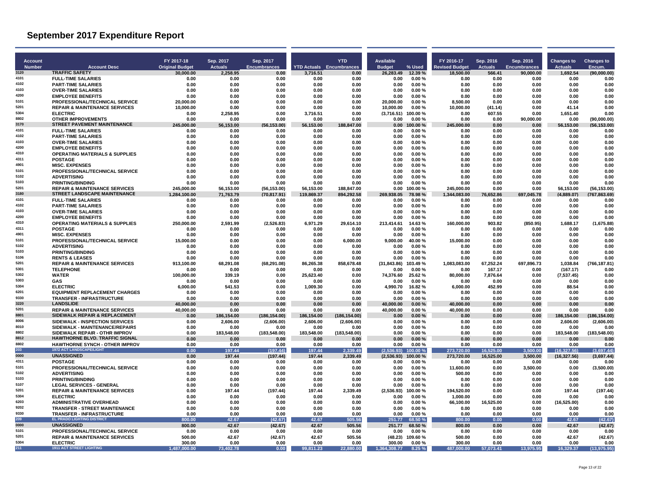| <b>Account</b><br><b>Number</b> | <b>Account Desc</b>                                                      | FY 2017-18<br><b>Original Budget</b> | Sep. 2017<br><b>Actuals</b> | Sep. 2017<br><b>Encumbrances</b> |                   | <b>YTD</b><br><b>YTD Actuals Encumbrances</b> | <b>Available</b><br>% Used<br><b>Budget</b> | FY 2016-17<br><b>Revised Budget</b> | Sep. 2016<br><b>Actuals</b> | Sep. 2016<br><b>Encumbrances</b> | <b>Changes to</b><br>Actuals | <b>Changes to</b><br>Encum. |
|---------------------------------|--------------------------------------------------------------------------|--------------------------------------|-----------------------------|----------------------------------|-------------------|-----------------------------------------------|---------------------------------------------|-------------------------------------|-----------------------------|----------------------------------|------------------------------|-----------------------------|
| 3120                            | <b>TRAFFIC SAFETY</b>                                                    | 30,000.00                            | 2.258.95                    | 0.00                             | 3.716.51          | 0.00                                          | 12.39 %<br>26.283.49                        | 18.500.00                           | 566.41                      | 90,000.00                        | 1.692.54                     | (90,000.00)                 |
| 4101                            | <b>FULL-TIME SALARIES</b>                                                | 0.00                                 | 0.00                        | 0.00                             | 0.00              | 0.00                                          | 0.00<br>0.00%                               | 0.00                                | 0.00                        | 0.00                             | 0.00                         | 0.00                        |
| 4102                            | <b>PART-TIME SALARIES</b>                                                | 0.00                                 | 0.00                        | 0.00                             | 0.00              | 0.00                                          | 0.00%<br>0.00                               | 0.00                                | 0.00                        | 0.00                             | 0.00                         | 0.00                        |
| 4103<br>4200                    | <b>OVER-TIME SALARIES</b><br><b>EMPLOYEE BENEFITS</b>                    | 0.00<br>0.00                         | 0.00<br>0.00                | 0.00<br>0.00                     | 0.00<br>0.00      | 0.00<br>0.00                                  | 0.00<br>0.00%<br>0.00<br>0.00%              | 0.00<br>0.00                        | 0.00<br>0.00                | 0.00<br>0.00                     | 0.00<br>0.00                 | 0.00<br>0.00                |
| 5101                            | PROFESSIONAL/TECHNICAL SERVICE                                           | 20.000.00                            | 0.00                        | 0.00                             | 0.00              | 0.00                                          | 20.000.00<br>0.00%                          | 8.500.00                            | 0.00                        | 0.00                             | 0.00                         | 0.00                        |
| 5201                            | <b>REPAIR &amp; MAINTENANCE SERVICES</b>                                 | 10,000.00                            | 0.00                        | 0.00                             | 0.00              | 0.00                                          | 10,000.00<br>0.00%                          | 10,000.00                           | (41.14)                     | 0.00                             | 41.14                        | 0.00                        |
| 5304                            | <b>ELECTRIC</b>                                                          | 0.00                                 | 2,258.95                    | 0.00                             | 3,716.51          | 0.00                                          | 100.00%<br>(3,716.51)                       | 0.00                                | 607.55                      | 0.00                             | 1,651.40                     | 0.00                        |
| 8802                            | <b>OTHER IMPROVEMENTS</b>                                                | 0.00                                 | 0.00                        | 0.00                             | 0.00              | 0.00                                          | 0.00%<br>0.00                               | 0.00                                | 0.00                        | 90.000.00                        | 0.00                         | (90.000.00)                 |
| 3170                            | <b>STREET PAVEMENT MAINTENANCE</b>                                       | 245,000.00                           | 56,153.00                   | (56, 153.00)                     | 56,153.00         | 188,847.00                                    | 0.00<br>100.00 %                            | 245,000.00                          | 0.00                        | 0.00                             | 56,153.00                    | (56, 153.00)                |
| 4101<br>4102                    | <b>FULL-TIME SALARIES</b><br><b>PART-TIME SALARIES</b>                   | 0.00<br>0.00                         | 0.00<br>0.00                | 0.00                             | 0.00<br>0.00      | 0.00<br>0.00                                  | 0.00%<br>0.00<br>0.00<br>0.00%              | 0.00<br>0.00                        | 0.00<br>0.00                | 0.00                             | 0.00<br>0.00                 | 0.00<br>0.00                |
| 4103                            | <b>OVER-TIME SALARIES</b>                                                | 0.00                                 | 0.00                        | 0.00<br>0.00                     | 0.00              | 0.00                                          | 0.00<br>0.00%                               | 0.00                                | 0.00                        | 0.00<br>0.00                     | 0.00                         | 0.00                        |
| 4200                            | <b>EMPLOYEE BENEFITS</b>                                                 | 0.00                                 | 0.00                        | 0.00                             | 0.00              | 0.00                                          | 0.00<br>0.00%                               | 0.00                                | 0.00                        | 0.00                             | 0.00                         | 0.00                        |
| 4310                            | <b>OPERATING MATERIALS &amp; SUPPLIES</b>                                | 0.00                                 | 0.00                        | 0.00                             | 0.00              | 0.00                                          | 0.00<br>0.00%                               | 0.00                                | 0.00                        | 0.00                             | 0.00                         | 0.00                        |
| 4311                            | <b>POSTAGE</b>                                                           | 0.00                                 | 0.00                        | 0.00                             | 0.00              | 0.00                                          | 0.00<br>0.00%                               | 0.00                                | 0.00                        | 0.00                             | 0.00                         | 0.00                        |
| 4901                            | <b>MISC. EXPENSES</b>                                                    | 0.00                                 | 0.00                        | 0.00                             | 0.00              | 0.00                                          | 0.00<br>0.00%                               | 0.00                                | 0.00                        | 0.00                             | 0.00                         | 0.00                        |
| 5101<br>5102                    | PROFESSIONAL/TECHNICAL SERVICE                                           | 0.00                                 | 0.00                        | 0.00                             | 0.00              | 0.00                                          | 0.00<br>0.00%                               | 0.00                                | 0.00                        | 0.00                             | 0.00                         | 0.00                        |
| 5103                            | <b>ADVERTISING</b><br><b>PRINTING/BINDING</b>                            | 0.00<br>0.00                         | 0.00<br>0.00                | 0.00<br>0.00                     | 0.00<br>0.00      | 0.00<br>0.00                                  | 0.00%<br>0.00<br>0.00<br>0.00%              | 0.00<br>0.00                        | 0.00<br>0.00                | 0.00<br>0.00                     | 0.00<br>0.00                 | 0.00<br>0.00                |
| 5201                            | <b>REPAIR &amp; MAINTENANCE SERVICES</b>                                 | 245,000.00                           | 56,153.00                   | (56, 153.00)                     | 56,153.00         | 188,847.00                                    | 100.00%<br>0.00                             | 245,000.00                          | 0.00                        | 0.00                             | 56.153.00                    | (56, 153.00)                |
| 3180                            | STREET LANDSCAPE MAINTENANCE                                             | 1.284.100.00                         | 71,763.79                   | (70.817.91)                      | 119.869.37        | 894.292.58                                    | 269,938.05<br>78.98%                        | 1.344.083.00                        | 76.652.86                   | 697,045.78                       | (4.889.07)                   | (767.863.69)                |
| 4101                            | <b>FULL-TIME SALARIES</b>                                                | 0.00                                 | 0.00                        | 0.00                             | 0.00              | 0.00                                          | 0.00<br>0.00%                               | 0.00                                | 0.00                        | 0.00                             | 0.00                         | 0.00                        |
| 4102                            | <b>PART-TIME SALARIES</b>                                                | 0.00                                 | 0.00                        | 0.00                             | 0.00              | 0.00                                          | 0.00<br>0.00%                               | 0.00                                | 0.00                        | 0.00                             | 0.00                         | 0.00                        |
| 4103                            | <b>OVER-TIME SALARIES</b>                                                | 0.00                                 | 0.00                        | 0.00                             | 0.00              | 0.00                                          | 0.00<br>0.00%                               | 0.00                                | 0.00                        | 0.00                             | 0.00                         | 0.00                        |
| 4200<br>4310                    | <b>EMPLOYEE BENEFITS</b>                                                 | 0.00                                 | 0.00                        | 0.00                             | 0.00              | 0.00                                          | 0.00<br>0.00%                               | 0.00                                | 0.00                        | 0.00                             | 0.00                         | 0.00                        |
| 4311                            | <b>OPERATING MATERIALS &amp; SUPPLIES</b><br><b>POSTAGE</b>              | 250,000.00<br>0.00                   | 2,591.99<br>0.00            | (2,526.83)<br>0.00               | 6,971.29<br>0.00  | 29,614.10<br>0.00                             | 213,414.61<br>14.63%<br>0.00<br>0.00%       | 160,000.00<br>0.00                  | 903.82<br>0.00              | (850.95)<br>0.00                 | 1,688.17<br>0.00             | (1,675.88)<br>0.00          |
| 4901                            | <b>MISC. EXPENSES</b>                                                    | 0.00                                 | 0.00                        | 0.00                             | 0.00              | 0.00                                          | 0.00%<br>0.00                               | 0.00                                | 0.00                        | 0.00                             | 0.00                         | 0.00                        |
| 5101                            | PROFESSIONAL/TECHNICAL SERVICE                                           | 15,000.00                            | 0.00                        | 0.00                             | 0.00              | 6,000.00                                      | 9,000.00<br>40.00 %                         | 15,000.00                           | 0.00                        | 0.00                             | 0.00                         | 0.00                        |
| 5102                            | <b>ADVERTISING</b>                                                       | 0.00                                 | 0.00                        | 0.00                             | 0.00              | 0.00                                          | 0.00<br>0.00%                               | 0.00                                | 0.00                        | 0.00                             | 0.00                         | 0.00                        |
| 5103                            | <b>PRINTING/BINDING</b>                                                  | 0.00                                 | 0.00                        | 0.00                             | 0.00              | 0.00                                          | 0.00<br>0.00%                               | 0.00                                | 0.00                        | 0.00                             | 0.00                         | 0.00                        |
| 5106<br>5201                    | <b>RENTS &amp; LEASES</b>                                                | 0.00                                 | 0.00                        | 0.00                             | 0.00              | 0.00                                          | 0.00%<br>0.00                               | 0.00                                | 0.00                        | 0.00                             | 0.00                         | 0.00                        |
| 5301                            | <b>REPAIR &amp; MAINTENANCE SERVICES</b><br><b>TELEPHONE</b>             | 913.100.00<br>0.00                   | 68.291.08<br>0.00           | (68, 291.08)<br>0.00             | 86.265.38<br>0.00 | 858.678.48<br>0.00                            | (31.843.86)<br>103.49%<br>0.00<br>0.00%     | 1.083.083.00<br>0.00                | 67.252.24<br>167.17         | 697.896.73<br>0.00               | 1.038.84<br>(167.17)         | (766,187.81)<br>0.00        |
| 5302                            | <b>WATER</b>                                                             | 100,000.00                           | 339.19                      | 0.00                             | 25,623.40         | 0.00                                          | 74,376.60<br>25.62%                         | 80,000.00                           | 7,876.64                    | 0.00                             | (7,537.45)                   | 0.00                        |
| 5303                            | GAS                                                                      | 0.00                                 | 0.00                        | 0.00                             | 0.00              | 0.00                                          | 0.00<br>0.00%                               | 0.00                                | 0.00                        | 0.00                             | 0.00                         | 0.00                        |
| 5304                            | <b>ELECTRIC</b>                                                          | 6.000.00                             | 541.53                      | 0.00                             | 1.009.30          | 0.00                                          | 4.990.70<br>16.82%                          | 6.000.00                            | 452.99                      | 0.00                             | 88.54                        | 0.00                        |
| 6201                            | <b>EQUIPMENT REPLACEMENT CHARGES</b>                                     | 0.00                                 | 0.00                        | 0.00                             | 0.00              | 0.00                                          | 0.00%<br>0.00                               | 0.00                                | 0.00                        | 0.00                             | 0.00                         | 0.00                        |
| 9330                            | <b>TRANSFER - INFRASTRUCTURE</b>                                         | 0.00                                 | 0.00                        | 0.00                             | 0.00              | 0.00                                          | 0.00<br>0.00%                               | 0.00                                | 0.00                        | 0.00                             | 0.00                         | 0.00                        |
| 3220<br>5201                    | <b>LANDSLIDE</b><br><b>REPAIR &amp; MAINTENANCE SERVICES</b>             | 40.000.00<br>40.000.00               | 0.00<br>0.00                | 0.00<br>0.00                     | 0.00<br>0.00      | 0.00<br>0.00                                  | 40,000.00<br>0.00%<br>40.000.00<br>0.00%    | 40.000.00<br>40.000.00              | 0.00<br>0.00                | 0.00<br>0.00                     | 0.00<br>0.00                 | 0.00<br>0.00                |
| 8801                            | <b>SIDEWALK REPAIR &amp; REPLACEMENT</b>                                 | 0.00                                 | 186,154.00                  | (186, 154.00)                    | 186,154.00        | (186, 154.00)                                 | 0.00%<br>0.00                               | 0.00                                | 0.00                        | 0.00                             | 186,154.00                   | (186, 154.00)               |
| 8006                            | SIDEWALK - INSPECTION SERVICES                                           | 0.00                                 | 2,606.00                    | (2,606.00)                       | 2,606.00          | (2,606.00)                                    | 0.00<br>0.00%                               | 0.00                                | 0.00                        | 0.00                             | 2,606.00                     | (2,606.00)                  |
| 8010                            | SIDEWALK - MAINTENANCE/REPAIRS                                           | 0.00                                 | 0.00                        | 0.00                             | 0.00              | 0.00                                          | 0.00<br>0.00%                               | 0.00                                | 0.00                        | 0.00                             | 0.00                         | 0.00                        |
| 8802                            | SIDEWALK REPAIR - OTHR IMPROV                                            | 0.00                                 | 183,548.00                  | (183, 548.00)                    | 183,548.00        | (183, 548.00)                                 | 0.00%<br>0.00                               | 0.00                                | 0.00                        | 0.00                             | 183,548.00                   | (183, 548.00)               |
| 8812<br>8802                    | HAWTHORNE BLVD. TRAFFIC SIGNAL                                           | 0.00                                 | 0.00                        | 0.00                             | 0.00              | 0.00                                          | 0.00<br>0.00%                               | 0.00                                | 0.00                        | 0.00                             | 0.00                         | 0.00                        |
| 203                             | <b>HAWTHORNE SYNCH - OTHER IMPROV</b><br><b>1972 ACT LANDSCAPE/LIGHT</b> | 0.00<br>0.00                         | 0.00<br>197.44              | 0.00<br>(197.44)                 | 0.00<br>197.44    | 0.00<br>2.339.49                              | 0.00<br>0.00%<br>(2,536.93)<br>00.00 %      | 0.00<br>273,720.00                  | 0.00<br>16.525.00           | 0.00<br>3.500.00                 | 0.00<br>(16, 327.56)         | 0.00<br>(3,697.44)          |
| 0000                            | <b>UNASSIGNED</b>                                                        | 0.00                                 | 197.44                      | (197.44)                         | 197.44            | 2,339.49                                      | (2,536.93)<br>100.00%                       | 273,720.00                          | 16,525.00                   | 3,500.00                         | (16, 327.56)                 | (3,697.44)                  |
| 4311                            | <b>POSTAGE</b>                                                           | 0.00                                 | 0.00                        | 0.00                             | 0.00              | 0.00                                          | 0.00<br>0.00%                               | 0.00                                | 0.00                        | 0.00                             | 0.00                         | 0.00                        |
| 5101                            | PROFESSIONAL/TECHNICAL SERVICE                                           | 0.00                                 | 0.00                        | 0.00                             | 0.00              | 0.00                                          | 0.00<br>0.00%                               | 11,600.00                           | 0.00                        | 3.500.00                         | 0.00                         | (3,500.00)                  |
| 5102                            | <b>ADVERTISING</b>                                                       | 0.00                                 | 0.00                        | 0.00                             | 0.00              | 0.00                                          | 0.00<br>0.00%                               | 500.00                              | 0.00                        | 0.00                             | 0.00                         | 0.00                        |
| 5103                            | <b>PRINTING/BINDING</b>                                                  | 0.00                                 | 0.00                        | 0.00                             | 0.00              | 0.00                                          | 0.00<br>0.00%                               | 0.00                                | 0.00                        | 0.00                             | 0.00                         | 0.00                        |
| 5107<br>5201                    | <b>LEGAL SERVICES - GENERAL</b>                                          | 0.00                                 | 0.00                        | 0.00                             | 0.00              | 0.00                                          | 0.00<br>0.00%                               | 0.00                                | 0.00                        | 0.00                             | 0.00                         | 0.00                        |
| 5304                            | <b>REPAIR &amp; MAINTENANCE SERVICES</b><br><b>ELECTRIC</b>              | 0.00<br>0.00                         | 197.44<br>0.00              | (197.44)<br>0.00                 | 197.44<br>0.00    | 2,339.49<br>0.00                              | (2,536.93)<br>100.00%<br>0.00<br>0.00%      | 194,520.00<br>1,000.00              | 0.00<br>0.00                | 0.00<br>0.00                     | 197.44<br>0.00               | (197.44)<br>0.00            |
| 6203                            | <b>ADMINISTRATIVE OVERHEAD</b>                                           | 0.00                                 | 0.00                        | 0.00                             | 0.00              | 0.00                                          | 0.00<br>0.00%                               | 66,100.00                           | 16,525.00                   | 0.00                             | (16, 525.00)                 | 0.00                        |
| 9202                            | <b>TRANSFER - STREET MAINTENANCE</b>                                     | 0.00                                 | 0.00                        | 0.00                             | 0.00              | 0.00                                          | 0.00<br>0.00%                               | 0.00                                | 0.00                        | 0.00                             | 0.00                         | 0.00                        |
| 9330                            | <b>TRANSFER - INFRASTRUCTURE</b>                                         | 0.00                                 | 0.00                        | 0.00                             | 0.00              | 0.00                                          | 0.00<br>0.00%                               | 0.00                                | 0.00                        | 0.00                             | 0.00                         | 0.00                        |
| 209                             | <b>EL PRADO LIGHTING DISTRICT</b>                                        | 800.00                               | 42.67                       | (42.67)                          | 42.67             | 505.56                                        | 251.77<br>68.50 %                           | 800.00                              | 0.00                        | 0.00                             | 42.67                        | (42.67)                     |
| 0000                            | <b>UNASSIGNED</b>                                                        | 800.00                               | 42.67                       | (42.67)                          | 42.67             | 505.56                                        | 251.77<br>68.50%                            | 800.00                              | 0.00                        | 0.00                             | 42.67                        | (42.67)                     |
| 5101<br>5201                    | PROFESSIONAL/TECHNICAL SERVICE                                           | 0.00                                 | 0.00                        | 0.00                             | 0.00              | 0.00                                          | 0.00<br>0.00%                               | 0.00                                | 0.00                        | 0.00                             | 0.00                         | 0.00                        |
| 5304                            | <b>REPAIR &amp; MAINTENANCE SERVICES</b><br><b>ELECTRIC</b>              | 500.00<br>300.00                     | 42.67<br>0.00               | (42.67)<br>0.00                  | 42.67<br>0.00     | 505.56<br>0.00                                | (48.23)<br>109.60%<br>300.00<br>0.00%       | 500.00<br>300.00                    | 0.00<br>0.00                | 0.00<br>0.00                     | 42.67<br>0.00                | (42.67)<br>0.00             |
| 211                             | <b>1911 ACT STREET LIGHTING</b>                                          | 1.487.000.00                         | 73,402.78                   | 0.00                             | 99.811.23         | 22.880.00                                     | 1.364.308.77<br>8.25 %                      | 487.000.00                          | 57,073.41                   | 13,975.95                        | 16.329.37                    | (13,975.95)                 |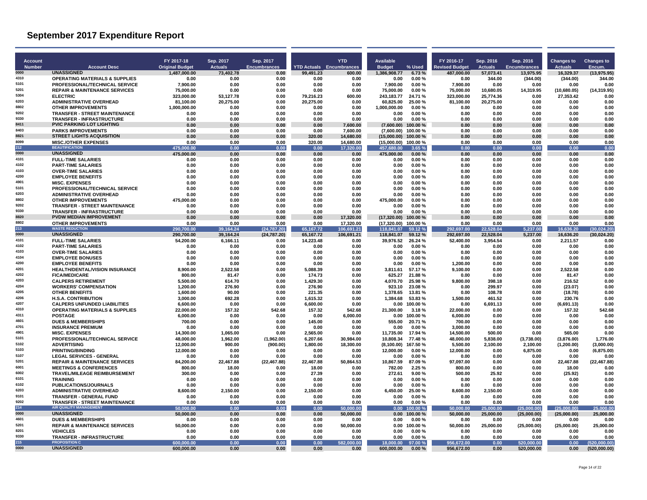| <b>Account</b><br><b>Number</b> | <b>Account Desc</b>                                                       | FY 2017-18<br><b>Original Budget</b> | Sep. 2017<br><b>Actuals</b> | Sep. 2017<br><b>Encumbrances</b> |                        | <b>YTD</b><br><b>YTD Actuals</b> Encumbrances | Available<br><b>Budget</b>        | $%$ Used           | FY 2016-17<br><b>Revised Budget</b> | Sep. 2016<br><b>Actuals</b> | Sep. 2016<br><b>Encumbrances</b> | Changes to<br><b>Actuals</b> | <b>Changes to</b><br>Encum. |
|---------------------------------|---------------------------------------------------------------------------|--------------------------------------|-----------------------------|----------------------------------|------------------------|-----------------------------------------------|-----------------------------------|--------------------|-------------------------------------|-----------------------------|----------------------------------|------------------------------|-----------------------------|
| 0000                            | <b>UNASSIGNED</b>                                                         | 1,487,000.00                         | 73,402.78                   | 0.00                             | 99,491.23              | 600.00                                        | 1,386,908.77                      | 6.73%              | 487,000.00                          | 57,073.41                   | 13,975.95                        | 16,329.37                    | (13, 975.95)                |
| 4310                            | <b>OPERATING MATERIALS &amp; SUPPLIES</b>                                 | 0.00                                 | 0.00                        | 0.00                             | 0.00                   | 0.00                                          | 0.00                              | 0.00%              | 0.00                                | 344.00                      | (344.00)                         | (344.00)                     | 344.00                      |
| 5101                            | PROFESSIONAL/TECHNICAL SERVICE                                            | 7.900.00                             | 0.00                        | 0.00                             | 0.00                   | 0.00                                          | 7.900.00                          | 0.00%              | 7.900.00                            | 0.00                        | 0.00                             | 0.00                         | 0.00                        |
| 5201<br>5304                    | <b>REPAIR &amp; MAINTENANCE SERVICES</b>                                  | 75,000.00                            | 0.00                        | 0.00                             | 0.00                   | 0.00                                          | 75,000.00                         | 0.00%              | 75,000.00                           | 10,680.05                   | 14,319.95                        | (10,680.05)                  | (14, 319.95)                |
| 6203                            | <b>ELECTRIC</b><br><b>ADMINISTRATIVE OVERHEAD</b>                         | 323,000.00                           | 53,127.78                   | 0.00<br>0.00                     | 79,216.23<br>20.275.00 | 600.00<br>0.00                                | 243,183.77<br>60.825.00           | 24.71%<br>25.00%   | 323,000.00                          | 25,774.36                   | 0.00<br>0.00                     | 27,353.42<br>0.00            | 0.00<br>0.00                |
| 8802                            | <b>OTHER IMPROVEMENTS</b>                                                 | 81,100.00<br>1.000.000.00            | 20,275.00<br>0.00           | 0.00                             | 0.00                   | 0.00                                          | 1.000.000.00                      | 0.00%              | 81,100.00<br>0.00                   | 20,275.00<br>0.00           | 0.00                             | 0.00                         | 0.00                        |
| 9202                            | <b>TRANSFER - STREET MAINTENANCE</b>                                      | 0.00                                 | 0.00                        | 0.00                             | 0.00                   | 0.00                                          | 0.00                              | 0.00%              | 0.00                                | 0.00                        | 0.00                             | 0.00                         | 0.00                        |
| 9330                            | <b>TRANSFER - INFRASTRUCTURE</b>                                          | 0.00                                 | 0.00                        | 0.00                             | 0.00                   | 0.00                                          | 0.00                              | 0.00%              | 0.00                                | 0.00                        | 0.00                             | 0.00                         | 0.00                        |
| 8411                            | <b>PVIC PARKING LOT LIGHTING</b>                                          | 0.00                                 | 0.00                        | 0.00                             | 0.00                   | 7.600.00                                      | (7,600.00)                        | 100.00%            | 0.00                                | 0.00                        | 0.00                             | 0.00                         | 0.00                        |
| 8403                            | <b>PARKS IMPROVEMENTS</b>                                                 | 0.00                                 | 0.00                        | 0.00                             | 0.00                   | 7,600.00                                      | (7,600.00)                        | 100.00%            | 0.00                                | 0.00                        | 0.00                             | 0.00                         | 0.00                        |
| 8821<br>8099                    | <b>STREET LIGHTS ACQUISITION</b><br><b>MISC./OTHER EXPENSES</b>           | 0.00<br>0.00                         | 0.00<br>0.00                | 0.00<br>0.00                     | 320.00<br>320.00       | 14,680.00<br>14.680.00                        | $(15,000.00)$ 100.00 %            |                    | 0.00<br>0.00                        | 0.00<br>0.00                | 0.00<br>0.00                     | 0.00<br>0.00                 | 0.00<br>0.00                |
| 212                             | <b>BEAUTIFICATION</b>                                                     | 475,000.00                           | 0.00                        | 0.00                             | 0.00                   | 17,320.00                                     | (15,000.00) 100.00%<br>457,680.00 | 3.65%              | 0.00                                | 0.00                        | 0.00                             | 0.00                         | 0.00                        |
| 0000                            | <b>UNASSIGNED</b>                                                         | 475,000.00                           | 0.00                        | 0.00                             | 0.00                   | 0.00                                          | 475,000.00                        | 0.00%              | 0.00                                | 0.00                        | 0.00                             | 0.00                         | 0.00                        |
| 4101                            | <b>FULL-TIME SALARIES</b>                                                 | 0.00                                 | 0.00                        | 0.00                             | 0.00                   | 0.00                                          | 0.00                              | $0.00 \%$          | 0.00                                | 0.00                        | 0.00                             | 0.00                         | 0.00                        |
| 4102                            | <b>PART-TIME SALARIES</b>                                                 | 0.00                                 | 0.00                        | 0.00                             | 0.00                   | 0.00                                          | 0.00                              | 0.00%              | 0.00                                | 0.00                        | 0.00                             | 0.00                         | 0.00                        |
| 4103                            | <b>OVER-TIME SALARIES</b>                                                 | 0.00                                 | 0.00                        | 0.00                             | 0.00                   | 0.00                                          | 0.00                              | 0.00%              | 0.00                                | 0.00                        | 0.00                             | 0.00                         | 0.00                        |
| 4200<br>4901                    | <b>EMPLOYEE BENEFITS</b>                                                  | 0.00                                 | 0.00                        | 0.00                             | 0.00<br>0.00           | 0.00                                          | 0.00<br>0.00                      | 0.00%              | 0.00                                | 0.00                        | 0.00<br>0.00                     | 0.00<br>0.00                 | 0.00                        |
| 5101                            | <b>MISC. EXPENSES</b><br>PROFESSIONAL/TECHNICAL SERVICE                   | 0.00<br>0.00                         | 0.00<br>0.00                | 0.00<br>0.00                     | 0.00                   | 0.00<br>0.00                                  | 0.00                              | 0.00%<br>0.00%     | 0.00<br>0.00                        | 0.00<br>0.00                | 0.00                             | 0.00                         | 0.00<br>0.00                |
| 6203                            | <b>ADMINISTRATIVE OVERHEAD</b>                                            | 0.00                                 | 0.00                        | 0.00                             | 0.00                   | 0.00                                          | 0.00                              | 0.00%              | 0.00                                | 0.00                        | 0.00                             | 0.00                         | 0.00                        |
| 8802                            | <b>OTHER IMPROVEMENTS</b>                                                 | 475.000.00                           | 0.00                        | 0.00                             | 0.00                   | 0.00                                          | 475.000.00                        | 0.00%              | 0.00                                | 0.00                        | 0.00                             | 0.00                         | 0.00                        |
| 9202                            | <b>TRANSFER - STREET MAINTENANCE</b>                                      | 0.00                                 | 0.00                        | 0.00                             | 0.00                   | 0.00                                          | 0.00                              | 0.00%              | 0.00                                | 0.00                        | 0.00                             | 0.00                         | 0.00                        |
| 9330                            | <b>TRANSFER - INFRASTRUCTURE</b>                                          | 0.00                                 | 0.00                        | 0.00                             | 0.00                   | 0.00                                          | 0.00                              | 0.00%              | 0.00                                | 0.00                        | 0.00                             | 0.00                         | 0.00                        |
| 8820                            | <b>PVDW MEDIAN IMPROVEMENT</b>                                            | 0.00                                 | 0.00                        | 0.00                             | 0.00                   | 17.320.00                                     | $(17.320.00)$ 100.00 %            |                    | 0.00                                | 0.00                        | 0.00                             | 0.00                         | 0.00                        |
| 8802<br>213                     | <b>OTHER IMPROVEMENTS</b><br><b>WASTE REDUCTION</b>                       | 0.00                                 | 0.00                        | 0.00                             | 0.00                   | 17,320.00                                     | (17,320.00) 100.00%               |                    | 0.00                                | 0.00                        | 0.00                             | 0.00                         | 0.00                        |
| 0000                            | <b>UNASSIGNED</b>                                                         | 290,700.00<br>290.700.00             | 39,164.24<br>39.164.24      | (24,787.20)<br>(24.787.20)       | 65,167.72<br>65.167.72 | 106,691.21<br>106.691.21                      | 118,841.07<br>118.841.07          | 59.12 %<br>59.12 % | 292,697.00<br>292.697.00            | 22,528.04<br>22.528.04      | 5,237.00<br>5.237.00             | 16,636.20<br>16.636.20       | (30,024.20)<br>(30.024.20)  |
| 4101                            | <b>FULL-TIME SALARIES</b>                                                 | 54,200.00                            | 6,166.11                    | 0.00                             | 14,223.48              | 0.00                                          | 39,976.52                         | 26.24 %            | 52,400.00                           | 3,954.54                    | 0.00                             | 2,211.57                     | 0.00                        |
| 4102                            | <b>PART-TIME SALARIES</b>                                                 | 0.00                                 | 0.00                        | 0.00                             | 0.00                   | 0.00                                          | 0.00                              | 0.00%              | 0.00                                | 0.00                        | 0.00                             | 0.00                         | 0.00                        |
| 4103                            | <b>OVER-TIME SALARIES</b>                                                 | 0.00                                 | 0.00                        | 0.00                             | 0.00                   | 0.00                                          | 0.00                              | $0.00 \%$          | 0.00                                | 0.00                        | 0.00                             | 0.00                         | 0.00                        |
| 4104                            | <b>EMPLOYEE BONUSES</b>                                                   | 0.00                                 | 0.00                        | 0.00                             | 0.00                   | 0.00                                          | 0.00                              | 0.00%              | 0.00                                | 0.00                        | 0.00                             | 0.00                         | 0.00                        |
| 4200                            | <b>EMPLOYEE BENEFITS</b>                                                  | 0.00                                 | 0.00                        | 0.00                             | 0.00                   | 0.00                                          | 0.00                              | 0.00%              | 1,200.00                            | 0.00                        | 0.00                             | 0.00                         | 0.00                        |
| 4201<br>4202                    | <b>HEALTH/DENTAL/VISION INSURANCE</b>                                     | 8.900.00                             | 2.522.58                    | 0.00                             | 5.088.39               | 0.00                                          | 3.811.61                          | 57.17%             | 9.100.00                            | 0.00                        | 0.00                             | 2.522.58                     | 0.00                        |
| 4203                            | <b>FICA/MEDICARE</b><br><b>CALPERS RETIREMENT</b>                         | 800.00<br>5,500.00                   | 81.47<br>614.70             | 0.00<br>0.00                     | 174.73<br>1,429.30     | 0.00<br>0.00                                  | 625.27<br>4.070.70                | 21.88%<br>25.98%   | 0.00<br>9,800.00                    | 0.00<br>398.18              | 0.00<br>0.00                     | 81.47<br>216.52              | 0.00<br>0.00                |
| 4204                            | <b>WORKERS' COMPENSATION</b>                                              | 1,200.00                             | 276.90                      | 0.00                             | 276.90                 | 0.00                                          | 923.10                            | 23.08%             | 0.00                                | 299.97                      | 0.00                             | (23.07)                      | 0.00                        |
| 4205                            | <b>OTHER BENEFITS</b>                                                     | 1.600.00                             | 90.00                       | 0.00                             | 221.35                 | 0.00                                          | 1.378.65                          | 13.81 %            | 0.00                                | 108.78                      | 0.00                             | (18.78)                      | 0.00                        |
| 4206                            | <b>H.S.A. CONTRIBUTION</b>                                                | 3.000.00                             | 692.28                      | 0.00                             | 1.615.32               | 0.00                                          | 1.384.68                          | 53.83%             | 1.500.00                            | 461.52                      | 0.00                             | 230.76                       | 0.00                        |
| 4207                            | <b>CALPERS UNFUNDED LIABILITIES</b>                                       | 6,600.00                             | 0.00                        | 0.00                             | 6,600.00               | 0.00                                          | 0.00                              | 100.00%            | 0.00                                | 6,691.13                    | 0.00                             | (6,691.13)                   | 0.00                        |
| 4310                            | <b>OPERATING MATERIALS &amp; SUPPLIES</b>                                 | 22.000.00                            | 157.32                      | 542.68                           | 157.32                 | 542.68                                        | 21.300.00                         | 3.18%              | 22.000.00                           | 0.00                        | 0.00                             | 157.32                       | 542.68                      |
| 4311<br>4601                    | <b>POSTAGE</b>                                                            | 6.000.00                             | 0.00                        | 0.00                             | 0.00                   | 6.000.00                                      | $0.00$ 100.00 %                   |                    | 6.000.00                            | 0.00                        | 0.00                             | 0.00                         | 0.00                        |
| 4701                            | <b>DUES &amp; MEMBERSHIPS</b><br><b>INSURANCE PREMIUM</b>                 | 700.00<br>0.00                       | 0.00<br>0.00                | 0.00<br>0.00                     | 145.00<br>0.00         | 0.00<br>0.00                                  | 555.00<br>0.00                    | 20.71 %<br>0.00%   | 700.00<br>3.000.00                  | 0.00<br>0.00                | 0.00<br>0.00                     | 0.00<br>0.00                 | 0.00<br>0.00                |
| 4901                            | <b>MISC. EXPENSES</b>                                                     | 14.300.00                            | 1.065.00                    | 0.00                             | 2.565.00               | 0.00                                          | 11.735.00                         | 17.94 %            | 14.500.00                           | 500.00                      | 0.00                             | 565.00                       | 0.00                        |
| 5101                            | PROFESSIONAL/TECHNICAL SERVICE                                            | 48,000.00                            | 1,962.00                    | (1,962.00)                       | 6,207.66               | 30,984.00                                     | 10.808.34                         | 77.48%             | 48,000.00                           | 5,838.00                    | (3,738.00)                       | (3,876.00)                   | 1,776.00                    |
| 5102                            | <b>ADVERTISING</b>                                                        | 12,000.00                            | 900.00                      | (900.00)                         | 1,800.00               | 18,300.00                                     | (8, 100.00)                       | 167.50%            | 5,500.00                            | 2,100.00                    | 2,100.00                         | (1,200.00)                   | (3,000.00)                  |
| 5103                            | <b>PRINTING/BINDING</b>                                                   | 12,000.00                            | 0.00                        | 0.00                             | 0.00                   | 0.00                                          | 12.000.00                         | 0.00%              | 12,000.00                           | 0.00                        | 6.875.00                         | 0.00                         | (6,875.00)                  |
| 5107                            | <b>LEGAL SERVICES - GENERAL</b>                                           | 0.00                                 | 0.00                        | 0.00                             | 0.00                   | 0.00                                          | 0.00                              | 0.00%              | 0.00                                | 0.00                        | 0.00                             | 0.00                         | 0.00                        |
| 5201<br>6001                    | <b>REPAIR &amp; MAINTENANCE SERVICES</b>                                  | 84,200.00                            | 22,467.88                   | (22, 467.88)                     | 22,467.88              | 50,864.53                                     | 10,867.59                         | 87.09%             | 97,097.00                           | 0.00                        | 0.00                             | 22,467.88                    | (22, 467.88)                |
| 6002                            | <b>MEETINGS &amp; CONFERENCES</b><br><b>TRAVEL/MILEAGE REIMBURSEMENT</b>  | 800.00<br>300.00                     | 18.00<br>0.00               | 0.00<br>0.00                     | 18.00<br>27.39         | 0.00<br>0.00                                  | 782.00<br>272.61                  | 2.25%<br>9.00%     | 800.00<br>500.00                    | 0.00<br>25.92               | 0.00<br>0.00                     | 18.00<br>(25.92)             | 0.00<br>0.00                |
| 6101                            | <b>TRAINING</b>                                                           | 0.00                                 | 0.00                        | 0.00                             | 0.00                   | 0.00                                          | 0.00                              | 0.00%              | 0.00                                | 0.00                        | 0.00                             | 0.00                         | 0.00                        |
| 6102                            | <b>PUBLICATIONS/JOURNALS</b>                                              | 0.00                                 | 0.00                        | 0.00                             | 0.00                   | 0.00                                          | 0.00                              | 0.00%              | 0.00                                | 0.00                        | 0.00                             | 0.00                         | 0.00                        |
| 6203                            | <b>ADMINISTRATIVE OVERHEAD</b>                                            | 8.600.00                             | 2.150.00                    | 0.00                             | 2.150.00               | 0.00                                          | 6.450.00                          | 25.00%             | 8.600.00                            | 2.150.00                    | 0.00                             | 0.00                         | 0.00                        |
| 9101                            | <b>TRANSFER - GENERAL FUND</b>                                            | 0.00                                 | 0.00                        | 0.00                             | 0.00                   | 0.00                                          | 0.00                              | 0.00%              | 0.00                                | 0.00                        | 0.00                             | 0.00                         | 0.00                        |
| 9202                            | TRANSFER - STREET MAINTENANCE                                             | 0.00                                 | 0.00                        | 0.00                             | 0.00                   | 0.00                                          | 0.00                              | 0.00%              | 0.00                                | 0.00                        | 0.00                             | 0.00                         | 0.00                        |
| 214                             | <b>AIR QUALITY MANAGEMENT</b>                                             | 50.000.00                            | 0.00                        | 0.00                             | 0.00                   | 50,000.00                                     | 0.00                              | 100.00%            | 50.000.00                           | 25.000.00                   | (25,000.00)                      | (25,000.00)                  | 25,000.00                   |
| 0000<br>4601                    | <b>UNASSIGNED</b>                                                         | 50.000.00                            | 0.00                        | 0.00                             | 0.00                   | 50,000.00                                     | 0.00                              | 100.00%            | 50.000.00                           | 25.000.00                   | (25,000.00)                      | (25,000.00)                  | 25.000.00                   |
| 5201                            | <b>DUES &amp; MEMBERSHIPS</b><br><b>REPAIR &amp; MAINTENANCE SERVICES</b> | 0.00<br>50,000.00                    | 0.00<br>0.00                | 0.00<br>0.00                     | 0.00<br>0.00           | 0.00<br>50,000.00                             | 0.00<br>0.00                      | 0.00%<br>100.00%   | 0.00<br>50.000.00                   | 0.00<br>25,000.00           | 0.00<br>(25,000.00)              | 0.00<br>(25.000.00)          | 0.00<br>25,000.00           |
| 8201                            | <b>VEHICLES</b>                                                           | 0.00                                 | 0.00                        | 0.00                             | 0.00                   | 0.00                                          | 0.00                              | 0.00%              | 0.00                                | 0.00                        | 0.00                             | 0.00                         | 0.00                        |
| 9330                            | TRANSFER - INFRASTRUCTURE                                                 | 0.00                                 | 0.00                        | 0.00                             | 0.00                   | 0.00                                          | 0.00                              | 0.00%              | 0.00                                | 0.00                        | 0.00                             | 0.00                         | 0.00                        |
| 215                             | <b>PROPOSITION C</b>                                                      | 600.000.00                           | 0.00                        | 0.00                             | 0.00                   | 582.000.00                                    | 18.000.00                         | 97.00 %            | 956,672.00                          | 0.00                        | 520,000.00                       | 0.00                         | (520,000.00)                |
| nnnn                            | <b>UNASSIGNED</b>                                                         | 600,000.00                           | 0.00                        | 0.00                             | 0.00                   | 0.00                                          | 600,000.00                        | 0.00%              | 956,672.00                          | 0.00                        | 520,000.00                       | 0.00                         | (520,000.00)                |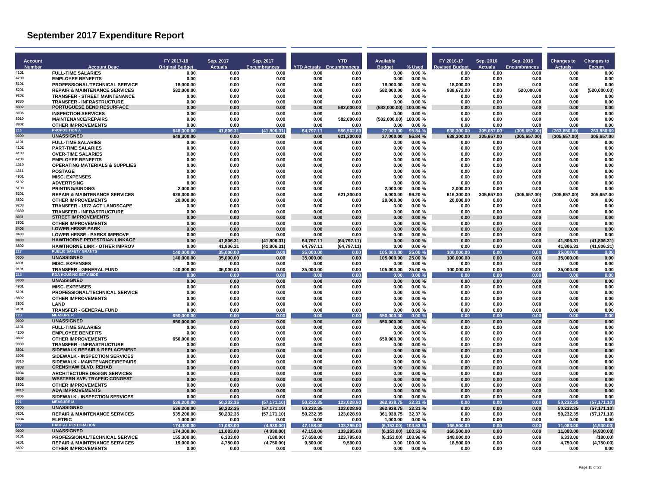| Account<br><b>Number</b> | <b>Account Desc</b>                                                              | FY 2017-18<br><b>Original Budget</b> | Sep. 2017<br><b>Actuals</b> | Sep. 2017<br><b>Encumbrances</b> |                        | <b>YTD</b><br><b>YTD Actuals Encumbrances</b> | <b>Available</b><br><b>Budget</b> | % Used             | FY 2016-17<br><b>evised Budget</b> | Sep. 2016<br><b>Actuals</b> | Sep. 2016<br><b>Encumbrances</b> | <b>Changes to</b><br><b>Actuals</b> | <b>Changes to</b><br>Encum |
|--------------------------|----------------------------------------------------------------------------------|--------------------------------------|-----------------------------|----------------------------------|------------------------|-----------------------------------------------|-----------------------------------|--------------------|------------------------------------|-----------------------------|----------------------------------|-------------------------------------|----------------------------|
| 4101                     | <b>FULL-TIME SALARIES</b>                                                        | 0.00                                 | 0.00                        | 0.00                             | 0.00                   | 0.00                                          | 0.00                              | 0.00%              | 0.00                               | 0.00                        | 0.00                             | 0.00                                | 0.00                       |
| 4200                     | <b>EMPLOYEE BENEFITS</b>                                                         | 0.00                                 | 0.00                        | 0.00                             | 0.00                   | 0.00                                          | 0.00                              | 0.00%              | 0.00                               | 0.00                        | 0.00                             | 0.00                                | 0.00                       |
| 5101<br>5201             | PROFESSIONAL/TECHNICAL SERVICE                                                   | 18.000.00                            | 0.00<br>0.00                | 0.00<br>0.00                     | 0.00                   | 0.00                                          | 18.000.00                         | 0.00%<br>0.00%     | 18.000.00                          | 0.00                        | 0.00                             | 0.00                                | 0.00                       |
| 9202                     | <b>REPAIR &amp; MAINTENANCE SERVICES</b><br><b>TRANSFER - STREET MAINTENANCE</b> | 582,000.00<br>0.00                   | 0.00                        | 0.00                             | 0.00<br>0.00           | 0.00<br>0.00                                  | 582,000.00<br>0.00                | 0.00%              | 938,672.00<br>0.00                 | 0.00<br>0.00                | 520,000.00<br>0.00               | 0.00<br>0.00                        | (520,000.00)<br>0.00       |
| 9330                     | <b>TRANSFER - INFRASTRUCTURE</b>                                                 | 0.00                                 | 0.00                        | 0.00                             | 0.00                   | 0.00                                          | 0.00                              | 0.00%              | 0.00                               | 0.00                        | 0.00                             | 0.00                                | 0.00                       |
| 8302                     | PORTUGUESE BEND RESURFACE                                                        | 0.00                                 | 0.00                        | 0.00                             | 0.00                   | 582.000.00                                    | (582.000.00)                      | 100.00%            | 0.00                               | 0.00                        | 0.00                             | 0.00                                | 0.00                       |
| 8006<br>8010             | <b>INSPECTION SERVICES</b>                                                       | 0.00                                 | 0.00                        | 0.00                             | 0.00                   | 0.00                                          | 0.00                              | 0.00%              | 0.00                               | 0.00                        | 0.00                             | 0.00                                | 0.00                       |
| 8802                     | <b>MAINTENANCE/REPAIRS</b><br><b>OTHER IMPROVEMENTS</b>                          | 0.00<br>0.00                         | 0.00<br>0.00                | 0.00<br>0.00                     | 0.00<br>0.00           | 582.000.00<br>0.00                            | (582.000.00)<br>0.00              | 100.00%<br>0.00%   | 0.00<br>0.00                       | 0.00<br>0.00                | 0.00<br>0.00                     | 0.00<br>0.00                        | 0.00<br>0.00               |
| 216                      | <b>PROPOSITION A</b>                                                             | 648,300.00                           | 806.31<br>41                | (41,8)<br>(6.31)                 | 64,797.11              | 556,502.89                                    | 27.000.00                         | 95.84 %            | 638,300.00                         | 305,657.00                  | (305, 657.00)                    | (263.850.69                         | 263,850.69                 |
| 0000                     | <b>UNASSIGNED</b>                                                                | 648,300.00                           | 0.00                        | 0.00                             | 0.00                   | 621,300.00                                    | 27,000.00                         | 95.84 %            | 638,300.00                         | 305,657.00                  | (305, 657.00)                    | (305, 657.00)                       | 305,657.00                 |
| 4101                     | <b>FULL-TIME SALARIES</b>                                                        | 0.00                                 | 0.00                        | 0.00                             | 0.00                   | 0.00                                          | 0.00                              | 0.00%              | 0.00                               | 0.00                        | 0.00                             | 0.00                                | 0.00                       |
| 4102<br>4103             | <b>PART-TIME SALARIES</b><br><b>OVER-TIME SALARIES</b>                           | 0.00<br>0.00                         | 0.00<br>0.00                | 0.00<br>0.00                     | 0.00<br>0.00           | 0.00<br>0.00                                  | 0.00<br>0.00                      | 0.00%<br>0.00%     | 0.00<br>0.00                       | 0.00<br>0.00                | 0.00<br>0.00                     | 0.00<br>0.00                        | 0.00<br>0.00               |
| 4200                     | <b>EMPLOYEE BENEFITS</b>                                                         | 0.00                                 | 0.00                        | 0.00                             | 0.00                   | 0.00                                          | 0.00                              | 0.00%              | 0.00                               | 0.00                        | 0.00                             | 0.00                                | 0.00                       |
| 4310                     | <b>OPERATING MATERIALS &amp; SUPPLIES</b>                                        | 0.00                                 | 0.00                        | 0.00                             | 0.00                   | 0.00                                          | 0.00                              | 0.00%              | 0.00                               | 0.00                        | 0.00                             | 0.00                                | 0.00                       |
| 4311                     | <b>POSTAGE</b>                                                                   | 0.00                                 | 0.00                        | 0.00                             | 0.00                   | 0.00                                          | 0.00                              | 0.00%              | 0.00                               | 0.00                        | 0.00                             | 0.00                                | 0.00                       |
| 4901<br>5102             | <b>MISC. EXPENSES</b>                                                            | 0.00                                 | 0.00                        | 0.00                             | 0.00                   | 0.00                                          | 0.00                              | 0.00%              | 0.00                               | 0.00                        | 0.00                             | 0.00                                | 0.00                       |
| 5103                     | <b>ADVERTISING</b><br><b>PRINTING/BINDING</b>                                    | 0.00<br>2,000.00                     | 0.00<br>0.00                | 0.00<br>0.00                     | 0.00<br>0.00           | 0.00<br>0.00                                  | 0.00<br>2.000.00                  | 0.00%<br>0.00%     | 0.00<br>2,000.00                   | 0.00<br>0.00                | 0.00<br>0.00                     | 0.00<br>0.00                        | 0.00<br>0.00               |
| 5201                     | <b>REPAIR &amp; MAINTENANCE SERVICES</b>                                         | 626.300.00                           | 0.00                        | 0.00                             | 0.00                   | 621.300.00                                    | 5.000.00                          | 99.20%             | 616.300.00                         | 305,657.00                  | (305, 657.00)                    | (305.657.00)                        | 305.657.00                 |
| 8802                     | <b>OTHER IMPROVEMENTS</b>                                                        | 20.000.00                            | 0.00                        | 0.00                             | 0.00                   | 0.00                                          | 20.000.00                         | 0.00%              | 20.000.00                          | 0.00                        | 0.00                             | 0.00                                | 0.00                       |
| 9203                     | <b>TRANSFER - 1972 ACT LANDSCAPE</b>                                             | 0.00                                 | 0.00                        | 0.00                             | 0.00                   | 0.00                                          | 0.00                              | 0.00%              | 0.00                               | 0.00                        | 0.00                             | 0.00                                | 0.00                       |
| 9330<br>8031             | TRANSFER - INFRASTRUCTURE<br><b>STREET IMPROVEMENTS</b>                          | 0.00                                 | 0.00                        | 0.00                             | 0.00                   | 0.00                                          | 0.00                              | 0.00%              | 0.00                               | 0.00                        | 0.00                             | 0.00                                | 0.00                       |
| 8802                     | <b>OTHER IMPROVEMENTS</b>                                                        | 0.00<br>0.00                         | 0.00<br>0.00                | 0.00<br>0.00                     | 0.00<br>0.00           | 0.00<br>0.00                                  | 0.00<br>0.00                      | 0.00%<br>0.00%     | 0.00<br>0.00                       | 0.00<br>0.00                | 0.00<br>0.00                     | 0.00<br>0.00                        | 0.00<br>0.00               |
| 8406                     | <b>LOWER HESSE PARK</b>                                                          | 0.00                                 | 0.00                        | 0.00                             | 0.00                   | 0.00                                          | 0.00                              | 0.00%              | 0.00                               | 0.00                        | 0.00                             | 0.00                                | 0.00                       |
| 8403                     | <b>LOWER HESSE - PARKS IMPROVE</b>                                               | 0.00                                 | 0.00                        | 0.00                             | 0.00                   | 0.00                                          | 0.00                              | 0.00%              | 0.00                               | 0.00                        | 0.00                             | 0.00                                | 0.00                       |
| 8803                     | <b>HAWTHORNE PEDESTRIAN LINKAGE</b>                                              | 0.00                                 | 41,806.31                   | (41.806.31)                      | 64.797.11              | (64.797.11)                                   | 0.00                              | $0.00 \%$          | 0.00                               | 0.00                        | 0.00                             | 41.806.31                           | (41.806.31)                |
| 8802<br>217              | <b>HAWTHORNE LINK - OTHER IMPROV</b><br><b>PUBLIC SAFETY GRANTS</b>              | 0.00<br>140.000.00                   | 41,806.31                   | (41,806.31)                      | 64,797.11              | (64, 797.11)                                  | 0.00<br>105.000.00                | 0.00%              | 0.00                               | 0.00                        | 0.00                             | 41,806.31                           | (41, 806.31)               |
| 0000                     | <b>UNASSIGNED</b>                                                                | 140,000.00                           | 35,000.00<br>35,000.00      | 0.00<br>0.00                     | 35,000.00<br>35,000.00 | 0.00<br>0.00                                  | 105,000.00                        | 25.00 %<br>25.00 % | 100,000.00<br>100,000.00           | 0.00<br>0.00                | 0.00<br>0.00                     | 35,000.00<br>35,000.00              | 0.00<br>0.00               |
| 4901                     | <b>MISC. EXPENSES</b>                                                            | 0.00                                 | 0.00                        | 0.00                             | 0.00                   | 0.00                                          | 0.00                              | 0.00%              | 0.00                               | 0.00                        | 0.00                             | 0.00                                | 0.00                       |
| 9101                     | TRANSFER - GENERAL FUND                                                          | 140,000.00                           | 35,000.00                   | 0.00                             | 35,000.00              | 0.00                                          | 105,000.00                        | 25.00 %            | 100,000.00                         | 0.00                        | 0.00                             | 35,000.00                           | 0.00                       |
| 218                      | <b>RDA HOUSING SET-ASIDE</b>                                                     | 0.00                                 | 0.00                        | 0.00                             | 0.00                   | 0.00                                          | 0.00                              | 0.00%              | 0.00                               | 0.00                        | 0.00                             | 0.00                                | 0.00                       |
| 0000<br>4901             | <b>UNASSIGNED</b><br><b>MISC. EXPENSES</b>                                       | 0.00<br>0.00                         | 0.00<br>0.00                | 0.00<br>0.00                     | 0.00<br>0.00           | 0.00<br>0.00                                  | 0.00<br>0.00                      | 0.00%<br>0.00%     | 0.00<br>0.00                       | 0.00<br>0.00                | 0.00<br>0.00                     | 0.00<br>0.00                        | 0.00<br>0.00               |
| 5101                     | PROFESSIONAL/TECHNICAL SERVICE                                                   | 0.00                                 | 0.00                        | 0.00                             | 0.00                   | 0.00                                          | 0.00                              | 0.00%              | 0.00                               | 0.00                        | 0.00                             | 0.00                                | 0.00                       |
| 8802                     | <b>OTHER IMPROVEMENTS</b>                                                        | 0.00                                 | 0.00                        | 0.00                             | 0.00                   | 0.00                                          | 0.00                              | 0.00%              | 0.00                               | 0.00                        | 0.00                             | 0.00                                | 0.00                       |
| 8803                     | <b>I AND</b>                                                                     | 0.00                                 | 0.00                        | 0.00                             | 0.00                   | 0.00                                          | 0.00                              | 0.00%              | 0.00                               | 0.00                        | 0.00                             | 0.00                                | 0.00                       |
| 9101<br>220              | <b>TRANSFER - GENERAL FUND</b><br><b>MEASURER</b>                                | 0.00<br>00.00<br>650.0               | 0.00<br>0.00                | 0.00                             | 0.00<br>0.00           | 0.00<br>0.00                                  | 0.00<br>650.000.00                | 0.00%<br>0.00%     | 0.00<br>0.00                       | 0.00<br>0.00                | 0.00                             | 0.00<br>0.00                        | 0.00<br>0.00               |
| 0000                     | <b>UNASSIGNED</b>                                                                | 650,000.00                           | 0.00                        | 0.00<br>0.00                     | 0.00                   | 0.00                                          | 650,000.00                        | 0.00%              | 0.00                               | 0.00                        | 0.00<br>0.00                     | 0.00                                | 0.00                       |
| 4101                     | <b>FULL-TIME SALARIES</b>                                                        | 0.00                                 | 0.00                        | 0.00                             | 0.00                   | 0.00                                          | 0.00                              | 0.00%              | 0.00                               | 0.00                        | 0.00                             | 0.00                                | 0.00                       |
| 4200                     | <b>EMPLOYEE BENEFITS</b>                                                         | 0.00                                 | 0.00                        | 0.00                             | 0.00                   | 0.00                                          | 0.00                              | 0.00%              | 0.00                               | 0.00                        | 0.00                             | 0.00                                | 0.00                       |
| 8802<br>9330             | <b>OTHER IMPROVEMENTS</b>                                                        | 650.000.00                           | 0.00                        | 0.00                             | 0.00                   | 0.00                                          | 650.000.00                        | 0.00%              | 0.00                               | 0.00                        | 0.00                             | 0.00                                | 0.00                       |
| 8801                     | <b>TRANSFER - INFRASTRUCTURE</b><br><b>SIDEWALK REPAIR &amp; REPLACEMENT</b>     | 0.00<br>0.00                         | 0.00<br>0.00                | 0.00<br>0.00                     | 0.00<br>0.00           | 0.00<br>0.00                                  | 0.00<br>0.00                      | 0.00%<br>0.00%     | 0.00<br>0.00                       | 0.00<br>0.00                | 0.00<br>0.00                     | 0.00<br>0.00                        | 0.00<br>0.00               |
| 8006                     | SIDEWALK - INSPECTION SERVICES                                                   | 0.00                                 | 0.00                        | 0.00                             | 0.00                   | 0.00                                          | 0.00                              | 0.00%              | 0.00                               | 0.00                        | 0.00                             | 0.00                                | 0.00                       |
| 8010                     | SIDEWALK - MAINTENANCE/REPAIRS                                                   | 0.00                                 | 0.00                        | 0.00                             | 0.00                   | 0.00                                          | 0.00                              | 0.00%              | 0.00                               | 0.00                        | 0.00                             | 0.00                                | 0.00                       |
| 8808                     | <b>CRENSHAW BLVD, REHAB</b>                                                      | 0.00                                 | 0.00                        | 0.00                             | 0.00                   | 0.00                                          | 0.00                              | 0.00%              | 0.00                               | 0.00                        | 0.00                             | 0.00                                | 0.00                       |
| 8004<br>8809             | <b>ARCHITECTURE DESIGN SERVICES</b><br><b>WESTERN AVE. TRAFFIC CONGEST</b>       | 0.00<br>0.00                         | 0.00<br>0.00                | 0.00<br>0.00                     | 0.00<br>0.00           | 0.00<br>0.00                                  | 0.00<br>0.00                      | 0.00%<br>0.00%     | 0.00<br>0.00                       | 0.00<br>0.00                | 0.00<br>0.00                     | 0.00<br>0.00                        | 0.00<br>0.00               |
| 8802                     | <b>OTHER IMPROVEMENTS</b>                                                        | 0.00                                 | 0.00                        | 0.00                             | 0.00                   | 0.00                                          | 0.00                              | 0.00%              | 0.00                               | 0.00                        | 0.00                             | 0.00                                | 0.00                       |
| 8810                     | <b>ADA IMPROVEMENTS</b>                                                          | 0.00                                 | 0.00                        | 0.00                             | 0.00                   | 0.00                                          | 0.00                              | 0.00%              | 0.00                               | 0.00                        | 0.00                             | 0.00                                | 0.00                       |
| 8006                     | SIDEWALK - INSPECTION SERVICES                                                   | 0.00                                 | 0.00                        | 0.00                             | 0.00                   | 0.00                                          | 0.00                              | 0.00%              | 0.00                               | 0.00                        | 0.00                             | 0.00                                | 0.00                       |
| 221                      | <b>MEASURE M</b>                                                                 | 536,200.00                           | 50,232,35                   | (57, 171.10)                     | 50,232.35              | 123.028.90                                    | 362.938.75                        | 32.31%             | 0.00                               | 0.00                        | 0.00                             | 50.232.35                           | (57, 171.10)               |
| 0000<br>5201             | <b>UNASSIGNED</b>                                                                | 536,200.00                           | 50,232.35                   | (57, 171.10)                     | 50,232.35              | 123,028.90                                    | 362,938.75                        | 32.31 %            | 0.00                               | 0.00                        | 0.00                             | 50,232.35                           | (57, 171.10)               |
| 5304                     | <b>REPAIR &amp; MAINTENANCE SERVICES</b><br><b>ELETRIC</b>                       | 535,200.00<br>1.000.00               | 50,232.35<br>0.00           | (57, 171.10)<br>0.00             | 50,232.35<br>0.00      | 123,028.90<br>0.00                            | 361,938.75<br>1.000.00            | 32.37 %<br>0.00%   | 0.00<br>0.00                       | 0.00<br>0.00                | 0.00<br>0.00                     | 50,232.35<br>0.00                   | (57, 171.10)<br>0.00       |
| 222                      | <b>HABITAT RESTORATION</b>                                                       | 174,300.00                           | 11,083.00                   | (4,930.00)                       | 47,158.00              | 133,295.00                                    | (6, 153.00)                       | $103.53\%$         | 166.500.00                         | 0.00                        | 0.00                             | 11,083.00                           | (4,930.00)                 |
| 0000                     | <b>UNASSIGNED</b>                                                                | 174,300.00                           | 11,083.00                   | (4,930.00)                       | 47,158.00              | 133,295.00                                    | (6, 153.00)                       | 103.53%            | 166,500.00                         | 0.00                        | 0.00                             | 11,083.00                           | (4,930.00)                 |
| 5101                     | PROFESSIONAL/TECHNICAL SERVICE                                                   | 155.300.00                           | 6.333.00                    | (180.00)                         | 37.658.00              | 123.795.00                                    | (6.153.00)                        | 103.96%            | 148.000.00                         | 0.00                        | 0.00                             | 6.333.00                            | (180.00)                   |
| 5201<br>8802             | <b>REPAIR &amp; MAINTENANCE SERVICES</b><br><b>OTHER IMPROVEMENTS</b>            | 19.000.00<br>0.00                    | 4,750.00<br>0.00            | (4,750.00)<br>0.00               | 9,500.00<br>0.00       | 9,500.00<br>0.00                              | 0.00<br>0.00                      | 100.00%<br>0.00%   | 18.500.00<br>0.00                  | 0.00<br>0.00                | 0.00<br>0.00                     | 4,750.00<br>0.00                    | (4,750.00)<br>0.00         |
|                          |                                                                                  |                                      |                             |                                  |                        |                                               |                                   |                    |                                    |                             |                                  |                                     |                            |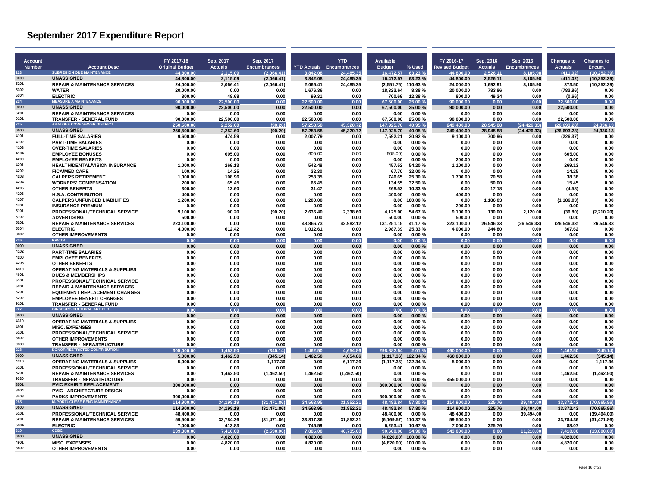| <b>Account</b><br><b>Number</b> |                                                                         | FY 2017-18<br><b>Original Budget</b> | Sep. 2017<br><b>Actuals</b> | Sep. 2017<br><b>Encumbrances</b> |                        | <b>YTD</b><br><b>YTD Actuals</b> Encumbrances | Available<br><b>Budget</b> | % Used               | FY 2016-17<br><b>Revised Budget</b> | Sep. 2016<br><b>Actuals</b> | Sep. 2016<br><b>Encumbrances</b> | <b>Changes to</b><br><b>Actuals</b> | <b>Changes to</b><br>Encum. |
|---------------------------------|-------------------------------------------------------------------------|--------------------------------------|-----------------------------|----------------------------------|------------------------|-----------------------------------------------|----------------------------|----------------------|-------------------------------------|-----------------------------|----------------------------------|-------------------------------------|-----------------------------|
| 223                             | <b>Account Desc</b><br><b>SUBREGION ONE MAINTENANCE</b>                 | 44.800.00                            | 2.115.09                    | (2,066.41)                       | 3.842.08               | 24.485.35                                     | 16.472.57                  | 63.23 %              | 44.800.00                           | 2.526.11                    | 8.185.98                         | (411.02)                            | (10.252.39)                 |
| 0000                            | <b>UNASSIGNED</b>                                                       | 44.800.00                            | 2.115.09                    | (2.066.41)                       | 3,842.08               | 24.485.35                                     | 16.472.57                  | 63.23 %              | 44.800.00                           | 2.526.11                    | 8.185.98                         | (411.02)                            | (10.252.39)                 |
| 5201<br>5302                    | <b>REPAIR &amp; MAINTENANCE SERVICES</b>                                | 24,000.00                            | 2,066.41                    | (2,066.41)                       | 2,066.41               | 24,485.35                                     | (2,551.76) 110.63%         |                      | 24,000.00                           | 1,692.91                    | 8,185.98                         | 373.50                              | (10, 252.39)                |
| 5304                            | <b>WATER</b><br><b>ELECTRIC</b>                                         | 20,000.00<br>800.00                  | 0.00<br>48.68               | 0.00<br>0.00                     | 1,676.36<br>99.31      | 0.00<br>0.00                                  | 18,323.64<br>700.69        | 8.38%<br>12.38%      | 20,000.00<br>800.00                 | 783.86<br>49.34             | 0.00<br>0.00                     | (783.86)<br>(0.66)                  | 0.00<br>0.00                |
| 224                             | <b>MEASURE A MAINTENANCE</b>                                            | 90.000.00                            | 22,500.00                   | 0.00                             | 22.500.00              | 0.00                                          | 67.500.00                  | 25.00 %              | 90.000.00                           | 0.00                        | 0.00                             | 22,500.00                           | 0.00                        |
| 0000                            | <b>UNASSIGNED</b>                                                       | 90,000.00                            | 22,500.00                   | 0.00                             | 22,500.00              | 0.00                                          | 67,500.00                  | 25.00 %              | 90,000.00                           | 0.00                        | 0.00                             | 22,500.00                           | 0.00                        |
| 5201                            | <b>REPAIR &amp; MAINTENANCE SERVICES</b>                                | 0.00                                 | 0.00                        | 0.00                             | 0.00                   | 0.00                                          | 0.00                       | 0.00%                | 0.00                                | 0.00                        | 0.00                             | 0.00                                | 0.00                        |
| 9101<br>225                     | <b>TRANSFER - GENERAL FUND</b><br><b>ABALONE COVE SEWER DISTRICT</b>    | 90.000.00<br>250,500.0               | 22.500.00<br>2.252.60       | 0.00<br>90.20)                   | 22.500.00<br>57,253.58 | 0.00<br>45.320.72                             | 67.500.00<br>147.925.70    | 25.00 %<br>40.95%    | 90.000.00<br>249.400.00             | 0.00<br>28.945.88           | 0.00<br>(24, 426.33)             | 22.500.00<br>(26.693.28)            | 0.00<br>24,336.13           |
| 0000                            | <b>UNASSIGNED</b>                                                       | 250,500.00                           | 2,252.60                    | (90.20)                          | 57,253.58              | 45,320.72                                     | 147,925.70                 | 40.95 %              | 249,400.00                          | 28,945.88                   | (24, 426.33)                     | (26, 693.28)                        | 24,336.13                   |
| 4101                            | <b>FULL-TIME SALARIES</b>                                               | 9.600.00                             | 474.59                      | 0.00                             | 2.007.79               | 0.00                                          | 7.592.21                   | 20.92 %              | 9.100.00                            | 700.96                      | 0.00                             | (226.37)                            | 0.00                        |
| 4102                            | <b>PART-TIME SALARIES</b>                                               | 0.00                                 | 0.00                        | 0.00                             | 0.00                   | 0.00                                          | 0.00                       | 0.00%                | 0.00                                | 0.00                        | 0.00                             | 0.00                                | 0.00                        |
| 4103<br>4104                    | <b>OVER-TIME SALARIES</b><br><b>EMPLOYEE BONUSES</b>                    | 0.00<br>0.00                         | 0.00<br>605.00              | 0.00<br>0.00                     | 0.00<br>605.00         | 0.00<br>0.00                                  | 0.00<br>(605.00)           | 0.00%<br>0.00%       | 0.00<br>0.00                        | 0.00<br>0.00                | 0.00<br>0.00                     | 0.00<br>605.00                      | 0.00<br>0.00                |
| 4200                            | <b>EMPLOYEE BENEFITS</b>                                                | 0.00                                 | 0.00                        | 0.00                             | 0.00                   | 0.00                                          | 0.00                       | 0.00%                | 200.00                              | 0.00                        | 0.00                             | 0.00                                | 0.00                        |
| 4201                            | <b>HEALTH/DENTAL/VISION INSURANCE</b>                                   | 1,000.00                             | 269.13                      | 0.00                             | 542.48                 | 0.00                                          | 457.52                     | 54.20%               | 1,100.00                            | 0.00                        | 0.00                             | 269.13                              | 0.00                        |
| 4202                            | <b>FICA/MEDICARE</b>                                                    | 100.00                               | 14.25                       | 0.00                             | 32.30                  | 0.00                                          | 67.70                      | 32.00 %              | 0.00                                | 0.00                        | 0.00                             | 14.25                               | 0.00                        |
| 4203<br>4204                    | <b>CALPERS RETIREMENT</b>                                               | 1.000.00                             | 108.96                      | 0.00                             | 253.35                 | 0.00                                          | 746.65                     | 25.30 %              | 1.700.00                            | 70.58                       | 0.00                             | 38.38                               | 0.00                        |
| 4205                            | <b>WORKERS' COMPENSATION</b><br><b>OTHER BENEFITS</b>                   | 200.00<br>300.00                     | 65.45<br>12.60              | 0.00<br>0.00                     | 65.45<br>31.47         | 0.00<br>0.00                                  | 134.55<br>268.53           | 32.50%<br>10.33 %    | 0.00<br>0.00                        | 50.00<br>17.18              | 0.00<br>0.00                     | 15.45<br>(4.58)                     | 0.00<br>0.00                |
| 4206                            | <b>H.S.A. CONTRIBUTION</b>                                              | 400.00                               | 0.00                        | 0.00                             | 0.00                   | 0.00                                          | 400.00                     | 0.00%                | 400.00                              | 0.00                        | 0.00                             | 0.00                                | 0.00                        |
| 4207                            | <b>CALPERS UNFUNDED LIABILITIES</b>                                     | 1.200.00                             | 0.00                        | 0.00                             | 1.200.00               | 0.00                                          | 0.00                       | 100.00%              | 0.00                                | 1.186.03                    | 0.00                             | (1, 186.03)                         | 0.00                        |
| 4701                            | <b>INSURANCE PREMIUM</b>                                                | 0.00                                 | 0.00                        | 0.00                             | 0.00                   | 0.00                                          | 0.00                       | $0.00 \%$            | 200.00                              | 0.00                        | 0.00                             | 0.00                                | 0.00                        |
| 5101                            | <b>PROFESSIONAL/TECHNICAL SERVICE</b>                                   | 9,100.00                             | 90.20                       | (90.20)                          | 2,636.40               | 2,338.60                                      | 4,125.00                   | 54.67%               | 9,100.00                            | 130.00                      | 2,120.00                         | (39.80)                             | (2,210.20)                  |
| 5102<br>520                     | <b>ADVERTISING</b><br><b>REPAIR &amp; MAINTENANCE SERVICES</b>          | 500.00<br>223.100.00                 | 0.00<br>0.00                | 0.00<br>0.00                     | 0.00<br>48.866.73      | 0.00<br>42.982.12                             | 500.00<br>131.251.15       | 0.00%<br>41.17%      | 500.00<br>223.100.00                | 0.00<br>26.546.33           | 0.00<br>(26, 546.33)             | 0.00<br>(26, 546.33)                | 0.00<br>26.546.33           |
| 5304                            | <b>ELECTRIC</b>                                                         | 4,000.00                             | 612.42                      | 0.00                             | 1,012.61               | 0.00                                          | 2,987.39                   | 25.33 %              | 4,000.00                            | 244.80                      | 0.00                             | 367.62                              | 0.00                        |
| 8802                            | <b>OTHER IMPROVEMENTS</b>                                               | 0.00                                 | 0.00                        | 0.00                             | 0.00                   | 0.00                                          | 0.00                       | 0.00%                | 0.00                                | 0.00                        | 0.00                             | 0.00                                | 0.00                        |
| 226                             | <b>RPV TV</b>                                                           | 0.00                                 | 0.00                        | 0.00                             | 0.00                   | 0.00                                          | 0.00                       | 0.00%                | 0.00                                | 0.00                        | 0.00                             | 0.00                                | 0.00                        |
| 0000                            | <b>UNASSIGNED</b>                                                       | 0.00                                 | 0.00                        | 0.00                             | 0.00                   | 0.00                                          | 0.00                       | 0.00%                | 0.00                                | 0.00                        | 0.00                             | 0.00                                | 0.00                        |
| 4102<br>4200                    | <b>PART-TIME SALARIES</b><br><b>EMPLOYEE BENEFITS</b>                   | 0.00<br>0.00                         | 0.00<br>0.00                | 0.00<br>0.00                     | 0.00<br>0.00           | 0.00<br>0.00                                  | 0.00<br>0.00               | 0.00%<br>0.00%       | 0.00<br>0.00                        | 0.00<br>0.00                | 0.00<br>0.00                     | 0.00<br>0.00                        | 0.00<br>0.00                |
| 4205                            | <b>OTHER BENEFITS</b>                                                   | 0.00                                 | 0.00                        | 0.00                             | 0.00                   | 0.00                                          | 0.00                       | 0.00%                | 0.00                                | 0.00                        | 0.00                             | 0.00                                | 0.00                        |
| 4310                            | <b>OPERATING MATERIALS &amp; SUPPLIES</b>                               | 0.00                                 | 0.00                        | 0.00                             | 0.00                   | 0.00                                          | 0.00                       | 0.00%                | 0.00                                | 0.00                        | 0.00                             | 0.00                                | 0.00                        |
| 4601                            | <b>DUES &amp; MEMBERSHIPS</b>                                           | 0.00                                 | 0.00                        | 0.00                             | 0.00                   | 0.00                                          | 0.00                       | 0.00%                | 0.00                                | 0.00                        | 0.00                             | 0.00                                | 0.00                        |
| 5101                            | PROFESSIONAL/TECHNICAL SERVICE                                          | 0.00                                 | 0.00                        | 0.00                             | 0.00                   | 0.00                                          | 0.00                       | 0.00%                | 0.00                                | 0.00                        | 0.00                             | 0.00                                | 0.00                        |
| 5201<br>6201                    | <b>REPAIR &amp; MAINTENANCE SERVICES</b>                                | 0.00<br>0.00                         | 0.00<br>0.00                | 0.00<br>0.00                     | 0.00<br>0.00           | 0.00                                          | 0.00<br>0.00               | 0.00%<br>0.00%       | 0.00<br>0.00                        | 0.00<br>0.00                | 0.00<br>0.00                     | 0.00<br>0.00                        | 0.00<br>0.00                |
| 6202                            | <b>EQUIPMENT REPLACEMENT CHARGES</b><br><b>EMPLOYEE BENEFIT CHARGES</b> | 0.00                                 | 0.00                        | 0.00                             | 0.00                   | 0.00<br>0.00                                  | 0.00                       | 0.00%                | 0.00                                | 0.00                        | 0.00                             | 0.00                                | 0.00                        |
| 9101                            | <b>TRANSFER - GENERAL FUND</b>                                          | 0.00                                 | 0.00                        | 0.00                             | 0.00                   | 0.00                                          | 0.00                       | 0.00%                | 0.00                                | 0.00                        | 0.00                             | 0.00                                | 0.00                        |
| 227                             | <b>GINSBURG CULTURAL ART BLD</b>                                        | 0.00                                 | 0.00                        | 0.00                             | 0.00                   | 0.00                                          | 0.00                       | 0.00%                | 0.00                                | 0.00                        | 0.00                             | 0.00                                | 0.00                        |
| 0000                            | <b>UNASSIGNED</b>                                                       | 0.00                                 | 0.00                        | 0.00                             | 0.00                   | 0.00                                          | 0.00                       | 0.00%                | 0.00                                | 0.00                        | 0.00                             | 0.00                                | 0.00                        |
| 4310<br>4901                    | <b>OPERATING MATERIALS &amp; SUPPLIES</b><br><b>MISC. EXPENSES</b>      | 0.00<br>0.00                         | 0.00<br>0.00                | 0.00<br>0.00                     | 0.00<br>0.00           | 0.00<br>0.00                                  | 0.00<br>0.00               | 0.00%<br>0.00%       | 0.00<br>0.00                        | 0.00<br>0.00                | 0.00<br>0.00                     | 0.00<br>0.00                        | 0.00<br>0.00                |
| 5101                            | PROFESSIONAL/TECHNICAL SERVICE                                          | 0.00                                 | 0.00                        | 0.00                             | 0.00                   | 0.00                                          | 0.00                       | 0.00%                | 0.00                                | 0.00                        | 0.00                             | 0.00                                | 0.00                        |
| 8802                            | <b>OTHER IMPROVEMENTS</b>                                               | 0.00                                 | 0.00                        | 0.00                             | 0.00                   | 0.00                                          | 0.00                       | 0.00%                | 0.00                                | 0.00                        | 0.00                             | 0.00                                | 0.00                        |
| 9330                            | <b>TRANSFER - INFRASTRUCTURE</b>                                        | 0.00                                 | 0.00                        | 0.00                             | 0.00                   | 0.00                                          | 0.00                       | 0.00%                | 0.00                                | 0.00                        | 0.00                             | 0.00                                | 0.00                        |
| 228                             | <b>DONOR RESTRICTED CONTRIBUTION</b>                                    | 305.<br>nn nr                        | 1.462.50                    | (345.14)                         | 1.462.50               | 4.654.86                                      | 298,882.64                 | 2.01%                | 460.000.00                          | 0.00                        | 0.00                             | 462.50                              | (345.14)                    |
| 0000<br>4310                    | <b>UNASSIGNED</b><br><b>OPERATING MATERIALS &amp; SUPPLIES</b>          | 5,000.00<br>5,000.00                 | 1,462.50<br>0.00            | (345.14)<br>1.117.36             | 1.462.50<br>0.00       | 4,654.86<br>6,117.36                          | (1, 117.36)<br>(1, 117.36) | 122.34 %<br>122.34 % | 460,000.00<br>5.000.00              | 0.00<br>0.00                | 0.00<br>0.00                     | 1,462.50<br>0.00                    | (345.14)<br>1.117.36        |
| 5101                            | PROFESSIONAL/TECHNICAL SERVICE                                          | 0.00                                 | 0.00                        | 0.00                             | 0.00                   | 0.00                                          | 0.00                       | 0.00%                | 0.00                                | 0.00                        | 0.00                             | 0.00                                | 0.00                        |
| $520^{\circ}$                   | <b>REPAIR &amp; MAINTENANCE SERVICES</b>                                | 0.00                                 | 1,462.50                    | (1,462.50)                       | 1.462.50               | (1,462.50)                                    | 0.00                       | 0.00%                | 0.00                                | 0.00                        | 0.00                             | 1.462.50                            | (1.462.50)                  |
| 9330                            | <b>TRANSFER - INFRASTRUCTURE</b>                                        | 0.00                                 | 0.00                        | 0.00                             | 0.00                   | 0.00                                          | 0.00                       | 0.00%                | 455.000.00                          | 0.00                        | 0.00                             | 0.00                                | 0.00                        |
| 8501<br>8004                    | <b>PVIC EXHIBIT REPLACEMENT</b>                                         | 300,000.00                           | 0.00                        | 0.00                             | 0.00                   | 0.00                                          | 300,000.00                 | 0.00%                | 0.00                                | 0.00                        | 0.00                             | 0.00                                | 0.00                        |
| 8403                            | <b>PVIC - ARCHITECTURE DESIGN</b><br><b>PARKS IMPROVEMENTS</b>          | 0.00<br>300,000.00                   | 0.00<br>0.00                | 0.00<br>0.00                     | 0.00<br>0.00           | 0.00<br>0.00                                  | 0.00<br>300,000.00         | 0.00%<br>0.00%       | 0.00<br>0.00                        | 0.00<br>0.00                | 0.00<br>0.00                     | 0.00<br>0.00                        | 0.00<br>0.00                |
| 285                             | IA PORTUGUESE BEND MAINTENANCE                                          | 114.900.00                           | 34,198.19                   | (31, 471.86)                     | 34.563.95              | 31.852.21                                     | 48.483.84                  | 57.80 %              | 114,900.00                          | 325.76                      | 39.494.00                        | 33.872.43                           | (70.965.86)                 |
| 0000                            | <b>UNASSIGNED</b>                                                       | 114,900.00                           | 34,198.19                   | (31, 471.86)                     | 34,563.95              | 31,852.21                                     | 48,483.84                  | 57.80 %              | 114,900.00                          | 325.76                      | 39,494.00                        | 33,872.43                           | (70, 965.86)                |
| 5101                            | <b>PROFESSIONAL/TECHNICAL SERVICE</b>                                   | 48,400.00                            | 0.00                        | 0.00                             | 0.00                   | 0.00                                          | 48.400.00                  | 0.00%                | 48.400.00                           | 0.00                        | 39,494.00                        | 0.00                                | (39, 494.00)                |
| 5201<br>5304                    | <b>REPAIR &amp; MAINTENANCE SERVICES</b>                                | 59.500.00                            | 33.784.36                   | (31.471.86)                      | 33.817.36              | 31.852.21                                     | (6.169.57) 110.37 %        |                      | 59.500.00                           | 0.00                        | 0.00                             | 33.784.36                           | (31.471.86)                 |
| 310                             | <b>ELECTRIC</b><br>CDB                                                  | 7,000.00<br>139.300.00               | 413.83<br>7,410.00          | 0.00<br>(2,5)<br>0.00)           | 746.59<br>7.885.00     | 0.00<br>40,735.00                             | 6,253.41<br>90.680.00      | 10.67%<br>34.90 %    | 7,000.00<br>343,000.00              | 325.76<br>0.00              | 0.00<br>11,210.00                | 88.07<br>7,410.00                   | 0.00<br>(13,800.00)         |
| 0000                            | <b>UNASSIGNED</b>                                                       | 0.00                                 | 4.820.00                    | 0.00                             | 4.820.00               | 0.00                                          | (4.820.00)                 | 100.00%              | 0.00                                | 0.00                        | 0.00                             | 4.820.00                            | 0.00                        |
| 4901                            | <b>MISC. EXPENSES</b>                                                   | 0.00                                 | 4,820.00                    | 0.00                             | 4,820.00               | 0.00                                          | (4.820.00)                 | 100.00%              | 0.00                                | 0.00                        | 0.00                             | 4.820.00                            | 0.00                        |
| 8802                            | <b>OTHER IMPROVEMENTS</b>                                               | 0.00                                 | 0.00                        | 0.00                             | 0.00                   | 0.00                                          | 0.00                       | 0.00%                | 0.00                                | 0.00                        | 0.00                             | 0.00                                | 0.00                        |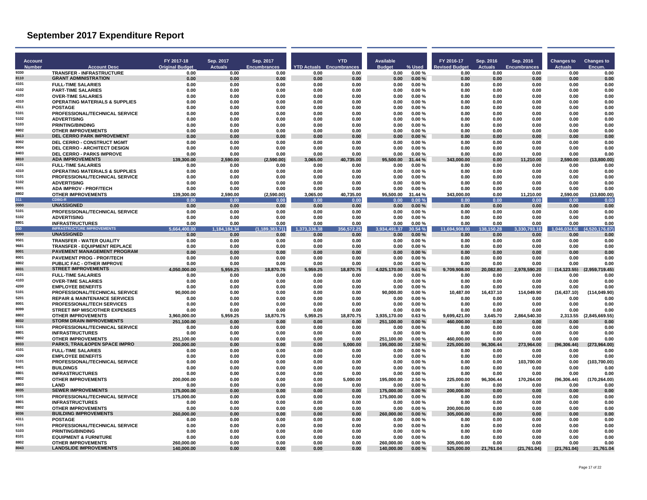| <b>Account</b> |                                                                 | FY 2017-18                 | Sep. 2017              | Sep. 2017                      |                      | <b>YTD</b>                      | Available                  |                    | FY 2016-17                    | Sep. 2016             | Sep. 2016                   | <b>Changes to</b>    | <b>Changes to</b>      |
|----------------|-----------------------------------------------------------------|----------------------------|------------------------|--------------------------------|----------------------|---------------------------------|----------------------------|--------------------|-------------------------------|-----------------------|-----------------------------|----------------------|------------------------|
| Number<br>9330 | <b>Account Desc</b><br>TRANSFER - INFRASTRUCTURE                | <b>Original Budget</b>     | <b>Actuals</b><br>0.00 | <b>Encumbrances</b>            | 0.00                 | <b>YTD Actuals Encumbrances</b> | <b>Budget</b><br>0.00      | % Used             | <b>Revised Budget</b><br>0.00 | <b>Actuals</b>        | <b>Encumbrances</b><br>0.00 | <b>Actuals</b>       | <b>Encum</b><br>0.00   |
| 8110           | <b>GRANT ADMINISTRATION</b>                                     | 0.00<br>0.00               | 0.00                   | 0.00<br>0.00                   | 0.00                 | 0.00<br>0.00                    | 0.00                       | 0.00%<br>0.00%     | 0.00                          | 0.00<br>0.00          | 0.00                        | 0.00<br>0.00         | 0.00                   |
| 4101           | <b>FULL-TIME SALARIES</b>                                       | 0.00                       | 0.00                   | 0.00                           | 0.00                 | 0.00                            | 0.00                       | 0.00%              | 0.00                          | 0.00                  | 0.00                        | 0.00                 | 0.00                   |
| 4102           | <b>PART-TIME SALARIES</b>                                       | 0.00                       | 0.00                   | 0.00                           | 0.00                 | 0.00                            | 0.00                       | 0.00%              | 0.00                          | 0.00                  | 0.00                        | 0.00                 | 0.00                   |
| 4103<br>4310   | <b>OVER-TIME SALARIES</b>                                       | 0.00                       | 0.00                   | 0.00                           | 0.00                 | 0.00                            | 0.00                       | 0.00%              | 0.00                          | 0.00                  | 0.00                        | 0.00                 | 0.00                   |
| 4311           | <b>OPERATING MATERIALS &amp; SUPPLIES</b><br><b>POSTAGE</b>     | 0.00<br>0.00               | 0.00<br>0.00           | 0.00<br>0.00                   | 0.00<br>0.00         | 0.00<br>0.00                    | 0.00<br>0.00               | 0.00%<br>0.00%     | 0.00<br>0.00                  | 0.00<br>0.00          | 0.00<br>0.00                | 0.00<br>0.00         | 0.00<br>0.00           |
| 5101           | PROFESSIONAL/TECHNICAL SERVICE                                  | 0.00                       | 0.00                   | 0.00                           | 0.00                 | 0.00                            | 0.00                       | 0.00%              | 0.00                          | 0.00                  | 0.00                        | 0.00                 | 0.00                   |
| 5102           | <b>ADVERTISING</b>                                              | 0.00                       | 0.00                   | 0.00                           | 0.00                 | 0.00                            | 0.00                       | 0.00%              | 0.00                          | 0.00                  | 0.00                        | 0.00                 | 0.00                   |
| 5103<br>8802   | <b>PRINTING/BINDING</b>                                         | 0.00                       | 0.00                   | 0.00                           | 0.00                 | 0.00                            | 0.00                       | 0.00%              | 0.00                          | 0.00                  | 0.00                        | 0.00                 | 0.00                   |
| 8413           | <b>OTHER IMPROVEMENTS</b><br>DEL CERRO PARK IMPROVEMENT         | 0.00<br>0.00               | 0.00<br>0.00           | 0.00<br>0.00                   | 0.00<br>0.00         | 0.00<br>0.00                    | 0.00<br>0.00               | 0.00%<br>0.00%     | 0.00<br>0.00                  | 0.00<br>0.00          | 0.00<br>0.00                | 0.00<br>0.00         | 0.00<br>0.00           |
| 8002           | <b>DEL CERRO - CONSTRUCT MGMT</b>                               | 0.00                       | 0.00                   | 0.00                           | 0.00                 | 0.00                            | 0.00                       | 0.00%              | 0.00                          | 0.00                  | 0.00                        | 0.00                 | 0.00                   |
| 8004           | DEL CERRO - ARCHITECT DESIGN                                    | 0.00                       | 0.00                   | 0.00                           | 0.00                 | 0.00                            | 0.00                       | 0.00%              | 0.00                          | 0.00                  | 0.00                        | 0.00                 | 0.00                   |
| 8403           | <b>DEL CERRO - PARKS IMPROVE</b>                                | 0.00                       | 0.00                   | 0.00                           | 0.00                 | 0.00                            | 0.00                       | 0.00%              | 0.00                          | 0.00                  | 0.00                        | 0.00                 | 0.00                   |
| 8810<br>4101   | <b>ADA IMPROVEMENTS</b><br><b>FULL-TIME SALARIES</b>            | 139,300.00<br>0.00         | 2,590.00<br>0.00       | (2,590.00)<br>0.00             | 3,065.00<br>0.00     | 40,735.00<br>0.00               | 95,500.00<br>0.00          | 31.44 %<br>0.00%   | 343,000.00<br>0.00            | 0.00<br>0.00          | 11,210.00<br>0.00           | 2,590.00<br>0.00     | (13,800.00)<br>0.00    |
| 4310           | <b>OPERATING MATERIALS &amp; SUPPLIES</b>                       | 0.00                       | 0.00                   | 0.00                           | 0.00                 | 0.00                            | 0.00                       | 0.00%              | 0.00                          | 0.00                  | 0.00                        | 0.00                 | 0.00                   |
| 5101           | PROFESSIONAL/TECHNICAL SERVICE                                  | 0.00                       | 0.00                   | 0.00                           | 0.00                 | 0.00                            | 0.00                       | 0.00%              | 0.00                          | 0.00                  | 0.00                        | 0.00                 | 0.00                   |
| 5102           | <b>ADVERTISING</b>                                              | 0.00                       | 0.00                   | 0.00                           | 0.00                 | 0.00                            | 0.00                       | 0.00%              | 0.00                          | 0.00                  | 0.00                        | 0.00                 | 0.00                   |
| 8001<br>8802   | <b>ADA IMPROV - PROF/TECH</b>                                   | 0.00                       | 0.00                   | 0.00                           | 0.00                 | 0.00                            | 0.00                       | 0.00%              | 0.00                          | 0.00                  | 0.00                        | 0.00                 | 0.00                   |
| 311            | <b>OTHER IMPROVEMENTS</b><br><b>CDBG-R</b>                      | 139,300.00<br>0.00         | 2.590.00<br>0.00       | (2,590.00)<br>0.00             | 3,065.00<br>0.01     | 40,735.00<br>0.00               | 95,500.00<br>0.00          | 31.44 %<br>0.00%   | 343,000.00<br>0.00            | 0.00<br>0.00          | 11,210.00<br>0.00           | 2.590.00<br>0.00     | (13,800.00)<br>0.00    |
| 0000           | <b>UNASSIGNED</b>                                               | 0.00                       | 0.00                   | 0.00                           | 0.00                 | 0.00                            | 0.00                       | 0.00%              | 0.00                          | 0.00                  | 0.00                        | 0.00                 | 0.00                   |
| 5101           | PROFESSIONAL/TECHNICAL SERVICE                                  | 0.00                       | 0.00                   | 0.00                           | 0.00                 | 0.00                            | 0.00                       | 0.00%              | 0.00                          | 0.00                  | 0.00                        | 0.00                 | 0.00                   |
| 5102           | <b>ADVERTISING</b>                                              | 0.00                       | 0.00                   | 0.00                           | 0.00                 | 0.00                            | 0.00                       | 0.00%              | 0.00                          | 0.00                  | 0.00                        | 0.00                 | 0.00                   |
| 8801<br>330    | <b>INFRASTRUCTURES</b><br><b>INFRASTRUCTURE IMPROVEMENTS</b>    | 0.00<br>5.664.400.00       | 0.00<br>1,184,184,34   | 0.00<br>(1, 189, 31)<br>83.71) | 0.00<br>1,373,336.38 | 0.00<br>356,572.25              | 0.00<br>3.934,491.37       | 0.00%<br>30.54 %   | 0.00<br>11,694,908.00         | 0.00<br>50.28<br>138. | 0.00<br>3,330,793.16        | 0.00<br>1,046,034.06 | 0.00<br>4,520,176.87)  |
| 0000           | <b>UNASSIGNED</b>                                               | 0.00                       | 0.00                   | 0.00                           | 0.00                 | 0.00                            | 0.00                       | 0.00%              | 0.00                          | 0.00                  | 0.00                        | 0.00                 | 0.00                   |
| 9501           | <b>TRANSFER - WATER QUALITY</b>                                 | 0.00                       | 0.00                   | 0.00                           | 0.00                 | 0.00                            | 0.00                       | 0.00%              | 0.00                          | 0.00                  | 0.00                        | 0.00                 | 0.00                   |
| 9681           | <b>TRANSFER - EQUIPMENT REPLACE</b>                             | 0.00                       | 0.00                   | 0.00                           | 0.00                 | 0.00                            | 0.00                       | 0.00%              | 0.00                          | 0.00                  | 0.00                        | 0.00                 | 0.00                   |
| 8001<br>8001   | PAVEMENT MANAGEMENT PROGRAM<br><b>PAVEMENT PROG - PROF/TECH</b> | 0.00<br>0.00               | 0.00<br>0.00           | 0.00<br>0.00                   | 0.00<br>0.00         | 0.00<br>0.00                    | 0.00<br>0.00               | 0.00%<br>0.00%     | 0.00<br>0.00                  | 0.00<br>0.00          | 0.00<br>0.00                | 0.00<br>0.00         | 0.00<br>0.00           |
| 8802           | <b>PUBLIC FAC - OTHER IMPROVE</b>                               | 0.00                       | 0.00                   | 0.00                           | 0.00                 | 0.00                            | 0.00                       | 0.00%              | 0.00                          | 0.00                  | 0.00                        | 0.00                 | 0.00                   |
| 8031           | <b>STREET IMPROVEMENTS</b>                                      | 4,050,000.00               | 5,959.25               | 18,870.75                      | 5,959.25             | 18,870.75                       | 4,025,170.00               | 0.61%              | 9,709,908.00                  | 20,082.80             | 2,978,590.20                | (14, 123.55)         | (2,959,719.45)         |
| 4101           | <b>FULL-TIME SALARIES</b>                                       | 0.00                       | 0.00                   | 0.00                           | 0.00                 | 0.00                            | 0.00                       | 0.00%              | 0.00                          | 0.00                  | 0.00                        | 0.00                 | 0.00                   |
| 4103<br>4200   | <b>OVER-TIME SALARIES</b><br><b>EMPLOYEE BENEFITS</b>           | 0.00                       | 0.00                   | 0.00                           | 0.00                 | 0.00                            | 0.00                       | 0.00%              | 0.00                          | 0.00                  | 0.00                        | 0.00                 | 0.00                   |
| 5101           | <b>PROFESSIONAL/TECHNICAL SERVICE</b>                           | 0.00<br>90.000.00          | 0.00<br>0.00           | 0.00<br>0.00                   | 0.00<br>0.00         | 0.00<br>0.00                    | 0.00<br>90.000.00          | 0.00%<br>0.00%     | 0.00<br>10.487.00             | 0.00<br>16,437.10     | 0.00<br>114.049.90          | 0.00<br>(16, 437.10) | 0.00<br>(114.049.90)   |
| 5201           | <b>REPAIR &amp; MAINTENANCE SERVICES</b>                        | 0.00                       | 0.00                   | 0.00                           | 0.00                 | 0.00                            | 0.00                       | $0.00 \%$          | 0.00                          | 0.00                  | 0.00                        | 0.00                 | 0.00                   |
| 8001           | <b>PROFESSIONAL/TECH SERVICES</b>                               | 0.00                       | 0.00                   | 0.00                           | 0.00                 | 0.00                            | 0.00                       | 0.00%              | 0.00                          | 0.00                  | 0.00                        | 0.00                 | 0.00                   |
| 8099<br>8802   | STREET IMP MISC/OTHER EXPENSES                                  | 0.00                       | 0.00                   | 0.00                           | 0.00                 | 0.00                            | 0.00                       | 0.00%              | 0.00                          | 0.00                  | 0.00                        | 0.00                 | 0.00                   |
| 8032           | <b>OTHER IMPROVEMENTS</b><br><b>STORM DRAIN IMPROVEMENTS</b>    | 3.960.000.00<br>251.100.00 | 5.959.25<br>0.00       | 18,870.75<br>0.00              | 5.959.25<br>0.00     | 18,870.75<br>0.00               | 3.935.170.00<br>251.100.00 | 0.63%<br>0.00%     | 9.699.421.00<br>460.000.00    | 3.645.70<br>0.00      | 2,864,540.30<br>0.00        | 2.313.55<br>0.00     | (2.845.669.55)<br>0.00 |
| 5101           | PROFESSIONAL/TECHNICAL SERVICE                                  | 0.00                       | 0.00                   | 0.00                           | 0.00                 | 0.00                            | 0.00                       | 0.00%              | 0.00                          | 0.00                  | 0.00                        | 0.00                 | 0.00                   |
| 8801           | <b>INFRASTRUCTURES</b>                                          | 0.00                       | 0.00                   | 0.00                           | 0.00                 | 0.00                            | 0.00                       | 0.00%              | 0.00                          | 0.00                  | 0.00                        | 0.00                 | 0.00                   |
| 8802           | <b>OTHER IMPROVEMENTS</b>                                       | 251.100.00                 | 0.00                   | 0.00                           | 0.00                 | 0.00                            | 251.100.00                 | 0.00%              | 460.000.00                    | 0.00                  | 0.00                        | 0.00                 | 0.00                   |
| 8033<br>4101   | PARKS, TRAIL&OPEN SPACE IMPRO<br><b>FULL-TIME SALARIES</b>      | 200,000.00                 | 0.00<br>0.00           | 0.00<br>0.00                   | 0.00<br>0.00         | 5.000.00                        | 195.000.00<br>0.00         | 2.50%<br>$0.00 \%$ | 225,000.00                    | 96,306.44<br>0.00     | 273,964.00<br>0.00          | (96.306.44)<br>0.00  | (273.964.00)<br>0.00   |
| 4200           | <b>EMPLOYEE BENEFITS</b>                                        | 0.00<br>0.00               | 0.00                   | 0.00                           | 0.00                 | 0.00<br>0.00                    | 0.00                       | 0.00%              | 0.00<br>0.00                  | 0.00                  | 0.00                        | 0.00                 | 0.00                   |
| 5101           | <b>PROFESSIONAL/TECHNICAL SERVICE</b>                           | 0.00                       | 0.00                   | 0.00                           | 0.00                 | 0.00                            | 0.00                       | 0.00%              | 0.00                          | 0.00                  | 103,700.00                  | 0.00                 | (103,700.00            |
| 8401           | <b>BUILDINGS</b>                                                | 0.00                       | 0.00                   | 0.00                           | 0.00                 | 0.00                            | 0.00                       | 0.00%              | 0.00                          | 0.00                  | 0.00                        | 0.00                 | 0.00                   |
| 8801<br>8802   | <b>INFRASTRUCTURES</b>                                          | 0.00                       | 0.00                   | 0.00                           | 0.00                 | 0.00                            | 0.00                       | 0.00%              | 0.00                          | 0.00                  | 0.00                        | 0.00                 | 0.00                   |
| 8803           | <b>OTHER IMPROVEMENTS</b><br><b>I AND</b>                       | 200.000.00<br>0.00         | 0.00<br>0.00           | 0.00<br>0.00                   | 0.00<br>0.00         | 5.000.00<br>0.00                | 195.000.00<br>0.00         | 2.50%<br>0.00%     | 225.000.00<br>0.00            | 96.306.44<br>0.00     | 170.264.00<br>0.00          | (96.306.44)<br>0.00  | (170.264.00)<br>0.00   |
| 8035           | <b>SEWER IMPROVEMENTS</b>                                       | 175,000.00                 | 0.00                   | 0.00                           | 0.00                 | 0.00                            | 175,000.00                 | 0.00%              | 200,000.00                    | 0.00                  | 0.00                        | 0.00                 | 0.00                   |
| 5101           | PROFESSIONAL/TECHNICAL SERVICE                                  | 175,000.00                 | 0.00                   | 0.00                           | 0.00                 | 0.00                            | 175.000.00                 | 0.00%              | 0.00                          | 0.00                  | 0.00                        | 0.00                 | 0.00                   |
| 8801<br>8802   | <b>INFRASTRUCTURES</b>                                          | 0.00                       | 0.00                   | 0.00                           | 0.00                 | 0.00                            | 0.00                       | 0.00%              | 0.00                          | 0.00                  | 0.00                        | 0.00                 | 0.00                   |
| 8036           | <b>OTHER IMPROVEMENTS</b><br><b>BUILDING IMPROVEMENTS</b>       | 0.00<br>260.000.00         | 0.00<br>0.00           | 0.00<br>0.00                   | 0.00<br>0.00         | 0.00<br>0.00                    | 0.00<br>260.000.00         | 0.00%<br>0.00%     | 200,000.00<br>305.000.00      | 0.00<br>0.00          | 0.00<br>0.00                | 0.00<br>0.00         | 0.00<br>0.00           |
| 4311           | <b>POSTAGE</b>                                                  | 0.00                       | 0.00                   | 0.00                           | 0.00                 | 0.00                            | 0.00                       | 0.00%              | 0.00                          | 0.00                  | 0.00                        | 0.00                 | 0.00                   |
| 5101           | PROFESSIONAL/TECHNICAL SERVICE                                  | 0.00                       | 0.00                   | 0.00                           | 0.00                 | 0.00                            | 0.00                       | 0.00%              | 0.00                          | 0.00                  | 0.00                        | 0.00                 | 0.00                   |
| 5103           | <b>PRINTING/BINDING</b>                                         | 0.00                       | 0.00                   | 0.00                           | 0.00                 | 0.00                            | 0.00                       | 0.00%              | 0.00                          | 0.00                  | 0.00                        | 0.00                 | 0.00                   |
| 8101<br>8802   | <b>EQUIPMENT &amp; FURNITURE</b><br><b>OTHER IMPROVEMENTS</b>   | 0.00                       | 0.00                   | 0.00                           | 0.00                 | 0.00                            | 0.00                       | 0.00%              | 0.00                          | 0.00                  | 0.00                        | 0.00                 | 0.00                   |
| 8043           | <b>LANDSLIDE IMPROVEMENTS</b>                                   | 260.000.00<br>140,000.00   | 0.00<br>0.00           | 0.00<br>0.00                   | 0.00<br>0.00         | 0.00<br>0.00                    | 260.000.00<br>140,000.00   | 0.00%<br>0.00%     | 305.000.00<br>525,000.00      | 0.00<br>21,761.04     | 0.00<br>(21, 761.04)        | 0.00<br>(21,761.04)  | 0.00<br>21,761.04      |
|                |                                                                 |                            |                        |                                |                      |                                 |                            |                    |                               |                       |                             |                      |                        |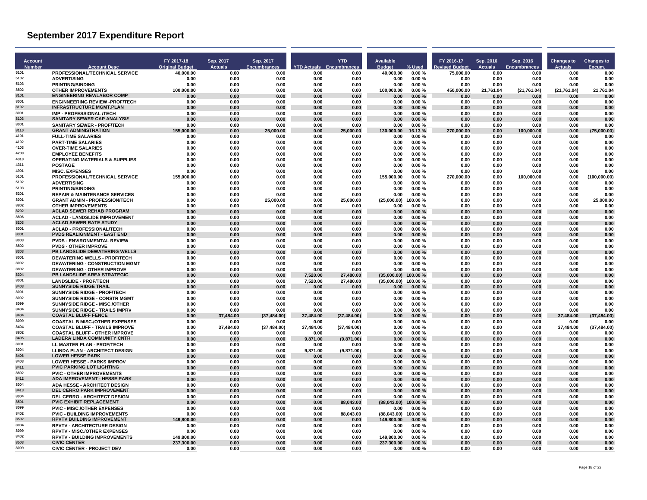| <b>Account</b> |                                                                                  | FY 2017-18             | Sep. 2017         | Sep. 2017            |                  | <b>YTD</b>                      | Available           |                  | FY 2016-17    | Sep. 2016      | Sep. 2016           | <b>Changes to</b> | <b>Changes to</b>    |
|----------------|----------------------------------------------------------------------------------|------------------------|-------------------|----------------------|------------------|---------------------------------|---------------------|------------------|---------------|----------------|---------------------|-------------------|----------------------|
| Number         | <b>Account Desc</b>                                                              | <b>Original Budget</b> | <b>Actuals</b>    | <b>Encumbrances</b>  |                  | <b>YTD Actuals Encumbrances</b> | <b>Budget</b>       | % Used           | evised Budget | <b>Actuals</b> | <b>Encumbrances</b> | <b>Actuals</b>    | Encum                |
| 5101<br>5102   | PROFESSIONAL/TECHNICAL SERVICE                                                   | 40,000.00              | 0.00              | 0.00                 | 0.00             | 0.00                            | 40,000.00           | 0.00%            | 75,000.00     | 0.00           | 0.00                | 0.00              | 0.00                 |
| 5103           | <b>ADVERTISING</b><br><b>PRINTING/BINDING</b>                                    | 0.00<br>0.00           | 0.00<br>0.00      | 0.00<br>0.00         | 0.00<br>0.00     | 0.00<br>0.00                    | 0.00<br>0.00        | 0.00%<br>0.00%   | 0.00<br>0.00  | 0.00<br>0.00   | 0.00<br>0.00        | 0.00<br>0.00      | 0.00<br>0.00         |
| 8802           | <b>OTHER IMPROVEMENTS</b>                                                        | 100,000.00             | 0.00              | 0.00                 | 0.00             | 0.00                            | 100,000.00          | 0.00%            | 450,000.00    | 21,761.04      | (21,761.04)         | (21, 761.04)      | 21,761.04            |
| 8101           | <b>ENGINEERING REV/LABOR COMP</b>                                                | 0.00                   | 0.00              | 0.00                 | 0.00             | 0.00                            | 0.00                | 0.00%            | 0.00          | 0.00           | 0.00                | 0.00              | 0.00                 |
| 8001           | <b>ENGINNEERING REVIEW - PROF/TECH</b>                                           | 0.00                   | 0.00              | 0.00                 | 0.00             | 0.00                            | 0.00                | 0.00%            | 0.00          | 0.00           | 0.00                | 0.00              | 0.00                 |
| 8102           | <b>INFRASTRUCTURE MGMT.PLAN</b>                                                  | 0.00                   | 0.00              | 0.00                 | 0.00             | 0.00                            | 0.00                | 0.00%            | 0.00          | 0.00           | 0.00                | 0.00              | 0.00                 |
| 8001<br>8103   | <b>IMP - PROFESSIONAL /TECH</b><br>SANITARY SEWER CAP ANALYSIS                   | 0.00<br>0.00           | 0.00<br>0.00      | 0.00<br>0.00         | 0.00<br>0.00     | 0.00<br>0.00                    | 0.00<br>0.00        | 0.00%<br>0.00%   | 0.00<br>0.00  | 0.00<br>0.00   | 0.00<br>0.00        | 0.00<br>0.00      | 0.00<br>0.00         |
| 8001           | <b>SANITARY SEWER - PROF/TECH</b>                                                | 0.00                   | 0.00              | 0.00                 | 0.00             | 0.00                            | 0.00                | 0.00%            | 0.00          | 0.00           | 0.00                | 0.00              | 0.00                 |
| 8110           | <b>GRANT ADMINISTRATION</b>                                                      | 155,000.00             | 0.00              | 25.000.00            | 0.00             | 25,000.00                       | 130.000.00          | 16.13%           | 270,000.00    | 0.00           | 100,000.00          | 0.00              | (75,000.00)          |
| 4101           | <b>FULL-TIME SALARIES</b>                                                        | 0.00                   | 0.00              | 0.00                 | 0.00             | 0.00                            | 0.00                | 0.00%            | 0.00          | 0.00           | 0.00                | 0.00              | 0.00                 |
| 4102           | <b>PART-TIME SALARIES</b>                                                        | 0.00                   | 0.00              | 0.00                 | 0.00             | 0.00                            | 0.00                | $0.00 \%$        | 0.00          | 0.00           | 0.00                | 0.00              | 0.00                 |
| 4103<br>4200   | <b>OVER-TIME SALARIES</b>                                                        | 0.00                   | 0.00              | 0.00                 | 0.00             | 0.00                            | 0.00                | 0.00%            | 0.00          | 0.00           | 0.00                | 0.00              | 0.00                 |
| 4310           | <b>EMPLOYEE BENEFITS</b><br><b>OPERATING MATERIALS &amp; SUPPLIES</b>            | 0.00<br>0.00           | 0.00<br>0.00      | 0.00<br>0.00         | 0.00<br>0.00     | 0.00<br>0.00                    | 0.00<br>0.00        | 0.00%<br>0.00%   | 0.00<br>0.00  | 0.00<br>0.00   | 0.00<br>0.00        | 0.00<br>0.00      | 0.00<br>0.00         |
| 4311           | <b>POSTAGE</b>                                                                   | 0.00                   | 0.00              | 0.00                 | 0.00             | 0.00                            | 0.00                | 0.00%            | 0.00          | 0.00           | 0.00                | 0.00              | 0.00                 |
| 4901           | <b>MISC. EXPENSES</b>                                                            | 0.00                   | 0.00              | 0.00                 | 0.00             | 0.00                            | 0.00                | 0.00%            | 0.00          | 0.00           | 0.00                | 0.00              | 0.00                 |
| 5101           | PROFESSIONAL/TECHNICAL SERVICE                                                   | 155,000.00             | 0.00              | 0.00                 | 0.00             | 0.00                            | 155.000.00          | 0.00%            | 270,000.00    | 0.00           | 100.000.00          | 0.00              | (100,000.00)         |
| 5102           | <b>ADVERTISING</b>                                                               | 0.00                   | 0.00              | 0.00                 | 0.00             | 0.00                            | 0.00                | 0.00%            | 0.00          | 0.00           | 0.00                | 0.00              | 0.00                 |
| 5103<br>5201   | <b>PRINTING/BINDING</b>                                                          | 0.00                   | 0.00              | 0.00                 | 0.00             | 0.00                            | 0.00                | 0.00%            | 0.00          | 0.00           | 0.00                | 0.00              | 0.00                 |
| 8001           | <b>REPAIR &amp; MAINTENANCE SERVICES</b><br><b>GRANT ADMIN - PROFESSION/TECH</b> | 0.00<br>0.00           | 0.00<br>0.00      | 0.00<br>25.000.00    | 0.00<br>0.00     | 0.00<br>25.000.00               | 0.00<br>(25.000.00) | 0.00%<br>100.00% | 0.00<br>0.00  | 0.00<br>0.00   | 0.00<br>0.00        | 0.00<br>0.00      | 0.00<br>25.000.00    |
| 8802           | <b>OTHER IMPROVEMENTS</b>                                                        | 0.00                   | 0.00              | 0.00                 | 0.00             | 0.00                            | 0.00                | 0.00%            | 0.00          | 0.00           | 0.00                | 0.00              | 0.00                 |
| 8202           | <b>ACLAD SEWER REHAB PROGRAM</b>                                                 | 0.00                   | 0.00              | 0.00                 | 0.00             | 0.00                            | 0.00                | 0.00%            | 0.00          | 0.00           | 0.00                | 0.00              | 0.00                 |
| 8806           | <b>ACLAD - LANDSLIDE IMPROVEMENT</b>                                             | 0.00                   | 0.00              | 0.00                 | 0.00             | 0.00                            | 0.00                | 0.00%            | 0.00          | 0.00           | 0.00                | 0.00              | 0.00                 |
| 8203           | <b>ACLAD SEWER RATE STUDY</b>                                                    | 0.00                   | 0.00              | 0.00                 | 0.00             | 0.00                            | 0.00                | 0.00%            | 0.00          | 0.00           | 0.00                | 0.00              | 0.00                 |
| 8001<br>8301   | <b>ACLAD - PROFESSIONAL/TECH</b><br><b>PVDS REALIGNMENT - EAST END</b>           | 0.00<br>0.00           | 0.00<br>0.00      | 0.00<br>0.00         | 0.00<br>0.00     | 0.00<br>0.00                    | 0.00<br>0.00        | 0.00%<br>0.00%   | 0.00<br>0.00  | 0.00<br>0.00   | 0.00<br>0.00        | 0.00<br>0.00      | 0.00<br>0.00         |
| 8003           | <b>PVDS - ENVIRONMENTAL REVIEW</b>                                               | 0.00                   | 0.00              | 0.00                 | 0.00             | 0.00                            | 0.00                | 0.00%            | 0.00          | 0.00           | 0.00                | 0.00              | 0.00                 |
| 8802           | <b>PVDS - OTHER IMPROVE</b>                                                      | 0.00                   | 0.00              | 0.00                 | 0.00             | 0.00                            | 0.00                | 0.00%            | 0.00          | 0.00           | 0.00                | 0.00              | 0.00                 |
| 8303           | PB LANDSLIDE DEWATERING WELLS                                                    | 0.00                   | 0.00              | 0.00                 | 0.00             | 0.00                            | 0.00                | 0.00%            | 0.00          | 0.00           | 0.00                | 0.00              | 0.00                 |
| 8001           | <b>DEWATERING WELLS - PROF/TECH</b>                                              | 0.00                   | 0.00              | 0.00                 | 0.00             | 0.00                            | 0.00                | 0.00%            | 0.00          | 0.00           | 0.00                | 0.00              | 0.00                 |
| 8002<br>8802   | <b>DEWATERING - CONSTRUCTION MGMT</b>                                            | 0.00                   | 0.00              | 0.00                 | 0.00             | 0.00                            | 0.00                | $0.00 \%$        | 0.00          | 0.00           | 0.00                | 0.00              | 0.00                 |
| 8304           | <b>DEWATERING - OTHER IMPROVE</b><br>PB LANDSLIDE AREA STRATEGIC                 | 0.00<br>0.00           | 0.00<br>0.00      | 0.00<br>0.00         | 0.00<br>7.520.00 | 0.00<br>27.480.00               | 0.00<br>(35.000.00) | 0.00%<br>100.00% | 0.00<br>0.00  | 0.00<br>0.00   | 0.00<br>0.00        | 0.00<br>0.00      | 0.00<br>0.00         |
| 8001           | <b>LANDSLIDE - PROF/TECH</b>                                                     | 0.00                   | 0.00              | 0.00                 | 7,520.00         | 27.480.00                       | (35,000.00)         | 100.00%          | 0.00          | 0.00           | 0.00                | 0.00              | 0.00                 |
| 8403           | <b>SUNNYSIDE RIDGE TRAIL</b>                                                     | 0.00                   | 0.00              | 0.00                 | 0.00             | 0.00                            | 0.00                | 0.00%            | 0.00          | 0.00           | 0.00                | 0.00              | 0.00                 |
| 8001           | <b>SUNNYSIDE RIDGE - PROF/TECH</b>                                               | 0.00                   | 0.00              | 0.00                 | 0.00             | 0.00                            | 0.00                | 0.00%            | 0.00          | 0.00           | 0.00                | 0.00              | 0.00                 |
| 8002           | SUNNYSIDE RIDGE - CONSTR MGMT                                                    | 0.00                   | 0.00              | 0.00                 | 0.00             | 0.00                            | 0.00                | 0.00%            | 0.00          | 0.00           | 0.00                | 0.00              | 0.00                 |
| 8099<br>8404   | SUNNYSIDE RIDGE - MISC./OTHER<br><b>SUNNYSIDE RIDGE - TRAILS IMPRV</b>           | 0.00                   | 0.00              | 0.00                 | 0.00<br>0.00     | 0.00                            | 0.00                | 0.00%            | 0.00          | 0.00           | 0.00                | 0.00<br>0.00      | 0.00                 |
| 8404           | <b>COASTAL BLUFF FENCE</b>                                                       | 0.00<br>0.00           | 0.00<br>37,484.00 | 0.00<br>(37, 484.00) | 37,484.00        | 0.00<br>(37, 484.00)            | 0.00<br>0.00        | 0.00%<br>0.00%   | 0.00<br>0.00  | 0.00<br>0.00   | 0.00<br>0.00        | 37.484.00         | 0.00<br>(37, 484.00) |
| 8099           | <b>COASTAL B MISC./OTHER EXPENSES</b>                                            | 0.00                   | 0.00              | 0.00                 | 0.00             | 0.00                            | 0.00                | 0.00%            | 0.00          | 0.00           | 0.00                | 0.00              | 0.00                 |
| 8404           | <b>COASTAL BLUFF - TRAILS IMPROVE</b>                                            | 0.00                   | 37,484.00         | (37, 484.00)         | 37,484.00        | (37, 484.00)                    | 0.00                | 0.00%            | 0.00          | 0.00           | 0.00                | 37,484.00         | (37, 484.00)         |
| 8802           | <b>COASTAL BLUFF - OTHER IMPROVE</b>                                             | 0.00                   | 0.00              | 0.00                 | 0.00             | 0.00                            | 0.00                | 0.00%            | 0.00          | 0.00           | 0.00                | 0.00              | 0.00                 |
| 8405           | <b>LADERA LINDA COMMUNITY CNTR</b>                                               | 0.00                   | 0.00              | 0.00                 | 9.871.00         | (9.871.00)                      | 0.00                | 0.00%            | 0.00          | 0.00           | 0.00                | 0.00              | 0.00                 |
| 8001<br>8004   | LL MASTER PLAN - PROF/TECH<br><b>LLINDA PLAN - ARCHITECT DESIGN</b>              | 0.00<br>0.00           | 0.00<br>0.00      | 0.00<br>0.00         | 0.00<br>9,871.00 | 0.00<br>(9,871.00)              | 0.00<br>0.00        | 0.00%<br>0.00%   | 0.00<br>0.00  | 0.00<br>0.00   | 0.00<br>0.00        | 0.00<br>0.00      | 0.00<br>0.00         |
| 8406           | <b>LOWER HESSE PARK</b>                                                          | 0.00                   | 0.00              | 0.00                 | 0.00             | 0.00                            | 0.00                | 0.00%            | 0.00          | 0.00           | 0.00                | 0.00              | 0.00                 |
| 8403           | <b>LOWER HESSE - PARKS IMPROV</b>                                                | 0.00                   | 0.00              | 0.00                 | 0.00             | 0.00                            | 0.00                | 0.00%            | 0.00          | 0.00           | 0.00                | 0.00              | 0.00                 |
| 8411           | <b>PVIC PARKING LOT LIGHTING</b>                                                 | 0.00                   | 0.00              | 0.00                 | 0.00             | 0.00                            | 0.00                | 0.00%            | 0.00          | 0.00           | 0.00                | 0.00              | 0.00                 |
| 8802           | <b>PVIC - OTHER IMPROVEMENTS</b>                                                 | 0.00                   | 0.00              | 0.00                 | 0.00             | 0.00                            | 0.00                | $0.00 \%$        | 0.00          | 0.00           | 0.00                | 0.00              | 0.00                 |
| 8412           | <b>ADA IMPROVEMENT - HESSE PARK</b>                                              | 0.00                   | 0.00              | 0.00                 | 0.00             | 0.00                            | 0.00                | 0.00%            | 0.00          | 0.00           | 0.00                | 0.00              | 0.00                 |
| 8004<br>8413   | <b>ADA HESSE - ARCHITECT DESIGN</b><br><b>DEL CERRO PARK IMPROVEMENT</b>         | 0.00<br>0.00           | 0.00<br>0.00      | 0.00<br>0.00         | 0.00<br>0.00     | 0.00<br>0.00                    | 0.00<br>0.00        | 0.00%<br>0.00%   | 0.00<br>0.00  | 0.00<br>0.00   | 0.00<br>0.00        | 0.00<br>0.00      | 0.00<br>0.00         |
| 8004           | <b>DEL CERRO - ARCHITECT DESIGN</b>                                              | 0.00                   | 0.00              | 0.00                 | 0.00             | 0.00                            | 0.00                | 0.00%            | 0.00          | 0.00           | 0.00                | 0.00              | 0.00                 |
| 8501           | <b>PVIC EXHIBIT REPLACEMENT</b>                                                  | 0.00                   | 0.00              | 0.00                 | 0.00             | 88,043.00                       | (88,043.00)         | 100.00%          | 0.00          | 0.00           | 0.00                | 0.00              | 0.00                 |
| 8099           | <b>PVIC - MISC./OTHER EXPENSES</b>                                               | 0.00                   | 0.00              | 0.00                 | 0.00             | 0.00                            | 0.00                | 0.00%            | 0.00          | 0.00           | 0.00                | 0.00              | 0.00                 |
| 8402           | <b>PVIC - BUILDING IMPROVEMENTS</b>                                              | 0.00                   | 0.00              | 0.00                 | 0.00             | 88,043.00                       | (88,043.00)         | 100.00%          | 0.00          | 0.00           | 0.00                | 0.00              | 0.00                 |
| 8502<br>8004   | <b>RPVTV BUILDING IMPROVEMENT</b>                                                | 149.800.00             | 0.00              | 0.00                 | 0.00             | 0.00                            | 149.800.00          | 0.00%            | 0.00          | 0.00           | 0.00                | 0.00              | 0.00                 |
| 8099           | <b>RPVTV - ARCHITECTURE DESIGN</b><br><b>RPVTV - MISC./OTHER EXPENSES</b>        | 0.00<br>0.00           | 0.00<br>0.00      | 0.00<br>0.00         | 0.00<br>0.00     | 0.00<br>0.00                    | 0.00<br>0.00        | 0.00%<br>0.00%   | 0.00<br>0.00  | 0.00<br>0.00   | 0.00<br>0.00        | 0.00<br>0.00      | 0.00<br>0.00         |
| 8402           | <b>RPVTV - BUILDING IMPROVEMENTS</b>                                             | 149.800.00             | 0.00              | 0.00                 | 0.00             | 0.00                            | 149.800.00          | 0.00%            | 0.00          | 0.00           | 0.00                | 0.00              | 0.00                 |
| 8503           | <b>CIVIC CENTER</b>                                                              | 237.300.00             | 0.00              | 0.00                 | 0.00             | 0.00                            | 237.300.00          | 0.00%            | 0.00          | 0.00           | 0.00                | 0.00              | 0.00                 |
| 8009           | <b>CIVIC CENTER - PROJECT DEV</b>                                                | 0.00                   | 0.00              | 0.00                 | 0.00             | 0.00                            | 0.00                | 0.00%            | 0.00          | 0.00           | 0.00                | 0.00              | 0.00                 |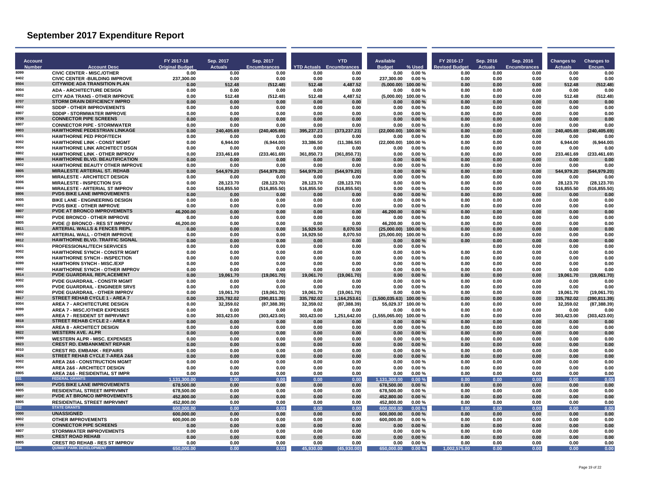| Account       |                                                                                   | FY 2017-18               | Sep. 2017               | Sep. 2017                     |                         | <b>YTD</b>                      | <b>Available</b>         |                  | FY 2016-17    | Sep. 2016      | Sep. 2016           | <b>Changes to</b>       | <b>Changes to</b>           |
|---------------|-----------------------------------------------------------------------------------|--------------------------|-------------------------|-------------------------------|-------------------------|---------------------------------|--------------------------|------------------|---------------|----------------|---------------------|-------------------------|-----------------------------|
| <b>Number</b> | <b>Account Desc</b>                                                               | <b>Original Budget</b>   | <b>Actuals</b>          | <b>Encumbrances</b>           |                         | <b>YTD Actuals Encumbrances</b> | <b>Budget</b>            | % Used           | evised Budget | <b>Actuals</b> | <b>Encumbrances</b> | <b>Actuals</b>          | Encum                       |
| 8099<br>8402  | <b>CIVIC CENTER - MISC./OTHER</b>                                                 | 0.00                     | 0.00                    | 0.00                          | 0.00                    | 0.00                            | 0.00                     | 0.00%            | 0.00          | 0.00           | 0.00                | 0.00                    | 0.00                        |
| 8504          | <b>CIVIC CENTER - BUILDING IMPROVE</b><br><b>CITYWIDE ADA TRANSITION PLAN</b>     | 237,300.00<br>0.00       | 0.00<br>512.48          | 0.00<br>(512.48)              | 0.00<br>512.48          | 0.00<br>4.487.52                | 237.300.00<br>(5.000.00) | 0.00%<br>100.00% | 0.00<br>0.00  | 0.00<br>0.00   | 0.00<br>0.00        | 0.00<br>512.48          | 0.00<br>(512.48)            |
| 8004          | <b>ADA - ARCHITECTURE DESIGN</b>                                                  | 0.00                     | 0.00                    | 0.00                          | 0.00                    | 0.00                            | 0.00                     | 0.00%            | 0.00          | 0.00           | 0.00                | 0.00                    | 0.00                        |
| 8802          | <b>CITY ADA TRANS - OTHER IMPROVE</b>                                             | 0.00                     | 512.48                  | (512.48)                      | 512.48                  | 4,487.52                        | (5,000.00)               | 100.00%          | 0.00          | 0.00           | 0.00                | 512.48                  | (512.48)                    |
| 8707          | <b>STORM DRAIN DEFICIENCY IMPRO</b>                                               | 0.00                     | 0.00                    | 0.00                          | 0.00                    | 0.00                            | 0.00                     | 0.00%            | 0.00          | 0.00           | 0.00                | 0.00                    | 0.00                        |
| 8802<br>8807  | <b>SDDIP - OTHER IMPROVEMENTS</b><br><b>SDDIP - STORMWATER IMPROVE</b>            | 0.00                     | 0.00                    | 0.00                          | 0.00                    | 0.00                            | 0.00                     | 0.00%            | 0.00          | 0.00           | 0.00                | 0.00                    | 0.00                        |
| 8709          | <b>CONNECTOR PIPE SCREENS</b>                                                     | 0.00<br>0.00             | 0.00<br>0.00            | 0.00<br>0.00                  | 0.00<br>0.00            | 0.00<br>0.00                    | 0.00<br>0.00             | 0.00%<br>0.00%   | 0.00<br>0.00  | 0.00<br>0.00   | 0.00<br>0.00        | 0.00<br>0.00            | 0.00<br>0.00                |
| 8807          | <b>CONNECTOR PIPE - STORMWATER</b>                                                | 0.00                     | 0.00                    | 0.00                          | 0.00                    | 0.00                            | 0.00                     | 0.00%            | 0.00          | 0.00           | 0.00                | 0.00                    | 0.00                        |
| 8803          | HAWTHORNE PEDESTRIAN LINKAGE                                                      | 0.00                     | 240,405.69              | (240, 405.69)                 | 395.237.23              | (373, 237.23)                   | (22.000.00)              | 100.00%          | 0.00          | 0.00           | 0.00                | 240,405.69              | (240, 405.69)               |
| 8001          | <b>HAWTHORNE PED PROF/TECH</b>                                                    | 0.00                     | 0.00                    | 0.00                          | 0.00                    | 0.00                            | 0.00                     | 0.00%            | 0.00          | 0.00           | 0.00                | 0.00                    | 0.00                        |
| 8002<br>8004  | <b>HAWTHORNE LINK - CONST MGMT</b>                                                | 0.00                     | 6,944.00                | (6.944.00)                    | 33.386.50               | (11, 386.50)                    | (22,000.00)              | 100.00%          | 0.00          | 0.00           | 0.00                | 6.944.00                | (6.944.00)                  |
| 8802          | <b>HAWTHORNE LINK ARCHITECT DSGN</b><br><b>HAWTHORNE LINK - OTHER IMPROV</b>      | 0.00<br>0.00             | 0.00<br>233,461.69      | 0.00<br>(233, 461.69)         | 0.00<br>361,850.73      | 0.00<br>(361, 850.73)           | 0.00<br>0.00             | 0.00%<br>0.00%   | 0.00<br>0.00  | 0.00<br>0.00   | 0.00<br>0.00        | 0.00<br>233,461.69      | 0.00<br>(233, 461.69)       |
| 8804          | <b>HAWTHORNE BLVD. BEAUTIFICATION</b>                                             | 0.00                     | 0.00                    | 0.00                          | 0.00                    | 0.00                            | 0.00                     | 0.00%            | 0.00          | 0.00           | 0.00                | 0.00                    | 0.00                        |
| 8802          | <b>HAWTHORNE BEAUTY OTHER IMPROVE</b>                                             | 0.00                     | 0.00                    | 0.00                          | 0.00                    | 0.00                            | 0.00                     | 0.00%            | 0.00          | 0.00           | 0.00                | 0.00                    | 0.00                        |
| 8805          | <b>MIRALESTE ARTERIAL ST. REHAB</b>                                               | 0.00                     | 544,979.20              | (544, 979.20)                 | 544,979.20              | (544, 979.20)                   | 0.00                     | 0.00%            | 0.00          | 0.00           | 0.00                | 544,979.20              | (544,979.20)                |
| 8004<br>8006  | <b>MIRALESTE - ARCHITECT DESIGN</b><br><b>MIRALESTE - INSPECTION SVS</b>          | 0.00                     | 0.00                    | 0.00                          | 0.00<br>28.123.70       | 0.00                            | 0.00<br>0.00             | 0.00%<br>0.00%   | 0.00          | 0.00           | 0.00                | 0.00<br>28.123.70       | 0.00<br>(28.123.70)         |
| 8804          | MIRALESTE - ARTERIAL ST IMPROV                                                    | 0.00<br>0.00             | 28.123.70<br>516,855.50 | (28, 123.70)<br>(516, 855.50) | 516,855.50              | (28, 123.70)<br>(516, 855.50)   | 0.00                     | 0.00%            | 0.00<br>0.00  | 0.00<br>0.00   | 0.00<br>0.00        | 516,855.50              | (516, 855.50)               |
| 8806          | <b>PVDS BIKE LANE IMPROVEMENTS</b>                                                | 0.00                     | 0.00                    | 0.00                          | 0.00                    | 0.00                            | 0.00                     | 0.00%            | 0.00          | 0.00           | 0.00                | 0.00                    | 0.00                        |
| 8005          | <b>BIKE LANE - ENGINEERING DESIGN</b>                                             | 0.00                     | 0.00                    | 0.00                          | 0.00                    | 0.00                            | 0.00                     | 0.00%            | 0.00          | 0.00           | 0.00                | 0.00                    | 0.00                        |
| 8802          | <b>PVDS BIKE - OTHER IMPROVE</b>                                                  | 0.00                     | 0.00                    | 0.00                          | 0.00                    | 0.00                            | 0.00                     | 0.00%            | 0.00          | 0.00           | 0.00                | 0.00                    | 0.00                        |
| 8807          | <b>PVDE AT BRONCO IMPROVEMENTS</b>                                                | 46.200.00                | 0.00                    | 0.00                          | 0.00                    | 0.00                            | 46.200.00                | 0.00%            | 0.00          | 0.00           | 0.00                | 0.00                    | 0.00                        |
| 8802<br>8805  | <b>PVDE BRONCO - OTHER IMPROVE</b><br><b>PVDE @ BRONCO - RES ST IMPROV</b>        | 0.00                     | 0.00<br>0.00            | 0.00<br>0.00                  | 0.00<br>0.00            | 0.00                            | 0.00<br>46,200.00        | 0.00%<br>0.00%   | 0.00<br>0.00  | 0.00<br>0.00   | 0.00<br>0.00        | 0.00<br>0.00            | 0.00                        |
| 8811          | <b>ARTERIAL WALLS &amp; FENCES REPL</b>                                           | 46,200.00<br>0.00        | 0.00                    | 0.00                          | 16.929.50               | 0.00<br>8.070.50                | (25.000.00)              | 100.00%          | 0.00          | 0.00           | 0.00                | 0.00                    | 0.00<br>0.00                |
| 8802          | <b>ARTERIAL WALL - OTHER IMPROVE</b>                                              | 0.00                     | 0.00                    | 0.00                          | 16.929.50               | 8.070.50                        | (25,000.00)              | 100.00%          | 0.00          | 0.00           | 0.00                | 0.00                    | 0.00                        |
| 8812          | HAWTHORNE BLVD. TRAFFIC SIGNAL                                                    | 0.00                     | 0.00                    | 0.00                          | 0.00                    | 0.00                            | 0.00                     | 0.00%            | 0.00          | 0.00           | 0.00                | 0.00                    | 0.00                        |
| 8001          | <b>PROFESSIONAL/TECH SERVICES</b>                                                 | 0.00                     | 0.00                    | 0.00                          | 0.00                    | 0.00                            | 0.00                     | 0.00%            |               | 0.00           | 0.00                | 0.00                    | 0.00                        |
| 8002<br>8006  | <b>HAWTHORNE SYNCH - CONSTR MGMT</b><br><b>HAWTHORNE SYNCH - INSPECTION</b>       | 0.00<br>0.00             | 0.00<br>0.00            | 0.00<br>0.00                  | 0.00<br>0.00            | 0.00<br>0.00                    | 0.00<br>0.00             | 0.00%<br>0.00%   | 0.00<br>0.00  | 0.00<br>0.00   | 0.00<br>0.00        | 0.00<br>0.00            | 0.00<br>0.00                |
| 8099          | <b>HAWTHORN SYNCH - MISC./EXP</b>                                                 | 0.00                     | 0.00                    | 0.00                          | 0.00                    | 0.00                            | 0.00                     | 0.00%            | 0.00          | 0.00           | 0.00                | 0.00                    | 0.00                        |
| 8802          | <b>HAWTHORNE SYNCH - OTHER IMPROV</b>                                             | 0.00                     | 0.00                    | 0.00                          | 0.00                    | 0.00                            | 0.00                     | 0.00%            | 0.00          | 0.00           | 0.00                | 0.00                    | 0.00                        |
| 8814          | PVDE GUARDRAIL REPLACEMENT                                                        | 0.00                     | 19,061.70               | (19,061.70)                   | 19.061.70               | (19,061.70)                     | 0.00                     | 0.00%            | 0.00          | 0.00           | 0.00                | 19.061.70               | (19,061.70)                 |
| 8002          | <b>PVDE GUARDRAIL - CONSTR MGMT</b>                                               | 0.00                     | 0.00                    | 0.00                          | 0.00                    | 0.00                            | 0.00                     | 0.00%            | 0.00          | 0.00           | 0.00                | 0.00                    | 0.00                        |
| 8005<br>8802  | <b>PVDE GUARDRAIL - ENGINEER SRVS</b>                                             | 0.00                     | 0.00                    | 0.00                          | 0.00                    | 0.00                            | 0.00                     | 0.00%            | 0.00          | 0.00           | 0.00                | 0.00                    | 0.00                        |
| 8817          | <b>PVDE GUARDRAIL - OTHER IMPROV</b><br>STREET REHAB CYCLE 1 - AREA 7             | 0.00<br>0.00             | 19,061.70<br>335.782.02 | (19,061.70)<br>(390, 811.39)  | 19.061.70<br>335,782.02 | (19,061.70)<br>1,164,253.61     | 0.00<br>(1,500,035.63)   | 0.00%<br>100.00% | 0.00<br>0.00  | 0.00<br>0.00   | 0.00<br>0.00        | 19.061.70<br>335.782.02 | (19,061.70)<br>(390.811.39) |
| 8004          | <b>AREA 7 - ARCHITECTURE DESIGN</b>                                               | 0.00                     | 32,359.02               | (87, 388.39)                  | 32,359.02               | (87, 388.39)                    | 55,029.37                | 100.00%          | 0.00          | 0.00           | 0.00                | 32,359.02               | (87, 388.39)                |
| 8099          | <b>AREA 7 - MISCJOTHER EXPENSES</b>                                               | 0.00                     | 0.00                    | 0.00                          | 0.00                    | 0.00                            | 0.00                     | 0.00%            | 0.00          | 0.00           | 0.00                | 0.00                    | 0.00                        |
| 8805          | <b>AREA 7 - RESIDENT ST IMPRVMNT</b>                                              | 0.00                     | 303,423.00              | (303, 423.00)                 | 303,423.00              | 1,251,642.00                    | (1,555,065.00)           | 100.00%          | 0.00          | 0.00           | 0.00                | 303,423.00              | (303, 423.00)               |
| 8818<br>8004  | STREET REHAB CYCLE 2 - AREA 8                                                     | 0.00                     | 0.00                    | 0.00                          | 0.00                    | 0.00                            | 0.00                     | 0.00%            | 0.00          | 0.00           | 0.00                | 0.00                    | 0.00                        |
| 8822          | <b>AREA 8 - ARCHITECT DESIGN</b><br><b>WESTERN AVE. ALPR</b>                      | 0.00<br>0.00             | 0.00<br>0.00            | 0.00<br>0.00                  | 0.00<br>0.00            | 0.00<br>0.00                    | 0.00<br>0.00             | 0.00%<br>0.00%   | 0.00<br>0.00  | 0.00<br>0.00   | 0.00<br>0.00        | 0.00<br>0.00            | 0.00<br>0.00                |
| 8099          | <b>WESTERN ALPR - MISC. EXPENSES</b>                                              | 0.00                     | 0.00                    | 0.00                          | 0.00                    | 0.00                            | 0.00                     | 0.00%            | 0.00          | 0.00           | 0.00                | 0.00                    | 0.00                        |
| 8823          | <b>CREST RD. EMBANKMENT REPAIR</b>                                                | 0.00                     | 0.00                    | 0.00                          | 0.00                    | 0.00                            | 0.00                     | 0.00%            | 0.00          | 0.00           | 0.00                | 0.00                    | 0.00                        |
| 8010          | <b>CREST RD. EMBANK - REPAIRS</b>                                                 | 0.00                     | 0.00                    | 0.00                          | 0.00                    | 0.00                            | 0.00                     | 0.00%            | 0.00          | 0.00           | 0.00                | 0.00                    | 0.00                        |
| 8826<br>8002  | STREET REHAB CYCLE 7-AREA 2&6                                                     | 0.00                     | 0.00                    | 0.00                          | 0.00                    | 0.00                            | 0.00                     | 0.00%            | 0.00          | 0.00           | 0.00                | 0.00                    | 0.00                        |
| 8004          | <b>AREA 2&amp;6 - CONSTRUCTION MGMT</b><br><b>AREA 2&amp;6 - ARCHITECT DESIGN</b> | 0.00<br>0.00             | 0.00<br>0.00            | 0.00<br>0.00                  | 0.00<br>0.00            | 0.00<br>0.00                    | 0.00<br>0.00             | 0.00%<br>0.00%   | 0.00<br>0.00  | 0.00<br>0.00   | 0.00<br>0.00        | 0.00<br>0.00            | 0.00<br>0.00                |
| 8805          | AREA 2&6 - RESIDENTIAL ST IMPR                                                    | 0.00                     | 0.00                    | 0.00                          | 0.00                    | 0.00                            | 0.00                     | 0.00%            | 0.00          | 0.00           | 0.00                | 0.00                    | 0.00                        |
| 331           | <b>FEDERAL GRANTS</b>                                                             | 1.131.300.00             | 0.00                    | 0.00                          | 0.00                    | 0.00                            | 1.131.300.00             | 0.00%            | 0.00          | 0.00           | 0.00                | 0.00                    | 0.00                        |
| 8806          | <b>PVDS BIKE LANE IMPROVEMENTS</b>                                                | 678.500.00               | 0.00                    | 0.00                          | 0.00                    | 0.00                            | 678.500.00               | 0.00%            | 0.00          | 0.00           | 0.00                | 0.00                    | 0.00                        |
| 8805<br>8807  | <b>RESIDENTIAL STREET IMPRVMNT</b>                                                | 678,500.00               | 0.00                    | 0.00                          | 0.00                    | 0.00                            | 678,500.00               | 0.00%            | 0.00          | 0.00           | 0.00                | 0.00                    | 0.00                        |
| 8805          | <b>PVDE AT BRONCO IMPROVEMENTS</b><br><b>RESIDENTIAL STREET IMPRVMNT</b>          | 452,800.00<br>452,800.00 | 0.00<br>0.00            | 0.00<br>0.00                  | 0.00<br>0.00            | 0.00<br>0.00                    | 452,800.00<br>452,800.00 | 0.00%<br>0.00%   | 0.00<br>0.00  | 0.00<br>0.00   | 0.00<br>0.00        | 0.00<br>0.00            | 0.00<br>0.00                |
| 332           | <b>STATE GRANTS</b>                                                               | 600.000.00               | 0.00                    | 0.00                          | 0.00                    | 0.00                            | 600.000.00               | 0.00%            | 0.00          | 0.00           | 0.00                | 0.00                    | 0.00                        |
| 0000          | <b>UNASSIGNED</b>                                                                 | 600,000.00               | 0.00                    | 0.00                          | 0.00                    | 0.00                            | 600,000.00               | 0.00%            | 0.00          | 0.00           | 0.00                | 0.00                    | 0.00                        |
| 8802          | <b>OTHER IMPROVEMENTS</b>                                                         | 600,000.00               | 0.00                    | 0.00                          | 0.00                    | 0.00                            | 600,000.00               | 0.00%            | 0.00          | 0.00           | 0.00                | 0.00                    | 0.00                        |
| 8709          | <b>CONNECTOR PIPE SCREENS</b>                                                     | 0.00                     | 0.00                    | 0.00                          | 0.00                    | 0.00                            | 0.00                     | 0.00%            | 0.00          | 0.00           | 0.00                | 0.00                    | 0.00                        |
| 8807<br>8825  | <b>STORMWATER IMPROVEMENTS</b><br><b>CREST ROAD REHAB</b>                         | 0.00<br>0.00             | 0.00<br>0.00            | 0.00<br>0.00                  | 0.00<br>0.00            | 0.00                            | 0.00<br>0.00             | 0.00%<br>0.00%   | 0.00<br>0.00  | 0.00<br>0.00   | 0.00<br>0.00        | 0.00<br>0.00            | 0.00<br>0.00                |
| 8805          | <b>CREST RD REHAB - RES ST IMPROV</b>                                             | 0.00                     | 0.00                    | 0.00                          | 0.00                    | 0.00<br>0.00                    | 0.00                     | 0.00%            | 0.00          | 0.00           | 0.00                | 0.00                    | 0.00                        |
| 334           | <b>QUIMBY PARK DEVELOPMENT</b>                                                    | 650,000.00               | 0.00                    | 0.00                          | 45.930.00               | (45.930.00)                     | 650,000.00               | 0.00%            | 1.002.575.00  | 0.00           | 0.00                | 0.00                    | 0.00                        |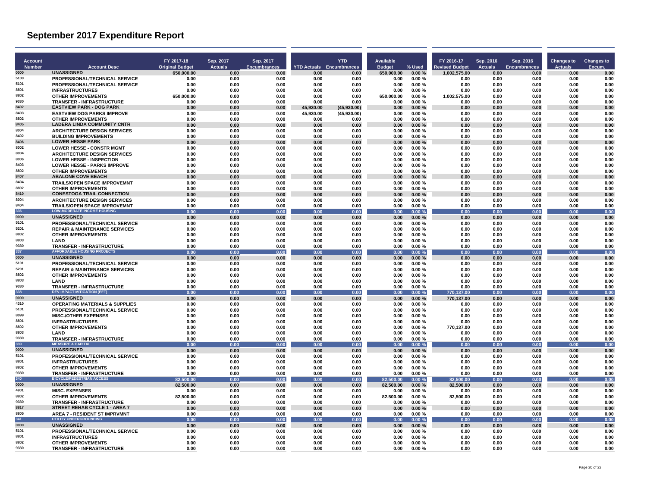| <b>Account</b><br><b>Number</b> | <b>Account Desc</b>                                                    | FY 2017-18<br><b>Original Budget</b> | Sep. 2017<br><b>Actuals</b> | Sep. 2017<br><b>Encumbrances</b> | <b>YTD Actuals</b> Encumbrances | <b>YTD</b>   | <b>Available</b><br><b>Budget</b> | % Used         | FY 2016-17<br><b>Revised Budget</b> | Sep. 2016<br><b>Actuals</b> | Sep. 2016<br><b>Encumbrances</b> | <b>Changes to</b><br><b>Actuals</b> | <b>Changes to</b><br>Encum. |
|---------------------------------|------------------------------------------------------------------------|--------------------------------------|-----------------------------|----------------------------------|---------------------------------|--------------|-----------------------------------|----------------|-------------------------------------|-----------------------------|----------------------------------|-------------------------------------|-----------------------------|
| 0000                            | <b>UNASSIGNED</b>                                                      | 650,000.00                           | 0.00                        | 0.00                             | 0.00                            | 0.00         | 650,000.00                        | 0.00%          | 1,002,575.00                        | 0.00                        | 0.00                             | 0.00                                | 0.00                        |
| 5100                            | PROFESSIONAL/TECHNICAL SERVICE                                         | 0.00                                 | 0.00                        | 0.00                             | 0.00                            | 0.00         | 0.00                              | 0.00%          | 0.00                                | 0.00                        | 0.00                             | 0.00                                | 0.00                        |
| 5101                            | PROFESSIONAL/TECHNICAL SERVICE                                         | 0.00                                 | 0.00                        | 0.00                             | 0.00                            | 0.00         | 0.00                              | 0.00%          | 0.00                                | 0.00                        | 0.00                             | 0.00                                | 0.00                        |
| 8801<br>8802                    | <b>INFRASTRUCTURES</b>                                                 | 0.00                                 | 0.00                        | 0.00                             | 0.00                            | 0.00         | 0.00                              | 0.00%          | 0.00                                | 0.00                        | 0.00                             | 0.00                                | 0.00                        |
| 9330                            | <b>OTHER IMPROVEMENTS</b><br><b>TRANSFER - INFRASTRUCTURE</b>          | 650,000.00<br>0.00                   | 0.00<br>0.00                | 0.00<br>0.00                     | 0.00<br>0.00                    | 0.00<br>0.00 | 650,000.00<br>0.00                | 0.00%<br>0.00% | 1,002,575.00<br>0.00                | 0.00<br>0.00                | 0.00<br>0.00                     | 0.00<br>0.00                        | 0.00<br>0.00                |
| 8402                            | <b>EASTVIEW PARK - DOG PARK</b>                                        | 0.00                                 | 0.00                        | 0.00                             | 45.930.00                       | (45,930.00)  | 0.00                              | 0.00%          | 0.00                                | 0.00                        | 0.00                             | 0.00                                | 0.00                        |
| 8403                            | <b>EASTVIEW DOG PARKS IMPROVE</b>                                      | 0.00                                 | 0.00                        | 0.00                             | 45,930.00                       | (45,930.00)  | 0.00                              | 0.00%          | 0.00                                | 0.00                        | 0.00                             | 0.00                                | 0.00                        |
| 8802                            | <b>OTHER IMPROVEMENTS</b>                                              | 0.00                                 | 0.00                        | 0.00                             | 0.00                            | 0.00         | 0.00                              | 0.00%          | 0.00                                | 0.00                        | 0.00                             | 0.00                                | 0.00                        |
| 8405                            | <b>LADERA LINDA COMMUNITY CNTR</b>                                     | 0.00                                 | 0.00                        | 0.00                             | 0.00                            | 0.00         | 0.00                              | 0.00%          | 0.00                                | 0.00                        | 0.00                             | 0.00                                | 0.00                        |
| 8004<br>8402                    | <b>ARCHITECTURE DESIGN SERVICES</b>                                    | 0.00                                 | 0.00                        | 0.00                             | 0.00                            | 0.00         | 0.00                              | 0.00%          | 0.00                                | 0.00                        | 0.00                             | 0.00                                | 0.00                        |
| 8406                            | <b>BUILDING IMPROVEMENTS</b><br><b>LOWER HESSE PARK</b>                | 0.00                                 | 0.00<br>0.00                | 0.00                             | 0.00<br>0.00                    | 0.00<br>0.00 | 0.00<br>0.00                      | 0.00%<br>0.00% | 0.00<br>0.00                        | 0.00<br>0.00                | 0.00                             | 0.00<br>0.00                        | 0.00<br>0.00                |
| 8002                            | <b>LOWER HESSE - CONSTR MGMT</b>                                       | 0.00<br>0.00                         | 0.00                        | 0.00<br>0.00                     | 0.00                            | 0.00         | 0.00                              | 0.00%          | 0.00                                | 0.00                        | 0.00<br>0.00                     | 0.00                                | 0.00                        |
| 8004                            | <b>ARCHITECTURE DESIGN SERVICES</b>                                    | 0.00                                 | 0.00                        | 0.00                             | 0.00                            | 0.00         | 0.00                              | 0.00%          | 0.00                                | 0.00                        | 0.00                             | 0.00                                | 0.00                        |
| 8006                            | <b>LOWER HESSE - INSPECTION</b>                                        | 0.00                                 | 0.00                        | 0.00                             | 0.00                            | 0.00         | 0.00                              | 0.00%          | 0.00                                | 0.00                        | 0.00                             | 0.00                                | 0.00                        |
| 8403                            | <b>LOWER HESSE - PARKS IMPROVE</b>                                     | 0.00                                 | 0.00                        | 0.00                             | 0.00                            | 0.00         | 0.00                              | 0.00%          | 0.00                                | 0.00                        | 0.00                             | 0.00                                | 0.00                        |
| 8802                            | <b>OTHER IMPROVEMENTS</b>                                              | 0.00                                 | 0.00                        | 0.00                             | 0.00                            | 0.00         | 0.00                              | 0.00%          | 0.00                                | 0.00                        | 0.00                             | 0.00                                | 0.00                        |
| 8407                            | <b>ABALONE COVE BEACH</b>                                              | 0.00                                 | 0.00                        | 0.00                             | 0.00                            | 0.00         | 0.00                              | 0.00%          | 0.00                                | 0.00                        | 0.00                             | 0.00                                | 0.00                        |
| 8404<br>8802                    | <b>TRAILS/OPEN SPACE IMPROVEMNT</b>                                    | 0.00                                 | 0.00                        | 0.00                             | 0.00                            | 0.00         | 0.00                              | 0.00%          | 0.00                                | 0.00                        | 0.00                             | 0.00                                | 0.00                        |
| 8410                            | <b>OTHER IMPROVEMENTS</b><br><b>CONESTOGA TRAIL CONNECTION</b>         | 0.00<br>0.00                         | 0.00<br>0.00                | 0.00<br>0.00                     | 0.00<br>0.00                    | 0.00<br>0.00 | 0.00<br>0.00                      | 0.00%<br>0.00% | 0.00<br>0.00                        | 0.00<br>0.00                | 0.00<br>0.00                     | 0.00<br>0.00                        | 0.00<br>0.00                |
| 8004                            | <b>ARCHITECTURE DESIGN SERVICES</b>                                    | 0.00                                 | 0.00                        | 0.00                             | 0.00                            | 0.00         | 0.00                              | 0.00%          | 0.00                                | 0.00                        | 0.00                             | 0.00                                | 0.00                        |
| 8404                            | <b>TRAILS/OPEN SPACE IMPROVEMNT</b>                                    | 0.00                                 | 0.00                        | 0.00                             | 0.00                            | 0.00         | 0.00                              | 0.00%          | 0.00                                | 0.00                        | 0.00                             | 0.00                                | 0.00                        |
| 336                             | <b>LOW-MODERATE INCOME HOUSING</b>                                     | 0.00                                 | 0.00                        | 0.00                             | 0.00                            | 0.00         | 0.00                              | 0.00%          | 0.00                                | 0.00                        | 0.00                             | 0.00                                | 0.00                        |
| 0000                            | <b>UNASSIGNED</b>                                                      | 0.00                                 | 0.00                        | 0.00                             | 0.00                            | 0.00         | 0.00                              | 0.00%          | 0.00                                | 0.00                        | 0.00                             | 0.00                                | 0.00                        |
| 5101                            | PROFESSIONAL/TECHNICAL SERVICE                                         | 0.00                                 | 0.00                        | 0.00                             | 0.00                            | 0.00         | 0.00                              | 0.00%          | 0.00                                | 0.00                        | 0.00                             | 0.00                                | 0.00                        |
| 5201<br>8802                    | <b>REPAIR &amp; MAINTENANCE SERVICES</b>                               | 0.00                                 | 0.00                        | 0.00                             | 0.00                            | 0.00         | 0.00                              | 0.00%          | 0.00                                | 0.00                        | 0.00                             | 0.00                                | 0.00                        |
| 8803                            | <b>OTHER IMPROVEMENTS</b><br><b>I AND</b>                              | 0.00<br>0.00                         | 0.00<br>0.00                | 0.00<br>0.00                     | 0.00<br>0.00                    | 0.00<br>0.00 | 0.00<br>0.00                      | 0.00%<br>0.00% | 0.00<br>0.00                        | 0.00<br>0.00                | 0.00<br>0.00                     | 0.00<br>0.00                        | 0.00<br>0.00                |
| 9330                            | <b>TRANSFER - INFRASTRUCTURE</b>                                       | 0.00                                 | 0.00                        | 0.00                             | 0.00                            | 0.00         | 0.00                              | 0.00%          | 0.00                                | 0.00                        | 0.00                             | 0.00                                | 0.00                        |
| 337                             | <b>AFFORDABLE HOUSING PROJECTS</b>                                     | 0.00                                 | 0.00                        | 0.00                             | 0.00                            | 0.00         | 0.00                              | 0.00%          | 0.00                                | 0.00                        | 0.00                             | 0.00                                | 0.00                        |
| 0000                            | <b>UNASSIGNED</b>                                                      | 0.00                                 | 0.00                        | 0.00                             | 0.00                            | 0.00         | 0.00                              | 0.00%          | 0.00                                | 0.00                        | 0.00                             | 0.00                                | 0.00                        |
| 5101                            | PROFESSIONAL/TECHNICAL SERVICE                                         | 0.00                                 | 0.00                        | 0.00                             | 0.00                            | 0.00         | 0.00                              | 0.00%          | 0.00                                | 0.00                        | 0.00                             | 0.00                                | 0.00                        |
| 5201                            | <b>REPAIR &amp; MAINTENANCE SERVICES</b>                               | 0.00                                 | 0.00                        | 0.00                             | 0.00                            | 0.00         | 0.00                              | 0.00%          | 0.00                                | 0.00                        | 0.00                             | 0.00                                | 0.00                        |
| 8802<br>8803                    | <b>OTHER IMPROVEMENTS</b>                                              | 0.00                                 | 0.00                        | 0.00                             | 0.00                            | 0.00         | 0.00                              | 0.00%          | 0.00                                | 0.00                        | 0.00                             | 0.00                                | 0.00                        |
| 9330                            | LAND<br>TRANSFER - INFRASTRUCTURE                                      | 0.00<br>0.00                         | 0.00<br>0.00                | 0.00<br>0.00                     | 0.00<br>0.00                    | 0.00<br>0.00 | 0.00<br>0.00                      | 0.00%<br>0.00% | 0.00<br>0.00                        | 0.00<br>0.00                | 0.00<br>0.00                     | 0.00<br>0.00                        | 0.00<br>0.00                |
| 338                             | <b>DEV IMPACT MITIGATION (EET)</b>                                     | 0.00                                 | 0.00                        | 0.00                             | 0.00                            | 0.00         | 0.00                              | 0.00%          | 770.137.00                          | 0.00                        | 0.00                             | 0.00                                | 0.00                        |
| 0000                            | <b>UNASSIGNED</b>                                                      | 0.00                                 | 0.00                        | 0.00                             | 0.00                            | 0.00         | 0.00                              | 0.00%          | 770.137.00                          | 0.00                        | 0.00                             | 0.00                                | 0.00                        |
| 4310                            | <b>OPERATING MATERIALS &amp; SUPPLIES</b>                              | 0.00                                 | 0.00                        | 0.00                             | 0.00                            | 0.00         | 0.00                              | 0.00%          | 0.00                                | 0.00                        | 0.00                             | 0.00                                | 0.00                        |
| 5101                            | PROFESSIONAL/TECHNICAL SERVICE                                         | 0.00                                 | 0.00                        | 0.00                             | 0.00                            | 0.00         | 0.00                              | 0.00%          | 0.00                                | 0.00                        | 0.00                             | 0.00                                | 0.00                        |
| 8099<br>8801                    | <b>MISC./OTHER EXPENSES</b>                                            | 0.00                                 | 0.00                        | 0.00                             | 0.00                            | 0.00         | 0.00                              | 0.00%          | 0.00                                | 0.00                        | 0.00                             | 0.00                                | 0.00                        |
| 8802                            | <b>INFRASTRUCTURES</b><br><b>OTHER IMPROVEMENTS</b>                    | 0.00<br>0.00                         | 0.00<br>0.00                | 0.00<br>0.00                     | 0.00<br>0.00                    | 0.00<br>0.00 | 0.00<br>0.00                      | 0.00%<br>0.00% | 0.00<br>770.137.00                  | 0.00<br>0.00                | 0.00<br>0.00                     | 0.00<br>0.00                        | 0.00<br>0.00                |
| 8803                            | <b>I AND</b>                                                           | 0.00                                 | 0.00                        | 0.00                             | 0.00                            | 0.00         | 0.00                              | 0.00%          | 0.00                                | 0.00                        | 0.00                             | 0.00                                | 0.00                        |
| 9330                            | <b>TRANSFER - INFRASTRUCTURE</b>                                       | 0.00                                 | 0.00                        | 0.00                             | 0.00                            | 0.00         | 0.00                              | 0.00%          | 0.00                                | 0.00                        | 0.00                             | 0.00                                | 0.00                        |
| 339                             | <b>MEASURE A CAPITAL</b>                                               | 0.00                                 | 0.00                        | 0.00                             | 0.00                            | 0.00         | 0.00                              | 0.00%          | 0.00                                | 0.00                        | 0.00                             | 0.00                                | 0.00                        |
| 0000                            | <b>UNASSIGNED</b>                                                      | 0.00                                 | 0.00                        | 0.00                             | 0.00                            | 0.00         | 0.00                              | 0.00%          | 0.00                                | 0.00                        | 0.00                             | 0.00                                | 0.00                        |
| 5101<br>8801                    | PROFESSIONAL/TECHNICAL SERVICE                                         | 0.00                                 | 0.00                        | 0.00                             | 0.00                            | 0.00         | 0.00                              | 0.00%          | 0.00                                | 0.00                        | 0.00                             | 0.00                                | 0.00                        |
| 8802                            | <b>INFRASTRUCTURES</b><br><b>OTHER IMPROVEMENTS</b>                    | 0.00<br>0.00                         | 0.00<br>0.00                | 0.00<br>0.00                     | 0.00<br>0.00                    | 0.00<br>0.00 | 0.00<br>0.00                      | 0.00%<br>0.00% | 0.00<br>0.00                        | 0.00<br>0.00                | 0.00<br>0.00                     | 0.00<br>0.00                        | 0.00<br>0.00                |
| 9330                            | <b>TRANSFER - INFRASTRUCTURE</b>                                       | 0.00                                 | 0.00                        | 0.00                             | 0.00                            | 0.00         | 0.00                              | 0.00%          | 0.00                                | 0.00                        | 0.00                             | 0.00                                | 0.00                        |
| 340                             | <b>BICYCLE/PEDESTRIAN ACCESS</b>                                       | 82,500.00                            | 0.00                        | 0.00                             | 0.00                            | 0.00         | 82,500.00                         | 0.00%          | 82.500.00                           | 0.00                        | 0.00                             | 0.00                                | 0.00                        |
| 0000                            | <b>UNASSIGNED</b>                                                      | 82.500.00                            | 0.00                        | 0.00                             | 0.00                            | 0.00         | 82.500.00                         | 0.00%          | 82.500.00                           | 0.00                        | 0.00                             | 0.00                                | 0.00                        |
| 4901                            | <b>MISC. EXPENSES</b>                                                  | 0.00                                 | 0.00                        | 0.00                             | 0.00                            | 0.00         | 0.00                              | 0.00%          | 0.00                                | 0.00                        | 0.00                             | 0.00                                | 0.00                        |
| 8802                            | <b>OTHER IMPROVEMENTS</b>                                              | 82,500.00                            | 0.00                        | 0.00                             | 0.00                            | 0.00         | 82,500.00                         | 0.00%          | 82.500.00                           | 0.00                        | 0.00                             | 0.00                                | 0.00                        |
| 9330<br>8817                    | <b>TRANSFER - INFRASTRUCTURE</b><br><b>STREET REHAB CYCLE 1 - AREA</b> | 0.00                                 | 0.00                        | 0.00                             | 0.00                            | 0.00         | 0.00                              | 0.00%          | 0.00                                | 0.00                        | 0.00                             | 0.00                                | 0.00                        |
| 8805                            | <b>AREA 7 - RESIDENT ST IMPRVMNT</b>                                   | 0.00<br>0.00                         | 0.00<br>0.00                | 0.00<br>0.00                     | 0.00<br>0.00                    | 0.00<br>0.00 | 0.00<br>0.00                      | 0.00%<br>0.00% | 0.00<br>0.00                        | 0.00<br>0.00                | 0.00<br>0.00                     | 0.00<br>0.00                        | 0.00<br>0.00                |
| 341                             | <b>UTILITY UNDERGROUNDING</b>                                          | 0.00                                 | 0.00                        | 0.00                             | 0.00                            | 0.00         | 0.00                              | 0.00%          | 0.00                                | 0.00                        | 0.00                             | 0.00                                | 0.00                        |
| 0000                            | <b>UNASSIGNED</b>                                                      | 0.00                                 | 0.00                        | 0.00                             | 0.00                            | 0.00         | 0.00                              | 0.00%          | 0.00                                | 0.00                        | 0.00                             | 0.00                                | 0.00                        |
| 5101                            | PROFESSIONAL/TECHNICAL SERVICE                                         | 0.00                                 | 0.00                        | 0.00                             | 0.00                            | 0.00         | 0.00                              | 0.00%          | 0.00                                | 0.00                        | 0.00                             | 0.00                                | 0.00                        |
| 8801                            | <b>INFRASTRUCTURES</b>                                                 | 0.00                                 | 0.00                        | 0.00                             | 0.00                            | 0.00         | 0.00                              | 0.00%          | 0.00                                | 0.00                        | 0.00                             | 0.00                                | 0.00                        |
| 8802                            | <b>OTHER IMPROVEMENTS</b>                                              | 0.00                                 | 0.00                        | 0.00                             | 0.00                            | 0.00         | 0.00                              | 0.00%          | 0.00                                | 0.00                        | 0.00                             | 0.00                                | 0.00                        |
| 9330                            | <b>TRANSFER - INFRASTRUCTURE</b>                                       | 0.00                                 | 0.00                        | 0.00                             | 0.00                            | 0.00         | 0.00                              | 0.00%          | 0.00                                | 0.00                        | 0.00                             | 0.00                                | 0.00                        |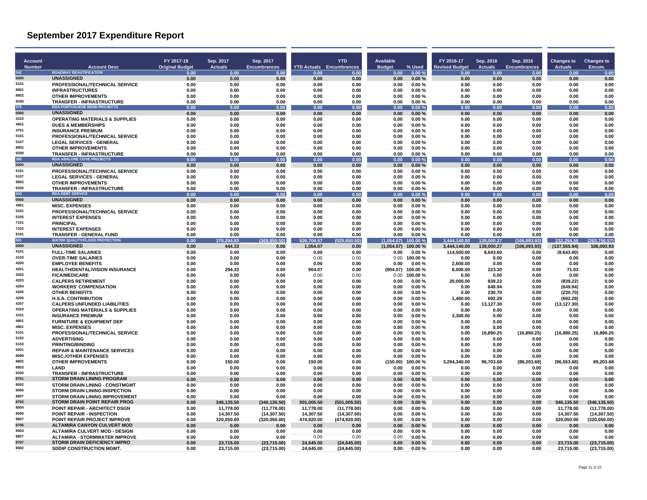| <b>Account</b><br><b>Number</b> | <b>Account Desc</b>                                                        | FY 2017-18<br><b>Original Budget</b> | Sep. 2017<br><b>Actuals</b> | Sep. 2017<br><b>Encumbrances</b> | <b>YTD Actuals</b> Encumbrances | <b>YTD</b>            | Available<br><b>Budget</b> | % Used             | FY 2016-17<br><b>Revised Budget</b> | Sep. 2016<br><b>Actuals</b> | Sep. 2016<br><b>Encumbrances</b> | Changes to<br><b>Actuals</b> | <b>Changes to</b><br>Encum. |
|---------------------------------|----------------------------------------------------------------------------|--------------------------------------|-----------------------------|----------------------------------|---------------------------------|-----------------------|----------------------------|--------------------|-------------------------------------|-----------------------------|----------------------------------|------------------------------|-----------------------------|
| 342                             | <b>ROADWAY BEAUTIFICATION</b>                                              | 0.00                                 | 0.00                        | 0.00                             | 0.00                            | 0.00                  | 0.00                       | 0.00%              | 0.00                                | 0.00                        | 0.00                             | 0.00                         | 0.00                        |
| 0000                            | <b>UNASSIGNED</b>                                                          | 0.00                                 | 0.00                        | 0.00                             | 0.00                            | 0.00                  | 0.00                       | 0.00%              | 0.00                                | 0.00                        | 0.00                             | 0.00                         | 0.00                        |
| 5101                            | PROFESSIONAL/TECHNICAL SERVICE                                             | 0.00                                 | 0.00                        | 0.00                             | 0.00                            | 0.00                  | 0.00                       | 0.00%              | 0.00                                | 0.00                        | 0.00                             | 0.00                         | 0.00                        |
| 8801<br>8802                    | <b>INFRASTRUCTURES</b><br><b>OTHER IMPROVEMENTS</b>                        | 0.00<br>0.00                         | 0.00<br>0.00                | 0.00<br>0.00                     | 0.00<br>0.00                    | 0.00<br>0.00          | 0.00<br>0.00               | 0.00%<br>0.00%     | 0.00<br>0.00                        | 0.00<br>0.00                | 0.00<br>0.00                     | 0.00<br>0.00                 | 0.00<br>0.00                |
| 9330                            | <b>TRANSFER - INFRASTRUCTURE</b>                                           | 0.00                                 | 0.00                        | 0.00                             | 0.00                            | 0.00                  | 0.00                       | 0.00%              | 0.00                                | 0.00                        | 0.00                             | 0.00                         | 0.00                        |
| 375                             | <b>RDA PORTUGUESE BEND PROJECTS</b>                                        | 0.00                                 | 0.00                        | 0.00                             | 0.00                            | 0.00                  | 0.00                       | 0.00%              | 0.00                                | 0.00                        | 0.00                             | 0.00                         | 0.00                        |
| 0000                            | <b>UNASSIGNED</b>                                                          | 0.00                                 | 0.00                        | 0.00                             | 0.00                            | 0.00                  | 0.00                       | 0.00%              | 0.00                                | 0.00                        | 0.00                             | 0.00                         | 0.00                        |
| 4310<br>4601                    | <b>OPERATING MATERIALS &amp; SUPPLIES</b><br><b>DUES &amp; MEMBERSHIPS</b> | 0.00                                 | 0.00<br>0.00                | 0.00                             | 0.00                            | 0.00                  | 0.00<br>0.00               | 0.00%<br>0.00%     | 0.00                                | 0.00                        | 0.00                             | 0.00<br>0.00                 | 0.00                        |
| 4701                            | <b>INSURANCE PREMIUM</b>                                                   | 0.00<br>0.00                         | 0.00                        | 0.00<br>0.00                     | 0.00<br>0.00                    | 0.00<br>0.00          | 0.00                       | 0.00%              | 0.00<br>0.00                        | 0.00<br>0.00                | 0.00<br>0.00                     | 0.00                         | 0.00<br>0.00                |
| 5101                            | PROFESSIONAL/TECHNICAL SERVICE                                             | 0.00                                 | 0.00                        | 0.00                             | 0.00                            | 0.00                  | 0.00                       | 0.00%              | 0.00                                | 0.00                        | 0.00                             | 0.00                         | 0.00                        |
| 5107                            | <b>LEGAL SERVICES - GENERAL</b>                                            | 0.00                                 | 0.00                        | 0.00                             | 0.00                            | 0.00                  | 0.00                       | 0.00%              | 0.00                                | 0.00                        | 0.00                             | 0.00                         | 0.00                        |
| 8802<br>9330                    | <b>OTHER IMPROVEMENTS</b>                                                  | 0.00                                 | 0.00                        | 0.00                             | 0.00                            | 0.00                  | 0.00                       | 0.00%              | 0.00                                | 0.00                        | 0.00                             | 0.00                         | 0.00                        |
| 380                             | <b>TRANSFER - INFRASTRUCTURE</b><br><b>RDA ABALONE COVE PROJECTS</b>       | 0.00<br>0.00                         | 0.00<br>0.00                | 0.00<br>0.00                     | 0.00<br>0.00                    | 0.00<br>0.00          | 0.00<br>0.00               | 0.00%<br>0.00%     | 0.00<br>0.00                        | 0.00<br>0.00                | 0.00<br>0.00                     | 0.00<br>0.00                 | 0.00<br>0.00                |
| 0000                            | <b>UNASSIGNED</b>                                                          | 0.00                                 | 0.00                        | 0.00                             | 0.00                            | 0.00                  | 0.00                       | 0.00%              | 0.00                                | 0.00                        | 0.00                             | 0.00                         | 0.00                        |
| 5101                            | <b>PROFESSIONAL/TECHNICAL SERVICE</b>                                      | 0.00                                 | 0.00                        | 0.00                             | 0.00                            | 0.00                  | 0.00                       | 0.00%              | 0.00                                | 0.00                        | 0.00                             | 0.00                         | 0.00                        |
| 5107                            | <b>LEGAL SERVICES - GENERAL</b>                                            | 0.00                                 | 0.00                        | 0.00                             | 0.00                            | 0.00                  | 0.00                       | 0.00%              | 0.00                                | 0.00                        | 0.00                             | 0.00                         | 0.00                        |
| 8802<br>9330                    | <b>OTHER IMPROVEMENTS</b>                                                  | 0.00                                 | 0.00                        | 0.00                             | 0.00                            | 0.00                  | 0.00                       | 0.00%              | 0.00                                | 0.00                        | 0.00                             | 0.00                         | 0.00                        |
| 410                             | <b>TRANSFER - INFRASTRUCTURE</b><br><b>RDA DEBT SERVICI</b>                | 0.00<br>0.00                         | 0.00<br>0.00                | 0.00<br>0.00                     | 0.00<br>0.01                    | 0.00<br>0.00          | 0.00<br>0.00               | 0.00%<br>0.00 %    | 0.00<br>0.00                        | 0.00<br>0.00                | 0.00<br>0.00                     | 0.00<br>0.0                  | 0.00<br>0.00                |
| 0000                            | <b>UNASSIGNED</b>                                                          | 0.00                                 | 0.00                        | 0.00                             | 0.00                            | 0.00                  | 0.00                       | 0.00%              | 0.00                                | 0.00                        | 0.00                             | 0.00                         | 0.00                        |
| 4901                            | <b>MISC. EXPENSES</b>                                                      | 0.00                                 | 0.00                        | 0.00                             | 0.00                            | 0.00                  | 0.00                       | 0.00%              | 0.00                                | 0.00                        | 0.00                             | 0.00                         | 0.00                        |
| 5101                            | <b>PROFESSIONAL/TECHNICAL SERVICE</b>                                      | 0.00                                 | 0.00                        | 0.00                             | 0.00                            | 0.00                  | 0.00                       | 0.00%              | 0.00                                | 0.00                        | 0.00                             | 0.00                         | 0.00                        |
| 5105<br>7101                    | <b>INTEREST EXPENSES</b><br><b>PRINCIPAL</b>                               | 0.00                                 | 0.00                        | 0.00                             | 0.00<br>0.00                    | 0.00                  | 0.00<br>0.00               | 0.00%<br>0.00%     | 0.00                                | 0.00                        | 0.00                             | 0.00<br>0.00                 | 0.00                        |
| 7102                            | <b>INTEREST EXPENSES</b>                                                   | 0.00<br>0.00                         | 0.00<br>0.00                | 0.00<br>0.00                     | 0.00                            | 0.00<br>0.00          | 0.00                       | 0.00%              | 0.00<br>0.00                        | 0.00<br>0.00                | 0.00<br>0.00                     | 0.00                         | 0.00<br>0.00                |
| 9101                            | <b>TRANSFER - GENERAL FUND</b>                                             | 0.00                                 | 0.00                        | 0.00                             | 0.00                            | 0.00                  | 0.00                       | 0.00%              | 0.00                                | 0.00                        | 0.00                             | 0.00                         | 0.00                        |
| 501                             | <b>WATER QUALITY/FLOOD PROTECTION</b>                                      | 0.00                                 | 370,294.83                  | (0.50)<br>(369, 8)               | 526,704.57                      | (525, 650.50)         | (1,054.07)                 | 100.00 %           | 3.444.140.00                        | 138,000.27                  | (106, 093.93)                    | 232.294.56                   | (263, 756.57)               |
| 0000<br>4101                    | <b>UNASSIGNED</b>                                                          | 0.00                                 | 444.33                      | 0.00                             | 1,054.07                        | 0.00                  | (1,054.07)                 | 100.00%            | 3,444,140.00                        | 138,000.27                  | (106, 093.93)                    | (137, 555.94)                | 106,093.93                  |
| 4103                            | <b>FULL-TIME SALARIES</b><br><b>OVER-TIME SALARIES</b>                     | 0.00<br>0.00                         | 0.00<br>0.00                | 0.00<br>0.00                     | 0.00<br>0.00                    | 0.00<br>0.00          | 0.00<br>0.00               | 0.00%<br>100.00%   | 114.500.00<br>0.00                  | 8,643.60<br>0.00            | 0.00<br>0.00                     | (8,643.60)<br>0.00           | 0.00<br>0.00                |
| 4200                            | <b>EMPLOYEE BENEFITS</b>                                                   | 0.00                                 | 0.00                        | 0.00                             | 0.00                            | 0.00                  | 0.00                       | 0.00%              | 2,600.00                            | 0.00                        | 0.00                             | 0.00                         | 0.00                        |
| 4201                            | <b>HEALTH/DENTAL/VISION INSURANCE</b>                                      | 0.00                                 | 294.33                      | 0.00                             | 904.07                          | 0.00                  | (904.07)                   | 100.00%            | 8.000.00                            | 223.30                      | 0.00                             | 71.03                        | 0.00                        |
| 4202                            | <b>FICA/MEDICARE</b>                                                       | 0.00                                 | 0.00                        | 0.00                             | 0.00                            | 0.00                  | 0.00                       | 100.00%            | 0.00                                | 0.00                        | 0.00                             | 0.00                         | 0.00                        |
| 4203<br>4204                    | <b>CALPERS RETIREMENT</b>                                                  | 0.00                                 | 0.00                        | 0.00                             | 0.00                            | 0.00                  | 0.00                       | 0.00%              | 20,000.00                           | 839.22                      | 0.00                             | (839.22)                     | 0.00                        |
| 4205                            | <b>WORKERS' COMPENSATION</b><br><b>OTHER BENEFITS</b>                      | 0.00<br>0.00                         | 0.00<br>0.00                | 0.00<br>0.00                     | 0.00<br>0.00                    | 0.00<br>0.00          | 0.00<br>0.00               | 0.00%<br>0.00%     | 0.00<br>0.00                        | 649.94<br>230.70            | 0.00<br>0.00                     | (649.94)<br>(230.70)         | 0.00<br>0.00                |
| 4206                            | <b>H.S.A. CONTRIBUTION</b>                                                 | 0.00                                 | 0.00                        | 0.00                             | 0.00                            | 0.00                  | 0.00                       | 0.00%              | 1.400.00                            | 692.28                      | 0.00                             | (692.28)                     | 0.00                        |
| 4207                            | <b>CALPERS UNFUNDED LIABILITIES</b>                                        | 0.00                                 | 0.00                        | 0.00                             | 0.00                            | 0.00                  | 0.00                       | 0.00%              | 0.00                                | 13,127.30                   | 0.00                             | (13, 127.30)                 | 0.00                        |
| 4310                            | <b>OPERATING MATERIALS &amp; SUPPLIES</b>                                  | 0.00                                 | 0.00                        | 0.00                             | 0.00                            | 0.00                  | 0.00                       | 0.00%              | 0.00                                | 0.00                        | 0.00                             | 0.00                         | 0.00                        |
| 4701<br>4801                    | <b>INSURANCE PREMIUM</b>                                                   | 0.00                                 | 0.00                        | 0.00                             | 0.00                            | 0.00                  | 0.00                       | 0.00%              | 3.300.00                            | 0.00                        | 0.00                             | 0.00                         | 0.00                        |
| 4901                            | <b>FURNITURE &amp; EQUIPMENT DEP</b><br><b>MISC. EXPENSES</b>              | 0.00<br>0.00                         | 0.00<br>0.00                | 0.00<br>0.00                     | 0.00<br>0.00                    | 0.00<br>0.00          | 0.00<br>0.00               | 0.00%<br>0.00%     | 0.00<br>0.00                        | 0.00<br>0.00                | 0.00<br>0.00                     | 0.00<br>0.00                 | 0.00<br>0.00                |
| 5101                            | <b>PROFESSIONAL/TECHNICAL SERVICE</b>                                      | 0.00                                 | 0.00                        | 0.00                             | 0.00                            | 0.00                  | 0.00                       | 0.00%              | 0.00                                | 16,890.25                   | (16,890.25)                      | (16.890.25)                  | 16.890.25                   |
| 5102                            | <b>ADVERTISING</b>                                                         | 0.00                                 | 0.00                        | 0.00                             | 0.00                            | 0.00                  | 0.00                       | 0.00%              | 0.00                                | 0.00                        | 0.00                             | 0.00                         | 0.00                        |
| 5103                            | <b>PRINTING/BINDING</b>                                                    | 0.00                                 | 0.00                        | 0.00                             | 0.00                            | 0.00                  | 0.00                       | 0.00%              | 0.00                                | 0.00                        | 0.00                             | 0.00                         | 0.00                        |
| 5201<br>8099                    | <b>REPAIR &amp; MAINTENANCE SERVICES</b><br><b>MISC./OTHER EXPENSES</b>    | 0.00<br>0.00                         | 0.00<br>0.00                | 0.00<br>0.00                     | 0.00<br>0.00                    | 0.00<br>0.00          | 0.00<br>0.00               | 0.00%<br>0.00%     | 0.00<br>0.00                        | 0.00<br>0.00                | 0.00<br>0.00                     | 0.00<br>0.00                 | 0.00<br>0.00                |
| 8802                            | <b>OTHER IMPROVEMENTS</b>                                                  | 0.00                                 | 150.00                      | 0.00                             | 150.00                          | 0.00                  | (150.00)                   | 100.00%            | 3,294,340.00                        | 96,703.68                   | (89, 203.68)                     | (96, 553.68)                 | 89,203.68                   |
| 8803                            | LAND                                                                       | 0.00                                 | 0.00                        | 0.00                             | 0.00                            | 0.00                  | 0.00                       | 0.00%              | 0.00                                | 0.00                        | 0.00                             | 0.00                         | 0.00                        |
| 9330                            | <b>TRANSFER - INFRASTRUCTURE</b>                                           | 0.00                                 | 0.00                        | 0.00                             | 0.00                            | 0.00                  | 0.00                       | 0.00%              | 0.00                                | 0.00                        | 0.00                             | 0.00                         | 0.00                        |
| 8701<br>8002                    | <b>STORM DRAIN LINING PROGRAM</b>                                          | 0.00                                 | 0.00                        | 0.00                             | 0.00                            | 0.00                  | 0.00                       | 0.00%              | 0.00                                | 0.00                        | 0.00                             | 0.00                         | 0.00                        |
| 8006                            | STORM DRAIN LINING - CONSTMGMT<br><b>STORM DRAIN LINING-INSPECTION</b>     | 0.00<br>0.00                         | 0.00<br>0.00                | 0.00<br>0.00                     | 0.00<br>0.00                    | 0.00<br>0.00          | 0.00<br>0.00               | 0.00%<br>$0.00 \%$ | 0.00<br>0.00                        | 0.00<br>0.00                | 0.00<br>0.00                     | 0.00<br>0.00                 | 0.00<br>0.00                |
| 8807                            | <b>STORM DRAIN LINING IMPROVEMENT</b>                                      | 0.00                                 | 0.00                        | 0.00                             | 0.00                            | 0.00                  | 0.00                       | 0.00%              | 0.00                                | 0.00                        | 0.00                             | 0.00                         | 0.00                        |
| 8702                            | STORM DRAIN POINT REPAIR PROG                                              | 0.00                                 | 346,135.50                  | (346, 135.50)                    | 501,005.50                      | (501,005.50)          | 0.00                       | 0.00%              | 0.00                                | 0.00                        | 0.00                             | 346,135.50                   | (346, 135.50)               |
| 8004                            | POINT REPAIR - ARCHITECT DSGN                                              | 0.00                                 | 11,778.00                   | (11,778.00)                      | 11,778.00                       | (11,778.00)           | 0.00                       | 0.00%              | 0.00                                | 0.00                        | 0.00                             | 11,778.00                    | (11,778.00)                 |
| 8006<br>8807                    | <b>POINT REPAIR - INSPECTION</b>                                           | 0.00                                 | 14,307.50                   | (14, 307.50)                     | 14,307.50                       | (14, 307.50)          | 0.00                       | 0.00%              | 0.00                                | 0.00                        | 0.00                             | 14.307.50                    | (14, 307.50)                |
| 8706                            | POINT REPAIR PROJECT IMPROVE<br><b>ALTAMIRA CANYON CULVERT MOD</b>         | 0.00<br>0.00                         | 320,050.00<br>0.00          | (320, 050.00)<br>0.00            | 474,920.00<br>0.00              | (474, 920.00)<br>0.00 | 0.00<br>0.00               | 0.00%<br>0.00%     | 0.00<br>0.00                        | 0.00<br>0.00                | 0.00<br>0.00                     | 320,050.00<br>0.00           | (320, 050.00)<br>0.00       |
| 8004                            | <b>ALTAMIRA CULVERT MOD - DESIGN</b>                                       | 0.00                                 | 0.00                        | 0.00                             | 0.00                            | 0.00                  | 0.00                       | 0.00%              | 0.00                                | 0.00                        | 0.00                             | 0.00                         | 0.00                        |
| 8807                            | <b>ALTAMIRA - STORMWATER IMPROVE</b>                                       | 0.00                                 | 0.00                        | 0.00                             | 0.00                            | 0.00                  | 0.00                       | 0.00%              | 0.00                                | 0.00                        | 0.00                             | 0.00                         | 0.00                        |
| 8707                            | <b>STORM DRAIN DEFICIENCY IMPRO</b>                                        | 0.00                                 | 23,715.00                   | (23,715.00)                      | 24,645.00                       | (24, 645.00)          | 0.00                       | 0.00%              | 0.00                                | 0.00                        | 0.00                             | 23,715.00                    | (23,715.00)                 |
| 8002                            | SDDIP CONSTRUCTION MGMT.                                                   | 0.00                                 | 23,715.00                   | (23,715.00)                      | 24,645.00                       | (24, 645.00)          | 0.00                       | $0.00 \%$          | 0.00                                | 0.00                        | 0.00                             | 23,715.00                    | (23,715.00)                 |